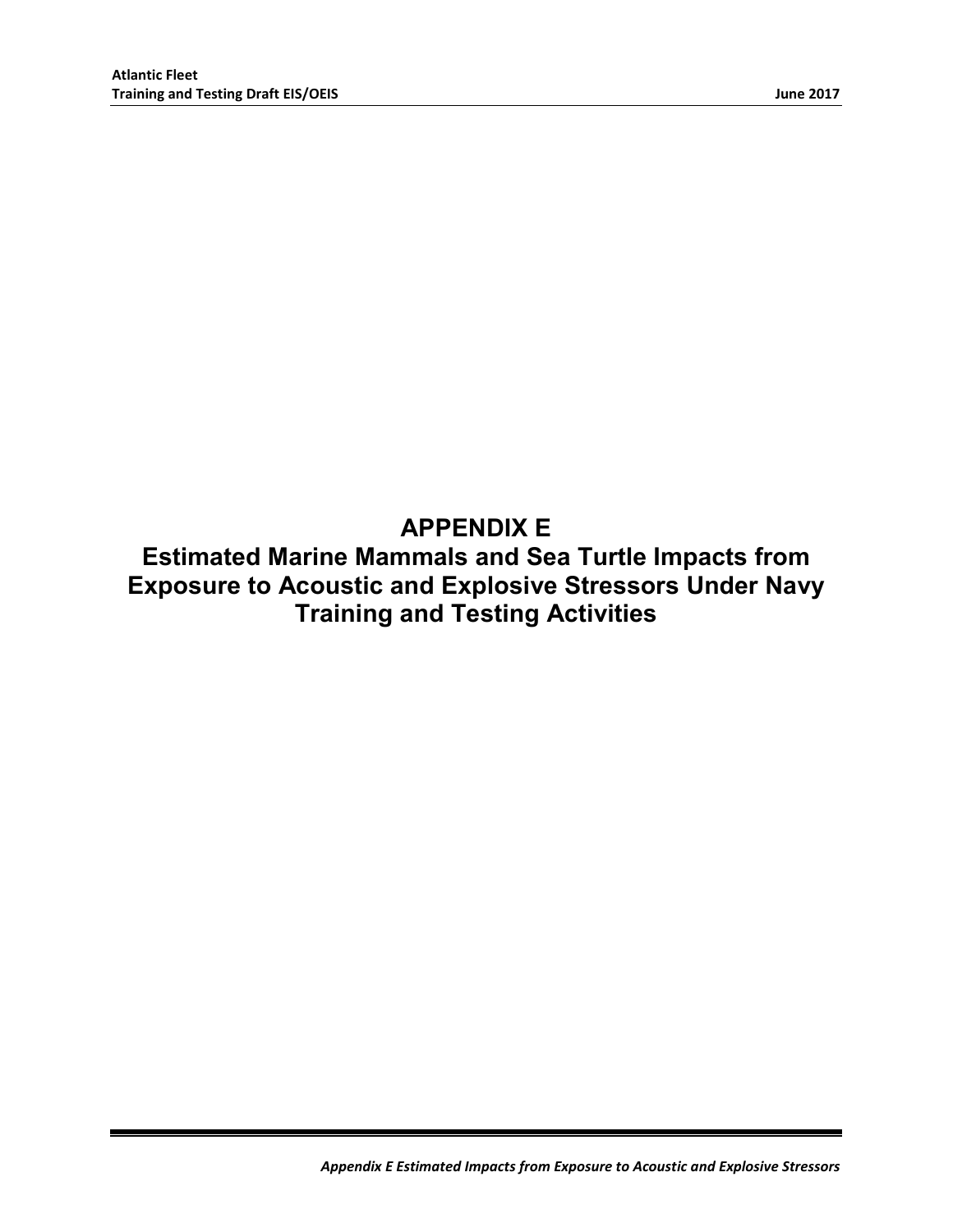# **APPENDIX E**

**Estimated Marine Mammals and Sea Turtle Impacts from Exposure to Acoustic and Explosive Stressors Under Navy Training and Testing Activities**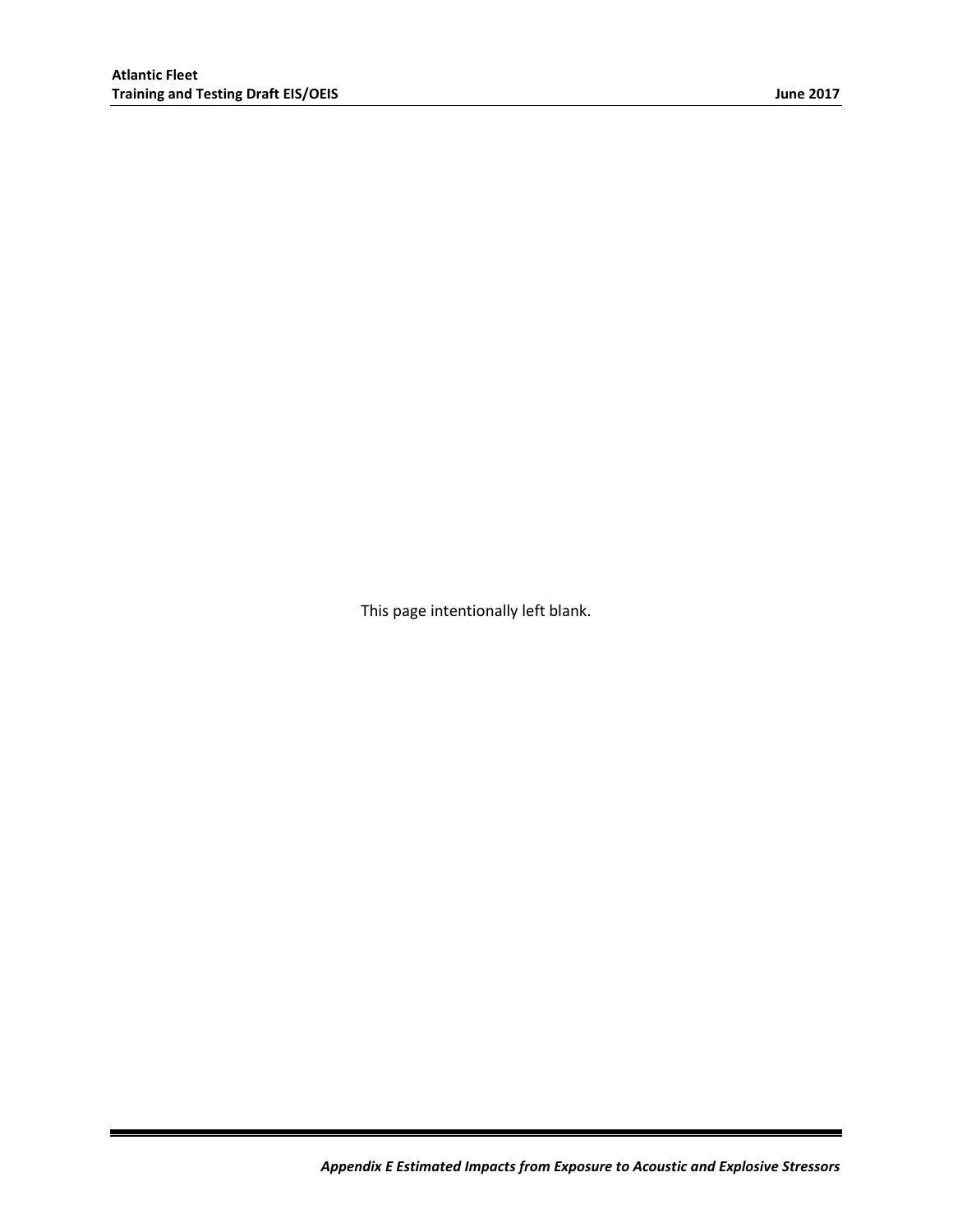This page intentionally left blank.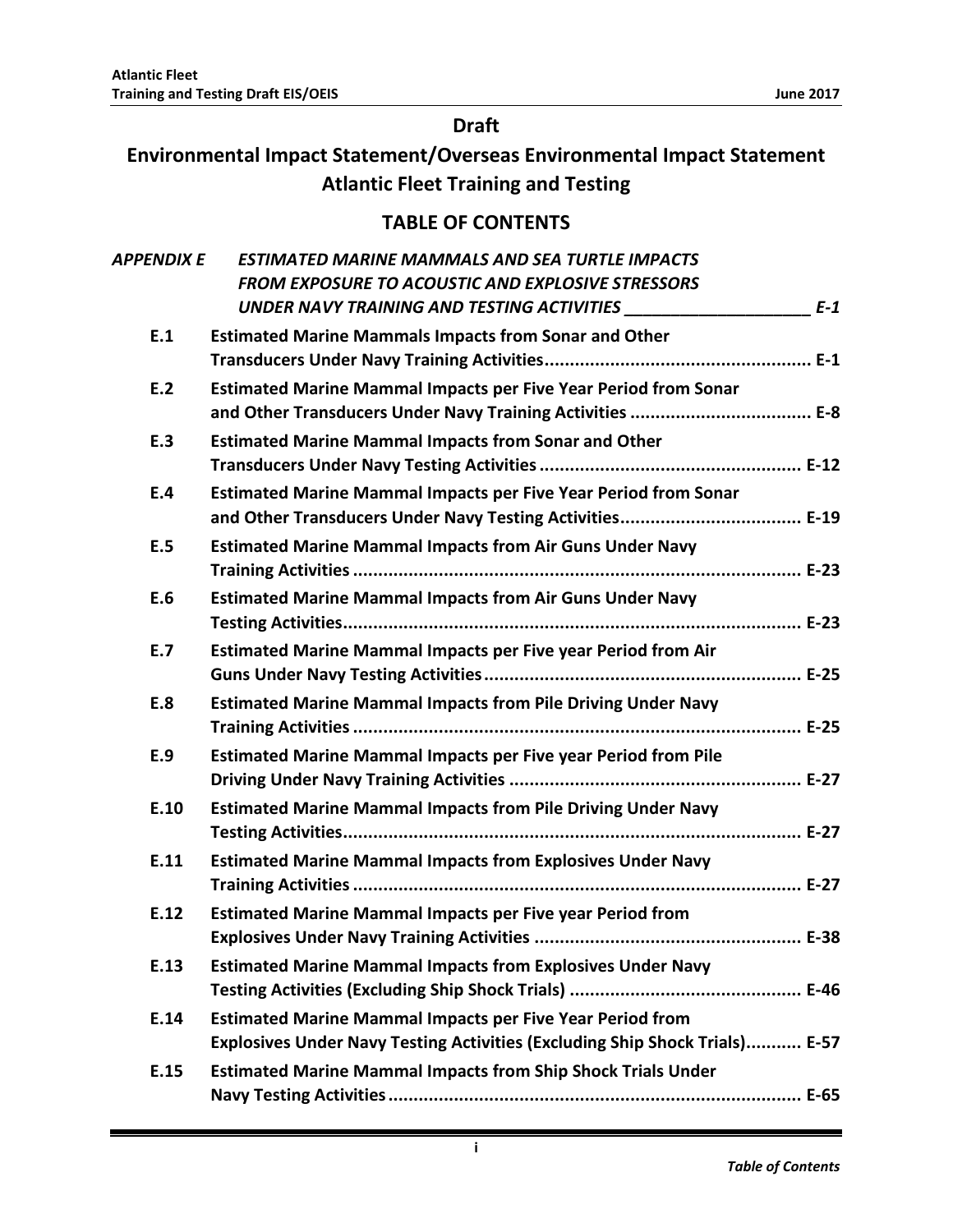# **Draft**

# **Environmental Impact Statement/Overseas Environmental Impact Statement Atlantic Fleet Training and Testing**

### **TABLE OF CONTENTS**

| APPENDIX E | <b>ESTIMATED MARINE MAMMALS AND SEA TURTLE IMPACTS</b>                      |
|------------|-----------------------------------------------------------------------------|
|            | <b>FROM EXPOSURE TO ACOUSTIC AND EXPLOSIVE STRESSORS</b>                    |
|            | UNDER NAVY TRAINING AND TESTING ACTIVITIES _________________________ E-1    |
| E.1        | <b>Estimated Marine Mammals Impacts from Sonar and Other</b>                |
|            |                                                                             |
| E.2        | <b>Estimated Marine Mammal Impacts per Five Year Period from Sonar</b>      |
|            |                                                                             |
| E.3        | <b>Estimated Marine Mammal Impacts from Sonar and Other</b>                 |
|            |                                                                             |
| E.4        | <b>Estimated Marine Mammal Impacts per Five Year Period from Sonar</b>      |
|            |                                                                             |
| E.5        | <b>Estimated Marine Mammal Impacts from Air Guns Under Navy</b>             |
|            |                                                                             |
| E.6        | <b>Estimated Marine Mammal Impacts from Air Guns Under Navy</b>             |
|            |                                                                             |
| E.7        | <b>Estimated Marine Mammal Impacts per Five year Period from Air</b>        |
|            |                                                                             |
| E.8        | <b>Estimated Marine Mammal Impacts from Pile Driving Under Navy</b>         |
|            |                                                                             |
| E.9        | <b>Estimated Marine Mammal Impacts per Five year Period from Pile</b>       |
|            |                                                                             |
| E.10       | <b>Estimated Marine Mammal Impacts from Pile Driving Under Navy</b>         |
|            |                                                                             |
| E.11       | <b>Estimated Marine Mammal Impacts from Explosives Under Navy</b>           |
|            |                                                                             |
| E.12       | <b>Estimated Marine Mammal Impacts per Five year Period from</b>            |
|            |                                                                             |
| E.13       | <b>Estimated Marine Mammal Impacts from Explosives Under Navy</b>           |
|            |                                                                             |
| E.14       | <b>Estimated Marine Mammal Impacts per Five Year Period from</b>            |
|            | Explosives Under Navy Testing Activities (Excluding Ship Shock Trials) E-57 |
| E.15       | <b>Estimated Marine Mammal Impacts from Ship Shock Trials Under</b>         |
|            |                                                                             |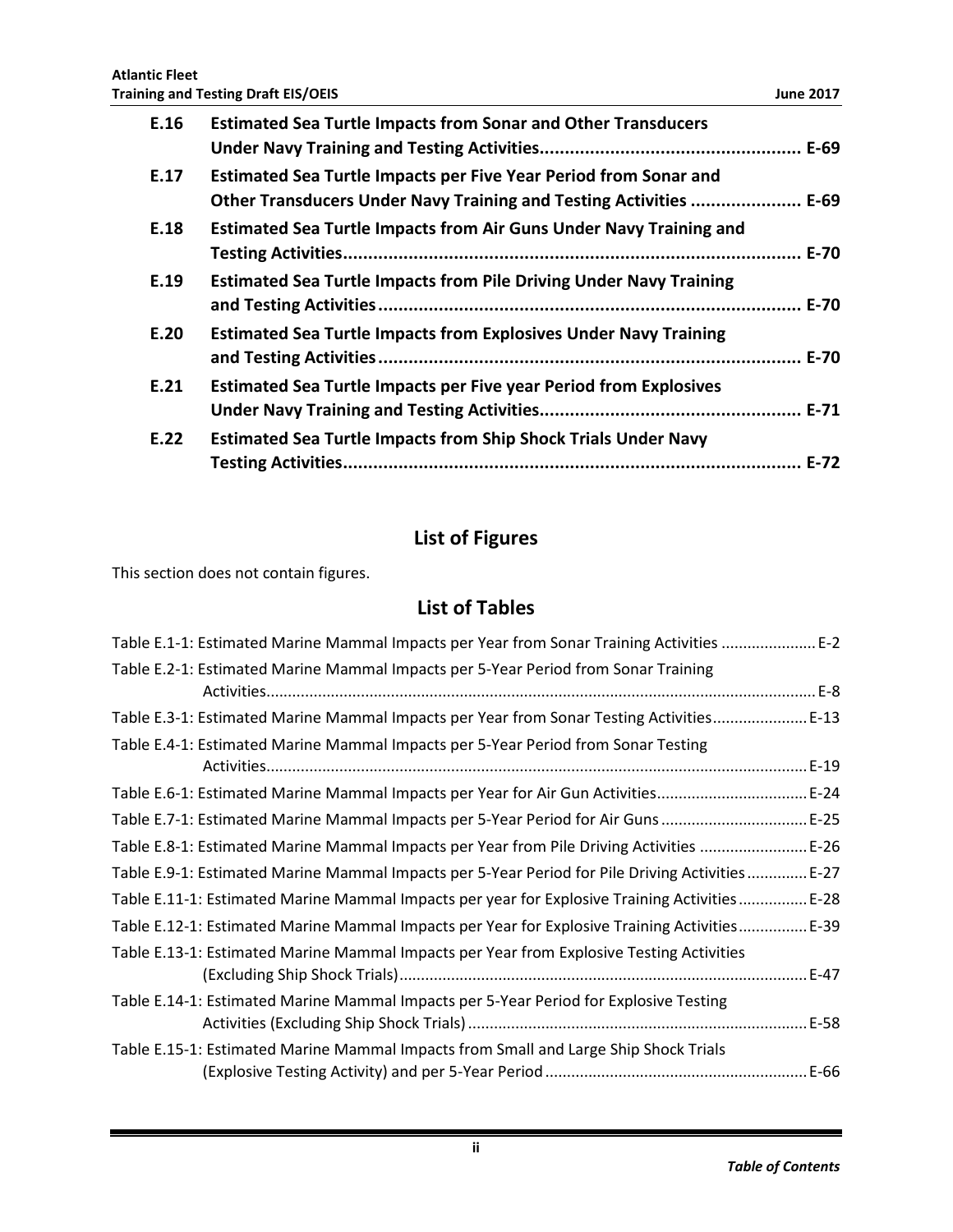| <b>Atlantic Fleet</b> |                                                                                                                                        |                  |
|-----------------------|----------------------------------------------------------------------------------------------------------------------------------------|------------------|
|                       | <b>Training and Testing Draft EIS/OEIS</b>                                                                                             | <b>June 2017</b> |
| E.16                  | <b>Estimated Sea Turtle Impacts from Sonar and Other Transducers</b>                                                                   |                  |
| E.17                  | Estimated Sea Turtle Impacts per Five Year Period from Sonar and<br>Other Transducers Under Navy Training and Testing Activities  E-69 |                  |
| E.18                  | <b>Estimated Sea Turtle Impacts from Air Guns Under Navy Training and</b>                                                              |                  |
| E.19                  | <b>Estimated Sea Turtle Impacts from Pile Driving Under Navy Training</b>                                                              |                  |
| E.20                  | <b>Estimated Sea Turtle Impacts from Explosives Under Navy Training</b>                                                                |                  |
| E.21                  | <b>Estimated Sea Turtle Impacts per Five year Period from Explosives</b>                                                               |                  |
| E.22                  | <b>Estimated Sea Turtle Impacts from Ship Shock Trials Under Navy</b>                                                                  | E-72             |

# **List of Figures**

This section does not contain figures.

# **List of Tables**

| Table E.1-1: Estimated Marine Mammal Impacts per Year from Sonar Training Activities  E-2       |
|-------------------------------------------------------------------------------------------------|
| Table E.2-1: Estimated Marine Mammal Impacts per 5-Year Period from Sonar Training              |
| Table E.3-1: Estimated Marine Mammal Impacts per Year from Sonar Testing Activities E-13        |
| Table E.4-1: Estimated Marine Mammal Impacts per 5-Year Period from Sonar Testing               |
| Table E.6-1: Estimated Marine Mammal Impacts per Year for Air Gun Activities E-24               |
| Table E.7-1: Estimated Marine Mammal Impacts per 5-Year Period for Air Guns  E-25               |
| Table E.8-1: Estimated Marine Mammal Impacts per Year from Pile Driving Activities  E-26        |
| Table E.9-1: Estimated Marine Mammal Impacts per 5-Year Period for Pile Driving Activities E-27 |
| Table E.11-1: Estimated Marine Mammal Impacts per year for Explosive Training Activities E-28   |
| Eable E.12-1: Estimated Marine Mammal Impacts per Year for Explosive Training Activities E-39   |
| Table E.13-1: Estimated Marine Mammal Impacts per Year from Explosive Testing Activities        |
| Table E.14-1: Estimated Marine Mammal Impacts per 5-Year Period for Explosive Testing           |
| Table E.15-1: Estimated Marine Mammal Impacts from Small and Large Ship Shock Trials            |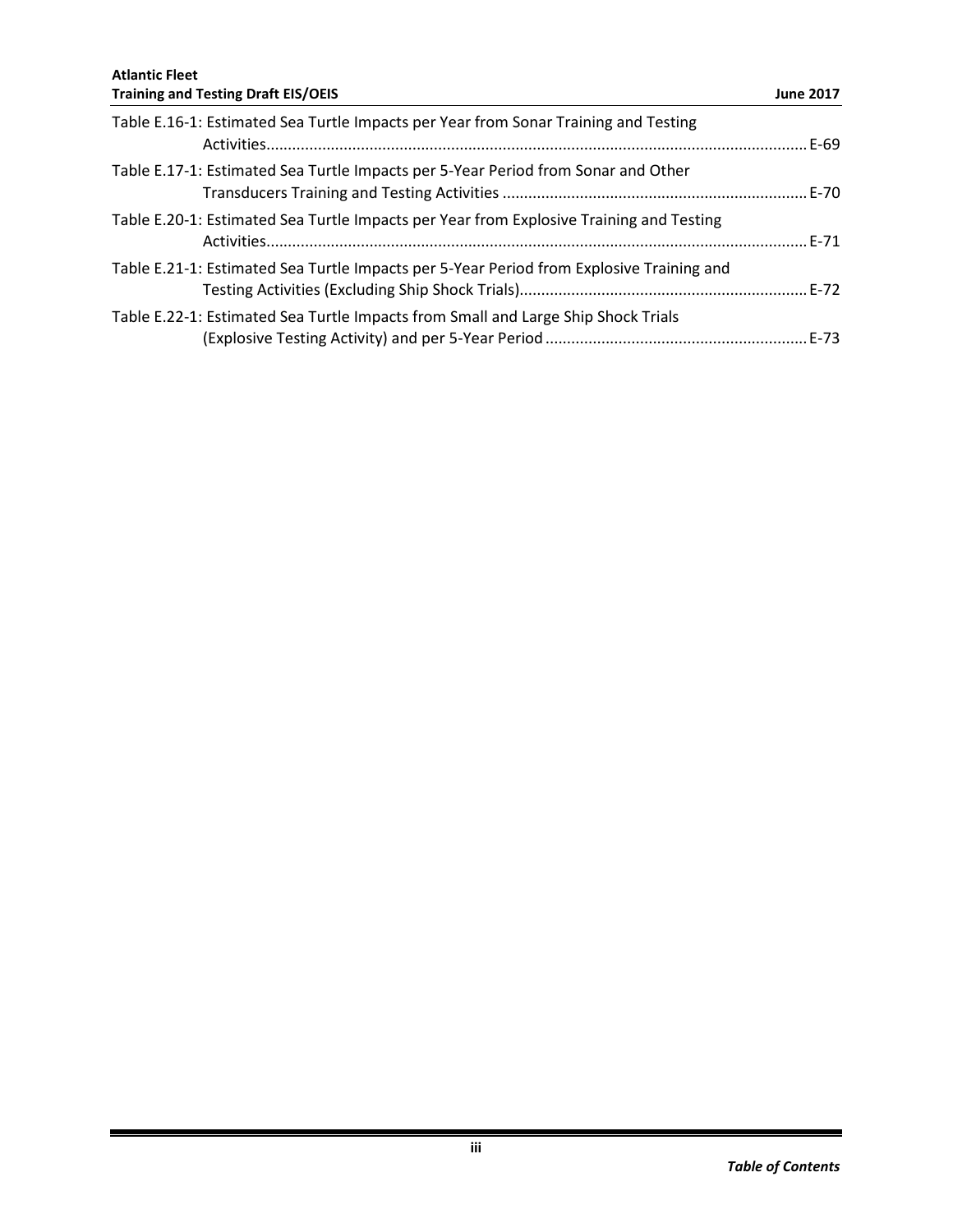| <b>Atlantic Fleet</b><br><b>Training and Testing Draft EIS/OEIS</b>                      | <b>June 2017</b> |
|------------------------------------------------------------------------------------------|------------------|
| Table E.16-1: Estimated Sea Turtle Impacts per Year from Sonar Training and Testing      |                  |
| Table E.17-1: Estimated Sea Turtle Impacts per 5-Year Period from Sonar and Other        |                  |
| Table E.20-1: Estimated Sea Turtle Impacts per Year from Explosive Training and Testing  |                  |
| Table E.21-1: Estimated Sea Turtle Impacts per 5-Year Period from Explosive Training and |                  |
| Table E.22-1: Estimated Sea Turtle Impacts from Small and Large Ship Shock Trials        |                  |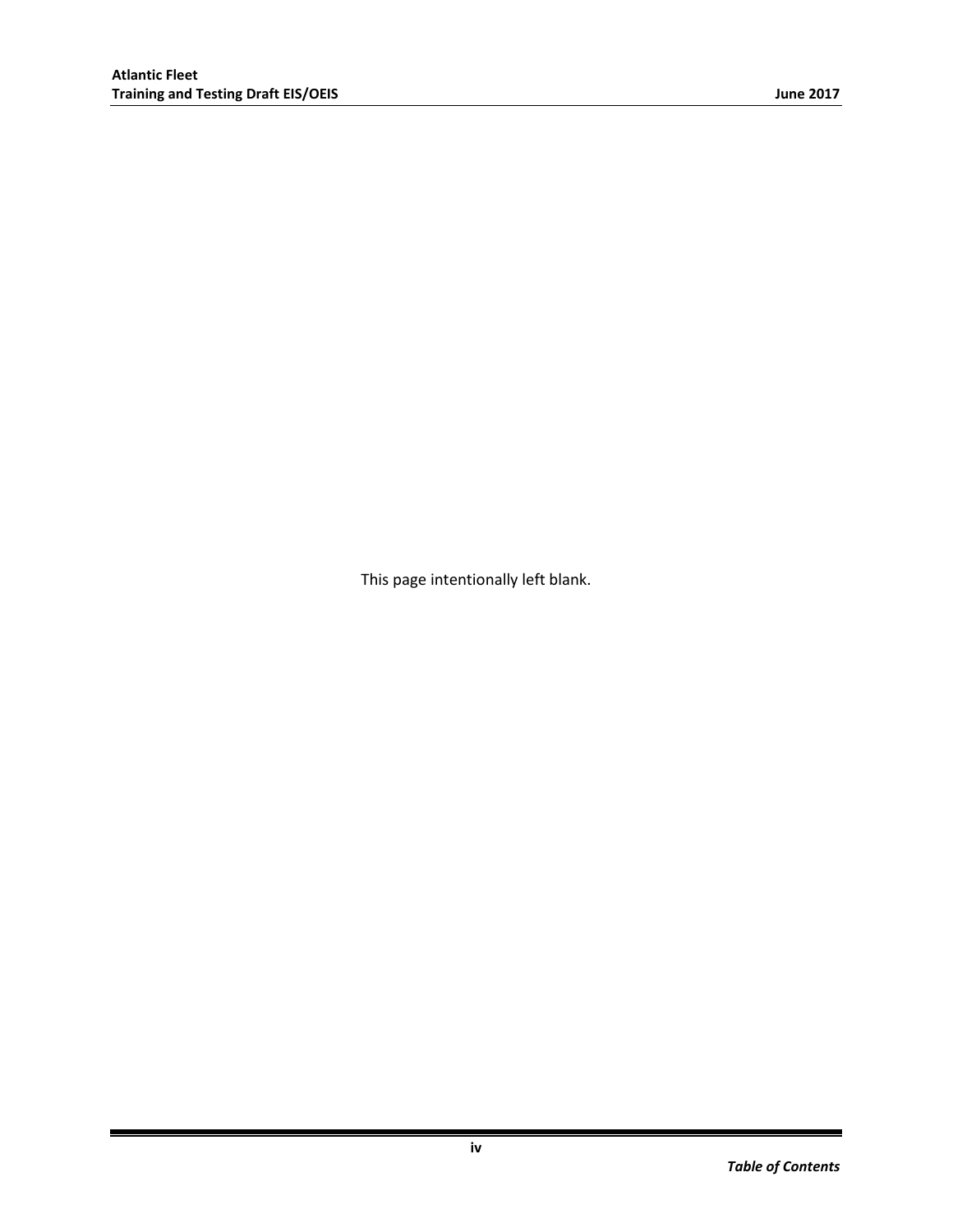This page intentionally left blank.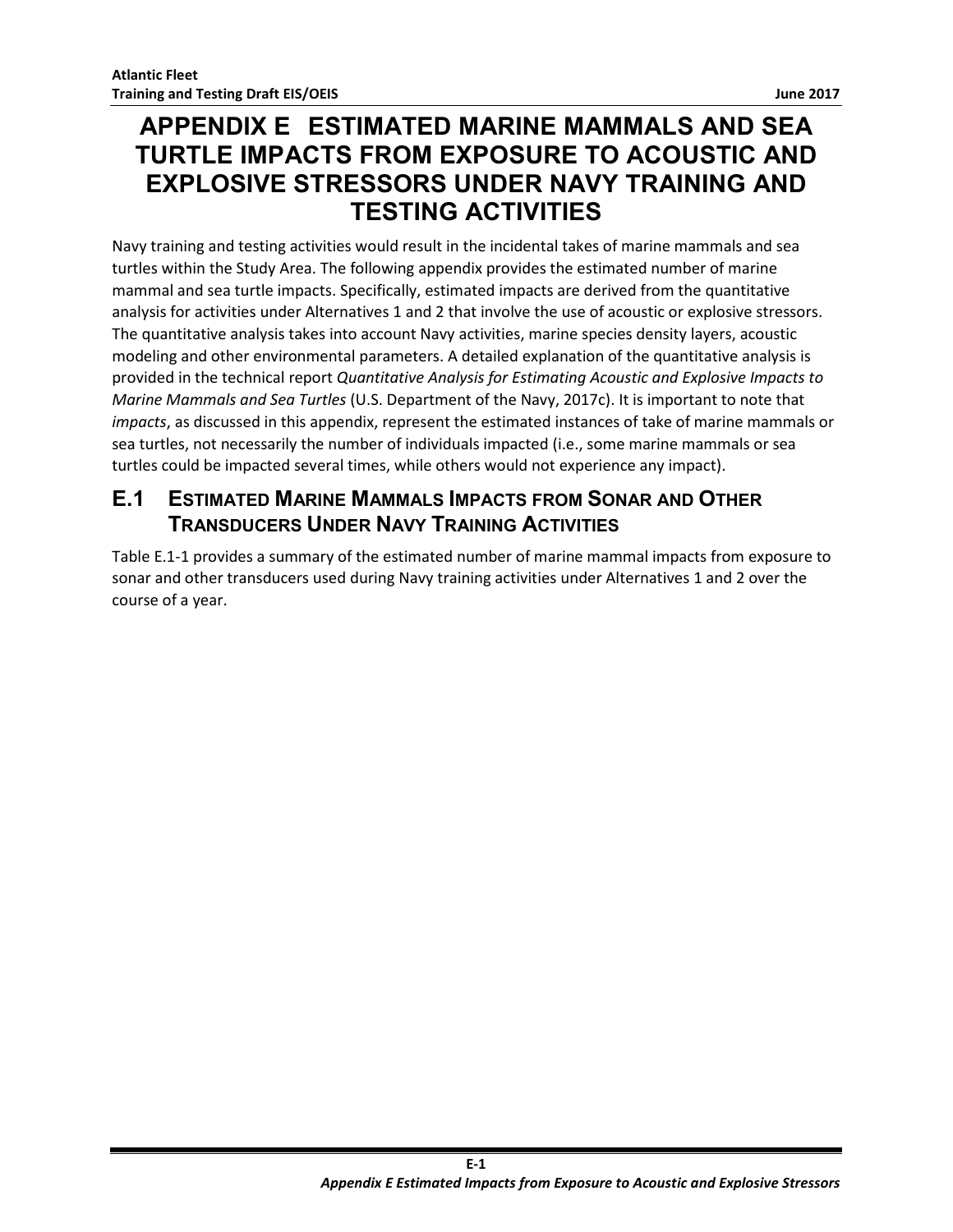# <span id="page-6-0"></span>**APPENDIX E ESTIMATED MARINE MAMMALS AND SEA TURTLE IMPACTS FROM EXPOSURE TO ACOUSTIC AND EXPLOSIVE STRESSORS UNDER NAVY TRAINING AND TESTING ACTIVITIES**

Navy training and testing activities would result in the incidental takes of marine mammals and sea turtles within the Study Area. The following appendix provides the estimated number of marine mammal and sea turtle impacts. Specifically, estimated impacts are derived from the quantitative analysis for activities under Alternatives 1 and 2 that involve the use of acoustic or explosive stressors. The quantitative analysis takes into account Navy activities, marine species density layers, acoustic modeling and other environmental parameters. A detailed explanation of the quantitative analysis is provided in the technical report *Quantitative Analysis for Estimating Acoustic and Explosive Impacts to Marine Mammals and Sea Turtles* (U.S. Department of the Navy, 2017c). It is important to note that *impacts*, as discussed in this appendix, represent the estimated instances of take of marine mammals or sea turtles, not necessarily the number of individuals impacted (i.e., some marine mammals or sea turtles could be impacted several times, while others would not experience any impact).

# <span id="page-6-1"></span>**E.1 ESTIMATED MARINE MAMMALS IMPACTS FROM SONAR AND OTHER TRANSDUCERS UNDER NAVY TRAINING ACTIVITIES**

[Table E.1-1](#page-7-0) provides a summary of the estimated number of marine mammal impacts from exposure to sonar and other transducers used during Navy training activities under Alternatives 1 and 2 over the course of a year.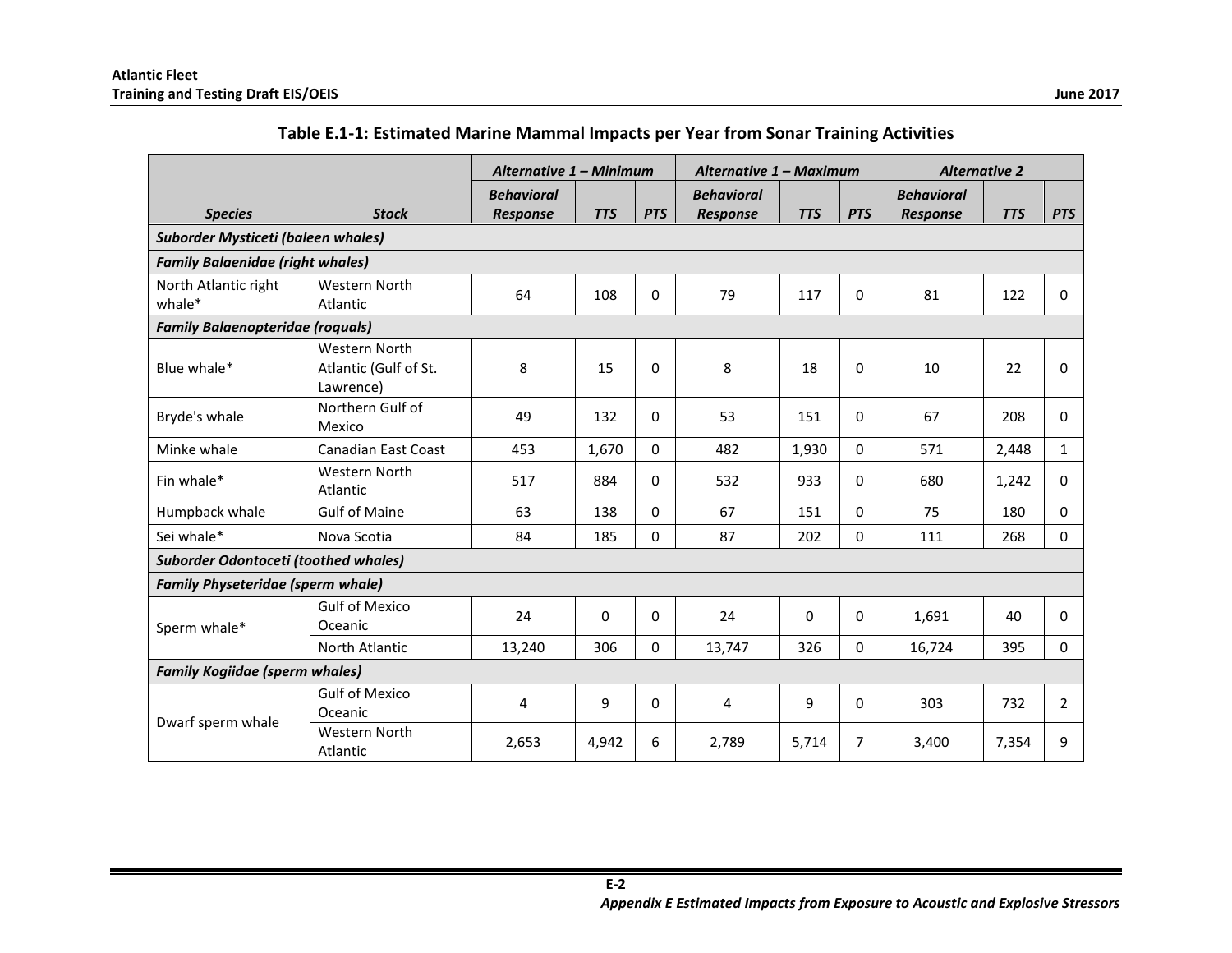<span id="page-7-0"></span>

|                                             |                                                            | Alternative 1 - Minimum |            | Alternative 1 - Maximum |                   |            | <b>Alternative 2</b> |                   |            |                |
|---------------------------------------------|------------------------------------------------------------|-------------------------|------------|-------------------------|-------------------|------------|----------------------|-------------------|------------|----------------|
|                                             |                                                            | <b>Behavioral</b>       |            |                         | <b>Behavioral</b> |            |                      | <b>Behavioral</b> |            |                |
| <b>Species</b>                              | <b>Stock</b>                                               | <b>Response</b>         | <b>TTS</b> | <b>PTS</b>              | <b>Response</b>   | <b>TTS</b> | <b>PTS</b>           | <b>Response</b>   | <b>TTS</b> | <b>PTS</b>     |
| <b>Suborder Mysticeti (baleen whales)</b>   |                                                            |                         |            |                         |                   |            |                      |                   |            |                |
| <b>Family Balaenidae (right whales)</b>     |                                                            |                         |            |                         |                   |            |                      |                   |            |                |
| North Atlantic right<br>whale*              | <b>Western North</b><br>Atlantic                           | 64                      | 108        | 0                       | 79                | 117        | $\mathbf 0$          | 81                | 122        | 0              |
| <b>Family Balaenopteridae (roquals)</b>     |                                                            |                         |            |                         |                   |            |                      |                   |            |                |
| Blue whale*                                 | <b>Western North</b><br>Atlantic (Gulf of St.<br>Lawrence) | 8                       | 15         | 0                       | 8                 | 18         | $\Omega$             | 10                | 22         | $\Omega$       |
| Bryde's whale                               | Northern Gulf of<br>Mexico                                 | 49                      | 132        | $\mathbf 0$             | 53                | 151        | $\Omega$             | 67                | 208        | $\Omega$       |
| Minke whale                                 | <b>Canadian East Coast</b>                                 | 453                     | 1,670      | $\mathbf 0$             | 482               | 1,930      | $\Omega$             | 571               | 2,448      | $\mathbf{1}$   |
| Fin whale*                                  | <b>Western North</b><br>Atlantic                           | 517                     | 884        | 0                       | 532               | 933        | $\Omega$             | 680               | 1,242      | $\Omega$       |
| Humpback whale                              | <b>Gulf of Maine</b>                                       | 63                      | 138        | $\mathbf 0$             | 67                | 151        | $\mathbf 0$          | 75                | 180        | $\mathbf 0$    |
| Sei whale*                                  | Nova Scotia                                                | 84                      | 185        | 0                       | 87                | 202        | 0                    | 111               | 268        | $\mathbf 0$    |
| <b>Suborder Odontoceti (toothed whales)</b> |                                                            |                         |            |                         |                   |            |                      |                   |            |                |
| <b>Family Physeteridae (sperm whale)</b>    |                                                            |                         |            |                         |                   |            |                      |                   |            |                |
| Sperm whale*                                | <b>Gulf of Mexico</b><br>Oceanic                           | 24                      | 0          | $\mathbf 0$             | 24                | $\Omega$   | $\Omega$             | 1,691             | 40         | $\Omega$       |
|                                             | <b>North Atlantic</b>                                      | 13,240                  | 306        | $\mathbf 0$             | 13,747            | 326        | $\mathbf 0$          | 16,724            | 395        | $\mathbf{0}$   |
| <b>Family Kogiidae (sperm whales)</b>       |                                                            |                         |            |                         |                   |            |                      |                   |            |                |
| Dwarf sperm whale                           | <b>Gulf of Mexico</b><br>Oceanic                           | 4                       | 9          | $\mathbf 0$             | 4                 | 9          | $\mathbf 0$          | 303               | 732        | $\overline{2}$ |
|                                             | <b>Western North</b><br>Atlantic                           | 2,653                   | 4,942      | 6                       | 2,789             | 5,714      | 7                    | 3,400             | 7,354      | 9              |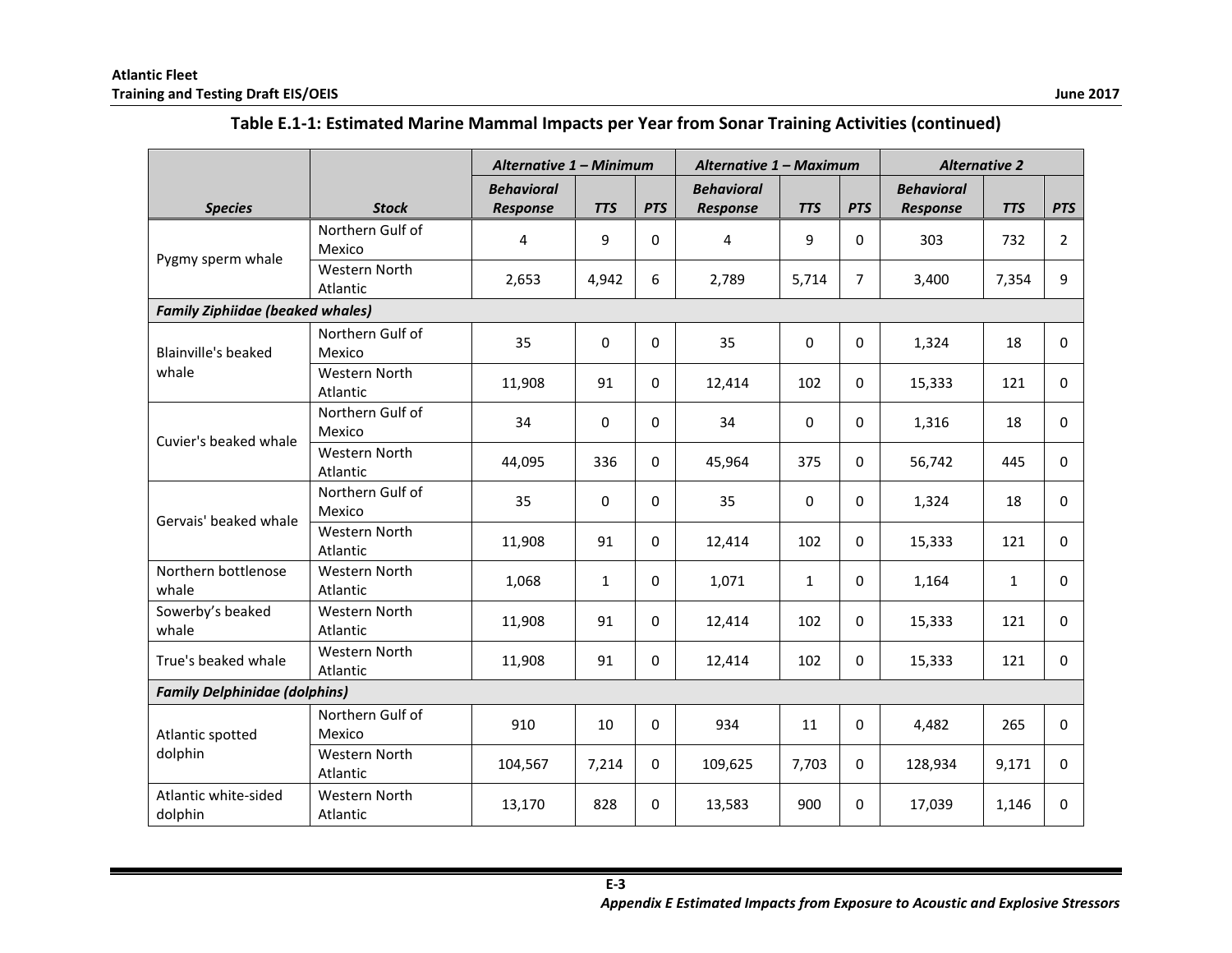|                                         |                                  | Alternative 1 - Minimum              |              | Alternative 1 - Maximum |                                      |              | <b>Alternative 2</b> |                                      |              |                |
|-----------------------------------------|----------------------------------|--------------------------------------|--------------|-------------------------|--------------------------------------|--------------|----------------------|--------------------------------------|--------------|----------------|
| <b>Species</b>                          | <b>Stock</b>                     | <b>Behavioral</b><br><b>Response</b> | <b>TTS</b>   | <b>PTS</b>              | <b>Behavioral</b><br><b>Response</b> | <b>TTS</b>   | <b>PTS</b>           | <b>Behavioral</b><br><b>Response</b> | <b>TTS</b>   | <b>PTS</b>     |
| Pygmy sperm whale                       | Northern Gulf of<br>Mexico       | 4                                    | 9            | $\mathbf 0$             | 4                                    | 9            | $\Omega$             | 303                                  | 732          | $\overline{2}$ |
|                                         | Western North<br>Atlantic        | 2,653                                | 4,942        | 6                       | 2,789                                | 5,714        | 7                    | 3,400                                | 7,354        | 9              |
| <b>Family Ziphiidae (beaked whales)</b> |                                  |                                      |              |                         |                                      |              |                      |                                      |              |                |
| Blainville's beaked<br>whale            | Northern Gulf of<br>Mexico       | 35                                   | $\mathbf 0$  | $\mathbf 0$             | 35                                   | $\mathbf 0$  | $\mathbf 0$          | 1,324                                | 18           | 0              |
|                                         | <b>Western North</b><br>Atlantic | 11,908                               | 91           | $\mathbf 0$             | 12,414                               | 102          | $\mathbf 0$          | 15,333                               | 121          | $\Omega$       |
| Cuvier's beaked whale                   | Northern Gulf of<br>Mexico       | 34                                   | 0            | $\mathbf 0$             | 34                                   | $\mathbf 0$  | $\mathbf 0$          | 1,316                                | 18           | $\mathbf{0}$   |
|                                         | <b>Western North</b><br>Atlantic | 44,095                               | 336          | $\mathbf 0$             | 45,964                               | 375          | $\Omega$             | 56,742                               | 445          | $\Omega$       |
| Gervais' beaked whale                   | Northern Gulf of<br>Mexico       | 35                                   | $\pmb{0}$    | $\mathbf 0$             | 35                                   | $\mathbf 0$  | $\mathbf 0$          | 1,324                                | 18           | $\Omega$       |
|                                         | <b>Western North</b><br>Atlantic | 11,908                               | 91           | $\mathbf 0$             | 12,414                               | 102          | $\Omega$             | 15,333                               | 121          | 0              |
| Northern bottlenose<br>whale            | Western North<br>Atlantic        | 1,068                                | $\mathbf{1}$ | $\mathbf 0$             | 1,071                                | $\mathbf{1}$ | $\mathbf 0$          | 1,164                                | $\mathbf{1}$ | 0              |
| Sowerby's beaked<br>whale               | Western North<br>Atlantic        | 11,908                               | 91           | 0                       | 12,414                               | 102          | $\mathbf 0$          | 15,333                               | 121          | $\Omega$       |
| True's beaked whale                     | Western North<br>Atlantic        | 11,908                               | 91           | 0                       | 12,414                               | 102          | $\mathbf 0$          | 15,333                               | 121          | 0              |
| <b>Family Delphinidae (dolphins)</b>    |                                  |                                      |              |                         |                                      |              |                      |                                      |              |                |
| Atlantic spotted                        | Northern Gulf of<br>Mexico       | 910                                  | 10           | $\Omega$                | 934                                  | 11           | $\Omega$             | 4,482                                | 265          | $\mathbf{0}$   |
| dolphin                                 | Western North<br>Atlantic        | 104,567                              | 7,214        | $\mathbf 0$             | 109,625                              | 7,703        | 0                    | 128,934                              | 9,171        | $\Omega$       |
| Atlantic white-sided<br>dolphin         | Western North<br>Atlantic        | 13,170                               | 828          | $\mathbf 0$             | 13,583                               | 900          | $\Omega$             | 17,039                               | 1,146        | $\Omega$       |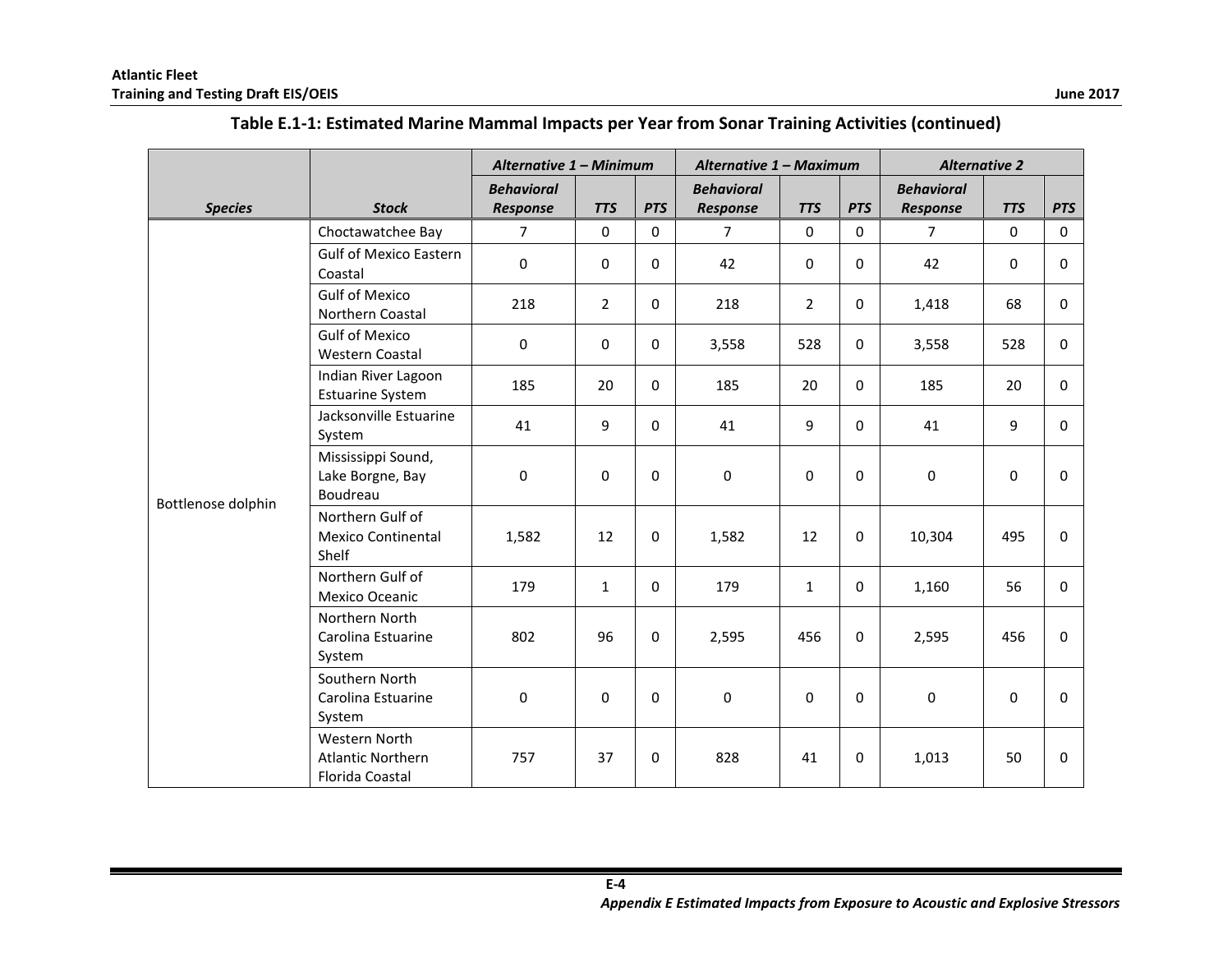|                    |                                                                     |                                      | Alternative 1 - Minimum |             | Alternative 1 - Maximum              |                |             | <b>Alternative 2</b>                 |              |              |
|--------------------|---------------------------------------------------------------------|--------------------------------------|-------------------------|-------------|--------------------------------------|----------------|-------------|--------------------------------------|--------------|--------------|
| <b>Species</b>     | <b>Stock</b>                                                        | <b>Behavioral</b><br><b>Response</b> | <b>TTS</b>              | <b>PTS</b>  | <b>Behavioral</b><br><b>Response</b> | <b>TTS</b>     | <b>PTS</b>  | <b>Behavioral</b><br><b>Response</b> | <b>TTS</b>   | <b>PTS</b>   |
|                    | Choctawatchee Bay                                                   | $\overline{7}$                       | $\mathbf 0$             | $\mathbf 0$ | $\overline{7}$                       | $\pmb{0}$      | $\mathbf 0$ | $\overline{7}$                       | $\mathbf 0$  | $\mathbf 0$  |
|                    | <b>Gulf of Mexico Eastern</b><br>Coastal                            | 0                                    | $\pmb{0}$               | $\mathbf 0$ | 42                                   | 0              | $\mathbf 0$ | 42                                   | $\mathbf 0$  | $\mathbf 0$  |
| Bottlenose dolphin | <b>Gulf of Mexico</b><br>Northern Coastal                           | 218                                  | $\overline{2}$          | $\mathbf 0$ | 218                                  | $\overline{2}$ | $\mathbf 0$ | 1,418                                | 68           | $\mathbf{0}$ |
|                    | <b>Gulf of Mexico</b><br>Western Coastal                            | 0                                    | $\mathbf 0$             | $\mathbf 0$ | 3,558                                | 528            | $\mathbf 0$ | 3,558                                | 528          | $\mathbf{0}$ |
|                    | Indian River Lagoon<br><b>Estuarine System</b>                      | 185                                  | 20                      | $\mathbf 0$ | 185                                  | 20             | $\mathbf 0$ | 185                                  | 20           | $\mathbf 0$  |
|                    | Jacksonville Estuarine<br>System                                    | 41                                   | 9                       | $\mathbf 0$ | 41                                   | 9              | $\mathbf 0$ | 41                                   | 9            | $\Omega$     |
|                    | Mississippi Sound,<br>Lake Borgne, Bay<br>Boudreau                  | 0                                    | 0                       | 0           | $\boldsymbol{0}$                     | 0              | $\mathbf 0$ | 0                                    | $\mathbf{0}$ | $\Omega$     |
|                    | Northern Gulf of<br><b>Mexico Continental</b><br>Shelf              | 1,582                                | 12                      | $\mathbf 0$ | 1,582                                | 12             | $\mathbf 0$ | 10,304                               | 495          | $\mathbf{0}$ |
|                    | Northern Gulf of<br>Mexico Oceanic                                  | 179                                  | $\mathbf{1}$            | $\mathbf 0$ | 179                                  | $\mathbf{1}$   | $\mathbf 0$ | 1,160                                | 56           | $\mathbf{0}$ |
|                    | Northern North<br>Carolina Estuarine<br>System                      | 802                                  | 96                      | $\mathbf 0$ | 2,595                                | 456            | $\mathbf 0$ | 2,595                                | 456          | $\mathbf 0$  |
|                    | Southern North<br>Carolina Estuarine<br>System                      | $\pmb{0}$                            | 0                       | 0           | $\boldsymbol{0}$                     | $\pmb{0}$      | $\pmb{0}$   | $\pmb{0}$                            | $\mathbf 0$  | $\mathbf{0}$ |
|                    | Western North<br><b>Atlantic Northern</b><br><b>Florida Coastal</b> | 757                                  | 37                      | 0           | 828                                  | 41             | 0           | 1,013                                | 50           | $\mathbf 0$  |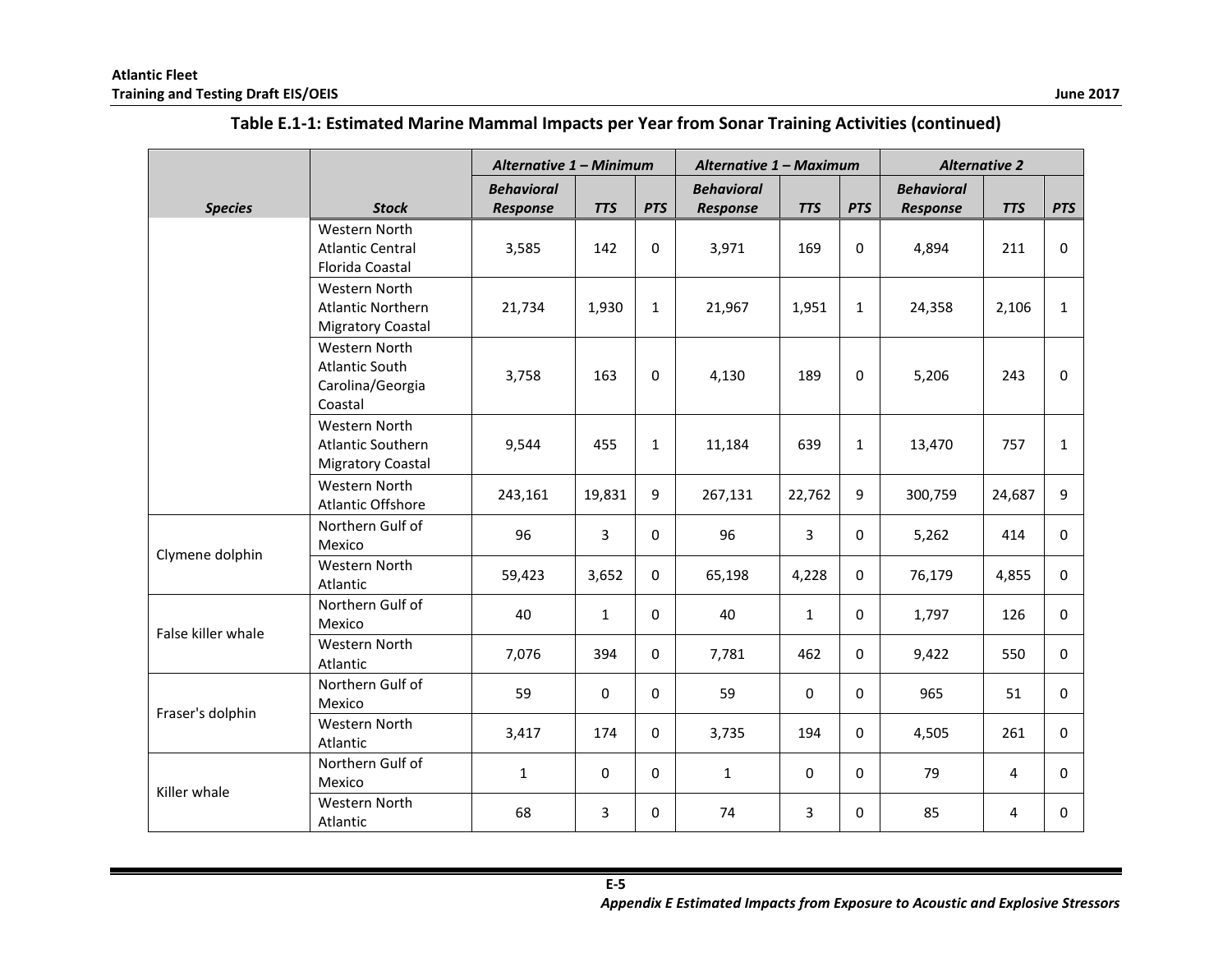|                    |                                                                              |                                      | Alternative 1 - Minimum |              |                                      | Alternative 1 - Maximum |              |                                      | <b>Alternative 2</b>                       |              |  |
|--------------------|------------------------------------------------------------------------------|--------------------------------------|-------------------------|--------------|--------------------------------------|-------------------------|--------------|--------------------------------------|--------------------------------------------|--------------|--|
| <b>Species</b>     | <b>Stock</b>                                                                 | <b>Behavioral</b><br><b>Response</b> | <b>TTS</b>              | <b>PTS</b>   | <b>Behavioral</b><br><b>Response</b> | <b>TTS</b>              | <b>PTS</b>   | <b>Behavioral</b><br><b>Response</b> | <b>TTS</b>                                 | <b>PTS</b>   |  |
|                    | Western North<br><b>Atlantic Central</b><br>Florida Coastal                  | 3,585                                | 142                     | 0            | 3,971                                | 169                     | $\mathbf 0$  | 4,894                                | 211                                        | $\Omega$     |  |
|                    | Western North<br><b>Atlantic Northern</b><br><b>Migratory Coastal</b>        | 21,734                               | 1,930                   | $\mathbf{1}$ | 21,967                               | 1,951                   | $\mathbf{1}$ | 24,358                               | 2,106                                      | $\mathbf{1}$ |  |
|                    | Western North<br><b>Atlantic South</b><br>Carolina/Georgia<br>Coastal        | 3,758                                | 163                     | 0            | 4,130                                | 189                     | $\mathbf 0$  | 5,206                                | 243                                        | $\Omega$     |  |
|                    | <b>Western North</b><br><b>Atlantic Southern</b><br><b>Migratory Coastal</b> | 9,544                                | 455                     | $\mathbf{1}$ | 11,184                               | 639                     | $\mathbf{1}$ | 13,470                               | 757                                        | 1            |  |
|                    | Western North<br><b>Atlantic Offshore</b>                                    | 243,161                              | 19,831                  | 9            | 267,131                              | 22,762                  | 9            | 300,759                              | 24,687                                     | 9            |  |
| Clymene dolphin    | Northern Gulf of<br>Mexico                                                   | 96                                   | 3                       | $\mathbf 0$  | 96                                   | 3                       | 0            | 5,262                                | 414                                        | $\Omega$     |  |
|                    | Western North<br>Atlantic                                                    | 59,423                               | 3,652                   | $\mathbf 0$  | 65,198                               | 4,228                   | $\Omega$     | 76,179                               | 4,855<br>126<br>550<br>51<br>261<br>4<br>4 | $\Omega$     |  |
| False killer whale | Northern Gulf of<br>Mexico                                                   | 40                                   | $\mathbf{1}$            | $\mathbf 0$  | 40                                   | 1                       | $\Omega$     | 1,797                                |                                            | $\Omega$     |  |
|                    | Western North<br>Atlantic                                                    | 7,076                                | 394                     | $\mathbf 0$  | 7,781                                | 462                     | $\Omega$     | 9,422                                |                                            | $\Omega$     |  |
| Fraser's dolphin   | Northern Gulf of<br>Mexico                                                   | 59                                   | $\mathbf 0$             | $\Omega$     | 59                                   | $\mathbf 0$             | $\Omega$     | 965                                  |                                            | $\Omega$     |  |
|                    | Western North<br>Atlantic                                                    | 3,417                                | 174                     | $\mathbf 0$  | 3,735                                | 194                     | $\mathbf 0$  | 4,505                                |                                            | $\Omega$     |  |
|                    | Northern Gulf of<br>Mexico                                                   | $\mathbf{1}$                         | $\mathbf 0$             | $\mathbf 0$  | $\mathbf{1}$                         | $\mathbf{0}$            | $\Omega$     | 79                                   |                                            | $\Omega$     |  |
| Killer whale       | Western North<br>Atlantic                                                    | 68                                   | 3                       | 0            | 74                                   | 3                       | $\Omega$     | 85                                   |                                            | $\Omega$     |  |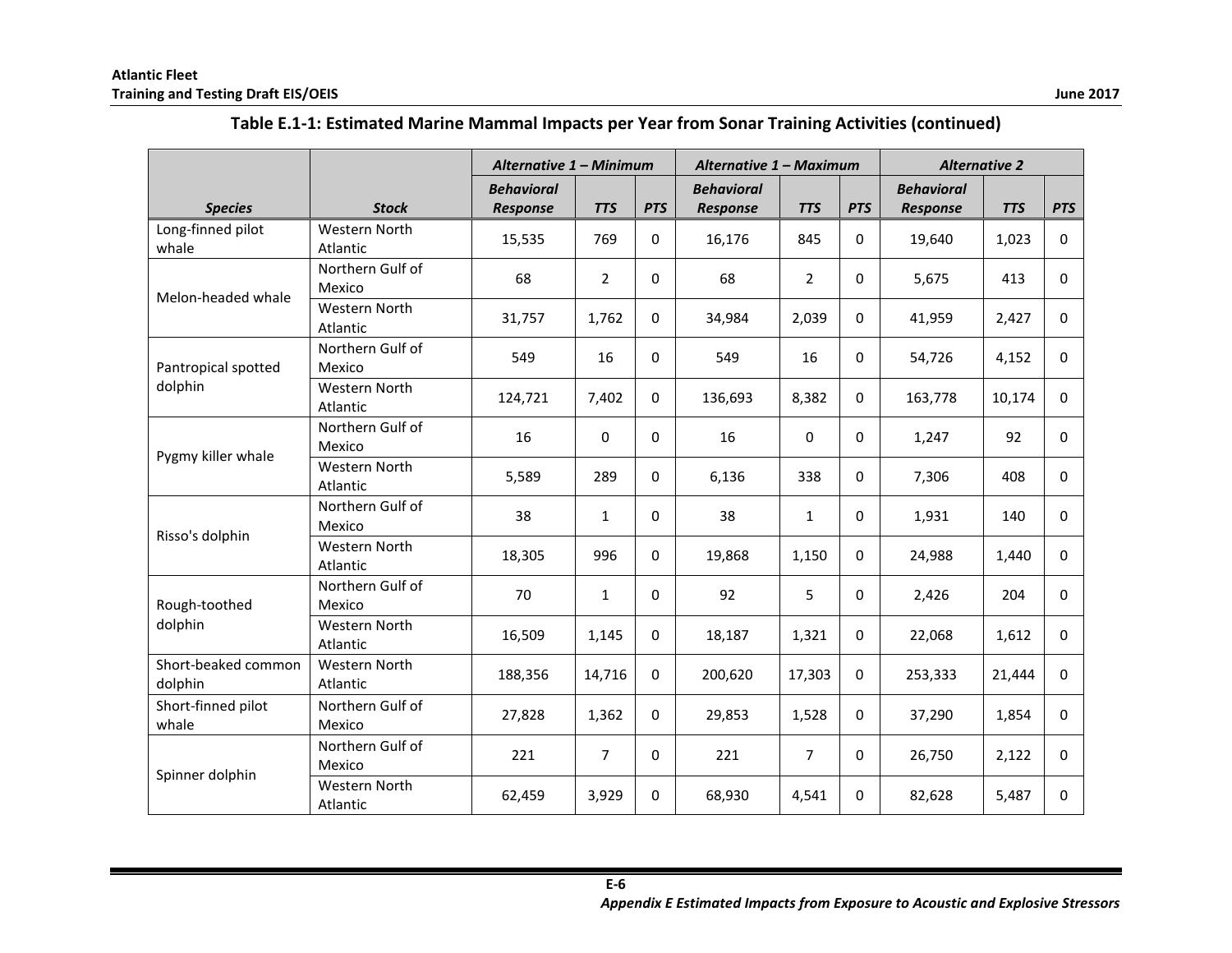|                                |                                  |                                      | Alternative 1 – Minimum<br>Alternative 1 - Maximum |             |                                      |                | <b>Alternative 2</b> |                               |            |             |
|--------------------------------|----------------------------------|--------------------------------------|----------------------------------------------------|-------------|--------------------------------------|----------------|----------------------|-------------------------------|------------|-------------|
| <b>Species</b>                 | <b>Stock</b>                     | <b>Behavioral</b><br><b>Response</b> | <b>TTS</b>                                         | <b>PTS</b>  | <b>Behavioral</b><br><b>Response</b> | <b>TTS</b>     | <b>PTS</b>           | <b>Behavioral</b><br>Response | <b>TTS</b> | <b>PTS</b>  |
| Long-finned pilot<br>whale     | Western North<br>Atlantic        | 15,535                               | 769                                                | $\Omega$    | 16,176                               | 845            | $\mathbf{0}$         | 19,640                        | 1,023      | $\Omega$    |
| Melon-headed whale             | Northern Gulf of<br>Mexico       | 68                                   | $\overline{2}$                                     | $\mathbf 0$ | 68                                   | $\overline{2}$ | $\Omega$             | 5,675                         | 413        | $\Omega$    |
|                                | <b>Western North</b><br>Atlantic | 31,757                               | 1,762                                              | $\Omega$    | 34,984                               | 2,039          | $\mathbf{0}$         | 41,959                        | 2,427      | $\Omega$    |
| Pantropical spotted<br>dolphin | Northern Gulf of<br>Mexico       | 549                                  | 16                                                 | $\mathbf 0$ | 549                                  | 16             | $\Omega$             | 54,726                        | 4,152      | 0           |
|                                | Western North<br>Atlantic        | 124,721                              | 7,402                                              | $\Omega$    | 136,693                              | 8,382          | $\mathbf{0}$         | 163,778                       | 10,174     | 0           |
| Pygmy killer whale             | Northern Gulf of<br>Mexico       | 16                                   | 0                                                  | $\mathbf 0$ | 16                                   | $\Omega$       | 0                    | 1,247                         | 92         | 0           |
|                                | <b>Western North</b><br>Atlantic | 5,589                                | 289                                                | 0           | 6,136                                | 338            | $\mathbf{0}$         | 7,306                         | 408        | 0           |
| Risso's dolphin                | Northern Gulf of<br>Mexico       | 38                                   | $\mathbf{1}$                                       | $\mathbf 0$ | 38                                   | 1              | $\mathbf{0}$         | 1,931                         | 140        | $\Omega$    |
|                                | Western North<br>Atlantic        | 18,305                               | 996                                                | $\Omega$    | 19,868                               | 1,150          | $\mathbf{0}$         | 24,988                        | 1,440      | $\Omega$    |
| Rough-toothed                  | Northern Gulf of<br>Mexico       | 70                                   | $\mathbf{1}$                                       | $\mathbf 0$ | 92                                   | 5              | 0                    | 2,426                         | 204        | $\Omega$    |
| dolphin                        | Western North<br>Atlantic        | 16,509                               | 1,145                                              | 0           | 18,187                               | 1,321          | $\mathbf{0}$         | 22,068                        | 1,612      | $\Omega$    |
| Short-beaked common<br>dolphin | <b>Western North</b><br>Atlantic | 188,356                              | 14,716                                             | $\mathbf 0$ | 200,620                              | 17,303         | 0                    | 253,333                       | 21,444     | $\Omega$    |
| Short-finned pilot<br>whale    | Northern Gulf of<br>Mexico       | 27,828                               | 1,362                                              | $\mathbf 0$ | 29,853                               | 1,528          | $\mathbf{0}$         | 37,290                        | 1,854      | $\mathbf 0$ |
|                                | Northern Gulf of<br>Mexico       | 221                                  | $\overline{7}$                                     | 0           | 221                                  | 7              | 0                    | 26,750                        | 2,122      | 0           |
| Spinner dolphin                | <b>Western North</b><br>Atlantic | 62,459                               | 3,929                                              | $\mathbf 0$ | 68,930                               | 4,541          | $\mathbf 0$          | 82,628                        | 5,487      | $\mathbf 0$ |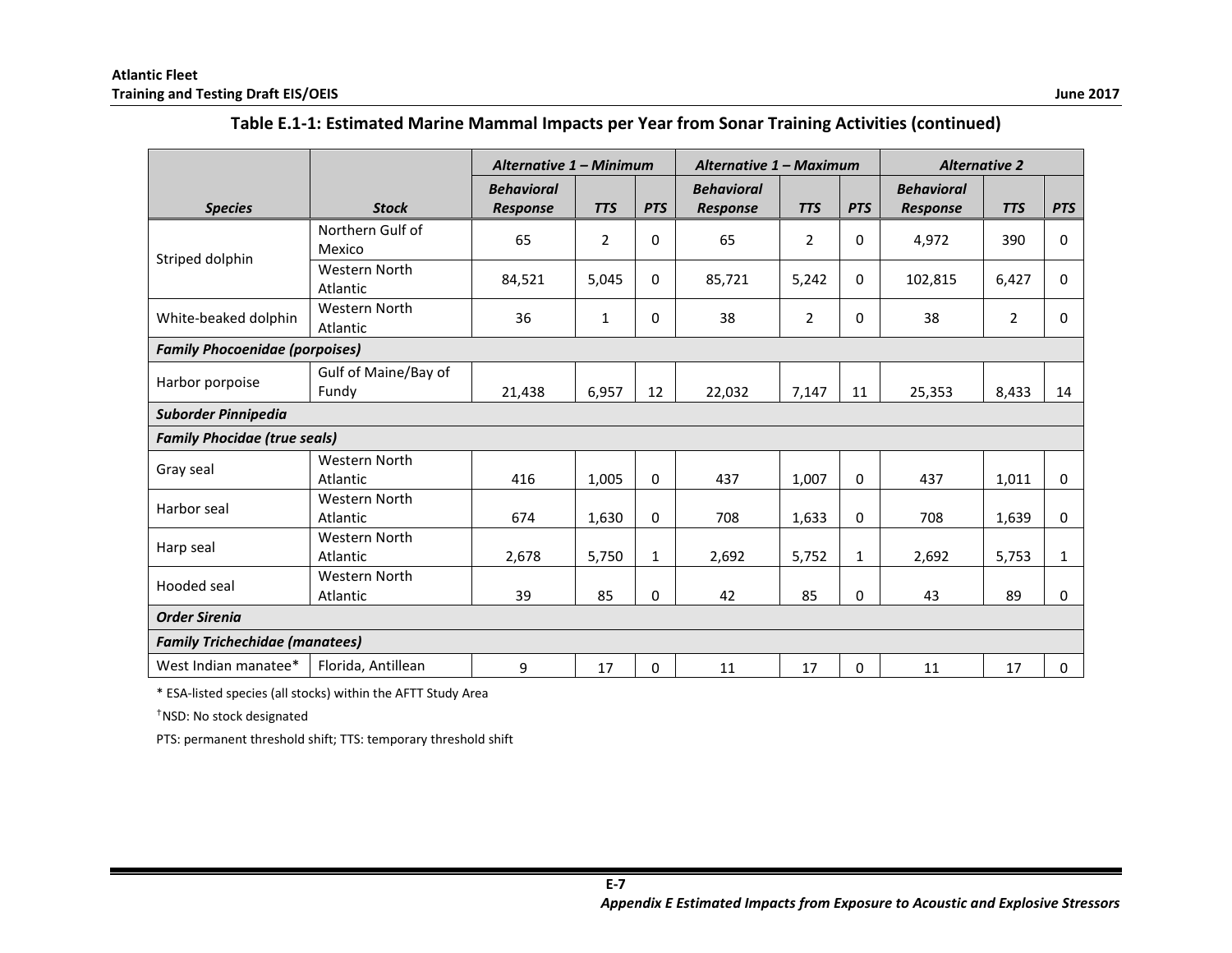|                                       |                                  | Alternative 1 - Minimum |            | Alternative 1 - Maximum |                   |                | <b>Alternative 2</b> |                   |                |              |
|---------------------------------------|----------------------------------|-------------------------|------------|-------------------------|-------------------|----------------|----------------------|-------------------|----------------|--------------|
|                                       |                                  | <b>Behavioral</b>       |            |                         | <b>Behavioral</b> |                |                      | <b>Behavioral</b> |                |              |
| <b>Species</b>                        | <b>Stock</b>                     | <b>Response</b>         | <b>TTS</b> | <b>PTS</b>              | <b>Response</b>   | <b>TTS</b>     | <b>PTS</b>           | <b>Response</b>   | <b>TTS</b>     | <b>PTS</b>   |
| Striped dolphin                       | Northern Gulf of<br>Mexico       | 65                      | 2          | 0                       | 65                | $\overline{2}$ | 0                    | 4,972             | 390            | $\mathbf{0}$ |
|                                       | <b>Western North</b><br>Atlantic | 84,521                  | 5,045      | 0                       | 85,721            | 5,242          | 0                    | 102,815           | 6,427          | $\mathbf{0}$ |
| White-beaked dolphin                  | <b>Western North</b><br>Atlantic | 36                      | 1          | 0                       | 38                | $\overline{2}$ | 0                    | 38                | $\overline{2}$ | $\Omega$     |
| <b>Family Phocoenidae (porpoises)</b> |                                  |                         |            |                         |                   |                |                      |                   |                |              |
| Harbor porpoise                       | Gulf of Maine/Bay of             |                         |            |                         |                   |                |                      |                   |                |              |
|                                       | Fundy                            | 21,438                  | 6,957      | 12                      | 22,032            | 7,147          | 11                   | 25,353            | 8,433          | 14           |
| <b>Suborder Pinnipedia</b>            |                                  |                         |            |                         |                   |                |                      |                   |                |              |
| <b>Family Phocidae (true seals)</b>   |                                  |                         |            |                         |                   |                |                      |                   |                |              |
| Gray seal                             | <b>Western North</b>             |                         |            |                         |                   |                |                      |                   |                |              |
|                                       | Atlantic                         | 416                     | 1,005      | $\mathbf 0$             | 437               | 1,007          | 0                    | 437               | 1,011          | 0            |
| Harbor seal                           | <b>Western North</b>             |                         |            |                         |                   |                |                      |                   |                |              |
|                                       | Atlantic                         | 674                     | 1,630      | 0                       | 708               | 1,633          | 0                    | 708               | 1,639          | 0            |
| Harp seal                             | <b>Western North</b>             |                         |            |                         |                   |                |                      |                   |                |              |
|                                       | Atlantic                         | 2,678                   | 5,750      | $\mathbf{1}$            | 2,692             | 5,752          | 1                    | 2,692             | 5,753          | $\mathbf{1}$ |
| Hooded seal                           | <b>Western North</b>             |                         |            |                         |                   |                |                      |                   |                |              |
|                                       | Atlantic                         | 39                      | 85         | $\mathbf 0$             | 42                | 85             | $\Omega$             | 43                | 89             | 0            |
| <b>Order Sirenia</b>                  |                                  |                         |            |                         |                   |                |                      |                   |                |              |
| <b>Family Trichechidae (manatees)</b> |                                  |                         |            |                         |                   |                |                      |                   |                |              |
| West Indian manatee*                  | Florida, Antillean               | 9                       | 17         | 0                       | 11                | 17             | 0                    | 11                | 17             | $\mathbf{0}$ |

\* ESA-listed species (all stocks) within the AFTT Study Area

✝NSD: No stock designated

PTS: permanent threshold shift; TTS: temporary threshold shift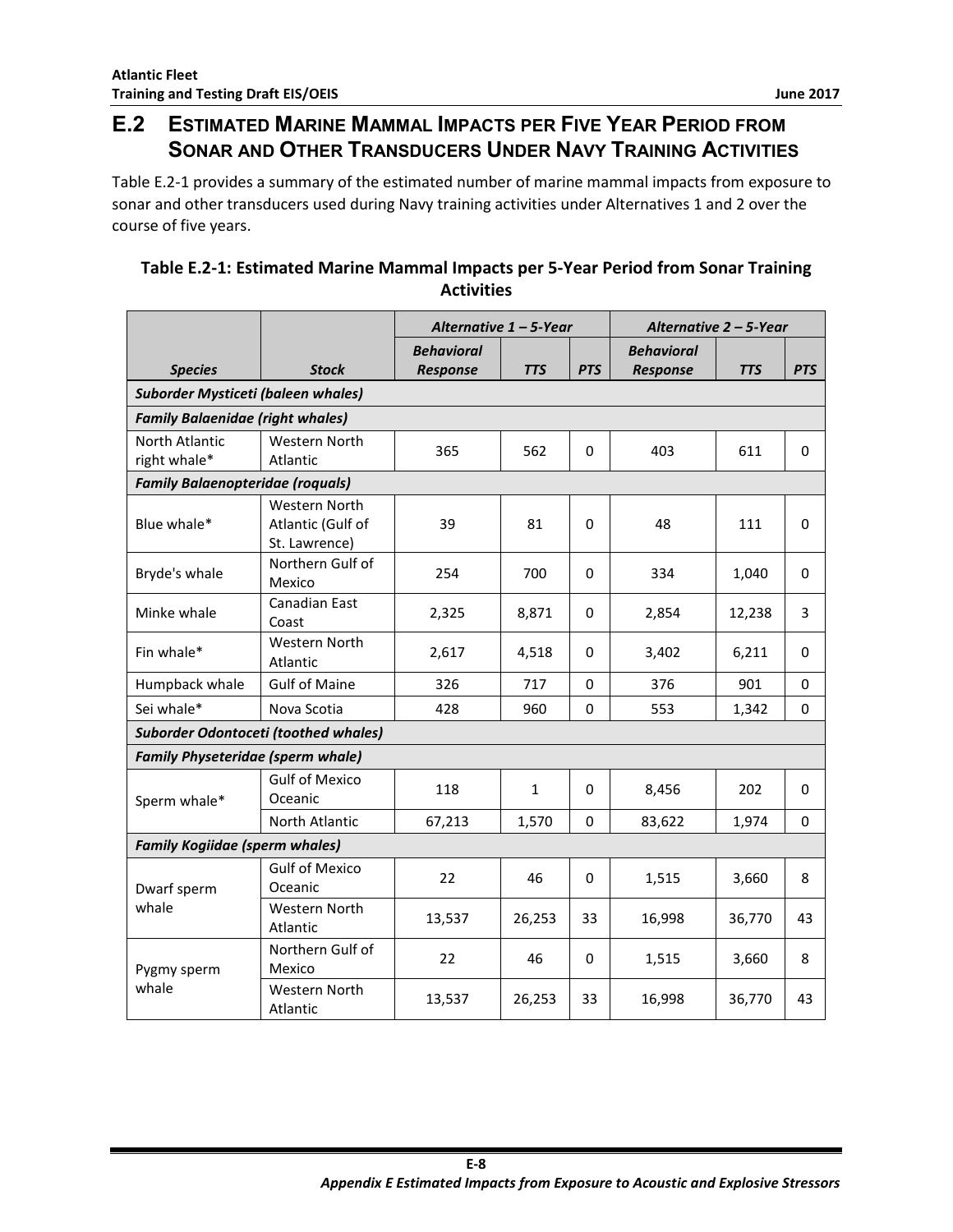# <span id="page-13-0"></span>**E.2 ESTIMATED MARINE MAMMAL IMPACTS PER FIVE YEAR PERIOD FROM SONAR AND OTHER TRANSDUCERS UNDER NAVY TRAINING ACTIVITIES**

[Table E.2-1](#page-13-1) provides a summary of the estimated number of marine mammal impacts from exposure to sonar and other transducers used during Navy training activities under Alternatives 1 and 2 over the course of five years.

|                                           |                                             |                   | Alternative $1 - 5$ -Year |             | Alternative 2 – 5-Year |            |             |  |  |  |
|-------------------------------------------|---------------------------------------------|-------------------|---------------------------|-------------|------------------------|------------|-------------|--|--|--|
|                                           | <b>Stock</b>                                | <b>Behavioral</b> | <b>TTS</b>                | <b>PTS</b>  | <b>Behavioral</b>      |            | <b>PTS</b>  |  |  |  |
| <b>Species</b>                            |                                             | <b>Response</b>   |                           |             | <b>Response</b>        | <b>TTS</b> |             |  |  |  |
| <b>Suborder Mysticeti (baleen whales)</b> |                                             |                   |                           |             |                        |            |             |  |  |  |
| <b>Family Balaenidae (right whales)</b>   |                                             |                   |                           |             |                        |            |             |  |  |  |
| North Atlantic                            | Western North                               | 365               | 562                       | $\Omega$    | 403                    | 611        | $\mathbf 0$ |  |  |  |
| right whale*                              | Atlantic                                    |                   |                           |             |                        |            |             |  |  |  |
| <b>Family Balaenopteridae (roquals)</b>   |                                             |                   |                           |             |                        |            |             |  |  |  |
| Blue whale*                               | Western North<br>Atlantic (Gulf of          | 39                | 81                        | $\Omega$    | 48                     | 111        | $\Omega$    |  |  |  |
|                                           | St. Lawrence)                               |                   |                           |             |                        |            |             |  |  |  |
|                                           | Northern Gulf of                            | 254               | 700                       | 0           |                        |            | 0           |  |  |  |
| Bryde's whale                             | Mexico                                      |                   |                           |             | 334                    | 1,040      |             |  |  |  |
| Minke whale                               | Canadian East<br>Coast                      | 2,325             | 8,871                     | $\mathbf 0$ | 2,854                  | 12,238     | 3           |  |  |  |
| Fin whale*                                | <b>Western North</b>                        |                   |                           | $\Omega$    |                        |            | $\Omega$    |  |  |  |
|                                           | Atlantic                                    | 2,617             | 4,518                     |             | 3,402                  | 6,211      |             |  |  |  |
| Humpback whale                            | <b>Gulf of Maine</b>                        | 326               | 717                       | $\mathbf 0$ | 376                    | 901        | $\mathbf 0$ |  |  |  |
| Sei whale*                                | Nova Scotia                                 | 428               | 960                       | $\Omega$    | 553                    | 1,342      | $\Omega$    |  |  |  |
|                                           | <b>Suborder Odontoceti (toothed whales)</b> |                   |                           |             |                        |            |             |  |  |  |
| <b>Family Physeteridae (sperm whale)</b>  |                                             |                   |                           |             |                        |            |             |  |  |  |
| Sperm whale*                              | <b>Gulf of Mexico</b><br>Oceanic            | 118               | $\mathbf{1}$              | $\Omega$    | 8.456                  | 202        | 0           |  |  |  |
|                                           | North Atlantic                              | 67,213            | 1,570                     | 0           | 83,622                 | 1,974      | 0           |  |  |  |
| <b>Family Kogiidae (sperm whales)</b>     |                                             |                   |                           |             |                        |            |             |  |  |  |
|                                           | <b>Gulf of Mexico</b>                       |                   |                           |             |                        |            |             |  |  |  |
| Dwarf sperm                               | Oceanic                                     | 22                | 46                        | 0           | 1,515                  | 3,660      | 8           |  |  |  |
| whale                                     | Western North                               | 13,537            | 26,253                    | 33          | 16,998                 | 36,770     | 43          |  |  |  |
|                                           | Atlantic                                    |                   |                           |             |                        |            |             |  |  |  |
|                                           | Northern Gulf of                            | 22                | 46                        | 0           | 1,515                  | 3,660      | 8           |  |  |  |
| Pygmy sperm                               | Mexico                                      |                   |                           |             |                        |            |             |  |  |  |
| whale                                     | Western North<br>Atlantic                   | 13,537            | 26,253                    | 33          | 16,998                 | 36,770     | 43          |  |  |  |

<span id="page-13-1"></span>

| Table E.2-1: Estimated Marine Mammal Impacts per 5-Year Period from Sonar Training |  |
|------------------------------------------------------------------------------------|--|
| <b>Activities</b>                                                                  |  |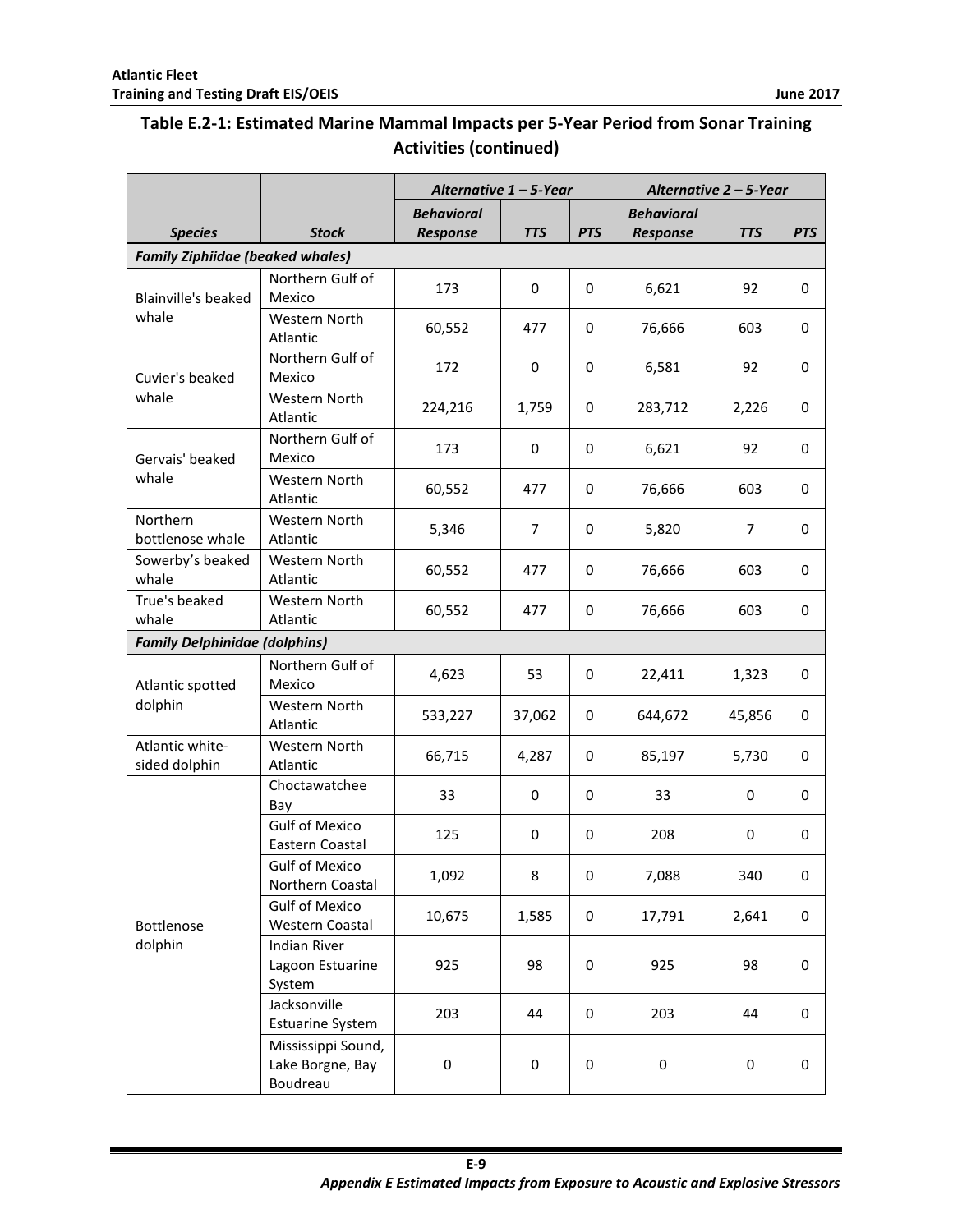|                                         |                                                    | Alternative 1 - 5-Year |                |             | Alternative $2 - 5$ -Year |                |            |  |  |  |
|-----------------------------------------|----------------------------------------------------|------------------------|----------------|-------------|---------------------------|----------------|------------|--|--|--|
|                                         |                                                    | <b>Behavioral</b>      |                |             | <b>Behavioral</b>         |                |            |  |  |  |
| <b>Species</b>                          | <b>Stock</b>                                       | <b>Response</b>        | <b>TTS</b>     | <b>PTS</b>  | <b>Response</b>           | <b>TTS</b>     | <b>PTS</b> |  |  |  |
| <b>Family Ziphiidae (beaked whales)</b> |                                                    |                        |                |             |                           |                |            |  |  |  |
| <b>Blainville's beaked</b>              | Northern Gulf of<br>Mexico                         | 173                    | 0              | $\mathbf 0$ | 6,621                     | 92             | 0          |  |  |  |
| whale                                   | Western North<br>Atlantic                          | 60,552                 | 477            | 0           | 76,666                    | 603            | 0          |  |  |  |
| Cuvier's beaked                         | Northern Gulf of<br>Mexico                         | 172                    | 0              | 0           | 6,581                     | 92             | 0          |  |  |  |
| whale                                   | Western North<br>Atlantic                          | 224,216                | 1,759          | $\mathbf 0$ | 283,712                   | 2,226          | 0          |  |  |  |
| Gervais' beaked                         | Northern Gulf of<br>Mexico                         | 173                    | $\mathbf 0$    | 0           | 6,621                     | 92             | 0          |  |  |  |
| whale                                   | Western North<br>Atlantic                          | 60,552                 | 477            | $\mathbf 0$ | 76,666                    | 603            | 0          |  |  |  |
| Northern<br>bottlenose whale            | Western North<br>Atlantic                          | 5,346                  | $\overline{7}$ | 0           | 5,820                     | $\overline{7}$ | 0          |  |  |  |
| Sowerby's beaked<br>whale               | Western North<br>Atlantic                          | 60,552                 | 477            | $\mathbf 0$ | 76,666                    | 603            | 0          |  |  |  |
| True's beaked<br>whale                  | Western North<br>Atlantic                          | 60,552                 | 477            | 0           | 76,666                    | 603            | 0          |  |  |  |
| <b>Family Delphinidae (dolphins)</b>    |                                                    |                        |                |             |                           |                |            |  |  |  |
| Atlantic spotted                        | Northern Gulf of<br>Mexico                         | 4,623                  | 53             | 0           | 22,411                    | 1,323          | 0          |  |  |  |
| dolphin                                 | Western North<br>Atlantic                          | 533,227                | 37,062         | $\mathbf 0$ | 644,672                   | 45,856         | $\bf{0}$   |  |  |  |
| Atlantic white-<br>sided dolphin        | Western North<br>Atlantic                          | 66,715                 | 4,287          | 0           | 85,197                    | 5,730          | 0          |  |  |  |
|                                         | Choctawatchee<br>Bay                               | 33                     | $\mathbf 0$    | 0           | 33                        | 0              | 0          |  |  |  |
|                                         | <b>Gulf of Mexico</b><br>Eastern Coastal           | 125                    | 0              | $\mathbf 0$ | 208                       | 0              | 0          |  |  |  |
|                                         | <b>Gulf of Mexico</b><br>Northern Coastal          | 1,092                  | 8              | 0           | 7,088                     | 340            | 0          |  |  |  |
| Bottlenose                              | <b>Gulf of Mexico</b><br>Western Coastal           | 10,675                 | 1,585          | 0           | 17,791                    | 2,641          | 0          |  |  |  |
| dolphin                                 | <b>Indian River</b><br>Lagoon Estuarine<br>System  | 925                    | 98             | $\mathbf 0$ | 925                       | 98             | 0          |  |  |  |
|                                         | Jacksonville<br><b>Estuarine System</b>            | 203                    | 44             | 0           | 203                       | 44             | $\bf{0}$   |  |  |  |
|                                         | Mississippi Sound,<br>Lake Borgne, Bay<br>Boudreau | $\pmb{0}$              | 0              | 0           | $\pmb{0}$                 | $\pmb{0}$      | 0          |  |  |  |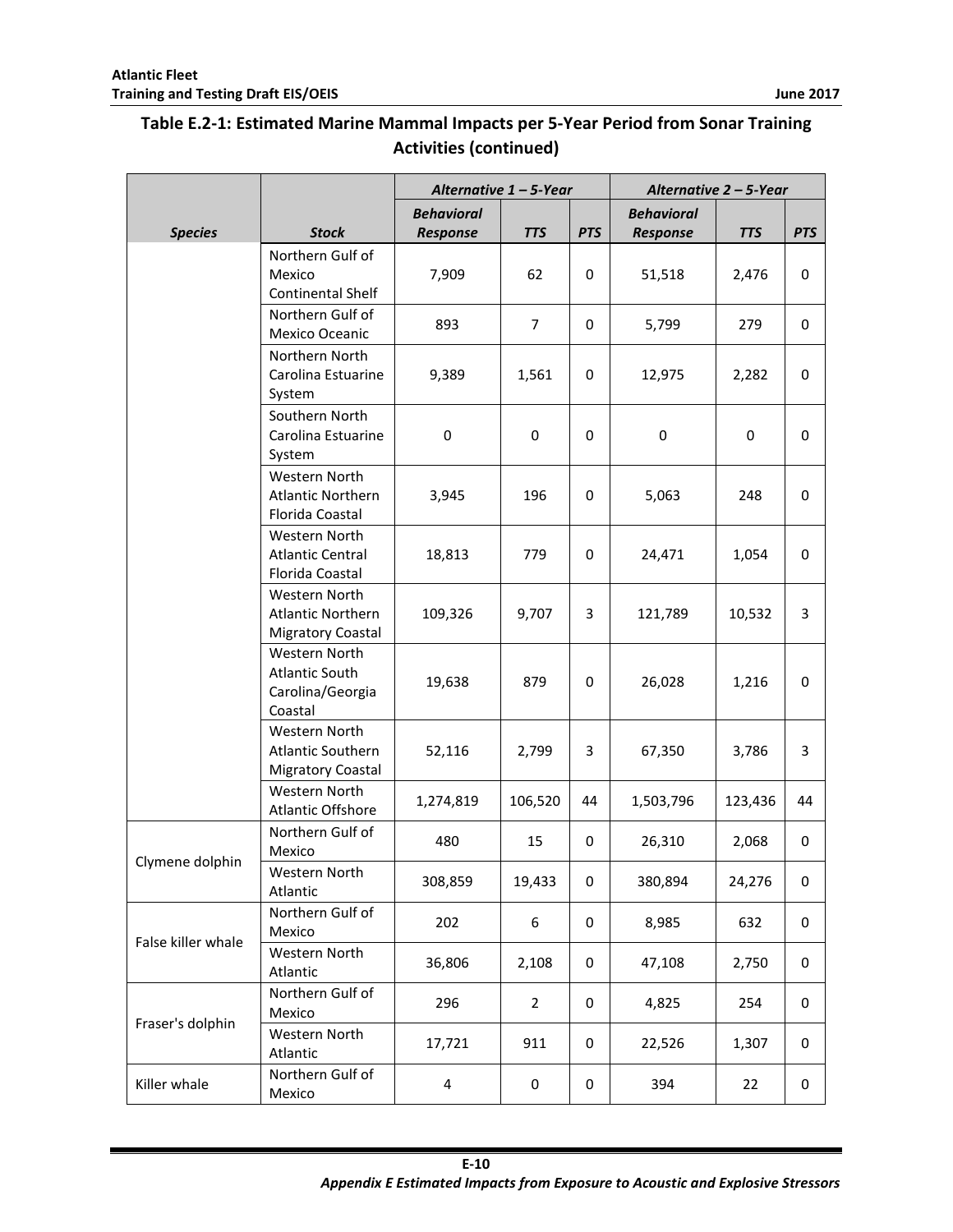|                    |                                                                       | Alternative 1 - 5-Year<br><b>Behavioral</b><br><b>PTS</b><br><b>TTS</b><br><b>Response</b> |                |             | Alternative 2 – 5-Year |             |             |
|--------------------|-----------------------------------------------------------------------|--------------------------------------------------------------------------------------------|----------------|-------------|------------------------|-------------|-------------|
|                    |                                                                       |                                                                                            |                |             | <b>Behavioral</b>      |             |             |
| <b>Species</b>     | <b>Stock</b>                                                          |                                                                                            |                |             | <b>Response</b>        | <b>TTS</b>  | <b>PTS</b>  |
|                    | Northern Gulf of<br>Mexico<br><b>Continental Shelf</b>                | 7,909                                                                                      | 62             | 0           | 51,518                 | 2,476       | 0           |
|                    | Northern Gulf of<br>Mexico Oceanic                                    | 893                                                                                        | $\overline{7}$ | $\mathbf 0$ | 5,799                  | 279         | $\mathbf 0$ |
|                    | Northern North<br>Carolina Estuarine<br>System                        | 9,389                                                                                      | 1,561          | $\mathbf 0$ | 12,975                 | 2,282       | $\mathbf 0$ |
|                    | Southern North<br>Carolina Estuarine<br>System                        | 0                                                                                          | $\mathbf 0$    | $\mathbf 0$ | $\mathbf 0$            | $\mathbf 0$ | $\mathbf 0$ |
|                    | Western North<br><b>Atlantic Northern</b><br>Florida Coastal          | 3,945                                                                                      | 196            | $\mathbf 0$ | 5,063                  | 248         | $\mathbf 0$ |
|                    | Western North<br><b>Atlantic Central</b><br>Florida Coastal           | 18,813                                                                                     | 779            | 0           | 24,471                 | 1,054       | $\mathbf 0$ |
|                    | Western North<br><b>Atlantic Northern</b><br><b>Migratory Coastal</b> | 109,326                                                                                    | 9,707          | 3           | 121,789                | 10,532      | 3           |
|                    | Western North<br><b>Atlantic South</b><br>Carolina/Georgia<br>Coastal | 19,638                                                                                     | 879            | $\mathbf 0$ | 26,028                 | 1,216       | $\mathbf 0$ |
|                    | Western North<br><b>Atlantic Southern</b><br>Migratory Coastal        | 52,116                                                                                     | 2,799          | 3           | 67,350                 | 3,786       | 3           |
|                    | Western North<br>Atlantic Offshore                                    | 1,274,819                                                                                  | 106,520        | 44          | 1,503,796              | 123,436     | 44          |
| Clymene dolphin    | Northern Gulf of<br>Mexico                                            | 480                                                                                        | 15             | $\mathbf 0$ | 26,310                 | 2,068       | $\mathbf 0$ |
|                    | Western North<br>Atlantic                                             | 308,859                                                                                    | 19,433         | 0           | 380,894                | 24,276      | $\bf{0}$    |
| False killer whale | Northern Gulf of<br>Mexico                                            | 202                                                                                        | 6              | 0           | 8,985                  | 632         | 0           |
|                    | Western North<br>Atlantic                                             | 36,806                                                                                     | 2,108          | 0           | 47,108                 | 2,750       | 0           |
| Fraser's dolphin   | Northern Gulf of<br>Mexico                                            | 296                                                                                        | $\overline{2}$ | 0           | 4,825                  | 254         | 0           |
|                    | Western North<br>Atlantic                                             | 17,721                                                                                     | 911            | $\mathbf 0$ | 22,526                 | 1,307       | 0           |
| Killer whale       | Northern Gulf of<br>Mexico                                            | 4                                                                                          | 0              | 0           | 394                    | 22          | 0           |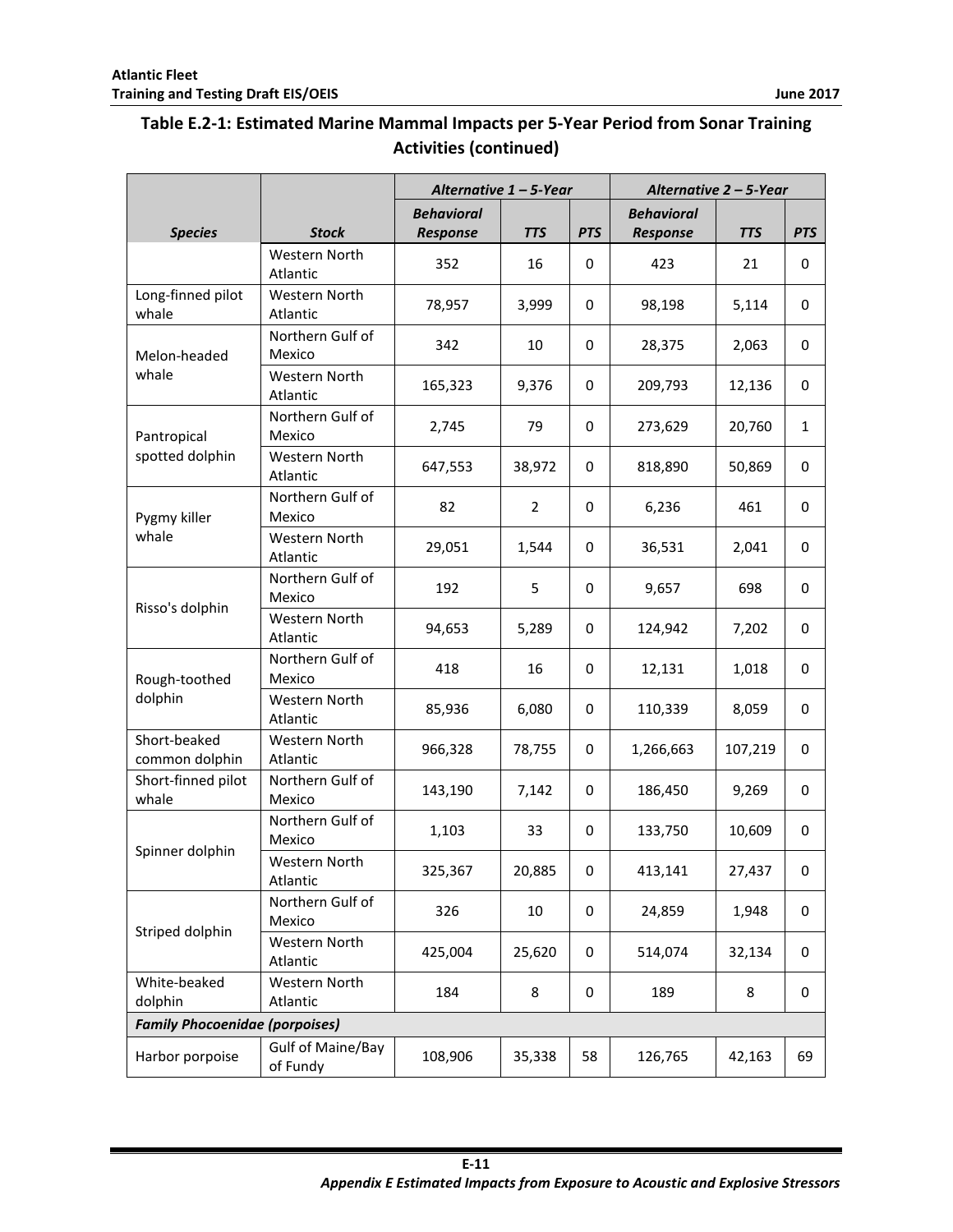|                                       |                                  |                   | Alternative 1 - 5-Year |            | Alternative 2 - 5-Year |            |             |
|---------------------------------------|----------------------------------|-------------------|------------------------|------------|------------------------|------------|-------------|
|                                       |                                  | <b>Behavioral</b> |                        |            | <b>Behavioral</b>      |            |             |
| <b>Species</b>                        | <b>Stock</b>                     | <b>Response</b>   | <b>TTS</b>             | <b>PTS</b> | <b>Response</b>        | <b>TTS</b> | <b>PTS</b>  |
|                                       | <b>Western North</b><br>Atlantic | 352               | 16                     | 0          | 423                    | 21         | 0           |
| Long-finned pilot<br>whale            | Western North<br>Atlantic        | 78,957            | 3,999                  | 0          | 98,198                 | 5,114      | $\mathbf 0$ |
| Melon-headed                          | Northern Gulf of<br>Mexico       | 342               | 10                     | 0          | 28,375                 | 2,063      | 0           |
| whale                                 | Western North<br>Atlantic        | 165,323           | 9,376                  | 0          | 209,793                | 12,136     | 0           |
| Pantropical                           | Northern Gulf of<br>Mexico       | 2,745             | 79                     | 0          | 273,629                | 20,760     |             |
| spotted dolphin                       | Western North<br>Atlantic        | 647,553           | 38,972                 | 0          | 818,890                | 50,869     | 0           |
| Pygmy killer                          | Northern Gulf of<br>Mexico       | 82                | $\overline{2}$         | 0          | 6,236                  | 461        | $\mathbf 0$ |
| whale                                 | Western North<br>Atlantic        | 29,051            | 1,544                  | 0          | 36,531                 | 2,041      | 0           |
|                                       | Northern Gulf of<br>Mexico       | 192               | 5                      | 0          | 9,657                  | 698        | 0           |
| Risso's dolphin                       | Western North<br>Atlantic        | 94,653            | 5,289                  | 0          | 124,942                | 7,202      | 0           |
| Rough-toothed                         | Northern Gulf of<br>Mexico       | 418               | 16                     | 0          | 12,131                 | 1,018      | $\mathbf 0$ |
| dolphin                               | Western North<br>Atlantic        | 85,936            | 6,080                  | 0          | 110,339                | 8,059      | 0           |
| Short-beaked<br>common dolphin        | Western North<br>Atlantic        | 966,328           | 78,755                 | 0          | 1,266,663              | 107,219    | $\mathbf 0$ |
| Short-finned pilot<br>whale           | Northern Gulf of<br>Mexico       | 143,190           | 7,142                  | 0          | 186,450                | 9,269      | 0           |
| Spinner dolphin                       | Northern Gulf of<br>Mexico       | 1,103             | 33                     | 0          | 133,750                | 10,609     | 0           |
|                                       | Western North<br>Atlantic        | 325,367           | 20,885                 | 0          | 413,141                | 27,437     | 0           |
| Striped dolphin                       | Northern Gulf of<br>Mexico       | 326               | 10                     | 0          | 24,859                 | 1,948      | 0           |
|                                       | Western North<br>Atlantic        | 425,004           | 25,620                 | 0          | 514,074                | 32,134     | 0           |
| White-beaked<br>dolphin               | Western North<br>Atlantic        | 184               | 8                      | 0          | 189                    | 8          | 0           |
| <b>Family Phocoenidae (porpoises)</b> |                                  |                   |                        |            |                        |            |             |
| Harbor porpoise                       | Gulf of Maine/Bay<br>of Fundy    | 108,906           | 35,338                 | 58         | 126,765                | 42,163     | 69          |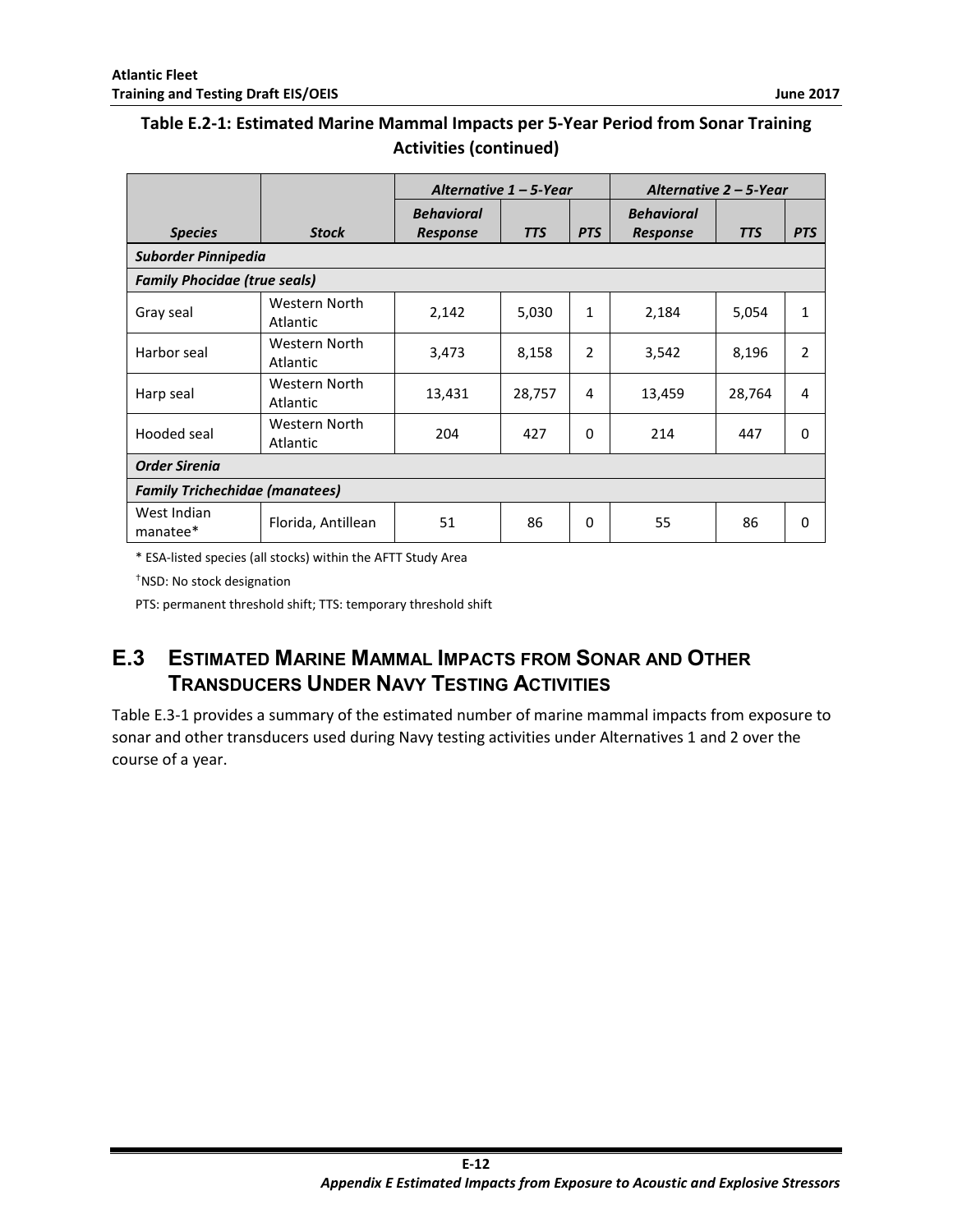|                                       |                    | Alternative $1 - 5$ -Year |                                         |            | Alternative $2 - 5$ -Year |                          |                |
|---------------------------------------|--------------------|---------------------------|-----------------------------------------|------------|---------------------------|--------------------------|----------------|
|                                       |                    | <b>Behavioral</b>         |                                         |            | <b>Behavioral</b>         |                          |                |
| <b>Species</b>                        | <b>Stock</b>       | <b>Response</b>           | <b>TTS</b>                              | <b>PTS</b> | <b>Response</b>           | <b>TTS</b>               | <b>PTS</b>     |
| <b>Suborder Pinnipedia</b>            |                    |                           |                                         |            |                           |                          |                |
| <b>Family Phocidae (true seals)</b>   |                    |                           |                                         |            |                           |                          |                |
| Gray seal                             | Western North      |                           |                                         |            |                           |                          | $\mathbf{1}$   |
|                                       | Atlantic           |                           | $\mathbf{1}$<br>2,142<br>2,184<br>5,030 |            |                           |                          |                |
| Harbor seal                           | Western North      | 3,473                     | 8,158                                   | 2          | 3,542                     |                          | $\overline{2}$ |
|                                       | Atlantic           |                           |                                         |            |                           | 5,054<br>8,196<br>28,764 |                |
| Harp seal                             | Western North      | 13,431                    | 28,757                                  | 4          | 13,459                    |                          | 4              |
|                                       | Atlantic           |                           |                                         |            |                           |                          |                |
| Hooded seal                           | Western North      | 204                       | 427                                     | 0          | 214                       | 447                      | $\Omega$       |
|                                       | Atlantic           |                           |                                         |            |                           |                          |                |
| <b>Order Sirenia</b>                  |                    |                           |                                         |            |                           |                          |                |
| <b>Family Trichechidae (manatees)</b> |                    |                           |                                         |            |                           |                          |                |
| West Indian                           | Florida, Antillean | 51                        | 86                                      | 0          | 55                        | 86                       | 0              |
| manatee*                              |                    |                           |                                         |            |                           |                          |                |

\* ESA-listed species (all stocks) within the AFTT Study Area

✝NSD: No stock designation

PTS: permanent threshold shift; TTS: temporary threshold shift

# <span id="page-17-0"></span>**E.3 ESTIMATED MARINE MAMMAL IMPACTS FROM SONAR AND OTHER TRANSDUCERS UNDER NAVY TESTING ACTIVITIES**

[Table E.3-1](#page-18-0) provides a summary of the estimated number of marine mammal impacts from exposure to sonar and other transducers used during Navy testing activities under Alternatives 1 and 2 over the course of a year.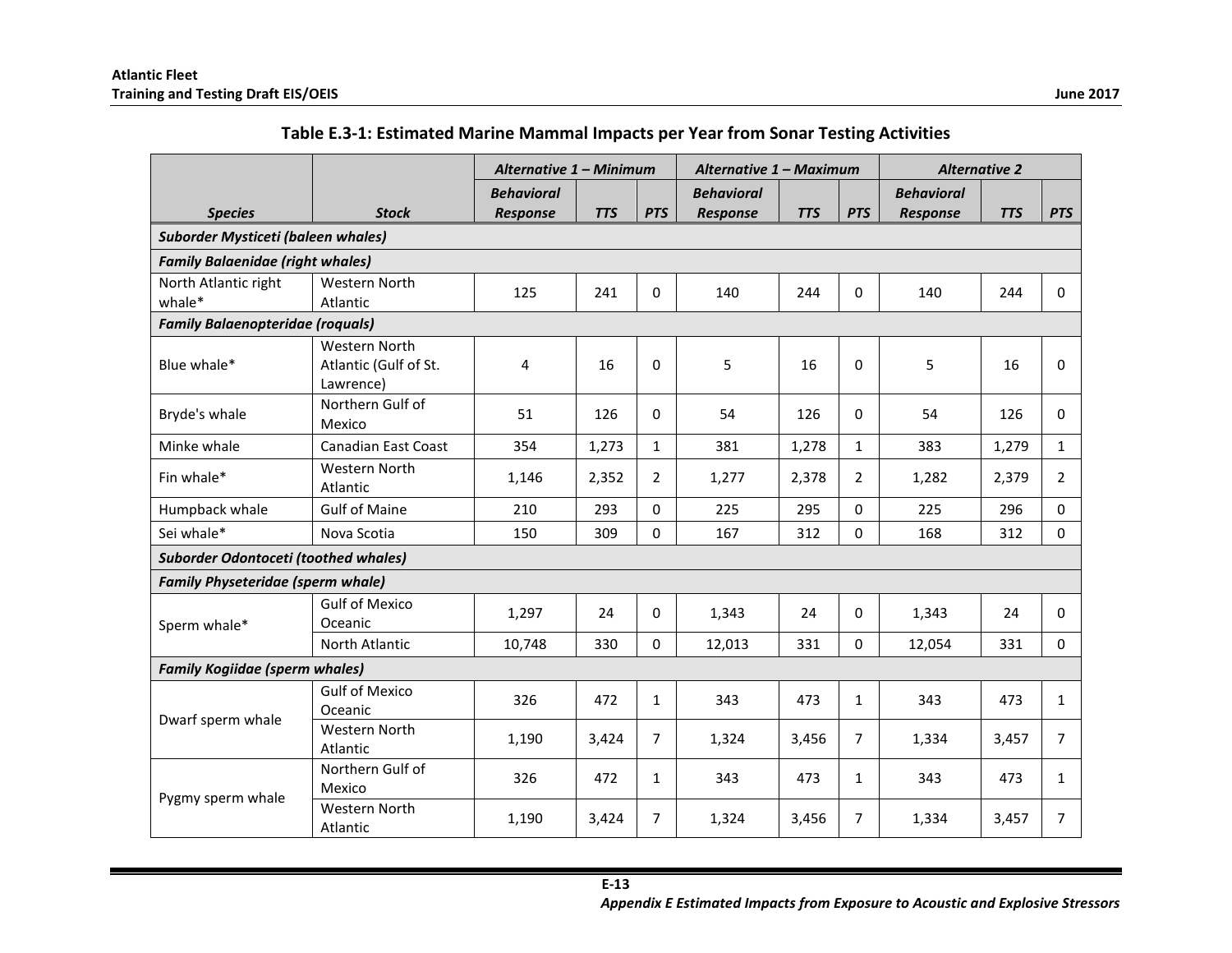<span id="page-18-0"></span>

|                                             |                                                     | Alternative 1 – Minimum              |            |                | Alternative 1 - Maximum              |            |                | <b>Alternative 2</b>                 |            |                |
|---------------------------------------------|-----------------------------------------------------|--------------------------------------|------------|----------------|--------------------------------------|------------|----------------|--------------------------------------|------------|----------------|
| <b>Species</b>                              | <b>Stock</b>                                        | <b>Behavioral</b><br><b>Response</b> | <b>TTS</b> | <b>PTS</b>     | <b>Behavioral</b><br><b>Response</b> | <b>TTS</b> | <b>PTS</b>     | <b>Behavioral</b><br><b>Response</b> | <b>TTS</b> | <b>PTS</b>     |
| <b>Suborder Mysticeti (baleen whales)</b>   |                                                     |                                      |            |                |                                      |            |                |                                      |            |                |
| <b>Family Balaenidae (right whales)</b>     |                                                     |                                      |            |                |                                      |            |                |                                      |            |                |
| North Atlantic right<br>whale*              | Western North<br>Atlantic                           | 125                                  | 241        | $\mathbf 0$    | 140                                  | 244        | $\Omega$       | 140                                  | 244        | 0              |
| <b>Family Balaenopteridae (roquals)</b>     |                                                     |                                      |            |                |                                      |            |                |                                      |            |                |
| Blue whale*                                 | Western North<br>Atlantic (Gulf of St.<br>Lawrence) | 4                                    | 16         | $\Omega$       | 5                                    | 16         | 0              | 5                                    | 16         | $\Omega$       |
| Bryde's whale                               | Northern Gulf of<br>Mexico                          | 51                                   | 126        | $\mathbf 0$    | 54                                   | 126        | 0              | 54                                   | 126        | $\Omega$       |
| Minke whale                                 | <b>Canadian East Coast</b>                          | 354                                  | 1,273      | $\mathbf{1}$   | 381                                  | 1,278      | $\mathbf{1}$   | 383                                  | 1,279      | $\mathbf{1}$   |
| Fin whale*                                  | <b>Western North</b><br>Atlantic                    | 1,146                                | 2,352      | $\overline{2}$ | 1,277                                | 2,378      | $\overline{2}$ | 1,282                                | 2,379      | $\overline{2}$ |
| Humpback whale                              | <b>Gulf of Maine</b>                                | 210                                  | 293        | $\mathbf 0$    | 225                                  | 295        | $\Omega$       | 225                                  | 296        | $\Omega$       |
| Sei whale*                                  | Nova Scotia                                         | 150                                  | 309        | $\mathbf 0$    | 167                                  | 312        | $\mathbf 0$    | 168                                  | 312        | $\mathbf 0$    |
| <b>Suborder Odontoceti (toothed whales)</b> |                                                     |                                      |            |                |                                      |            |                |                                      |            |                |
| <b>Family Physeteridae (sperm whale)</b>    |                                                     |                                      |            |                |                                      |            |                |                                      |            |                |
| Sperm whale*                                | <b>Gulf of Mexico</b><br>Oceanic                    | 1,297                                | 24         | 0              | 1,343                                | 24         | 0              | 1,343                                | 24         | $\Omega$       |
|                                             | <b>North Atlantic</b>                               | 10,748                               | 330        | $\mathbf 0$    | 12,013                               | 331        | $\mathbf 0$    | 12,054                               | 331        | $\mathbf 0$    |
| <b>Family Kogiidae (sperm whales)</b>       |                                                     |                                      |            |                |                                      |            |                |                                      |            |                |
|                                             | <b>Gulf of Mexico</b><br>Oceanic                    | 326                                  | 472        | $\mathbf{1}$   | 343                                  | 473        | $\mathbf{1}$   | 343                                  | 473        | $\mathbf{1}$   |
| Dwarf sperm whale                           | <b>Western North</b><br>Atlantic                    | 1,190                                | 3,424      | $\overline{7}$ | 1,324                                | 3,456      | $\overline{7}$ | 1,334                                | 3,457      | $\overline{7}$ |
| Pygmy sperm whale                           | Northern Gulf of<br>Mexico                          | 326                                  | 472        | $\mathbf{1}$   | 343                                  | 473        | $\mathbf{1}$   | 343                                  | 473        | 1              |
|                                             | Western North<br>Atlantic                           | 1,190                                | 3,424      | $\overline{7}$ | 1,324                                | 3,456      | $\overline{7}$ | 1,334                                | 3,457      | $\overline{7}$ |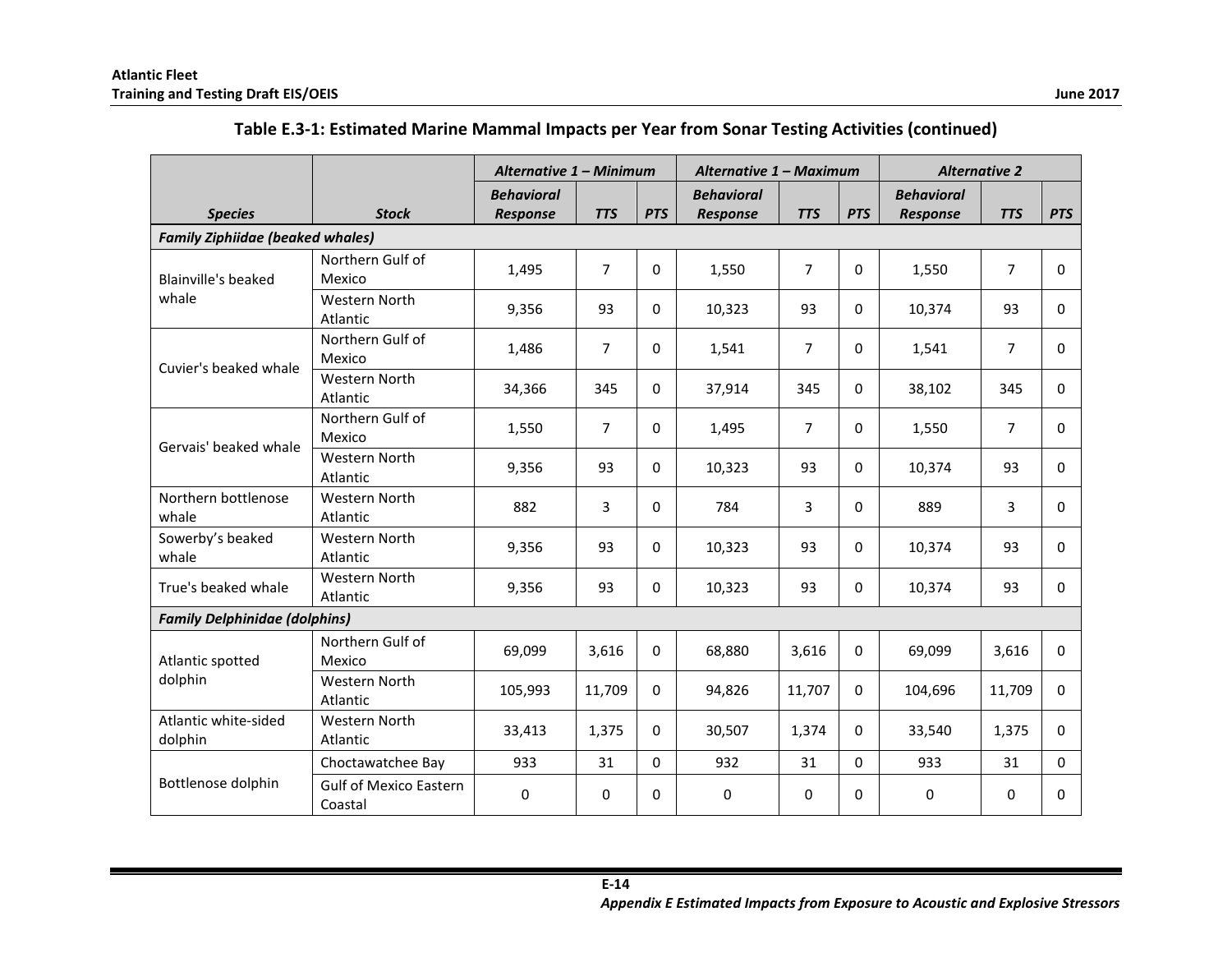|                                         |                                          | Alternative 1 - Minimum              |                |            | Alternative 1 - Maximum              |                                                                                                                |              |                                      |                                                                                           |             |
|-----------------------------------------|------------------------------------------|--------------------------------------|----------------|------------|--------------------------------------|----------------------------------------------------------------------------------------------------------------|--------------|--------------------------------------|-------------------------------------------------------------------------------------------|-------------|
| <b>Species</b>                          | <b>Stock</b>                             | <b>Behavioral</b><br><b>Response</b> | <b>TTS</b>     | <b>PTS</b> | <b>Behavioral</b><br><b>Response</b> | <b>TTS</b>                                                                                                     | <b>PTS</b>   | <b>Behavioral</b><br><b>Response</b> | <b>TTS</b>                                                                                | <b>PTS</b>  |
| <b>Family Ziphiidae (beaked whales)</b> |                                          |                                      |                |            |                                      |                                                                                                                |              |                                      |                                                                                           |             |
| <b>Blainville's beaked</b>              | Northern Gulf of<br>Mexico               | 1,495                                | $\overline{7}$ | $\Omega$   | 1,550                                | $\overline{7}$                                                                                                 | $\Omega$     | 1,550                                | $\overline{7}$                                                                            | $\Omega$    |
| whale                                   | Western North<br>Atlantic                | 9,356                                | 93             | $\Omega$   | 10,323                               | 93                                                                                                             | $\mathbf{0}$ | 10,374                               | 93                                                                                        | $\Omega$    |
| Cuvier's beaked whale                   | Northern Gulf of<br>Mexico               | 1,486                                | $\overline{7}$ | $\Omega$   | 1,541                                | $\overline{7}$                                                                                                 | $\mathbf{0}$ | 1,541                                | $\overline{7}$                                                                            | $\Omega$    |
|                                         | Western North<br>Atlantic                | 34,366                               | 345            | $\Omega$   | 37,914                               | 345                                                                                                            | $\mathbf{0}$ | 38,102                               | 345                                                                                       | $\Omega$    |
| Gervais' beaked whale                   | Northern Gulf of<br>Mexico               | 1,550                                | $\overline{7}$ | $\Omega$   | 1,495                                | $\overline{7}$                                                                                                 | $\mathbf{0}$ | 1,550                                | $\overline{7}$                                                                            | $\Omega$    |
|                                         | Western North<br>Atlantic                | 9,356                                | 93             | $\Omega$   | 10,323                               | 93                                                                                                             | $\mathbf{0}$ | 10,374                               | <b>Alternative 2</b><br>93<br>3<br>93<br>93<br>3,616<br>11,709<br>1,375<br>31<br>$\Omega$ | $\mathbf 0$ |
| Northern bottlenose<br>whale            | Western North<br>Atlantic                | 882                                  | 3              | $\Omega$   | 784                                  | 3                                                                                                              | $\mathbf{0}$ | 889                                  |                                                                                           | $\mathbf 0$ |
| Sowerby's beaked<br>whale               | Western North<br>Atlantic                | 9,356                                | 93             | $\Omega$   | 10,323                               | 93                                                                                                             | $\Omega$     | 10,374                               |                                                                                           | $\Omega$    |
| True's beaked whale                     | Western North<br>Atlantic                | 9,356                                | 93             | $\Omega$   | 10,323                               | 93                                                                                                             | 0            | 10,374                               |                                                                                           | $\Omega$    |
| <b>Family Delphinidae (dolphins)</b>    |                                          |                                      |                |            |                                      |                                                                                                                |              |                                      |                                                                                           |             |
| Atlantic spotted                        | Northern Gulf of<br>Mexico               | 69,099                               | 3,616          | $\Omega$   | 68,880                               | 3,616                                                                                                          | $\Omega$     | 69,099                               |                                                                                           | $\Omega$    |
| dolphin                                 | <b>Western North</b><br>Atlantic         | 105,993                              | 11,709         | $\Omega$   | 94,826                               | 11,707<br>0<br>104,696<br>$\Omega$<br>1,374<br>33,540<br>$\mathbf{0}$<br>$\Omega$<br>31<br>$\mathbf{0}$<br>933 |              |                                      |                                                                                           |             |
| Atlantic white-sided<br>dolphin         | Western North<br>Atlantic                | 33,413                               | 1,375          | $\Omega$   | 30,507                               |                                                                                                                |              |                                      |                                                                                           |             |
|                                         | Choctawatchee Bay                        | 933                                  | 31             | 0          | 932                                  |                                                                                                                |              |                                      |                                                                                           | $\mathbf 0$ |
| Bottlenose dolphin                      | <b>Gulf of Mexico Eastern</b><br>Coastal | 0                                    | $\mathbf 0$    | $\Omega$   | $\mathbf 0$                          | $\Omega$                                                                                                       | 0            | $\Omega$                             |                                                                                           | $\mathbf 0$ |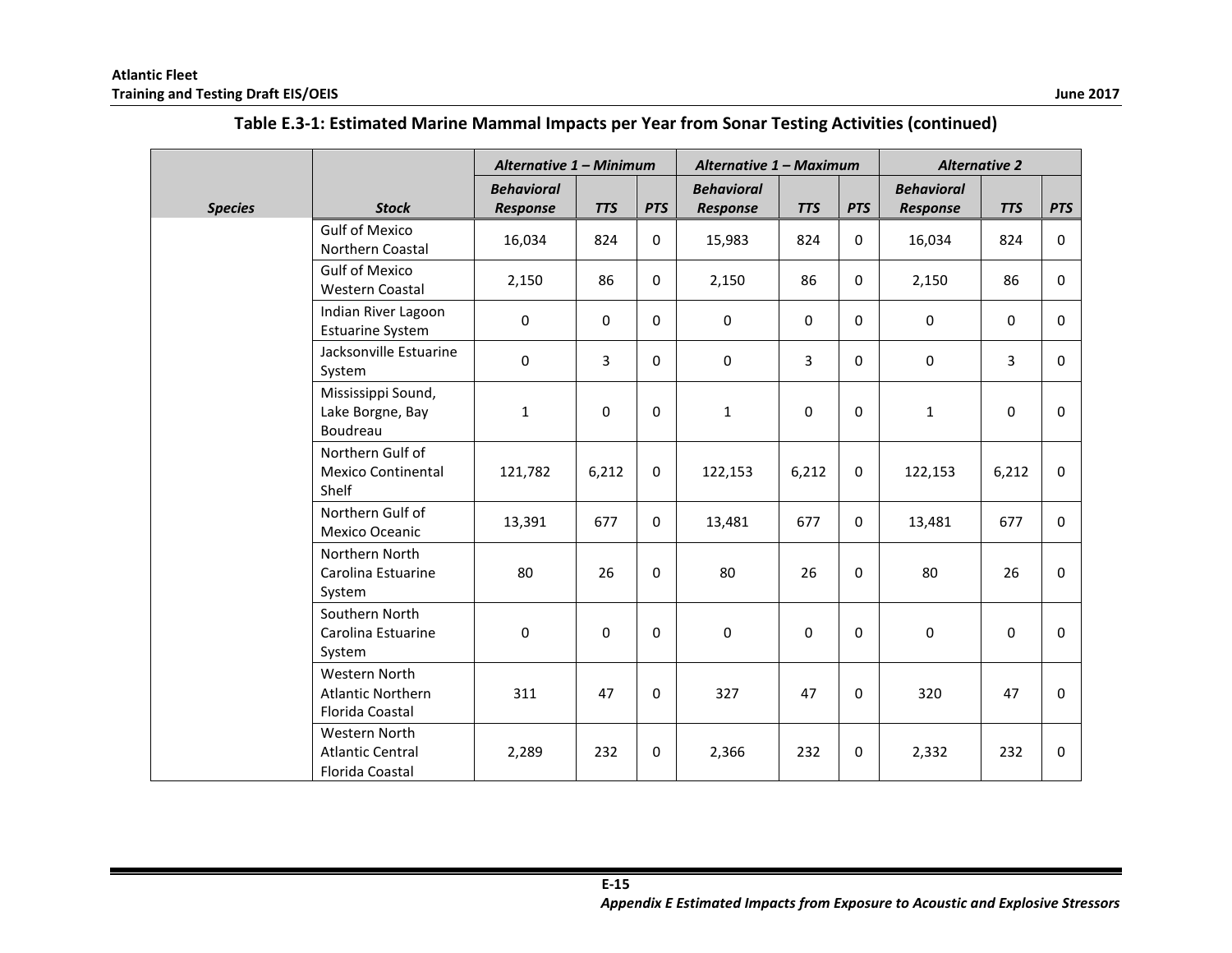|                |                                                                    | Alternative 1 - Minimum              |             |             | Alternative 1 - Maximum              |                  |             | <b>Alternative 2</b>                 |             |              |
|----------------|--------------------------------------------------------------------|--------------------------------------|-------------|-------------|--------------------------------------|------------------|-------------|--------------------------------------|-------------|--------------|
| <b>Species</b> | <b>Stock</b>                                                       | <b>Behavioral</b><br><b>Response</b> | <b>TTS</b>  | <b>PTS</b>  | <b>Behavioral</b><br><b>Response</b> | <b>TTS</b>       | <b>PTS</b>  | <b>Behavioral</b><br><b>Response</b> | <b>TTS</b>  | <b>PTS</b>   |
|                | <b>Gulf of Mexico</b><br>Northern Coastal                          | 16,034                               | 824         | 0           | 15,983                               | 824              | $\mathbf 0$ | 16,034                               | 824         | $\Omega$     |
|                | <b>Gulf of Mexico</b><br>Western Coastal                           | 2,150                                | 86          | $\mathbf 0$ | 2,150                                | 86               | $\Omega$    | 2,150                                | 86          | $\Omega$     |
|                | Indian River Lagoon<br><b>Estuarine System</b>                     | 0                                    | $\mathbf 0$ | 0           | 0                                    | $\mathbf 0$      | $\mathbf 0$ | $\boldsymbol{0}$                     | $\mathbf 0$ | $\Omega$     |
|                | Jacksonville Estuarine<br>System                                   | $\mathbf{0}$                         | 3           | $\Omega$    | $\mathbf 0$                          | 3                | $\Omega$    | $\mathbf 0$                          | 3           | $\Omega$     |
|                | Mississippi Sound,<br>Lake Borgne, Bay<br>Boudreau                 | $\mathbf{1}$                         | $\mathbf 0$ | $\mathbf 0$ | $\mathbf{1}$                         | $\Omega$         | $\Omega$    | $\mathbf{1}$                         | $\mathbf 0$ | $\Omega$     |
|                | Northern Gulf of<br><b>Mexico Continental</b><br>Shelf             | 121,782                              | 6,212       | 0           | 122,153                              | 6,212            | $\mathbf 0$ | 122,153                              | 6,212       | $\mathbf{0}$ |
|                | Northern Gulf of<br>Mexico Oceanic                                 | 13,391                               | 677         | 0           | 13,481                               | 677              | $\mathbf 0$ | 13,481                               | 677         | $\Omega$     |
|                | Northern North<br>Carolina Estuarine<br>System                     | 80                                   | 26          | 0           | 80                                   | 26               | $\mathbf 0$ | 80                                   | 26          | $\Omega$     |
|                | Southern North<br>Carolina Estuarine<br>System                     | $\boldsymbol{0}$                     | 0           | 0           | 0                                    | $\boldsymbol{0}$ | $\mathbf 0$ | $\pmb{0}$                            | $\mathbf 0$ | $\Omega$     |
|                | Western North<br><b>Atlantic Northern</b><br>Florida Coastal       | 311                                  | 47          | $\mathbf 0$ | 327                                  | 47               | $\mathbf 0$ | 320                                  | 47          | $\Omega$     |
|                | Western North<br><b>Atlantic Central</b><br><b>Florida Coastal</b> | 2,289                                | 232         | 0           | 2,366                                | 232              | 0           | 2,332                                | 232         | $\mathbf 0$  |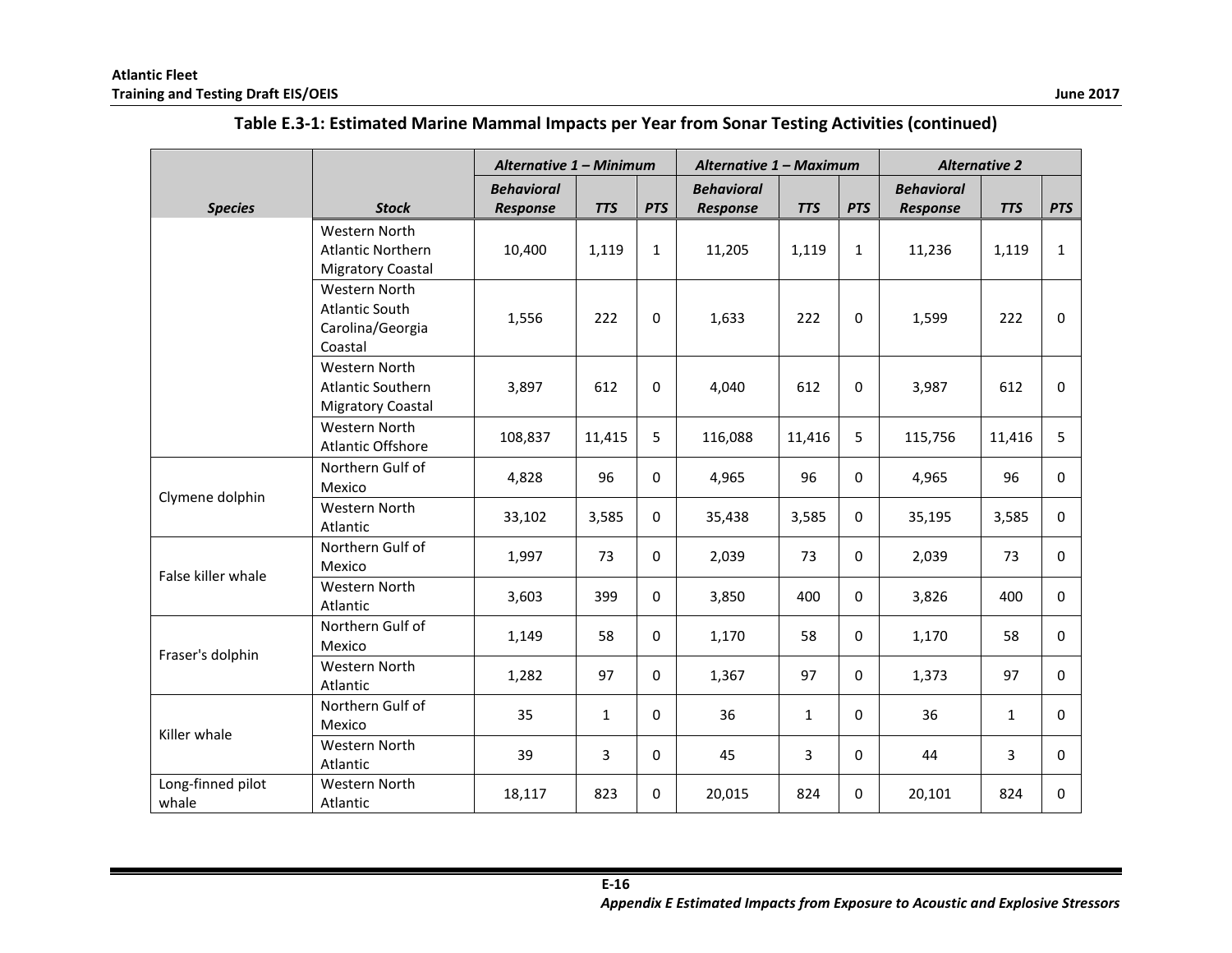|                            |                                                                              | Alternative 1 - Minimum              |              |              | Alternative 1 - Maximum              |              |              | <b>Alternative 2</b>                 |              |              |
|----------------------------|------------------------------------------------------------------------------|--------------------------------------|--------------|--------------|--------------------------------------|--------------|--------------|--------------------------------------|--------------|--------------|
| <b>Species</b>             | <b>Stock</b>                                                                 | <b>Behavioral</b><br><b>Response</b> | <b>TTS</b>   | <b>PTS</b>   | <b>Behavioral</b><br><b>Response</b> | <b>TTS</b>   | <b>PTS</b>   | <b>Behavioral</b><br><b>Response</b> | <b>TTS</b>   | <b>PTS</b>   |
|                            | Western North<br><b>Atlantic Northern</b><br><b>Migratory Coastal</b>        | 10,400                               | 1,119        | $\mathbf{1}$ | 11,205                               | 1,119        | $\mathbf{1}$ | 11,236                               | 1,119        | $\mathbf{1}$ |
|                            | Western North<br><b>Atlantic South</b><br>Carolina/Georgia<br>Coastal        | 1,556                                | 222          | 0            | 1,633                                | 222          | 0            | 1,599                                | 222          | $\Omega$     |
|                            | <b>Western North</b><br><b>Atlantic Southern</b><br><b>Migratory Coastal</b> | 3,897                                | 612          | 0            | 4,040                                | 612          | 0            | 3,987                                | 612          | 0            |
|                            | Western North<br><b>Atlantic Offshore</b>                                    | 108,837                              | 11,415       | 5            | 116,088                              | 11,416       | 5            | 115,756                              | 11,416       | 5            |
| Clymene dolphin            | Northern Gulf of<br>Mexico                                                   | 4,828                                | 96           | 0            | 4,965                                | 96           | $\Omega$     | 4,965                                | 96           | $\Omega$     |
|                            | Western North<br>Atlantic                                                    | 33,102                               | 3,585        | 0            | 35,438                               | 3,585        | $\Omega$     | 35,195                               | 3,585        | $\mathbf 0$  |
| False killer whale         | Northern Gulf of<br>Mexico                                                   | 1,997                                | 73           | 0            | 2,039                                | 73           | 0            | 2,039                                | 73           | 0            |
|                            | Western North<br>Atlantic                                                    | 3,603                                | 399          | 0            | 3,850                                | 400          | $\mathbf 0$  | 3,826                                | 400          | $\Omega$     |
|                            | Northern Gulf of<br>Mexico                                                   | 1,149                                | 58           | 0            | 1,170                                | 58           | 0            | 1,170                                | 58           | $\mathbf 0$  |
| Fraser's dolphin           | Western North<br>Atlantic                                                    | 1,282                                | 97           | $\Omega$     | 1,367                                | 97           | $\Omega$     | 1,373                                | 97           | $\mathbf 0$  |
|                            | Northern Gulf of<br>Mexico                                                   | 35                                   | $\mathbf{1}$ | 0            | 36                                   | $\mathbf{1}$ | 0            | 36                                   | $\mathbf{1}$ | $\mathbf 0$  |
| Killer whale               | Western North<br>Atlantic                                                    | 39                                   | 3            | 0            | 45                                   | 3            | $\Omega$     | 44                                   | 3            | $\Omega$     |
| Long-finned pilot<br>whale | Western North<br>Atlantic                                                    | 18,117                               | 823          | 0            | 20,015                               | 824          | $\mathbf 0$  | 20,101                               | 824          | $\mathbf 0$  |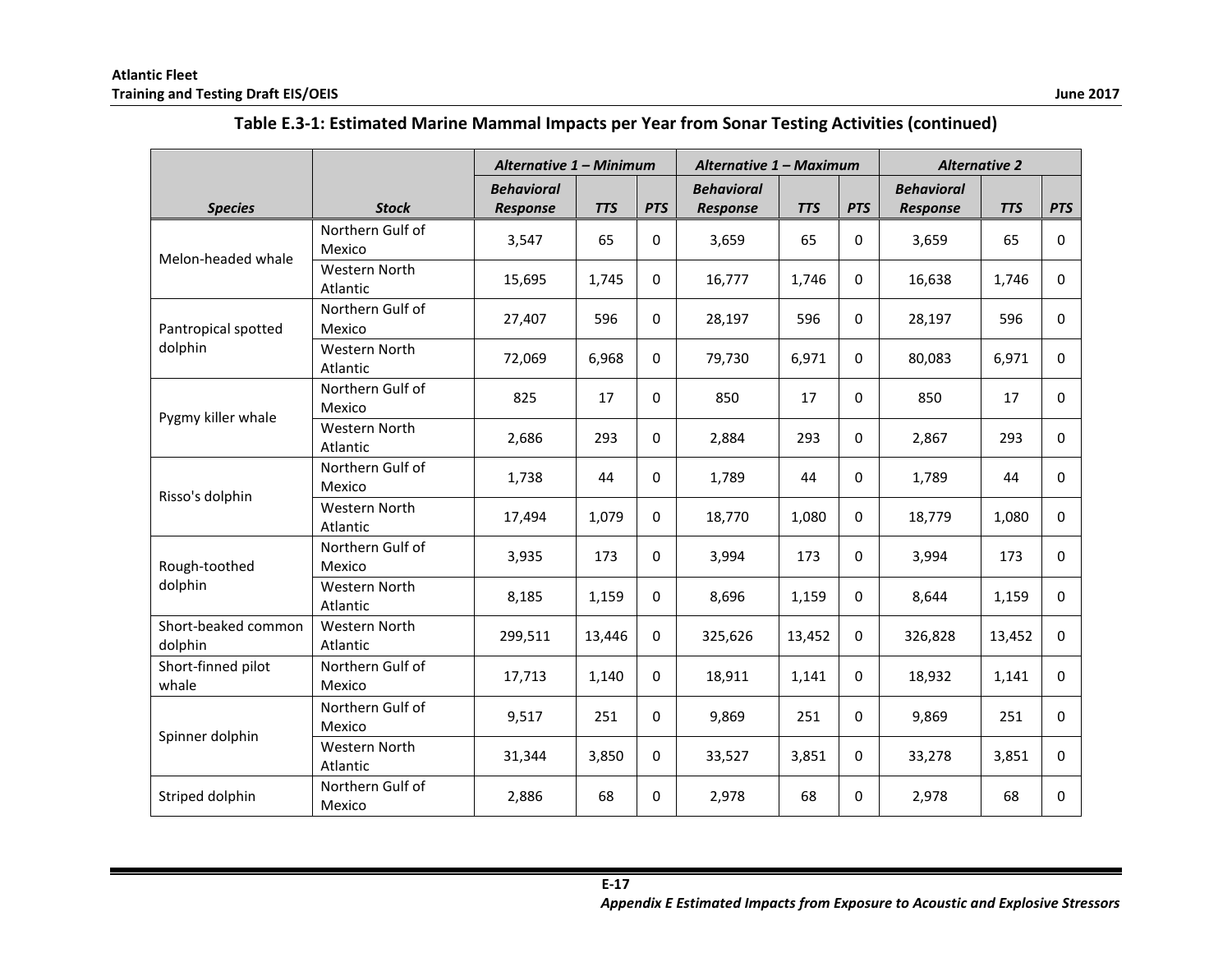|                                |                                  | Alternative 1 - Minimum              |            |            |                                      |                                                                                                                                                                                                                                                                                                                                                                                                                                        |              |                                      |            |            |
|--------------------------------|----------------------------------|--------------------------------------|------------|------------|--------------------------------------|----------------------------------------------------------------------------------------------------------------------------------------------------------------------------------------------------------------------------------------------------------------------------------------------------------------------------------------------------------------------------------------------------------------------------------------|--------------|--------------------------------------|------------|------------|
| <b>Species</b>                 | <b>Stock</b>                     | <b>Behavioral</b><br><b>Response</b> | <b>TTS</b> | <b>PTS</b> | <b>Behavioral</b><br><b>Response</b> | <b>TTS</b>                                                                                                                                                                                                                                                                                                                                                                                                                             | <b>PTS</b>   | <b>Behavioral</b><br><b>Response</b> | <b>TTS</b> | <b>PTS</b> |
| Melon-headed whale             | Northern Gulf of<br>Mexico       | 3,547                                | 65         | 0          | 3,659                                | 65                                                                                                                                                                                                                                                                                                                                                                                                                                     | 0            | 3,659                                | 65         | 0          |
|                                | Western North<br>Atlantic        | 15,695                               | 1,745      | 0          | 16,777                               | 1,746                                                                                                                                                                                                                                                                                                                                                                                                                                  | $\mathbf{0}$ | 16,638                               | 1,746      | 0          |
| Pantropical spotted            | Northern Gulf of<br>Mexico       | 27,407                               | 596        | 0          | 28,197                               | 596                                                                                                                                                                                                                                                                                                                                                                                                                                    | $\mathbf 0$  | 28,197                               | 596        | 0          |
| dolphin                        | Western North<br>Atlantic        | 72,069                               | 6,968      | 0          | 79,730                               | 6,971                                                                                                                                                                                                                                                                                                                                                                                                                                  | 0            | 80,083                               | 6,971      | 0          |
| Pygmy killer whale             | Northern Gulf of<br>Mexico       | 825                                  | 17         | 0          | 850                                  | Alternative 1 - Maximum<br><b>Alternative 2</b><br>17<br>0<br>850<br>17<br>293<br>0<br>2,867<br>293<br>44<br>$\Omega$<br>1,789<br>44<br>18,779<br>1,080<br>$\mathbf{0}$<br>1,080<br>0<br>3,994<br>173<br>173<br>8,644<br>1,159<br>0<br>1,159<br>13,452<br>$\mathbf 0$<br>326,828<br>13,452<br>1,141<br>$\mathbf 0$<br>18,932<br>1,141<br>251<br>0<br>9,869<br>251<br>33,278<br>3,851<br>0<br>3,851<br>68<br>$\mathbf 0$<br>2,978<br>68 | 0            |                                      |            |            |
|                                | <b>Western North</b><br>Atlantic | 2,686                                | 293        | 0          | 2,884                                |                                                                                                                                                                                                                                                                                                                                                                                                                                        |              |                                      |            | $\Omega$   |
| Risso's dolphin                | Northern Gulf of<br>Mexico       | 1,738                                | 44         | 0          | 1,789                                |                                                                                                                                                                                                                                                                                                                                                                                                                                        |              |                                      |            | 0          |
|                                | Western North<br>Atlantic        | 17,494                               | 1,079      | 0          | 18,770                               |                                                                                                                                                                                                                                                                                                                                                                                                                                        |              |                                      |            | 0          |
| Rough-toothed                  | Northern Gulf of<br>Mexico       | 3,935                                | 173        | 0          | 3,994                                |                                                                                                                                                                                                                                                                                                                                                                                                                                        |              |                                      |            | 0          |
| dolphin                        | Western North<br>Atlantic        | 8,185                                | 1,159      | 0          | 8,696                                |                                                                                                                                                                                                                                                                                                                                                                                                                                        |              |                                      |            | 0          |
| Short-beaked common<br>dolphin | Western North<br>Atlantic        | 299,511                              | 13,446     | 0          | 325,626                              |                                                                                                                                                                                                                                                                                                                                                                                                                                        |              |                                      |            | 0          |
| Short-finned pilot<br>whale    | Northern Gulf of<br>Mexico       | 17,713                               | 1,140      | 0          | 18,911                               |                                                                                                                                                                                                                                                                                                                                                                                                                                        |              |                                      |            | 0          |
| Spinner dolphin                | Northern Gulf of<br>Mexico       | 9,517                                | 251        | 0          | 9,869                                |                                                                                                                                                                                                                                                                                                                                                                                                                                        |              |                                      |            | 0          |
|                                | Western North<br>Atlantic        | 31,344                               | 3,850      | 0          | 33,527                               |                                                                                                                                                                                                                                                                                                                                                                                                                                        |              |                                      |            | 0          |
| Striped dolphin                | Northern Gulf of<br>Mexico       | 2,886                                | 68         | 0          | 2,978                                |                                                                                                                                                                                                                                                                                                                                                                                                                                        |              |                                      |            | 0          |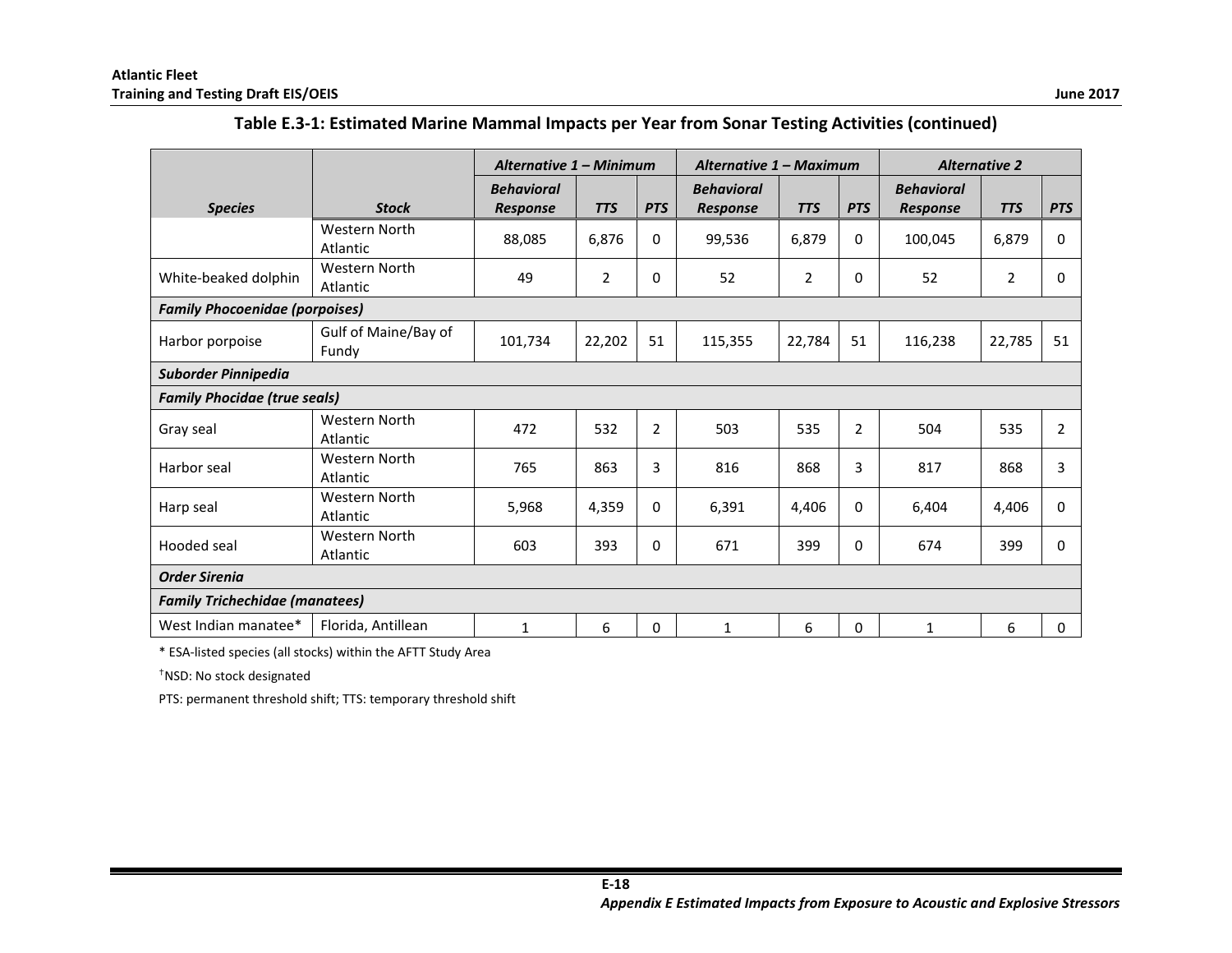|                                       |                                         | Alternative 1 - Minimum       |            |            | Alternative 1 - Maximum       |                |            | <b>Alternative 2</b>                 |            |                |
|---------------------------------------|-----------------------------------------|-------------------------------|------------|------------|-------------------------------|----------------|------------|--------------------------------------|------------|----------------|
| <b>Species</b>                        | <b>Stock</b>                            | <b>Behavioral</b><br>Response | <b>TTS</b> | <b>PTS</b> | <b>Behavioral</b><br>Response | <b>TTS</b>     | <b>PTS</b> | <b>Behavioral</b><br><b>Response</b> | <b>TTS</b> | <b>PTS</b>     |
|                                       | <b>Western North</b><br>Atlantic        | 88,085                        | 6,876      | 0          | 99,536                        | 6,879          | 0          | 100,045                              | 6,879      | $\Omega$       |
| White-beaked dolphin                  | Western North<br>Atlantic               | 49                            | 2          | 0          | 52                            | $\overline{2}$ | 0          | 52                                   | 2          | 0              |
| <b>Family Phocoenidae (porpoises)</b> |                                         |                               |            |            |                               |                |            |                                      |            |                |
| Harbor porpoise                       | Gulf of Maine/Bay of<br>Fundy           | 101,734                       | 22,202     | 51         | 115,355                       | 22,784         | 51         | 116,238                              | 22,785     | 51             |
| <b>Suborder Pinnipedia</b>            |                                         |                               |            |            |                               |                |            |                                      |            |                |
| <b>Family Phocidae (true seals)</b>   |                                         |                               |            |            |                               |                |            |                                      |            |                |
| Gray seal                             | <b>Western North</b><br>Atlantic        | 472                           | 532        | 2          | 503                           | 535            | 2          | 504                                  | 535        | $\overline{2}$ |
| Harbor seal                           | <b>Western North</b><br><b>Atlantic</b> | 765                           | 863        | 3          | 816                           | 868            | 3          | 817                                  | 868        | 3              |
| Harp seal                             | Western North<br>Atlantic               | 5,968                         | 4,359      | 0          | 6,391                         | 4,406          | 0          | 6,404                                | 4,406      | $\Omega$       |
| Hooded seal                           | <b>Western North</b><br>Atlantic        | 603                           | 393        | 0          | 671                           | 399            | 0          | 674                                  | 399        | 0              |
| <b>Order Sirenia</b>                  |                                         |                               |            |            |                               |                |            |                                      |            |                |
| <b>Family Trichechidae (manatees)</b> |                                         |                               |            |            |                               |                |            |                                      |            |                |
| West Indian manatee*                  | Florida, Antillean                      | 1                             | 6          | 0          | 1                             | 6              | 0          | 1                                    | 6          | 0              |

\* ESA-listed species (all stocks) within the AFTT Study Area

✝NSD: No stock designated

PTS: permanent threshold shift; TTS: temporary threshold shift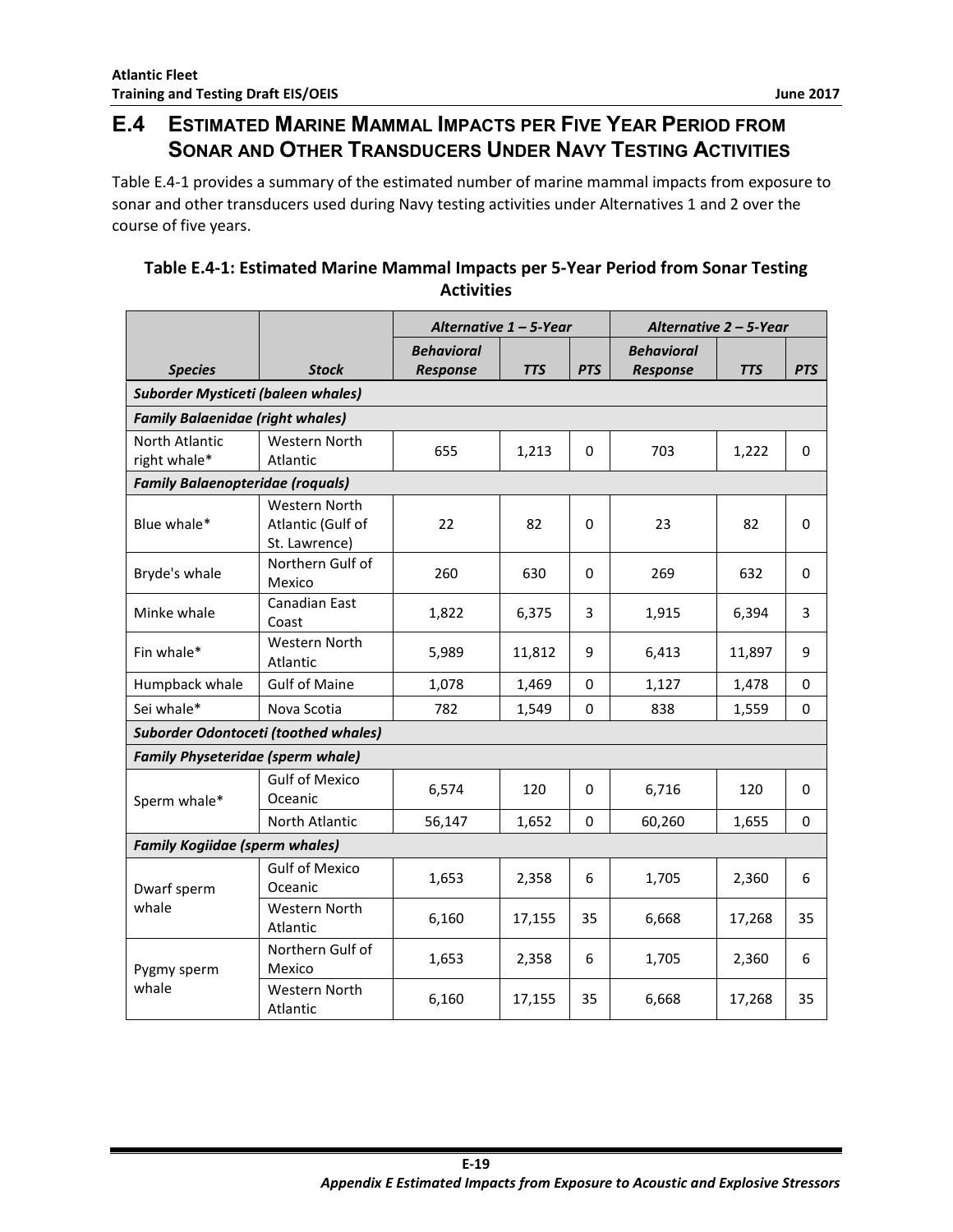# <span id="page-24-0"></span>**E.4 ESTIMATED MARINE MAMMAL IMPACTS PER FIVE YEAR PERIOD FROM SONAR AND OTHER TRANSDUCERS UNDER NAVY TESTING ACTIVITIES**

[Table E.4-1](#page-24-1) provides a summary of the estimated number of marine mammal impacts from exposure to sonar and other transducers used during Navy testing activities under Alternatives 1 and 2 over the course of five years.

|                                           |                                             |                   | Alternative 1 – 5-Year |             |                   | Alternative 2 – 5-Year |            |
|-------------------------------------------|---------------------------------------------|-------------------|------------------------|-------------|-------------------|------------------------|------------|
|                                           |                                             | <b>Behavioral</b> |                        |             | <b>Behavioral</b> |                        |            |
| <b>Species</b>                            | <b>Stock</b>                                | <b>Response</b>   | <b>TTS</b>             | <b>PTS</b>  | <b>Response</b>   | <b>TTS</b>             | <b>PTS</b> |
| <b>Suborder Mysticeti (baleen whales)</b> |                                             |                   |                        |             |                   |                        |            |
| <b>Family Balaenidae (right whales)</b>   |                                             |                   |                        |             |                   |                        |            |
| <b>North Atlantic</b>                     | Western North                               | 655               | 1,213                  | 0           | 703               | 1,222                  | 0          |
| right whale*                              | Atlantic                                    |                   |                        |             |                   |                        |            |
| <b>Family Balaenopteridae (roquals)</b>   |                                             |                   |                        |             |                   |                        |            |
|                                           | Western North                               |                   |                        |             |                   |                        |            |
| Blue whale*                               | Atlantic (Gulf of<br>St. Lawrence)          | 22                | 82                     | $\mathbf 0$ | 23                | 82                     | 0          |
| Bryde's whale                             | Northern Gulf of                            | 260               | 630                    | 0           | 269               | 632                    | $\Omega$   |
|                                           | Mexico                                      |                   |                        |             |                   |                        |            |
| Minke whale                               | Canadian East<br>Coast                      | 1,822             | 6,375                  | 3           | 1,915             | 6,394                  | 3          |
| Fin whale*                                | Western North<br>Atlantic                   | 5,989             | 11,812                 | 9           | 6,413             | 11,897                 | 9          |
| Humpback whale                            | <b>Gulf of Maine</b>                        | 1,078             | 1,469                  | $\Omega$    | 1,127             | 1,478                  | 0          |
| Sei whale*                                | Nova Scotia                                 | 782               | 1,549                  | 0           | 838               | 1,559                  | 0          |
|                                           | <b>Suborder Odontoceti (toothed whales)</b> |                   |                        |             |                   |                        |            |
| <b>Family Physeteridae (sperm whale)</b>  |                                             |                   |                        |             |                   |                        |            |
| Sperm whale*                              | <b>Gulf of Mexico</b><br>Oceanic            | 6,574             | 120                    | $\Omega$    | 6,716             | 120                    | 0          |
|                                           | <b>North Atlantic</b>                       | 56,147            | 1,652                  | $\Omega$    | 60,260            | 1,655                  | 0          |
| <b>Family Kogiidae (sperm whales)</b>     |                                             |                   |                        |             |                   |                        |            |
| Dwarf sperm                               | <b>Gulf of Mexico</b><br>Oceanic            | 1,653             | 2,358                  | 6           | 1,705             | 2,360                  | 6          |
| whale                                     | Western North<br>Atlantic                   | 6,160             | 17,155                 | 35          | 6,668             | 17,268                 | 35         |
| Pygmy sperm                               | Northern Gulf of<br>Mexico                  | 1,653             | 2,358                  | 6           | 1,705             | 2,360                  | 6          |
| whale                                     | Western North<br>Atlantic                   | 6,160             | 17,155                 | 35          | 6,668             | 17,268                 | 35         |

### <span id="page-24-1"></span>**Table E.4-1: Estimated Marine Mammal Impacts per 5-Year Period from Sonar Testing Activities**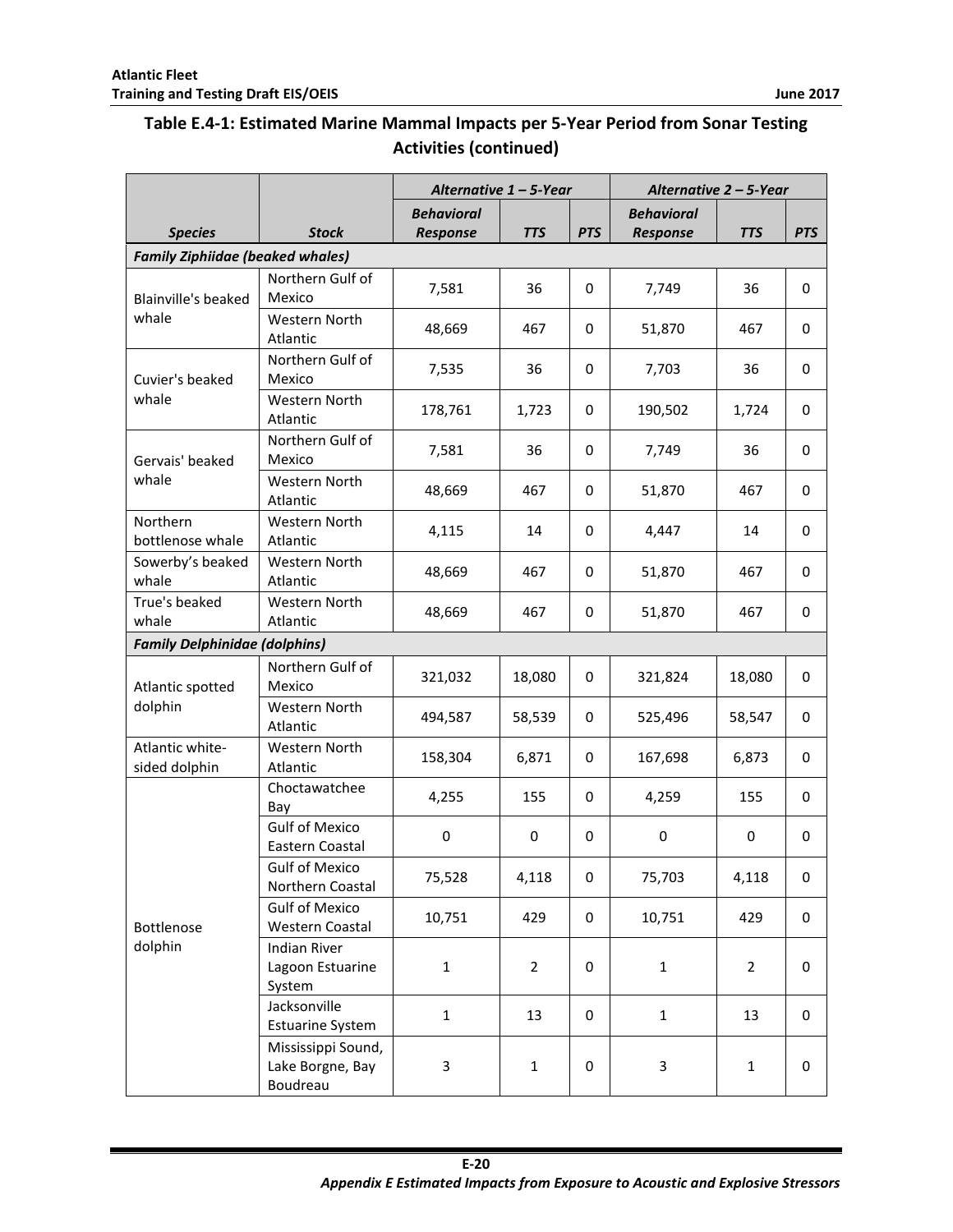|                                         |                                                    | Alternative 1 - 5-Year |                | Alternative 2 - 5-Year |                   |                |             |
|-----------------------------------------|----------------------------------------------------|------------------------|----------------|------------------------|-------------------|----------------|-------------|
|                                         |                                                    | <b>Behavioral</b>      |                |                        | <b>Behavioral</b> |                |             |
| <b>Species</b>                          | <b>Stock</b>                                       | Response               | <b>TTS</b>     | <b>PTS</b>             | Response          | <b>TTS</b>     | <b>PTS</b>  |
| <b>Family Ziphiidae (beaked whales)</b> |                                                    |                        |                |                        |                   |                |             |
| <b>Blainville's beaked</b>              | Northern Gulf of<br>Mexico                         | 7,581                  | 36             | $\mathbf 0$            | 7,749             | 36             | 0           |
| whale                                   | Western North<br>Atlantic                          | 48,669                 | 467            | $\mathbf 0$            | 51,870            | 467            | 0           |
| Cuvier's beaked                         | Northern Gulf of<br>Mexico                         | 7,535                  | 36             | 0                      | 7,703             | 36             | 0           |
| whale                                   | Western North<br>Atlantic                          | 178,761                | 1,723          | $\mathbf 0$            | 190,502           | 1,724          | 0           |
| Gervais' beaked                         | Northern Gulf of<br>Mexico                         | 7,581                  | 36             | $\Omega$               | 7,749             | 36             | 0           |
| whale                                   | Western North<br>Atlantic                          | 48,669                 | 467            | $\mathbf 0$            | 51,870            | 467            | 0           |
| Northern<br>bottlenose whale            | Western North<br>Atlantic                          | 4,115                  | 14             | $\mathbf 0$            | 4,447             | 14             | 0           |
| Sowerby's beaked<br>whale               | Western North<br>Atlantic                          | 48,669                 | 467            | $\mathbf 0$            | 51,870            | 467            | 0           |
| True's beaked<br>whale                  | Western North<br>Atlantic                          | 48,669                 | 467            | $\mathbf 0$            | 51,870            | 467            | $\mathbf 0$ |
| <b>Family Delphinidae (dolphins)</b>    |                                                    |                        |                |                        |                   |                |             |
| Atlantic spotted                        | Northern Gulf of<br>Mexico                         | 321,032                | 18,080         | $\mathbf 0$            | 321,824           | 18,080         | 0           |
| dolphin                                 | Western North<br>Atlantic                          | 494,587                | 58,539         | $\mathbf 0$            | 525,496           | 58,547         | 0           |
| Atlantic white-<br>sided dolphin        | Western North<br>Atlantic                          | 158,304                | 6,871          | $\mathbf 0$            | 167,698           | 6,873          | 0           |
|                                         | Choctawatchee<br>Bay                               | 4,255                  | 155            | $\mathbf 0$            | 4,259             | 155            | 0           |
|                                         | <b>Gulf of Mexico</b><br>Eastern Coastal           | $\mathbf 0$            | $\mathbf 0$    | $\mathbf 0$            | 0                 | 0              | 0           |
|                                         | <b>Gulf of Mexico</b><br>Northern Coastal          | 75,528                 | 4,118          | $\pmb{0}$              | 75,703            | 4,118          | 0           |
| Bottlenose                              | <b>Gulf of Mexico</b><br>Western Coastal           | 10,751                 | 429            | 0                      | 10,751            | 429            | 0           |
| dolphin                                 | <b>Indian River</b><br>Lagoon Estuarine<br>System  | $\mathbf 1$            | $\overline{2}$ | $\mathbf 0$            | $\mathbf{1}$      | $\overline{2}$ | 0           |
|                                         | Jacksonville<br><b>Estuarine System</b>            | $\mathbf{1}$           | 13             | $\mathbf 0$            | $\mathbf{1}$      | 13             | 0           |
|                                         | Mississippi Sound,<br>Lake Borgne, Bay<br>Boudreau | 3                      | $\mathbf{1}$   | 0                      | 3                 | $\mathbf{1}$   | 0           |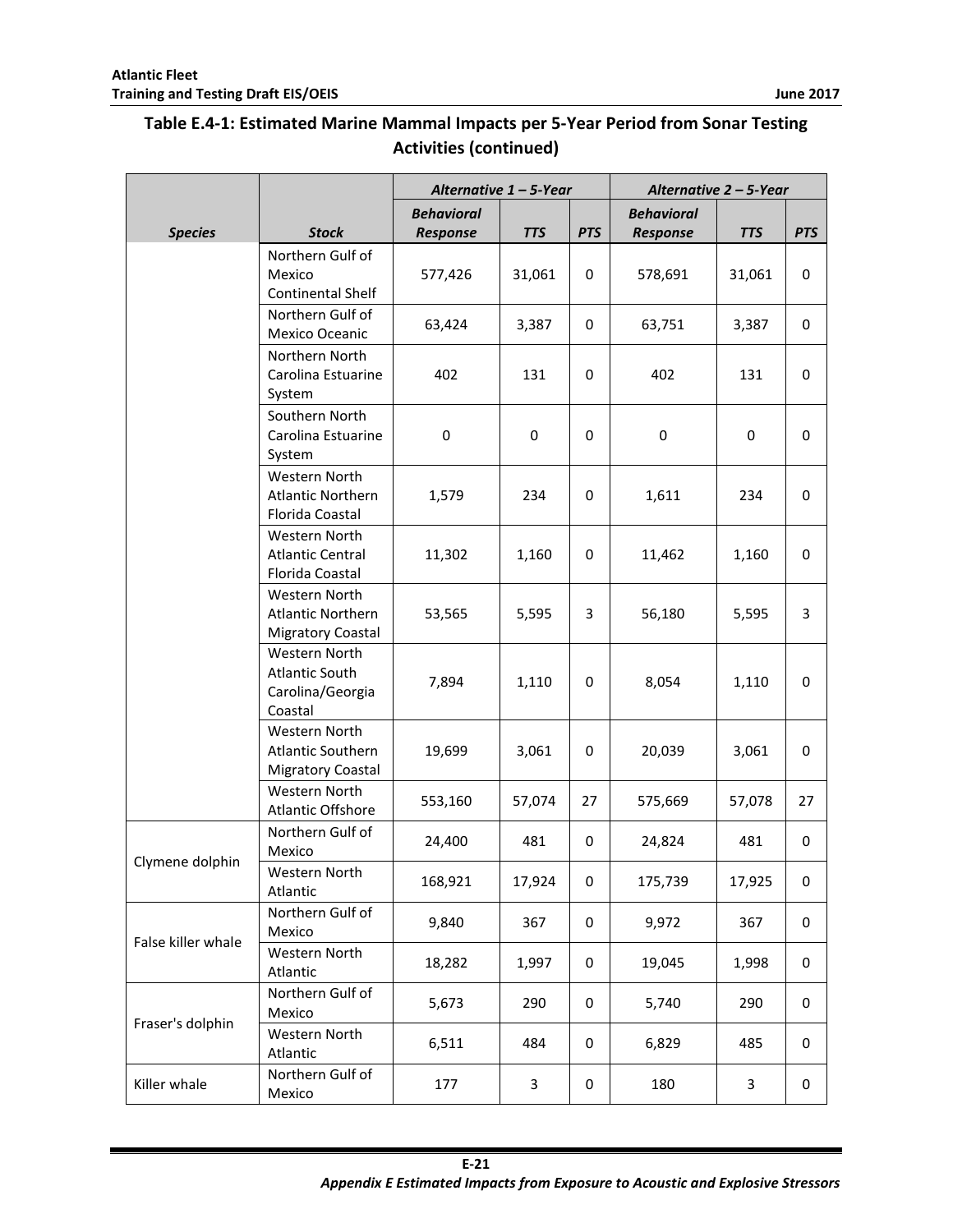|                    |                                                                       | Alternative 1-5-Year | Alternative 2 – 5-Year |             |                   |            |             |
|--------------------|-----------------------------------------------------------------------|----------------------|------------------------|-------------|-------------------|------------|-------------|
|                    |                                                                       | <b>Behavioral</b>    |                        |             | <b>Behavioral</b> |            |             |
| <b>Species</b>     | <b>Stock</b>                                                          | <b>Response</b>      | <b>TTS</b>             | <b>PTS</b>  | <b>Response</b>   | <b>TTS</b> | <b>PTS</b>  |
|                    | Northern Gulf of                                                      |                      |                        |             |                   |            |             |
|                    | Mexico                                                                | 577,426              | 31,061                 | 0           | 578,691           | 31,061     | 0           |
|                    | <b>Continental Shelf</b>                                              |                      |                        |             |                   |            |             |
|                    | Northern Gulf of<br>Mexico Oceanic                                    | 63,424               | 3,387                  | $\mathbf 0$ | 63,751            | 3,387      | 0           |
|                    | Northern North<br>Carolina Estuarine<br>System                        | 402                  | 131                    | 0           | 402               | 131        | $\mathbf 0$ |
|                    | Southern North<br>Carolina Estuarine<br>System                        | 0                    | $\mathbf 0$            | $\mathbf 0$ | 0                 | $\bf{0}$   | $\mathbf 0$ |
|                    | Western North<br><b>Atlantic Northern</b><br>Florida Coastal          | 1,579                | 234                    | $\mathbf 0$ | 1,611             | 234        | $\mathbf 0$ |
|                    | Western North<br><b>Atlantic Central</b><br>Florida Coastal           | 11,302               | 1,160                  | $\mathbf 0$ | 11,462            | 1,160      | 0           |
|                    | Western North<br><b>Atlantic Northern</b><br><b>Migratory Coastal</b> | 53,565               | 5,595                  | 3           | 56,180            | 5,595      | 3           |
|                    | Western North<br><b>Atlantic South</b><br>Carolina/Georgia<br>Coastal | 7,894                | 1,110                  | $\mathbf 0$ | 8,054             | 1,110      | 0           |
|                    | Western North<br><b>Atlantic Southern</b><br><b>Migratory Coastal</b> | 19,699               | 3,061                  | $\mathbf 0$ | 20,039            | 3,061      | 0           |
|                    | Western North<br>Atlantic Offshore                                    | 553,160              | 57,074                 | 27          | 575,669           | 57,078     | 27          |
| Clymene dolphin    | Northern Gulf of<br>Mexico                                            | 24,400               | 481                    | $\mathbf 0$ | 24,824            | 481        | $\mathbf 0$ |
|                    | Western North<br>Atlantic                                             | 168,921              | 17,924                 | 0           | 175,739           | 17,925     | 0           |
|                    | Northern Gulf of<br>Mexico                                            | 9,840                | 367                    | 0           | 9,972             | 367        | 0           |
| False killer whale | Western North<br>Atlantic                                             | 18,282               | 1,997                  | $\mathbf 0$ | 19,045            | 1,998      | 0           |
|                    | Northern Gulf of<br>Mexico                                            | 5,673                | 290                    | 0           | 5,740             | 290        | 0           |
| Fraser's dolphin   | Western North<br>Atlantic                                             | 6,511                | 484                    | 0           | 6,829             | 485        | 0           |
| Killer whale       | Northern Gulf of<br>Mexico                                            | 177                  | $\mathbf{3}$           | 0           | 180               | 3          | 0           |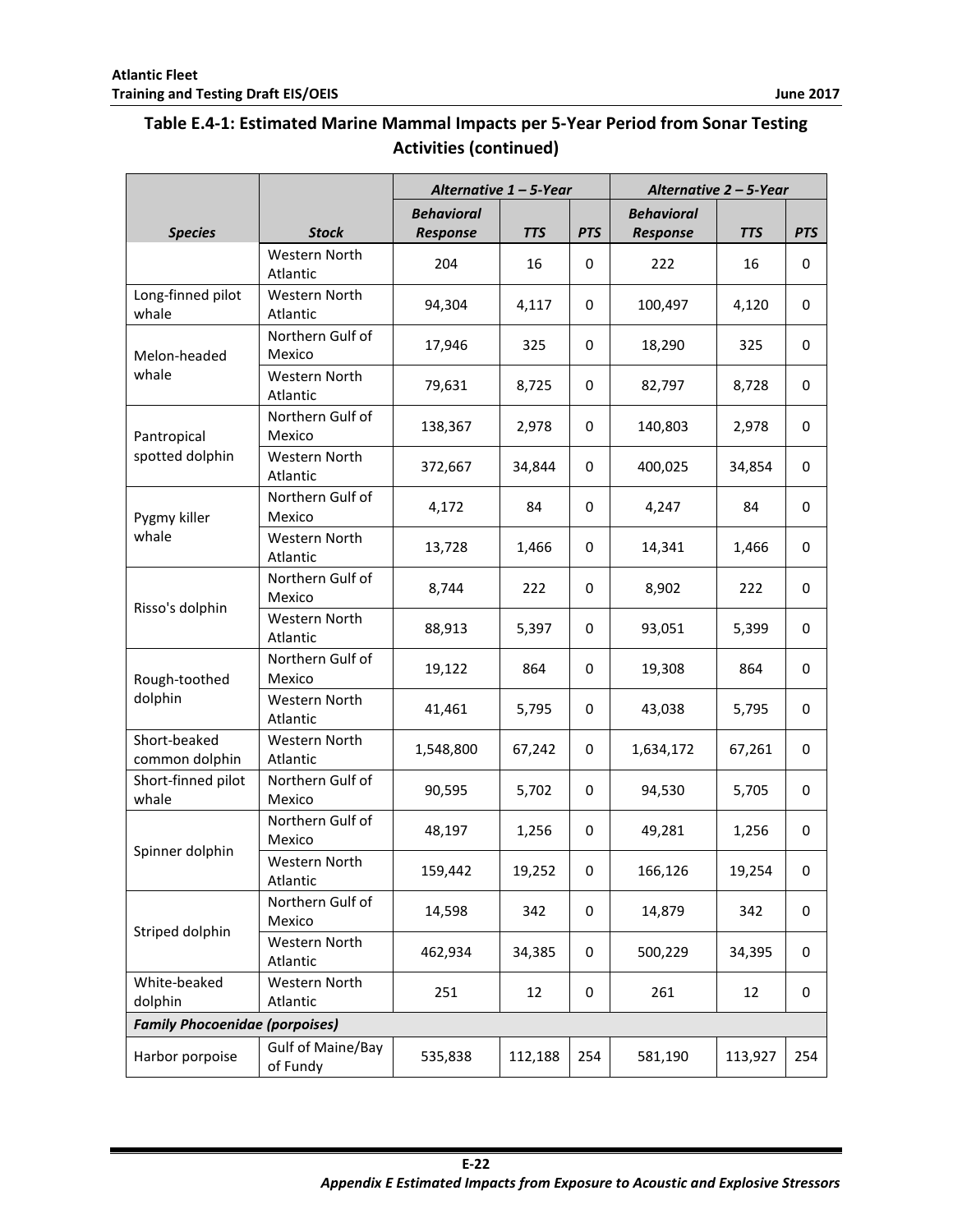|                                       |                               | Alternative 1 - 5-Year |            | Alternative 2 - 5-Year |                   |            |            |  |
|---------------------------------------|-------------------------------|------------------------|------------|------------------------|-------------------|------------|------------|--|
|                                       |                               | <b>Behavioral</b>      |            |                        | <b>Behavioral</b> |            |            |  |
| <b>Species</b>                        | <b>Stock</b>                  | <b>Response</b>        | <b>TTS</b> | <b>PTS</b>             | <b>Response</b>   | <b>TTS</b> | <b>PTS</b> |  |
|                                       | Western North<br>Atlantic     | 204                    | 16         | 0                      | 222               | 16         | 0          |  |
| Long-finned pilot<br>whale            | Western North<br>Atlantic     | 94,304                 | 4,117      | 0                      | 100,497           | 4,120      | 0          |  |
| Melon-headed                          | Northern Gulf of<br>Mexico    | 17,946                 | 325        | 0                      | 18,290            | 325        | 0          |  |
| whale                                 | Western North<br>Atlantic     | 79,631                 | 8,725      | 0                      | 82,797            | 8,728      | 0          |  |
| Pantropical                           | Northern Gulf of<br>Mexico    | 138,367                | 2,978      | 0                      | 140,803           | 2,978      | 0          |  |
| spotted dolphin                       | Western North<br>Atlantic     | 372,667                | 34,844     | 0                      | 400,025           | 34,854     | 0          |  |
| Pygmy killer                          | Northern Gulf of<br>Mexico    | 4,172                  | 84         | 0                      | 4,247             | 84         | 0          |  |
| whale                                 | Western North<br>Atlantic     | 13,728                 | 1,466      | 0                      | 14,341            | 1,466      | 0          |  |
| Risso's dolphin                       | Northern Gulf of<br>Mexico    | 8,744                  | 222        | 0                      | 8,902             | 222        | 0          |  |
|                                       | Western North<br>Atlantic     | 88,913                 | 5,397      | 0                      | 93,051            | 5,399      | 0          |  |
| Rough-toothed                         | Northern Gulf of<br>Mexico    | 19,122                 | 864        | 0                      | 19,308            | 864        | 0          |  |
| dolphin                               | Western North<br>Atlantic     | 41,461                 | 5,795      | 0                      | 43,038            | 5,795      | 0          |  |
| Short-beaked<br>common dolphin        | Western North<br>Atlantic     | 1,548,800              | 67,242     | 0                      | 1,634,172         | 67,261     | 0          |  |
| Short-finned pilot<br>whale           | Northern Gulf of<br>Mexico    | 90,595                 | 5,702      | 0                      | 94,530            | 5,705      | 0          |  |
| Spinner dolphin                       | Northern Gulf of<br>Mexico    | 48,197                 | 1,256      | 0                      | 49,281            | 1,256      | 0          |  |
|                                       | Western North<br>Atlantic     | 159,442                | 19,252     | 0                      | 166,126           | 19,254     | 0          |  |
| Striped dolphin                       | Northern Gulf of<br>Mexico    | 14,598                 | 342        | 0                      | 14,879            | 342        | 0          |  |
|                                       | Western North<br>Atlantic     | 462,934                | 34,385     | 0                      | 500,229           | 34,395     | 0          |  |
| White-beaked<br>dolphin               | Western North<br>Atlantic     | 251                    | 12         | 0                      | 261               | 12         | 0          |  |
| <b>Family Phocoenidae (porpoises)</b> |                               |                        |            |                        |                   |            |            |  |
| Harbor porpoise                       | Gulf of Maine/Bay<br>of Fundy | 535,838                | 112,188    | 254                    | 581,190           | 113,927    | 254        |  |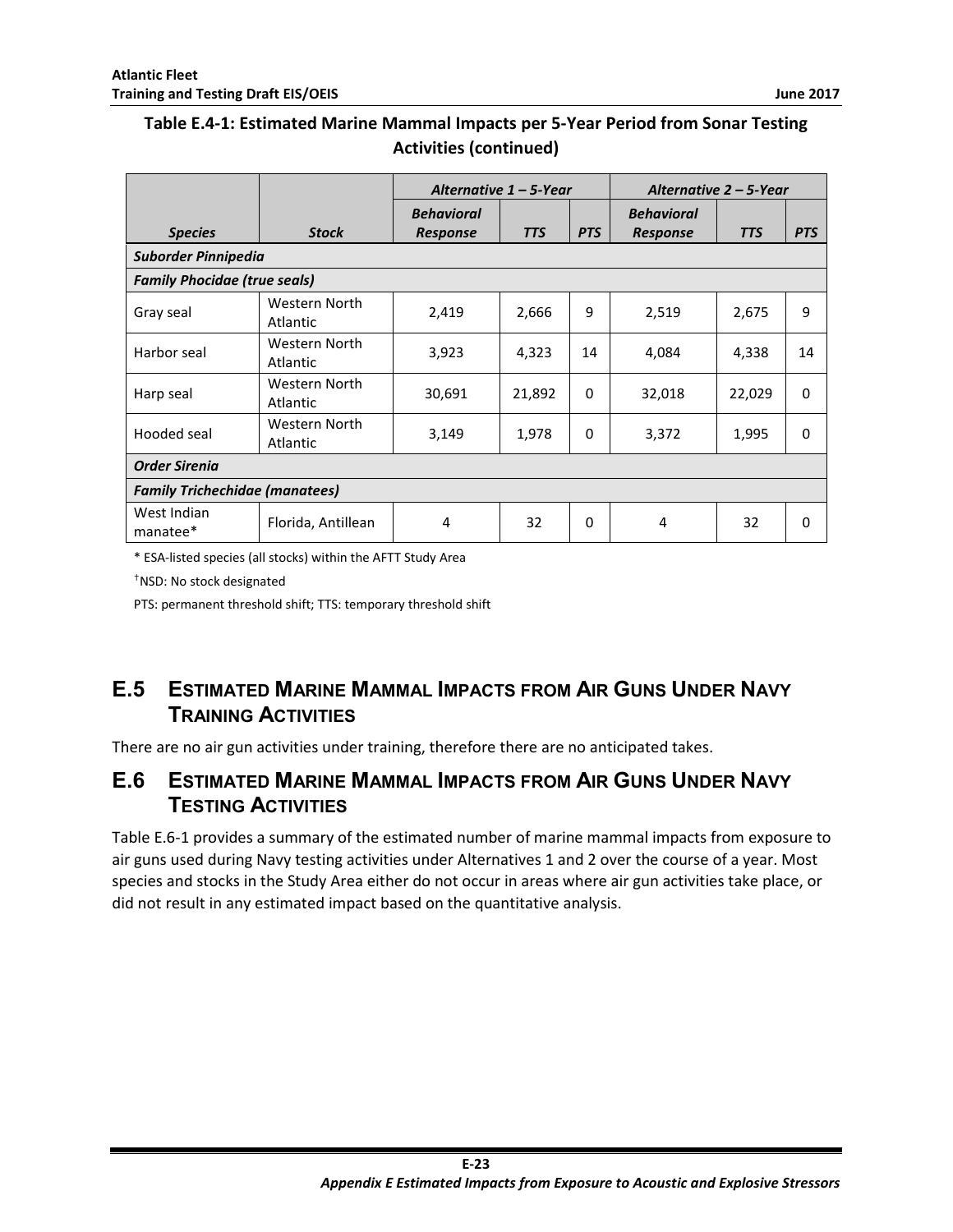|                                       |                           |                                      | Alternative $1 - 5$ -Year |            | Alternative 2 – 5-Year               |            |            |  |  |
|---------------------------------------|---------------------------|--------------------------------------|---------------------------|------------|--------------------------------------|------------|------------|--|--|
| <b>Species</b>                        | <b>Stock</b>              | <b>Behavioral</b><br><b>Response</b> | <b>TTS</b>                | <b>PTS</b> | <b>Behavioral</b><br><b>Response</b> | <b>TTS</b> | <b>PTS</b> |  |  |
| <b>Suborder Pinnipedia</b>            |                           |                                      |                           |            |                                      |            |            |  |  |
| <b>Family Phocidae (true seals)</b>   |                           |                                      |                           |            |                                      |            |            |  |  |
| Gray seal                             | Western North<br>Atlantic | 2,419                                | 2,666                     | 9          | 2,519                                | 2,675      | 9          |  |  |
| Harbor seal                           | Western North<br>Atlantic | 3,923                                | 4,323                     | 14         | 4,084                                | 4,338      | 14         |  |  |
| Harp seal                             | Western North<br>Atlantic | 30,691                               | 21,892                    | $\Omega$   | 32,018                               | 22,029     | $\Omega$   |  |  |
| Hooded seal                           | Western North<br>Atlantic | 3,149                                | 1,978                     | $\Omega$   | 3,372                                | 1,995      | 0          |  |  |
| <b>Order Sirenia</b>                  |                           |                                      |                           |            |                                      |            |            |  |  |
| <b>Family Trichechidae (manatees)</b> |                           |                                      |                           |            |                                      |            |            |  |  |
| West Indian<br>manatee*               | Florida, Antillean        | 4                                    | 32                        | $\Omega$   | 4                                    | 32         | 0          |  |  |

\* ESA-listed species (all stocks) within the AFTT Study Area

✝NSD: No stock designated

PTS: permanent threshold shift; TTS: temporary threshold shift

# <span id="page-28-0"></span>**E.5 ESTIMATED MARINE MAMMAL IMPACTS FROM AIR GUNS UNDER NAVY TRAINING ACTIVITIES**

There are no air gun activities under training, therefore there are no anticipated takes.

### <span id="page-28-1"></span>**E.6 ESTIMATED MARINE MAMMAL IMPACTS FROM AIR GUNS UNDER NAVY TESTING ACTIVITIES**

[Table E.6-1](#page-29-0) provides a summary of the estimated number of marine mammal impacts from exposure to air guns used during Navy testing activities under Alternatives 1 and 2 over the course of a year. Most species and stocks in the Study Area either do not occur in areas where air gun activities take place, or did not result in any estimated impact based on the quantitative analysis.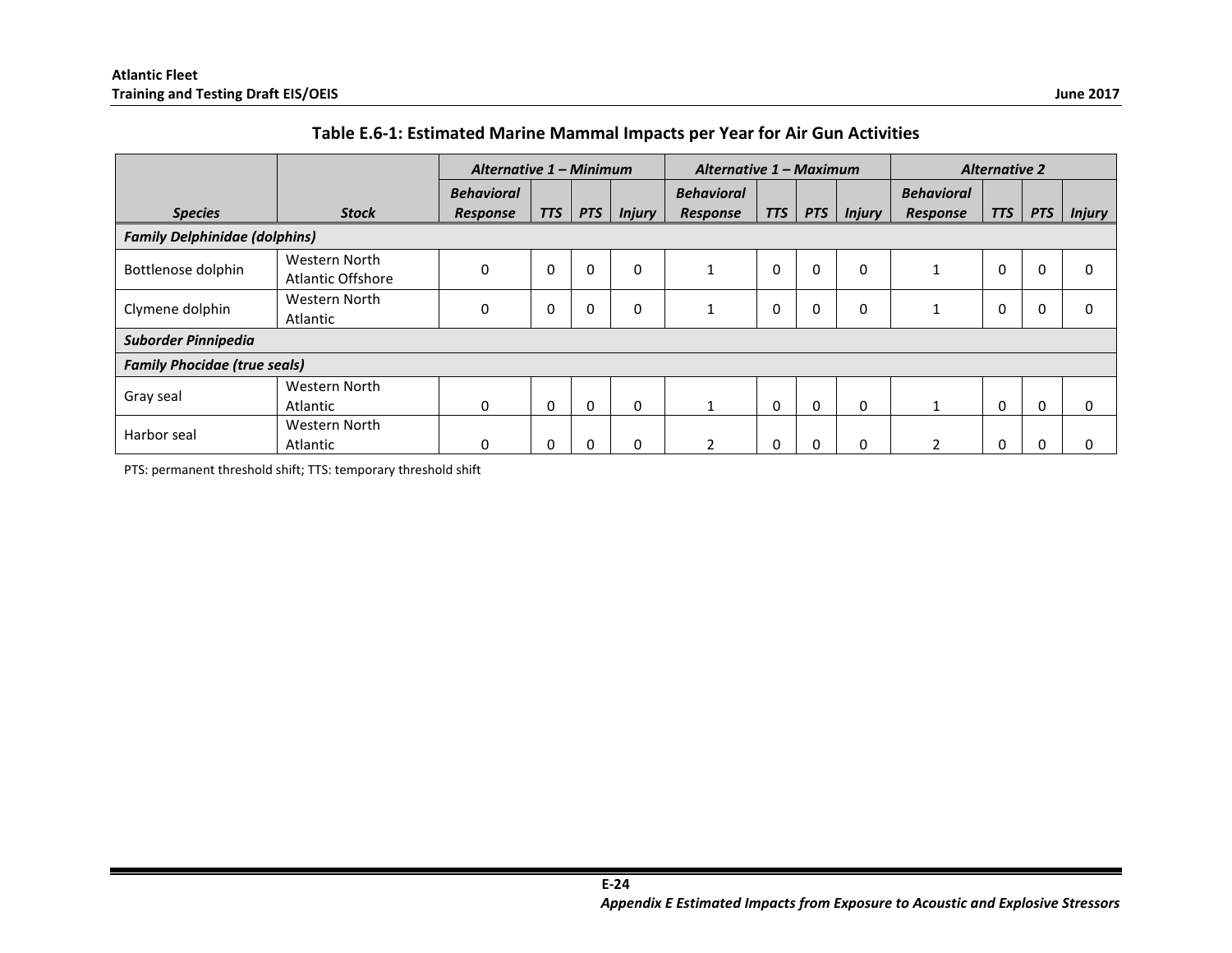|                                      |                                           | Alternative 1 – Minimum |            |            | Alternative 1 - Maximum |                   |            |            | <b>Alternative 2</b> |                   |            |            |               |
|--------------------------------------|-------------------------------------------|-------------------------|------------|------------|-------------------------|-------------------|------------|------------|----------------------|-------------------|------------|------------|---------------|
|                                      |                                           | <b>Behavioral</b>       |            |            |                         | <b>Behavioral</b> |            |            |                      | <b>Behavioral</b> |            |            |               |
| <b>Species</b>                       | <b>Stock</b>                              | <b>Response</b>         | <b>TTS</b> | <b>PTS</b> | <b>Injury</b>           | Response          | <b>TTS</b> | <b>PTS</b> | <b>Injury</b>        | <b>Response</b>   | <b>TTS</b> | <b>PTS</b> | <b>Injury</b> |
| <b>Family Delphinidae (dolphins)</b> |                                           |                         |            |            |                         |                   |            |            |                      |                   |            |            |               |
| Bottlenose dolphin                   | Western North<br><b>Atlantic Offshore</b> | 0                       | 0          | 0          | 0                       | 1                 | 0          | 0          | $\Omega$             | 1                 | 0          | $\Omega$   | 0             |
| Clymene dolphin                      | Western North<br>Atlantic                 | 0                       | 0          | 0          | 0                       | 1                 | 0          | 0          | 0                    |                   | 0          | 0          | 0             |
| <b>Suborder Pinnipedia</b>           |                                           |                         |            |            |                         |                   |            |            |                      |                   |            |            |               |
| <b>Family Phocidae (true seals)</b>  |                                           |                         |            |            |                         |                   |            |            |                      |                   |            |            |               |
| Gray seal                            | <b>Western North</b><br>Atlantic          | 0                       | 0          | 0          | 0                       | 1                 | $\Omega$   | 0          | $\Omega$             | 1                 | 0          | 0          | 0             |
| Harbor seal                          | Western North<br>Atlantic                 | 0                       | 0          |            |                         | 2                 | 0          | 0          |                      |                   | 0          |            |               |

#### **Table E.6-1: Estimated Marine Mammal Impacts per Year for Air Gun Activities**

<span id="page-29-0"></span>PTS: permanent threshold shift; TTS: temporary threshold shift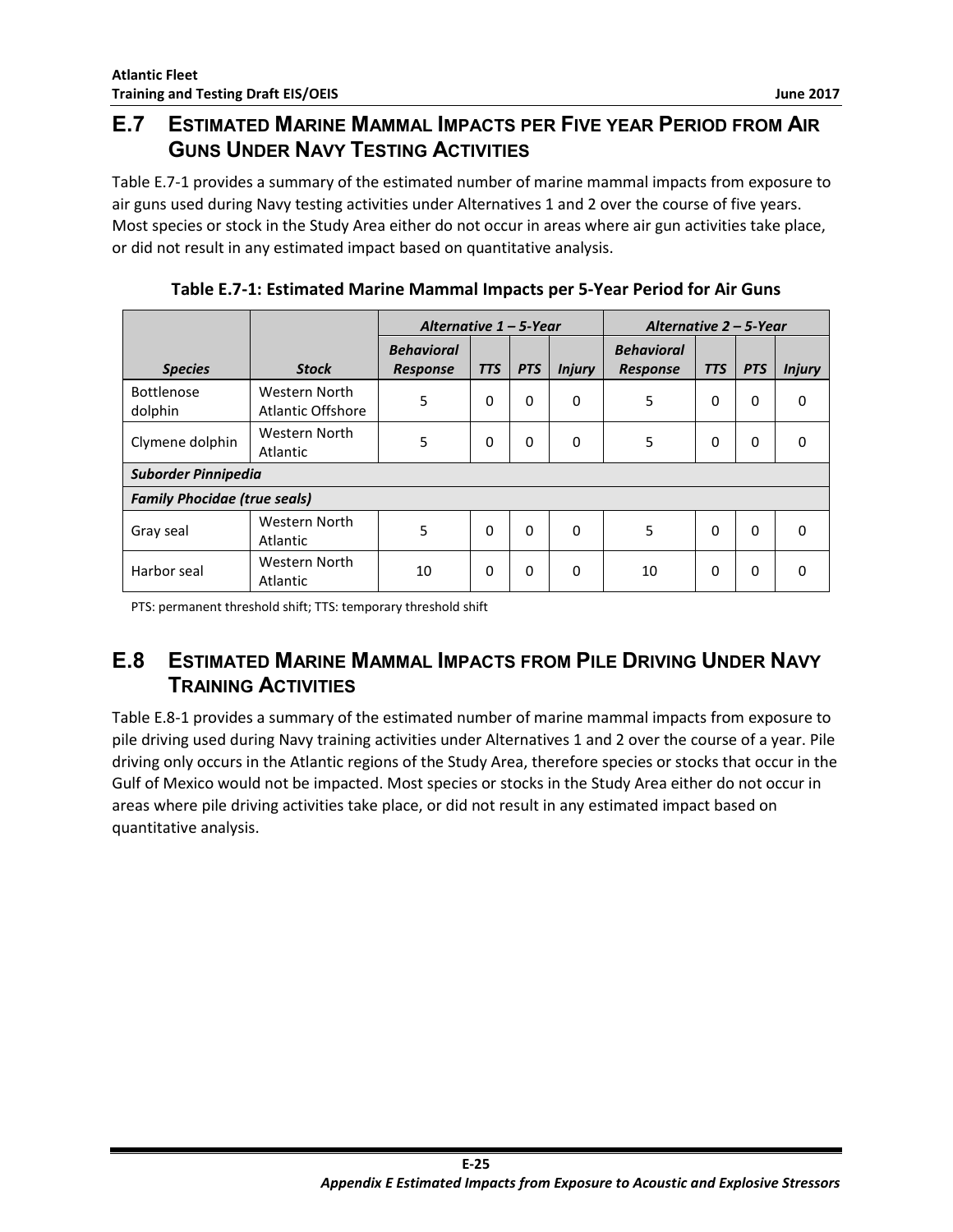## <span id="page-30-0"></span>**E.7 ESTIMATED MARINE MAMMAL IMPACTS PER FIVE YEAR PERIOD FROM AIR GUNS UNDER NAVY TESTING ACTIVITIES**

[Table E.7-1](#page-30-2) provides a summary of the estimated number of marine mammal impacts from exposure to air guns used during Navy testing activities under Alternatives 1 and 2 over the course of five years. Most species or stock in the Study Area either do not occur in areas where air gun activities take place, or did not result in any estimated impact based on quantitative analysis.

<span id="page-30-2"></span>

|                                     |                                           | Alternative $1 - 5$ -Year            |            |            |               | Alternative $2 - 5$ -Year            |            |            |               |  |  |
|-------------------------------------|-------------------------------------------|--------------------------------------|------------|------------|---------------|--------------------------------------|------------|------------|---------------|--|--|
| <b>Species</b>                      | <b>Stock</b>                              | <b>Behavioral</b><br><b>Response</b> | <b>TTS</b> | <b>PTS</b> | <b>Injury</b> | <b>Behavioral</b><br><b>Response</b> | <b>TTS</b> | <b>PTS</b> | <b>Injury</b> |  |  |
| <b>Bottlenose</b><br>dolphin        | Western North<br><b>Atlantic Offshore</b> | 5                                    | 0          | $\Omega$   | $\Omega$      | 5                                    | 0          | 0          | $\Omega$      |  |  |
| Clymene dolphin                     | Western North<br>Atlantic                 | 5                                    | $\Omega$   | $\Omega$   | 0             | 5                                    | 0          | 0          | $\Omega$      |  |  |
| <b>Suborder Pinnipedia</b>          |                                           |                                      |            |            |               |                                      |            |            |               |  |  |
| <b>Family Phocidae (true seals)</b> |                                           |                                      |            |            |               |                                      |            |            |               |  |  |
| Gray seal                           | Western North<br><b>Atlantic</b>          | 5                                    | $\Omega$   | $\Omega$   | $\Omega$      | 5                                    | 0          | 0          | 0             |  |  |
| Harbor seal                         | Western North<br><b>Atlantic</b>          | 10                                   | 0          | $\Omega$   | 0             | 10                                   | 0          | 0          | 0             |  |  |

**Table E.7-1: Estimated Marine Mammal Impacts per 5-Year Period for Air Guns**

PTS: permanent threshold shift; TTS: temporary threshold shift

# <span id="page-30-1"></span>**E.8 ESTIMATED MARINE MAMMAL IMPACTS FROM PILE DRIVING UNDER NAVY TRAINING ACTIVITIES**

[Table E.8-1](#page-31-0) provides a summary of the estimated number of marine mammal impacts from exposure to pile driving used during Navy training activities under Alternatives 1 and 2 over the course of a year. Pile driving only occurs in the Atlantic regions of the Study Area, therefore species or stocks that occur in the Gulf of Mexico would not be impacted. Most species or stocks in the Study Area either do not occur in areas where pile driving activities take place, or did not result in any estimated impact based on quantitative analysis.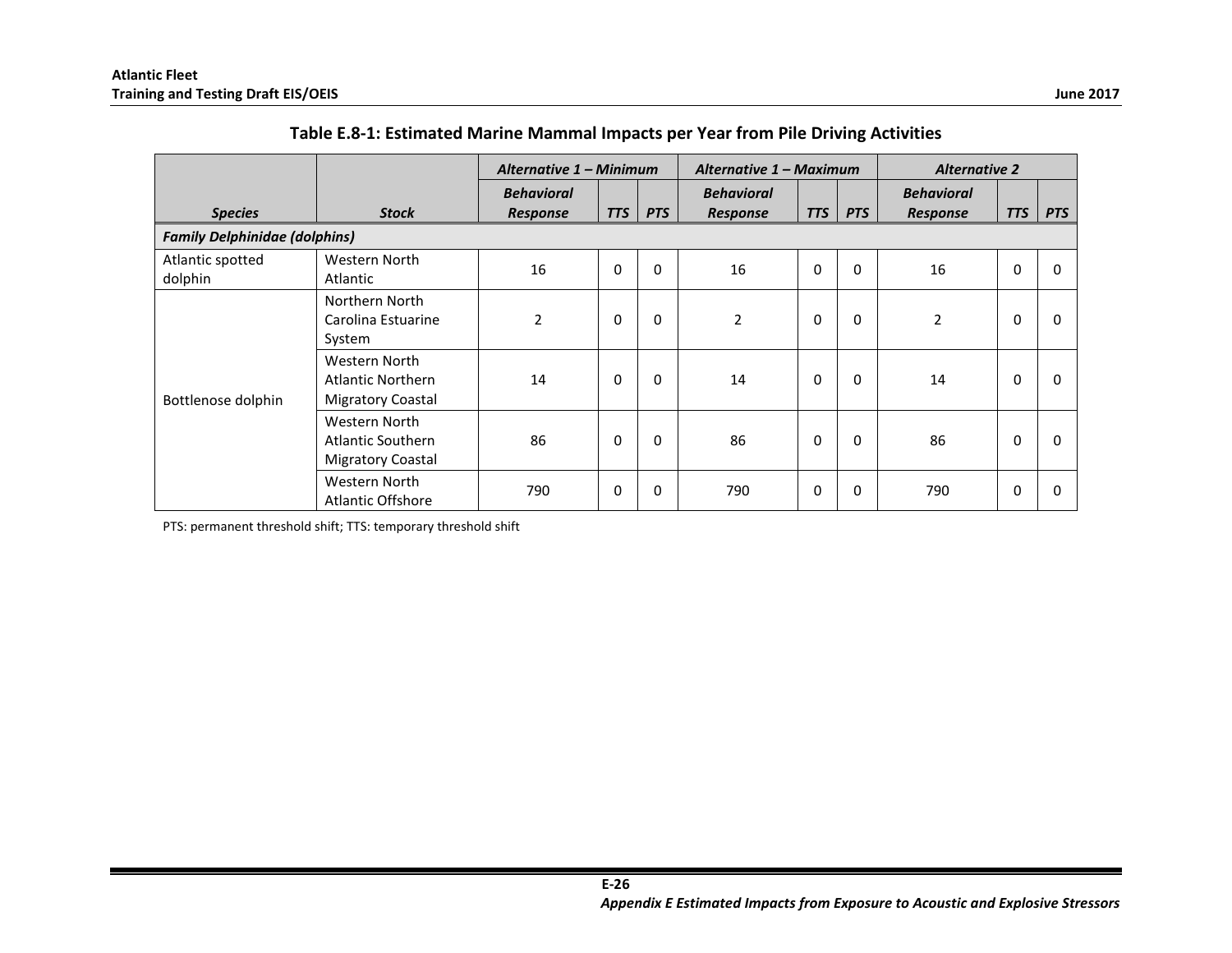|                                      |                                                                       | Alternative 1 – Minimum              |             | Alternative 1 - Maximum |                                      |            | <b>Alternative 2</b> |                                      |            |            |
|--------------------------------------|-----------------------------------------------------------------------|--------------------------------------|-------------|-------------------------|--------------------------------------|------------|----------------------|--------------------------------------|------------|------------|
| <b>Species</b>                       | <b>Stock</b>                                                          | <b>Behavioral</b><br><b>Response</b> | <b>TTS</b>  | <b>PTS</b>              | <b>Behavioral</b><br><b>Response</b> | <b>TTS</b> | <b>PTS</b>           | <b>Behavioral</b><br><b>Response</b> | <b>TTS</b> | <b>PTS</b> |
| <b>Family Delphinidae (dolphins)</b> |                                                                       |                                      |             |                         |                                      |            |                      |                                      |            |            |
| Atlantic spotted<br>dolphin          | Western North<br>Atlantic                                             | 16                                   | $\mathbf 0$ | $\mathbf 0$             | 16                                   | 0          | $\mathbf{0}$         | 16                                   | 0          | 0          |
| Bottlenose dolphin                   | Northern North<br>Carolina Estuarine<br>System                        | $\overline{2}$                       | 0           | $\mathbf 0$             | 2                                    | 0          | $\Omega$             | $\overline{2}$                       | 0          |            |
|                                      | Western North<br><b>Atlantic Northern</b><br><b>Migratory Coastal</b> | 14                                   | $\Omega$    | 0                       | 14                                   | 0          | $\Omega$             | 14                                   | $\Omega$   | 0          |
|                                      | Western North<br><b>Atlantic Southern</b><br><b>Migratory Coastal</b> | 86                                   | $\Omega$    | 0                       | 86                                   | 0          | $\mathbf{0}$         | 86                                   | 0          |            |
|                                      | Western North<br><b>Atlantic Offshore</b>                             | 790                                  | 0           | 0                       | 790                                  | 0          | 0                    | 790                                  | 0          |            |

| Table E.8-1: Estimated Marine Mammal Impacts per Year from Pile Driving Activities |  |  |
|------------------------------------------------------------------------------------|--|--|
|------------------------------------------------------------------------------------|--|--|

<span id="page-31-0"></span>PTS: permanent threshold shift; TTS: temporary threshold shift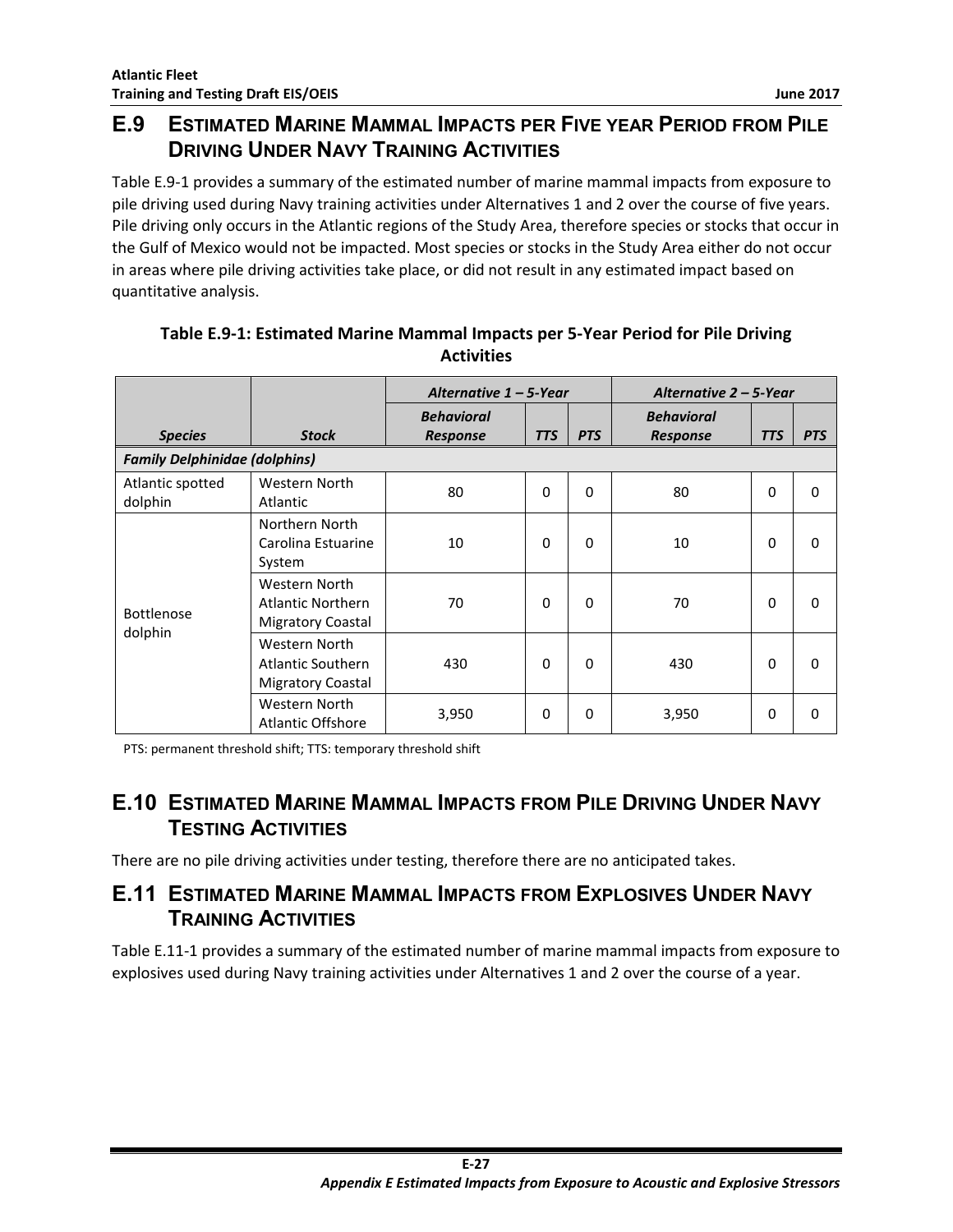## <span id="page-32-0"></span>**E.9 ESTIMATED MARINE MAMMAL IMPACTS PER FIVE YEAR PERIOD FROM PILE DRIVING UNDER NAVY TRAINING ACTIVITIES**

[Table E.9-1](#page-32-3) provides a summary of the estimated number of marine mammal impacts from exposure to pile driving used during Navy training activities under Alternatives 1 and 2 over the course of five years. Pile driving only occurs in the Atlantic regions of the Study Area, therefore species or stocks that occur in the Gulf of Mexico would not be impacted. Most species or stocks in the Study Area either do not occur in areas where pile driving activities take place, or did not result in any estimated impact based on quantitative analysis.

|                                      |                          | Alternative $1 - 5$ -Year |            |            | Alternative $2 - 5$ -Year |            |            |  |
|--------------------------------------|--------------------------|---------------------------|------------|------------|---------------------------|------------|------------|--|
|                                      |                          | <b>Behavioral</b>         |            |            | <b>Behavioral</b>         |            |            |  |
| <b>Species</b>                       | <b>Stock</b>             | <b>Response</b>           | <b>TTS</b> | <b>PTS</b> | <b>Response</b>           | <b>TTS</b> | <b>PTS</b> |  |
| <b>Family Delphinidae (dolphins)</b> |                          |                           |            |            |                           |            |            |  |
| Atlantic spotted                     | Western North            | 80                        | 0          | $\Omega$   | 80                        | $\Omega$   | $\Omega$   |  |
| dolphin                              | Atlantic                 |                           |            |            |                           |            |            |  |
|                                      | Northern North           |                           |            |            |                           |            |            |  |
|                                      | Carolina Estuarine       | 10                        | 0          | 0          | 10                        | $\Omega$   | 0          |  |
|                                      | System                   |                           |            |            |                           |            |            |  |
|                                      | Western North            |                           |            |            |                           |            |            |  |
| <b>Bottlenose</b>                    | <b>Atlantic Northern</b> | 70                        | 0          | $\Omega$   | 70                        | $\Omega$   | 0          |  |
| dolphin                              | <b>Migratory Coastal</b> |                           |            |            |                           |            |            |  |
|                                      | Western North            |                           |            |            |                           |            |            |  |
|                                      | <b>Atlantic Southern</b> | 430                       | 0          | 0          | 430                       | $\Omega$   | $\Omega$   |  |
|                                      | <b>Migratory Coastal</b> |                           |            |            |                           |            |            |  |
|                                      | Western North            | 3,950                     | 0          | 0          | 3,950                     | $\Omega$   | $\Omega$   |  |
|                                      | <b>Atlantic Offshore</b> |                           |            |            |                           |            |            |  |

#### <span id="page-32-3"></span>**Table E.9-1: Estimated Marine Mammal Impacts per 5-Year Period for Pile Driving Activities**

PTS: permanent threshold shift; TTS: temporary threshold shift

# <span id="page-32-1"></span>**E.10 ESTIMATED MARINE MAMMAL IMPACTS FROM PILE DRIVING UNDER NAVY TESTING ACTIVITIES**

There are no pile driving activities under testing, therefore there are no anticipated takes.

### <span id="page-32-2"></span>**E.11 ESTIMATED MARINE MAMMAL IMPACTS FROM EXPLOSIVES UNDER NAVY TRAINING ACTIVITIES**

[Table E.11-1](#page-33-0) provides a summary of the estimated number of marine mammal impacts from exposure to explosives used during Navy training activities under Alternatives 1 and 2 over the course of a year.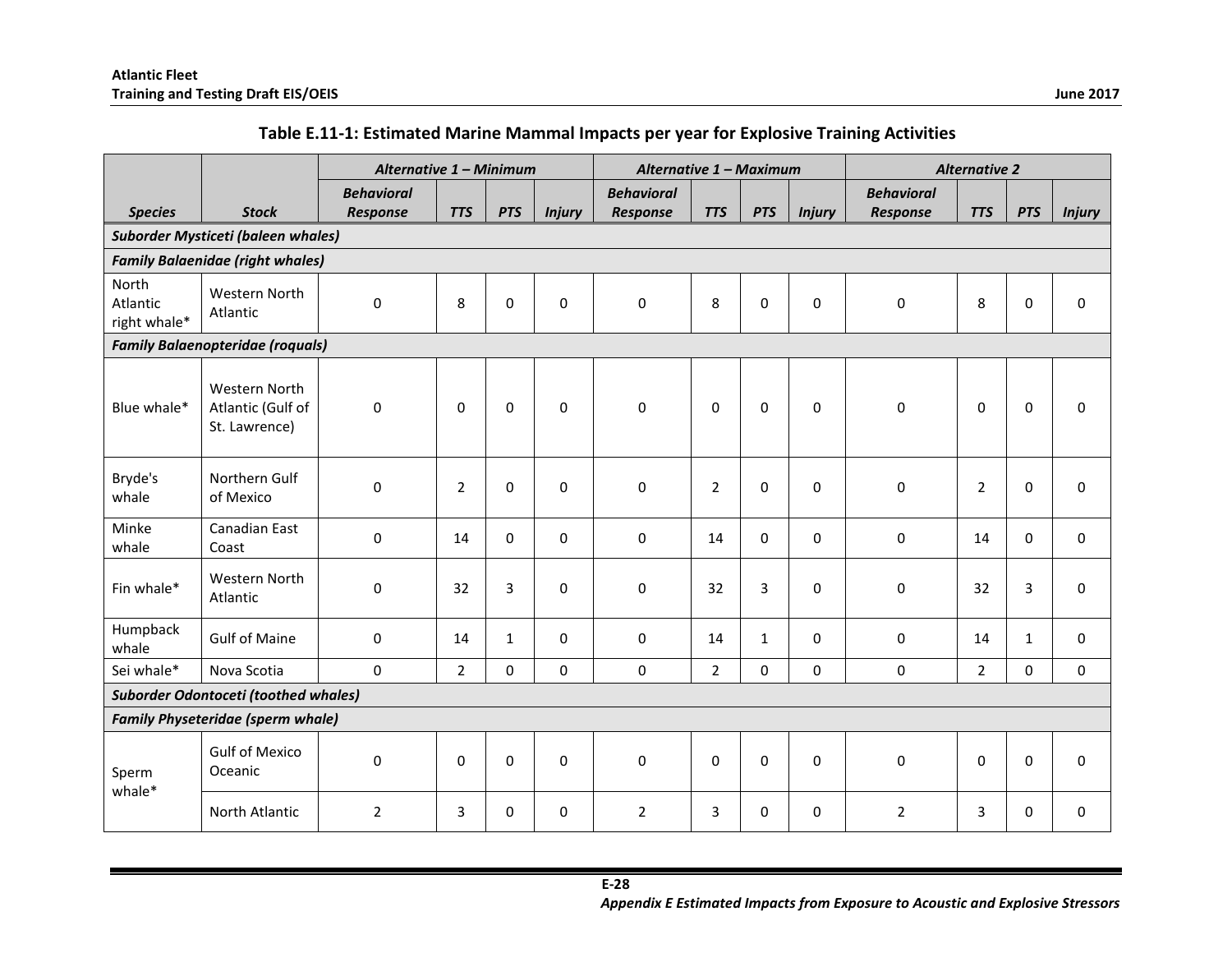<span id="page-33-0"></span>

|                                   |                                                     | Alternative 1 - Minimum       |                |              |               | Alternative 1 - Maximum              |                |              |               | <b>Alternative 2</b>                 |                |              |               |
|-----------------------------------|-----------------------------------------------------|-------------------------------|----------------|--------------|---------------|--------------------------------------|----------------|--------------|---------------|--------------------------------------|----------------|--------------|---------------|
| <b>Species</b>                    | <b>Stock</b>                                        | <b>Behavioral</b><br>Response | <b>TTS</b>     | <b>PTS</b>   | <b>Injury</b> | <b>Behavioral</b><br><b>Response</b> | <b>TTS</b>     | <b>PTS</b>   | <b>Injury</b> | <b>Behavioral</b><br><b>Response</b> | <b>TTS</b>     | <b>PTS</b>   | <b>Injury</b> |
|                                   | <b>Suborder Mysticeti (baleen whales)</b>           |                               |                |              |               |                                      |                |              |               |                                      |                |              |               |
|                                   | <b>Family Balaenidae (right whales)</b>             |                               |                |              |               |                                      |                |              |               |                                      |                |              |               |
| North<br>Atlantic<br>right whale* | Western North<br>Atlantic                           | $\mathbf 0$                   | 8              | 0            | 0             | $\mathbf 0$                          | 8              | $\Omega$     | $\Omega$      | 0                                    | 8              | $\mathbf 0$  | 0             |
|                                   | <b>Family Balaenopteridae (roquals)</b>             |                               |                |              |               |                                      |                |              |               |                                      |                |              |               |
| Blue whale*                       | Western North<br>Atlantic (Gulf of<br>St. Lawrence) | 0                             | $\mathbf 0$    | $\mathbf 0$  | $\mathbf 0$   | $\Omega$                             | $\mathbf 0$    | $\Omega$     | $\mathbf 0$   | $\mathbf 0$                          | $\Omega$       | $\mathbf 0$  | 0             |
| Bryde's<br>whale                  | Northern Gulf<br>of Mexico                          | $\mathbf 0$                   | $\overline{2}$ | 0            | 0             | 0                                    | $\overline{2}$ | $\Omega$     | $\Omega$      | 0                                    | $\overline{2}$ | $\Omega$     | 0             |
| Minke<br>whale                    | Canadian East<br>Coast                              | $\mathbf 0$                   | 14             | $\mathbf 0$  | 0             | 0                                    | 14             | $\Omega$     | $\Omega$      | 0                                    | 14             | $\Omega$     | 0             |
| Fin whale*                        | Western North<br>Atlantic                           | 0                             | 32             | 3            | 0             | $\mathbf 0$                          | 32             | 3            | $\mathbf 0$   | 0                                    | 32             | 3            | $\mathbf 0$   |
| Humpback<br>whale                 | <b>Gulf of Maine</b>                                | $\pmb{0}$                     | 14             | $\mathbf{1}$ | 0             | $\mathbf 0$                          | 14             | $\mathbf{1}$ | $\mathbf 0$   | $\pmb{0}$                            | 14             | $\mathbf{1}$ | $\pmb{0}$     |
| Sei whale*                        | Nova Scotia                                         | $\Omega$                      | $\overline{2}$ | 0            | $\Omega$      | 0                                    | $\overline{2}$ | $\Omega$     | $\Omega$      | 0                                    | $\overline{2}$ | $\Omega$     | $\Omega$      |
|                                   | <b>Suborder Odontoceti (toothed whales)</b>         |                               |                |              |               |                                      |                |              |               |                                      |                |              |               |
|                                   | <b>Family Physeteridae (sperm whale)</b>            |                               |                |              |               |                                      |                |              |               |                                      |                |              |               |
| Sperm<br>whale*                   | <b>Gulf of Mexico</b><br>Oceanic                    | $\pmb{0}$                     | $\mathbf 0$    | $\Omega$     | 0             | $\mathbf 0$                          | $\Omega$       | $\Omega$     | $\Omega$      | $\Omega$                             | $\Omega$       | $\Omega$     | 0             |
|                                   | North Atlantic                                      | $\overline{2}$                | 3              | 0            | 0             | $\overline{2}$                       | 3              | 0            | 0             | $\overline{2}$                       | 3              | 0            | 0             |

#### **Table E.11-1: Estimated Marine Mammal Impacts per year for Explosive Training Activities**

**E-28**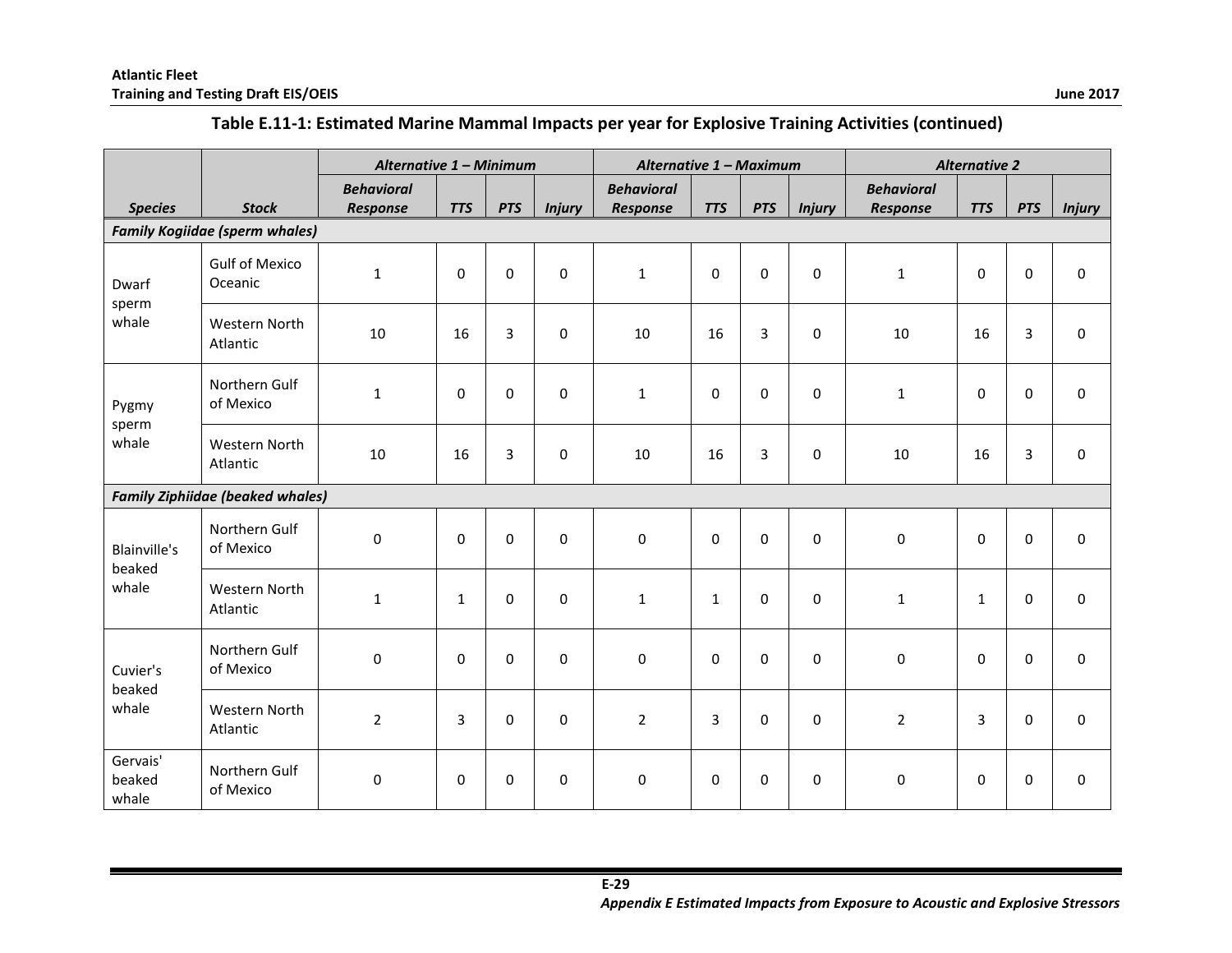|                               |                                         | Alternative 1 - Minimum              |              |            |               | Alternative 1 - Maximum              |              |             |               | <b>Alternative 2</b>          |              |             |               |
|-------------------------------|-----------------------------------------|--------------------------------------|--------------|------------|---------------|--------------------------------------|--------------|-------------|---------------|-------------------------------|--------------|-------------|---------------|
| <b>Species</b>                | <b>Stock</b>                            | <b>Behavioral</b><br><b>Response</b> | <b>TTS</b>   | <b>PTS</b> | <b>Injury</b> | <b>Behavioral</b><br><b>Response</b> | <b>TTS</b>   | <b>PTS</b>  | <b>Injury</b> | <b>Behavioral</b><br>Response | <b>TTS</b>   | <b>PTS</b>  | <b>Injury</b> |
|                               | <b>Family Kogiidae (sperm whales)</b>   |                                      |              |            |               |                                      |              |             |               |                               |              |             |               |
| Dwarf                         | <b>Gulf of Mexico</b><br>Oceanic        | $\mathbf{1}$                         | 0            | 0          | $\mathbf 0$   | $\mathbf{1}$                         | $\mathbf 0$  | $\Omega$    | $\mathbf 0$   | $\mathbf{1}$                  | 0            | $\mathbf 0$ | $\pmb{0}$     |
| sperm<br>whale                | Western North<br>Atlantic               | 10                                   | 16           | 3          | $\mathbf 0$   | 10                                   | 16           | 3           | $\mathbf 0$   | 10                            | 16           | 3           | $\mathbf 0$   |
| Pygmy                         | Northern Gulf<br>of Mexico              | $\mathbf{1}$                         | 0            | 0          | $\mathbf 0$   | $\mathbf{1}$                         | $\mathbf 0$  | $\mathbf 0$ | $\mathbf 0$   | $\mathbf{1}$                  | 0            | $\mathbf 0$ | 0             |
| sperm<br>whale                | Western North<br>Atlantic               | 10                                   | 16           | 3          | 0             | 10                                   | 16           | 3           | $\mathbf 0$   | 10                            | 16           | 3           | $\pmb{0}$     |
|                               | <b>Family Ziphiidae (beaked whales)</b> |                                      |              |            |               |                                      |              |             |               |                               |              |             |               |
| <b>Blainville's</b><br>beaked | Northern Gulf<br>of Mexico              | $\pmb{0}$                            | 0            | 0          | $\mathbf 0$   | 0                                    | $\mathbf 0$  | 0           | $\mathbf 0$   | 0                             | $\mathbf 0$  | $\mathbf 0$ | 0             |
| whale                         | Western North<br>Atlantic               | $\mathbf{1}$                         | $\mathbf{1}$ | $\Omega$   | $\Omega$      | $\mathbf{1}$                         | $\mathbf{1}$ | $\Omega$    | $\mathbf{0}$  | $\mathbf{1}$                  | $\mathbf{1}$ | $\Omega$    | $\mathbf 0$   |
| Cuvier's<br>beaked            | Northern Gulf<br>of Mexico              | $\pmb{0}$                            | 0            | 0          | $\mathbf 0$   | 0                                    | $\mathbf 0$  | 0           | $\mathbf 0$   | $\pmb{0}$                     | $\Omega$     | $\mathbf 0$ | $\pmb{0}$     |
| whale                         | Western North<br>Atlantic               | $\overline{2}$                       | 3            | 0          | $\mathbf 0$   | $\overline{2}$                       | 3            | $\Omega$    | $\mathbf 0$   | $\overline{2}$                | 3            | $\mathbf 0$ | $\mathbf 0$   |
| Gervais'<br>beaked<br>whale   | Northern Gulf<br>of Mexico              | $\pmb{0}$                            | 0            | 0          | $\mathbf 0$   | $\pmb{0}$                            | 0            | $\mathbf 0$ | $\mathbf 0$   | 0                             | 0            | $\mathbf 0$ | $\pmb{0}$     |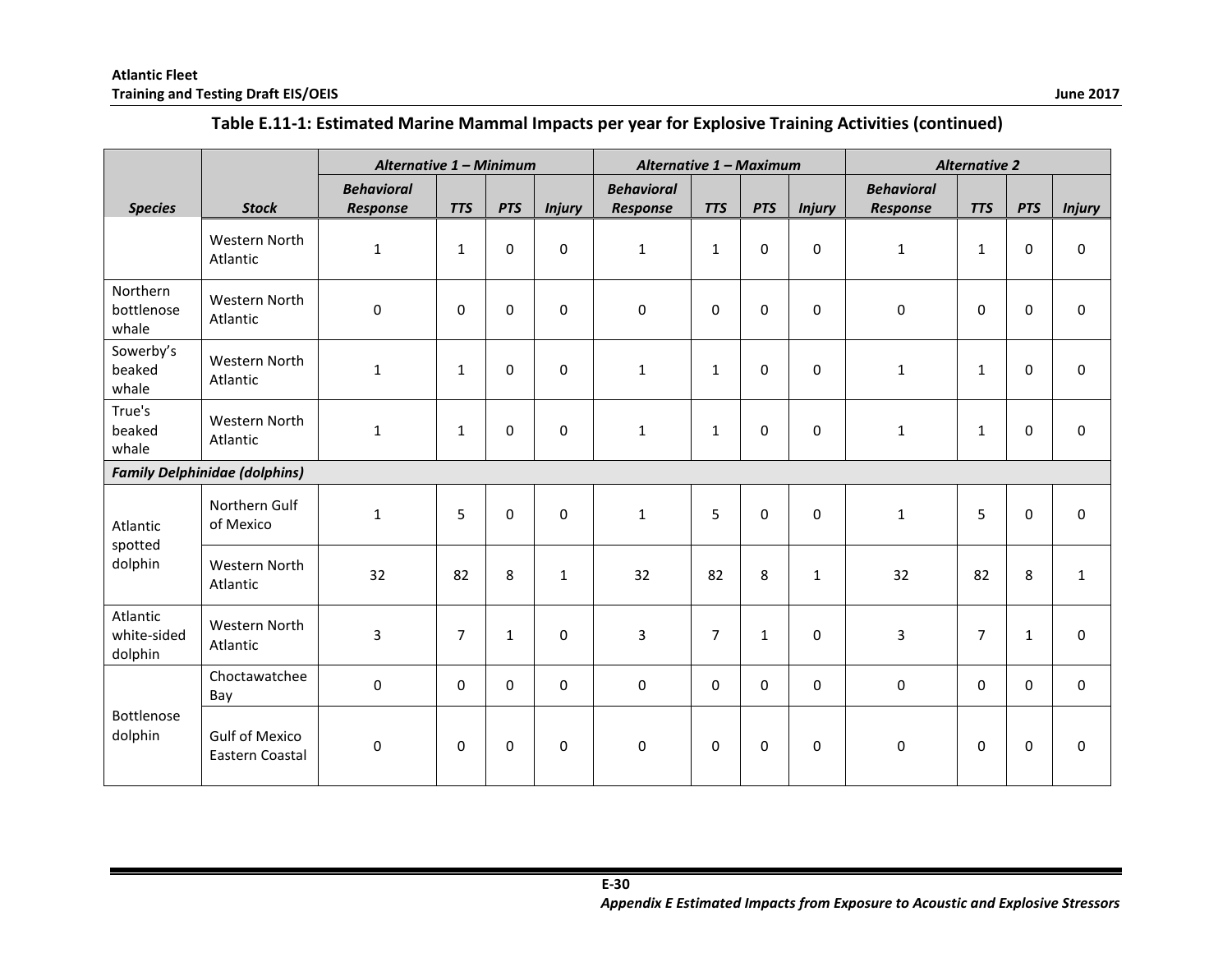|                                    |                                          | Alternative 1 - Minimum              |                |              |               | Alternative 1 - Maximum              |                |              |               | <b>Alternative 2</b>                 |                |              |               |  |
|------------------------------------|------------------------------------------|--------------------------------------|----------------|--------------|---------------|--------------------------------------|----------------|--------------|---------------|--------------------------------------|----------------|--------------|---------------|--|
| <b>Species</b>                     | <b>Stock</b>                             | <b>Behavioral</b><br><b>Response</b> | <b>TTS</b>     | <b>PTS</b>   | <b>Injury</b> | <b>Behavioral</b><br><b>Response</b> | <b>TTS</b>     | <b>PTS</b>   | <b>Injury</b> | <b>Behavioral</b><br><b>Response</b> | <b>TTS</b>     | <b>PTS</b>   | <b>Injury</b> |  |
|                                    | Western North<br>Atlantic                | $\mathbf{1}$                         | $\mathbf{1}$   | $\mathbf 0$  | 0             | $\mathbf{1}$                         | $\mathbf{1}$   | 0            | 0             | $\mathbf{1}$                         | $\mathbf{1}$   | 0            | $\pmb{0}$     |  |
| Northern<br>bottlenose<br>whale    | Western North<br>Atlantic                | $\pmb{0}$                            | 0              | $\mathbf 0$  | 0             | $\mathbf 0$                          | $\mathbf 0$    | $\Omega$     | $\Omega$      | 0                                    | $\Omega$       | $\Omega$     | $\mathbf 0$   |  |
| Sowerby's<br>beaked<br>whale       | Western North<br>Atlantic                | $1\,$                                | $\mathbf{1}$   | 0            | 0             | $\mathbf{1}$                         | $\mathbf{1}$   | $\Omega$     | $\Omega$      | $\mathbf{1}$                         | $\mathbf{1}$   | $\mathbf 0$  | $\mathbf 0$   |  |
| True's<br>beaked<br>whale          | Western North<br>Atlantic                | $\mathbf 1$                          | $\mathbf{1}$   | $\mathbf 0$  | 0             | $\mathbf{1}$                         | $\mathbf{1}$   | 0            | $\mathbf 0$   | $\mathbf{1}$                         | $\mathbf{1}$   | $\mathbf 0$  | $\mathbf 0$   |  |
|                                    | <b>Family Delphinidae (dolphins)</b>     |                                      |                |              |               |                                      |                |              |               |                                      |                |              |               |  |
| Atlantic<br>spotted                | Northern Gulf<br>of Mexico               | $\mathbf 1$                          | 5              | $\mathbf 0$  | $\mathbf 0$   | $\mathbf{1}$                         | 5              | $\Omega$     | $\Omega$      | $\mathbf{1}$                         | 5              | $\mathbf 0$  | $\mathbf 0$   |  |
| dolphin                            | Western North<br>Atlantic                | 32                                   | 82             | 8            | 1             | 32                                   | 82             | 8            | $\mathbf{1}$  | 32                                   | 82             | 8            | $\mathbf{1}$  |  |
| Atlantic<br>white-sided<br>dolphin | Western North<br>Atlantic                | $\mathsf{3}$                         | $\overline{7}$ | $\mathbf{1}$ | $\Omega$      | 3                                    | $\overline{7}$ | $\mathbf{1}$ | $\Omega$      | 3                                    | $\overline{7}$ | $\mathbf{1}$ | $\mathbf 0$   |  |
|                                    | Choctawatchee<br>Bay                     | $\pmb{0}$                            | $\mathbf 0$    | $\mathbf{0}$ | $\mathbf 0$   | $\boldsymbol{0}$                     | $\mathbf 0$    | $\Omega$     | 0             | $\pmb{0}$                            | $\Omega$       | $\Omega$     | $\mathbf 0$   |  |
| Bottlenose<br>dolphin              | <b>Gulf of Mexico</b><br>Eastern Coastal | $\pmb{0}$                            | $\mathbf 0$    | $\mathbf 0$  | $\mathbf 0$   | 0                                    | $\mathbf 0$    | $\mathbf{0}$ | $\Omega$      | $\pmb{0}$                            | $\mathbf 0$    | $\mathbf 0$  | $\mathbf 0$   |  |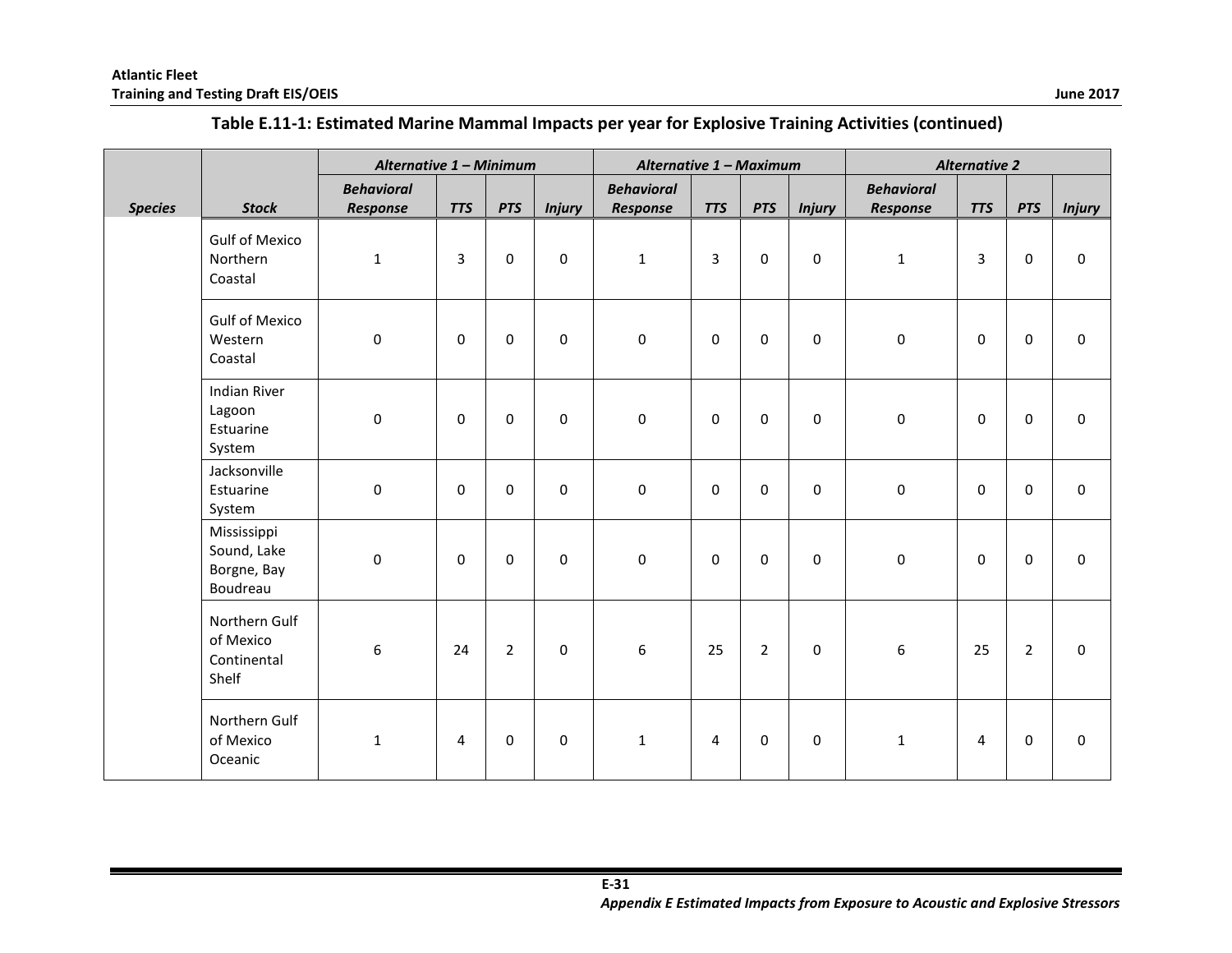|                |                                                       | Alternative 1 - Minimum              |             |                |               | Alternative 1 - Maximum              |             |                |               |                                      | <b>Alternative 2</b> |                |               |
|----------------|-------------------------------------------------------|--------------------------------------|-------------|----------------|---------------|--------------------------------------|-------------|----------------|---------------|--------------------------------------|----------------------|----------------|---------------|
| <b>Species</b> | <b>Stock</b>                                          | <b>Behavioral</b><br><b>Response</b> | <b>TTS</b>  | <b>PTS</b>     | <b>Injury</b> | <b>Behavioral</b><br><b>Response</b> | <b>TTS</b>  | <b>PTS</b>     | <b>Injury</b> | <b>Behavioral</b><br><b>Response</b> | <b>TTS</b>           | <b>PTS</b>     | <b>Injury</b> |
|                | <b>Gulf of Mexico</b><br>Northern<br>Coastal          | $\mathbf{1}$                         | 3           | $\Omega$       | $\mathbf 0$   | $\mathbf{1}$                         | 3           | $\mathbf 0$    | $\Omega$      | $\mathbf{1}$                         | 3                    | $\mathbf 0$    | 0             |
|                | <b>Gulf of Mexico</b><br>Western<br>Coastal           | $\mathbf 0$                          | $\mathbf 0$ | 0              | $\mathbf 0$   | $\mathbf 0$                          | $\mathbf 0$ | $\mathbf 0$    | $\mathbf 0$   | 0                                    | $\mathbf 0$          | $\mathbf 0$    | 0             |
|                | <b>Indian River</b><br>Lagoon<br>Estuarine<br>System  | 0                                    | $\mathbf 0$ | $\mathbf 0$    | $\pmb{0}$     | $\mathbf 0$                          | $\mathbf 0$ | $\pmb{0}$      | 0             | 0                                    | $\mathbf 0$          | $\pmb{0}$      | 0             |
|                | Jacksonville<br>Estuarine<br>System                   | $\pmb{0}$                            | $\mathbf 0$ | $\mathbf 0$    | $\pmb{0}$     | $\mathbf 0$                          | $\mathbf 0$ | $\mathbf 0$    | 0             | $\pmb{0}$                            | $\mathbf 0$          | $\mathbf 0$    | 0             |
|                | Mississippi<br>Sound, Lake<br>Borgne, Bay<br>Boudreau | $\mathbf 0$                          | $\mathbf 0$ | $\Omega$       | $\mathbf 0$   | $\mathbf 0$                          | $\Omega$    | $\mathbf 0$    | $\mathbf 0$   | $\mathbf 0$                          | $\mathbf{0}$         | $\mathbf 0$    | 0             |
|                | Northern Gulf<br>of Mexico<br>Continental<br>Shelf    | 6                                    | 24          | $\overline{2}$ | $\mathbf 0$   | $\boldsymbol{6}$                     | 25          | $\overline{2}$ | 0             | 6                                    | 25                   | $\overline{2}$ | 0             |
|                | Northern Gulf<br>of Mexico<br>Oceanic                 | $\mathbf{1}$                         | 4           | 0              | $\mathbf 0$   | $\mathbf{1}$                         | 4           | $\mathbf 0$    | 0             | $\mathbf{1}$                         | 4                    | $\mathbf 0$    | 0             |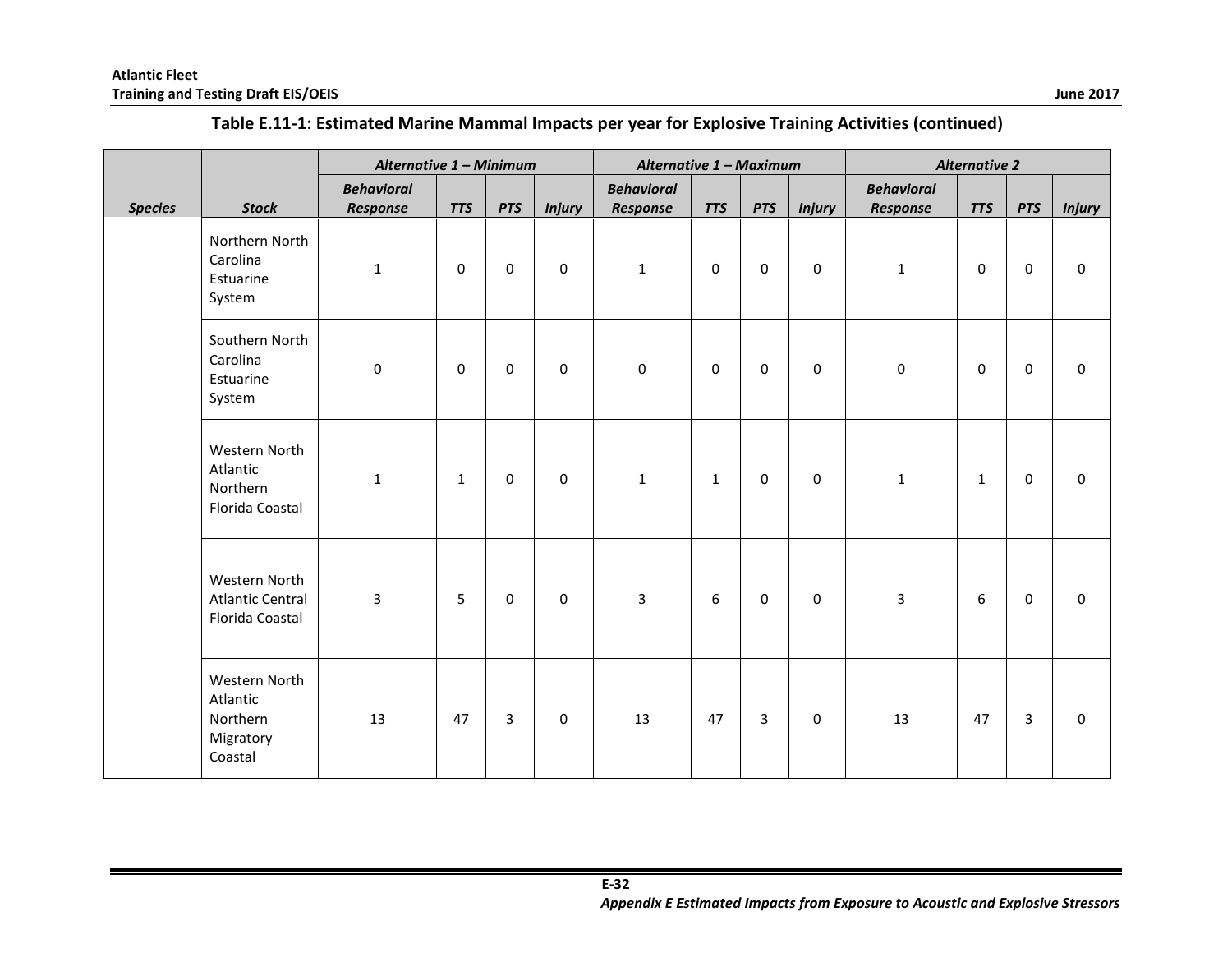|                |                                                               | Alternative 1 - Minimum       |              |            |               | Alternative 1 - Maximum              |              |             |               |                                      | <b>Alternative 2</b> |            |               |
|----------------|---------------------------------------------------------------|-------------------------------|--------------|------------|---------------|--------------------------------------|--------------|-------------|---------------|--------------------------------------|----------------------|------------|---------------|
| <b>Species</b> | <b>Stock</b>                                                  | <b>Behavioral</b><br>Response | <b>TTS</b>   | <b>PTS</b> | <b>Injury</b> | <b>Behavioral</b><br><b>Response</b> | <b>TTS</b>   | <b>PTS</b>  | <b>Injury</b> | <b>Behavioral</b><br><b>Response</b> | <b>TTS</b>           | <b>PTS</b> | <b>Injury</b> |
|                | Northern North<br>Carolina<br>Estuarine<br>System             | $\mathbf{1}$                  | 0            | 0          | 0             | $\mathbf{1}$                         | 0            | $\mathbf 0$ | 0             | $\mathbf{1}$                         | 0                    | 0          | 0             |
|                | Southern North<br>Carolina<br>Estuarine<br>System             | $\pmb{0}$                     | $\pmb{0}$    | 0          | $\pmb{0}$     | $\mathbf 0$                          | 0            | $\mathbf 0$ | 0             | $\boldsymbol{0}$                     | 0                    | $\pmb{0}$  | $\pmb{0}$     |
|                | Western North<br>Atlantic<br>Northern<br>Florida Coastal      | $\mathbf{1}$                  | $\mathbf{1}$ | 0          | 0             | $\mathbf{1}$                         | $\mathbf{1}$ | $\mathbf 0$ | 0             | $\mathbf{1}$                         | $\mathbf{1}$         | 0          | $\mathbf 0$   |
|                | Western North<br><b>Atlantic Central</b><br>Florida Coastal   | 3                             | 5            | 0          | $\pmb{0}$     | $\overline{3}$                       | 6            | 0           | 0             | $\overline{3}$                       | 6                    | $\pmb{0}$  | $\pmb{0}$     |
|                | Western North<br>Atlantic<br>Northern<br>Migratory<br>Coastal | 13                            | 47           | 3          | 0             | 13                                   | 47           | 3           | $\mathbf 0$   | 13                                   | 47                   | 3          | $\mathbf 0$   |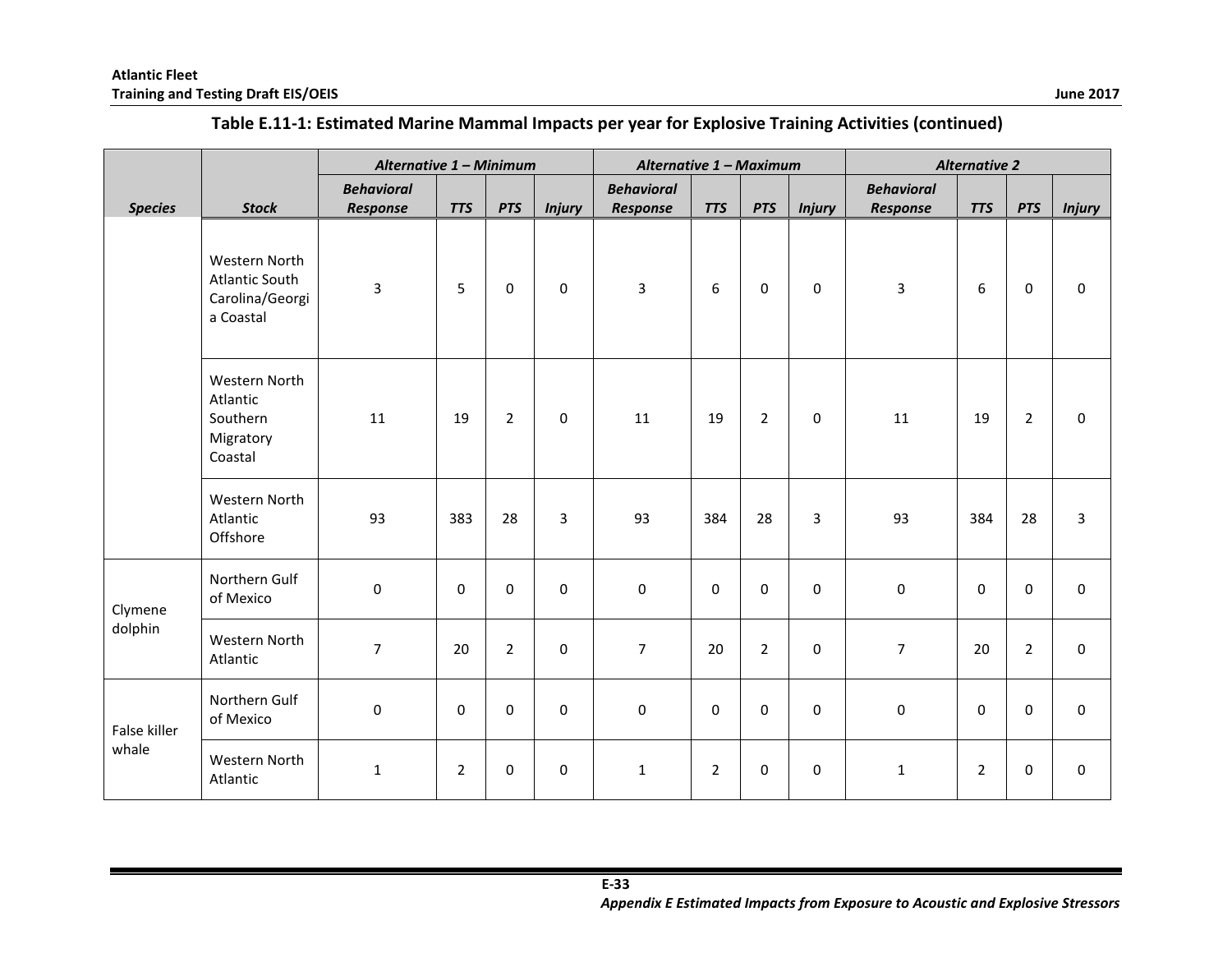|                |                                                                        | Alternative 1 - Minimum              |                |                |               | Alternative 1 - Maximum              |                |                |               |                                      | <b>Alternative 2</b> |                |                  |
|----------------|------------------------------------------------------------------------|--------------------------------------|----------------|----------------|---------------|--------------------------------------|----------------|----------------|---------------|--------------------------------------|----------------------|----------------|------------------|
| <b>Species</b> | <b>Stock</b>                                                           | <b>Behavioral</b><br><b>Response</b> | <b>TTS</b>     | <b>PTS</b>     | <b>Injury</b> | <b>Behavioral</b><br><b>Response</b> | <b>TTS</b>     | <b>PTS</b>     | <b>Injury</b> | <b>Behavioral</b><br><b>Response</b> | <b>TTS</b>           | <b>PTS</b>     | <b>Injury</b>    |
|                | Western North<br><b>Atlantic South</b><br>Carolina/Georgi<br>a Coastal | $\overline{3}$                       | 5              | $\pmb{0}$      | $\pmb{0}$     | 3                                    | 6              | $\Omega$       | $\mathbf 0$   | $\overline{3}$                       | 6                    | $\mathbf 0$    | $\boldsymbol{0}$ |
|                | Western North<br>Atlantic<br>Southern<br>Migratory<br>Coastal          | 11                                   | 19             | $\overline{2}$ | $\mathbf 0$   | 11                                   | 19             | $\overline{2}$ | $\Omega$      | 11                                   | 19                   | $\overline{2}$ | $\mathbf 0$      |
|                | Western North<br>Atlantic<br>Offshore                                  | 93                                   | 383            | 28             | 3             | 93                                   | 384            | 28             | 3             | 93                                   | 384                  | 28             | $\overline{3}$   |
| Clymene        | Northern Gulf<br>of Mexico                                             | $\pmb{0}$                            | $\mathbf 0$    | $\pmb{0}$      | 0             | 0                                    | $\mathbf 0$    | $\Omega$       | $\mathbf 0$   | $\pmb{0}$                            | 0                    | $\mathbf 0$    | $\mathbf 0$      |
| dolphin        | Western North<br>Atlantic                                              | $\overline{7}$                       | 20             | $\overline{2}$ | 0             | $\overline{7}$                       | 20             | $\overline{2}$ | $\pmb{0}$     | $\overline{7}$                       | 20                   | $\overline{2}$ | $\pmb{0}$        |
| False killer   | Northern Gulf<br>of Mexico                                             | $\pmb{0}$                            | $\pmb{0}$      | $\pmb{0}$      | 0             | $\pmb{0}$                            | $\mathbf 0$    | 0              | $\mathbf 0$   | $\pmb{0}$                            | 0                    | $\mathbf 0$    | $\pmb{0}$        |
| whale          | Western North<br>Atlantic                                              | $\mathbf 1$                          | $\overline{2}$ | 0              | 0             | $\mathbf{1}$                         | $\overline{2}$ | 0              | $\mathbf 0$   | $\mathbf{1}$                         | $\overline{2}$       | $\mathbf 0$    | 0                |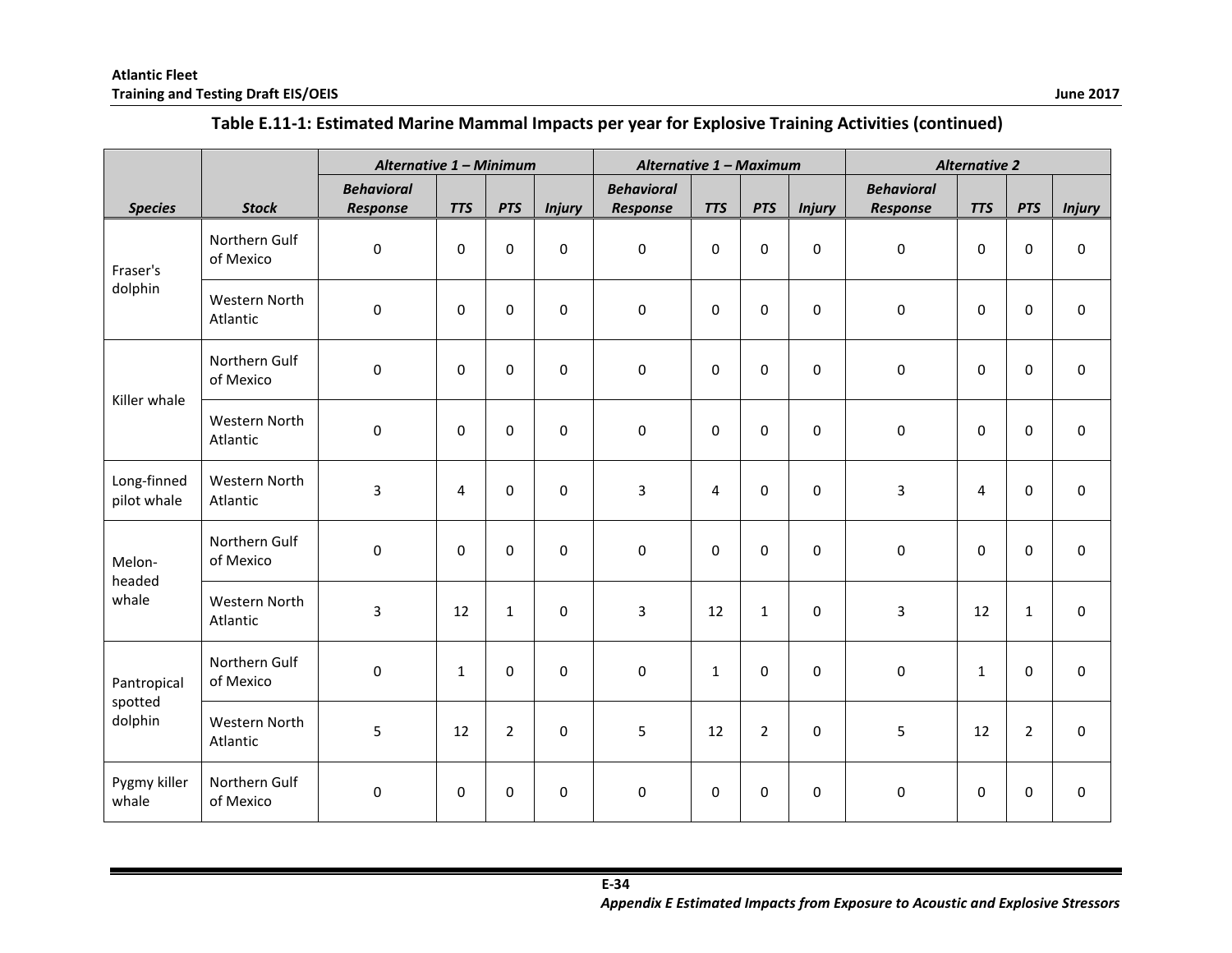|                            |                            | Alternative 1 - Minimum              |              |                |               | Alternative 1 - Maximum              |                |                |               |                                      | <b>Alternative 2</b> |                |               |
|----------------------------|----------------------------|--------------------------------------|--------------|----------------|---------------|--------------------------------------|----------------|----------------|---------------|--------------------------------------|----------------------|----------------|---------------|
| <b>Species</b>             | <b>Stock</b>               | <b>Behavioral</b><br><b>Response</b> | <b>TTS</b>   | <b>PTS</b>     | <b>Injury</b> | <b>Behavioral</b><br><b>Response</b> | <b>TTS</b>     | <b>PTS</b>     | <b>Injury</b> | <b>Behavioral</b><br><b>Response</b> | <b>TTS</b>           | <b>PTS</b>     | <b>Injury</b> |
| Fraser's                   | Northern Gulf<br>of Mexico | $\mathbf 0$                          | $\mathbf 0$  | $\mathbf 0$    | $\mathbf 0$   | $\mathbf 0$                          | $\mathbf 0$    | $\mathbf 0$    | $\mathbf 0$   | $\mathbf 0$                          | 0                    | $\mathbf 0$    | 0             |
| dolphin                    | Western North<br>Atlantic  | $\pmb{0}$                            | 0            | $\mathbf 0$    | $\mathbf 0$   | 0                                    | 0              | $\mathbf 0$    | $\mathbf 0$   | 0                                    | 0                    | $\mathbf 0$    | 0             |
|                            | Northern Gulf<br>of Mexico | $\mathbf 0$                          | $\mathbf 0$  | $\mathbf 0$    | 0             | $\mathbf 0$                          | $\mathbf 0$    | $\mathbf 0$    | $\mathbf 0$   | $\mathbf 0$                          | 0                    | $\mathbf 0$    | $\pmb{0}$     |
| Killer whale               | Western North<br>Atlantic  | $\pmb{0}$                            | $\pmb{0}$    | $\mathbf 0$    | $\mathbf 0$   | $\pmb{0}$                            | $\mathbf 0$    | $\mathbf 0$    | $\mathbf 0$   | $\mathbf 0$                          | $\Omega$             | $\mathbf 0$    | $\pmb{0}$     |
| Long-finned<br>pilot whale | Western North<br>Atlantic  | 3                                    | 4            | $\mathbf 0$    | $\mathbf 0$   | 3                                    | $\overline{4}$ | $\mathbf 0$    | $\mathbf 0$   | 3                                    | 4                    | $\mathbf 0$    | 0             |
| Melon-<br>headed           | Northern Gulf<br>of Mexico | $\mathbf 0$                          | $\pmb{0}$    | $\mathbf 0$    | $\mathbf 0$   | $\pmb{0}$                            | $\mathbf 0$    | $\mathbf{0}$   | $\mathbf 0$   | 0                                    | $\Omega$             | $\mathbf 0$    | $\pmb{0}$     |
| whale                      | Western North<br>Atlantic  | 3                                    | 12           | $\mathbf{1}$   | $\mathbf 0$   | 3                                    | 12             | $\mathbf{1}$   | 0             | 3                                    | 12                   | $\mathbf{1}$   | $\pmb{0}$     |
| Pantropical<br>spotted     | Northern Gulf<br>of Mexico | $\mathbf 0$                          | $\mathbf{1}$ | $\mathbf 0$    | $\mathbf 0$   | $\mathbf 0$                          | $\mathbf{1}$   | $\mathbf 0$    | $\mathbf 0$   | $\mathbf 0$                          | $\mathbf{1}$         | $\mathbf 0$    | $\pmb{0}$     |
| dolphin                    | Western North<br>Atlantic  | 5                                    | 12           | $\overline{2}$ | $\mathbf 0$   | 5                                    | 12             | $\overline{2}$ | $\mathbf 0$   | 5                                    | 12                   | $\overline{2}$ | $\pmb{0}$     |
| Pygmy killer<br>whale      | Northern Gulf<br>of Mexico | $\pmb{0}$                            | 0            | 0              | $\mathbf 0$   | $\pmb{0}$                            | 0              | 0              | $\mathbf 0$   | $\pmb{0}$                            | 0                    | $\mathbf 0$    | $\pmb{0}$     |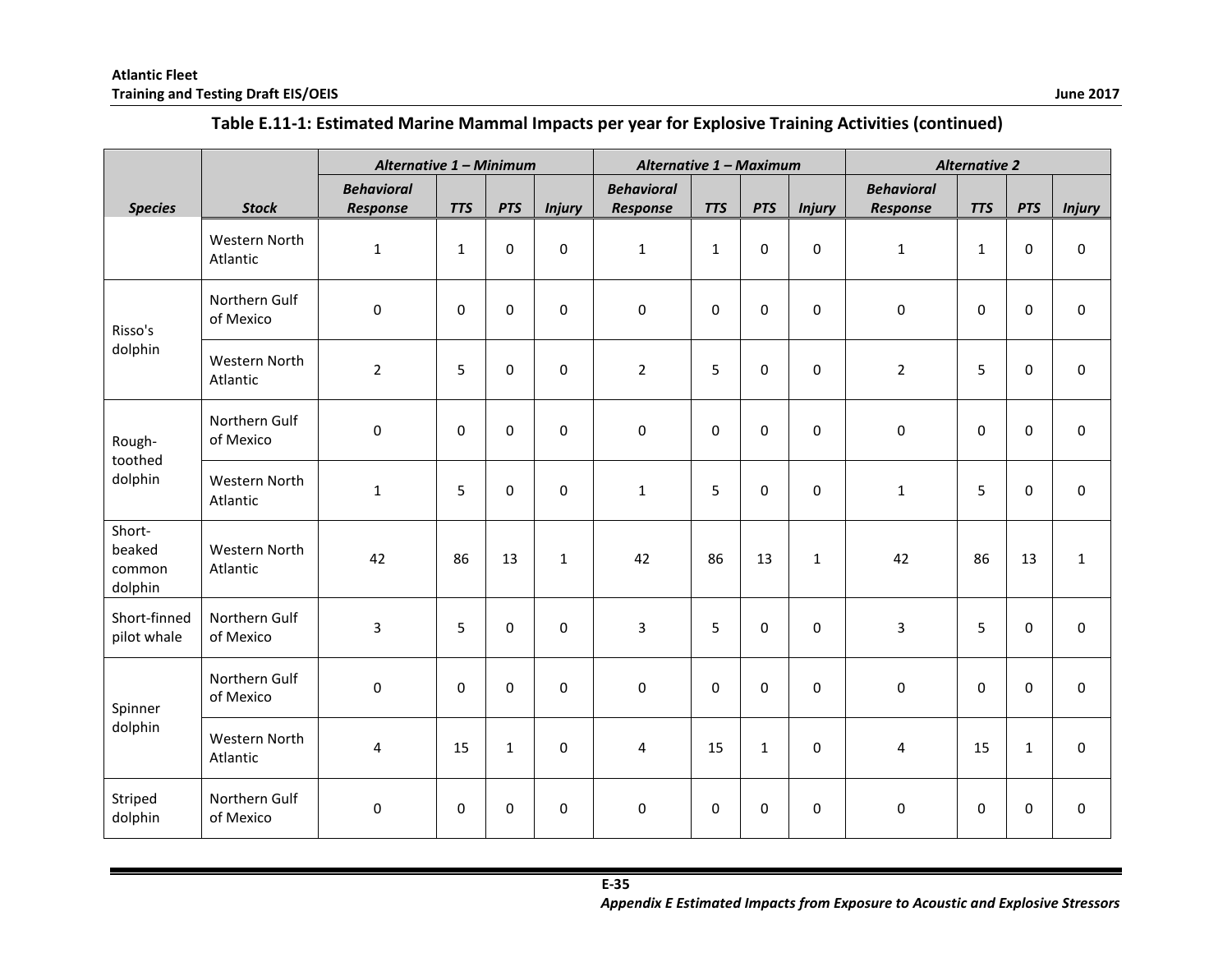|                                       |                            | Alternative 1 - Minimum              |              |              |               | Alternative 1 - Maximum              |              |              |               |                                      | <b>Alternative 2</b> |              |                  |
|---------------------------------------|----------------------------|--------------------------------------|--------------|--------------|---------------|--------------------------------------|--------------|--------------|---------------|--------------------------------------|----------------------|--------------|------------------|
| <b>Species</b>                        | <b>Stock</b>               | <b>Behavioral</b><br><b>Response</b> | <b>TTS</b>   | <b>PTS</b>   | <b>Injury</b> | <b>Behavioral</b><br><b>Response</b> | <b>TTS</b>   | <b>PTS</b>   | <b>Injury</b> | <b>Behavioral</b><br><b>Response</b> | <b>TTS</b>           | <b>PTS</b>   | <b>Injury</b>    |
|                                       | Western North<br>Atlantic  | $\mathbf 1$                          | $\mathbf{1}$ | $\mathbf 0$  | 0             | $\mathbf{1}$                         | $\mathbf{1}$ | 0            | $\pmb{0}$     | $\mathbf 1$                          | $\mathbf{1}$         | 0            | $\boldsymbol{0}$ |
| Risso's                               | Northern Gulf<br>of Mexico | $\pmb{0}$                            | $\mathbf 0$  | $\mathbf 0$  | $\mathbf 0$   | $\pmb{0}$                            | $\mathbf 0$  | $\mathbf 0$  | $\mathbf 0$   | 0                                    | $\mathbf 0$          | $\mathbf 0$  | 0                |
| dolphin                               | Western North<br>Atlantic  | $\overline{2}$                       | 5            | $\mathbf 0$  | 0             | $\overline{2}$                       | 5            | $\mathbf 0$  | $\mathbf 0$   | $\overline{2}$                       | 5                    | 0            | 0                |
| Rough-<br>toothed                     | Northern Gulf<br>of Mexico | $\pmb{0}$                            | $\mathbf 0$  | $\mathbf 0$  | 0             | $\pmb{0}$                            | $\mathbf 0$  | 0            | $\mathbf 0$   | $\pmb{0}$                            | $\mathbf 0$          | $\mathbf 0$  | $\boldsymbol{0}$ |
| dolphin                               | Western North<br>Atlantic  | $\mathbf{1}$                         | 5            | $\mathbf 0$  | $\mathbf 0$   | $\mathbf{1}$                         | 5            | $\Omega$     | $\mathbf 0$   | $\mathbf{1}$                         | 5                    | $\mathbf 0$  | $\mathbf 0$      |
| Short-<br>beaked<br>common<br>dolphin | Western North<br>Atlantic  | 42                                   | 86           | 13           | $\mathbf{1}$  | 42                                   | 86           | 13           | $\mathbf{1}$  | 42                                   | 86                   | 13           | $\mathbf{1}$     |
| Short-finned<br>pilot whale           | Northern Gulf<br>of Mexico | 3                                    | 5            | $\mathbf 0$  | $\mathbf 0$   | 3                                    | 5            | $\mathbf 0$  | $\mathbf 0$   | 3                                    | 5                    | $\mathbf 0$  | 0                |
| Spinner                               | Northern Gulf<br>of Mexico | 0                                    | 0            | 0            | $\mathbf 0$   | 0                                    | $\Omega$     | $\Omega$     | $\Omega$      | $\mathbf 0$                          | $\Omega$             | $\mathbf 0$  | 0                |
| dolphin                               | Western North<br>Atlantic  | 4                                    | 15           | $\mathbf{1}$ | 0             | 4                                    | 15           | $\mathbf{1}$ | $\mathbf 0$   | 4                                    | 15                   | $\mathbf{1}$ | 0                |
| Striped<br>dolphin                    | Northern Gulf<br>of Mexico | $\pmb{0}$                            | $\pmb{0}$    | 0            | 0             | $\pmb{0}$                            | 0            | $\mathbf 0$  | $\pmb{0}$     | 0                                    | 0                    | 0            | $\pmb{0}$        |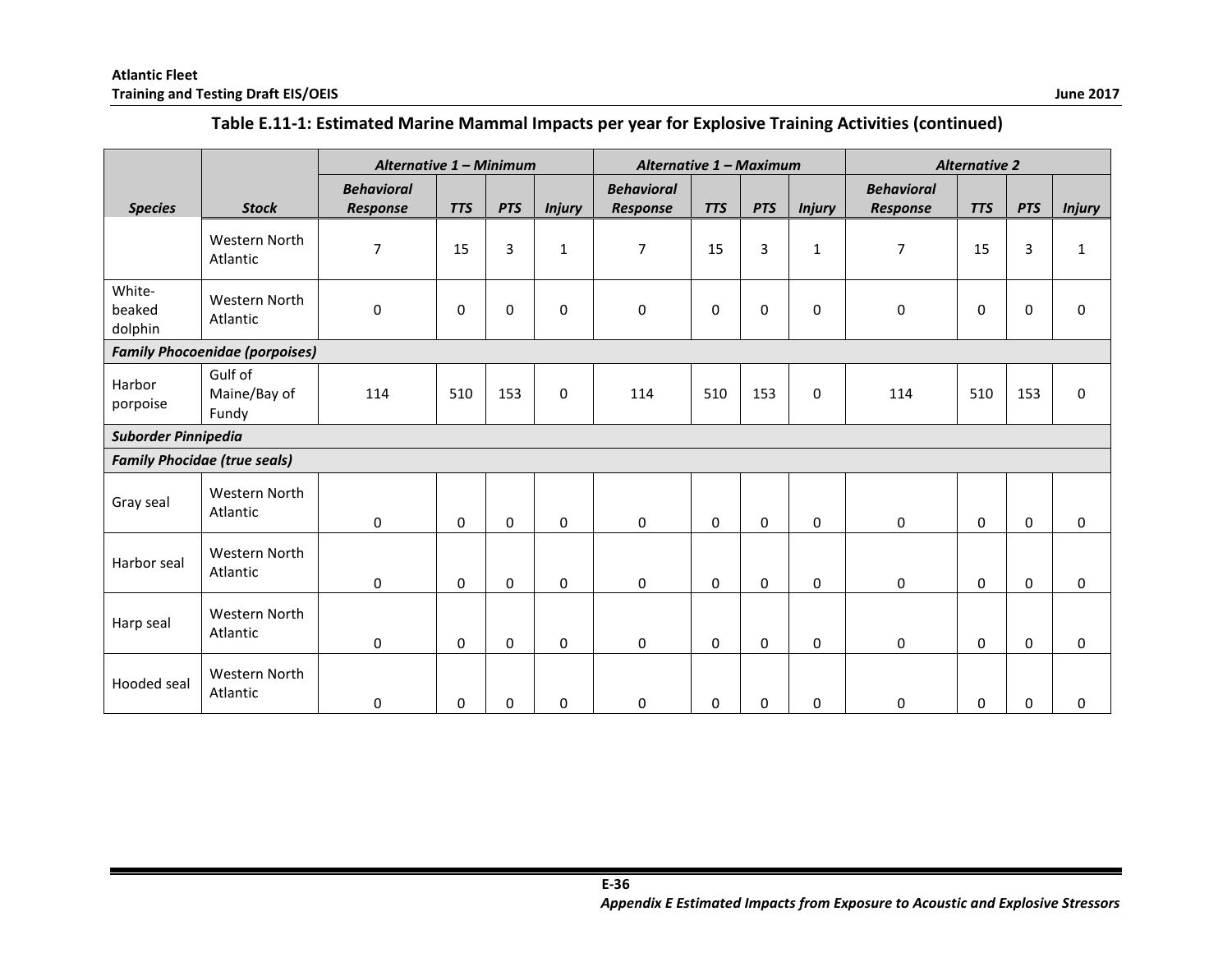|                             |                                       | Alternative 1 - Minimum              |             |             |               | Alternative 1 - Maximum              |             |             |               |                                      | <b>Alternative 2</b> |                |                  |
|-----------------------------|---------------------------------------|--------------------------------------|-------------|-------------|---------------|--------------------------------------|-------------|-------------|---------------|--------------------------------------|----------------------|----------------|------------------|
| <b>Species</b>              | <b>Stock</b>                          | <b>Behavioral</b><br><b>Response</b> | <b>TTS</b>  | <b>PTS</b>  | <b>Injury</b> | <b>Behavioral</b><br><b>Response</b> | <b>TTS</b>  | <b>PTS</b>  | <b>Injury</b> | <b>Behavioral</b><br><b>Response</b> | <b>TTS</b>           | <b>PTS</b>     | <b>Injury</b>    |
|                             | Western North<br>Atlantic             | 7                                    | 15          | 3           | 1             | 7                                    | 15          | 3           | $\mathbf{1}$  | 7                                    | 15                   | $\overline{3}$ | $\mathbf{1}$     |
| White-<br>beaked<br>dolphin | Western North<br>Atlantic             | 0                                    | $\mathbf 0$ | $\mathbf 0$ | $\mathbf 0$   | 0                                    | $\mathbf 0$ | 0           | $\mathbf 0$   | 0                                    | 0                    | $\bf{0}$       | $\pmb{0}$        |
|                             | <b>Family Phocoenidae (porpoises)</b> |                                      |             |             |               |                                      |             |             |               |                                      |                      |                |                  |
| Harbor<br>porpoise          | Gulf of<br>Maine/Bay of<br>Fundy      | 114                                  | 510         | 153         | 0             | 114                                  | 510         | 153         | $\mathbf 0$   | 114                                  | 510                  | 153            | $\pmb{0}$        |
| <b>Suborder Pinnipedia</b>  |                                       |                                      |             |             |               |                                      |             |             |               |                                      |                      |                |                  |
|                             | <b>Family Phocidae (true seals)</b>   |                                      |             |             |               |                                      |             |             |               |                                      |                      |                |                  |
| Gray seal                   | Western North<br>Atlantic             | 0                                    | 0           | 0           | $\mathbf 0$   | $\mathbf 0$                          | $\mathbf 0$ | $\mathbf 0$ | 0             | $\pmb{0}$                            | $\mathbf 0$          | $\mathbf 0$    | $\boldsymbol{0}$ |
| Harbor seal                 | Western North<br>Atlantic             | 0                                    | 0           | $\mathbf 0$ | $\mathbf 0$   | $\mathbf 0$                          | $\mathbf 0$ | $\mathbf 0$ | 0             | $\pmb{0}$                            | $\mathbf 0$          | $\mathbf 0$    | $\boldsymbol{0}$ |
| Harp seal                   | Western North<br>Atlantic             | 0                                    | 0           | 0           | $\mathbf 0$   | $\mathbf 0$                          | $\mathbf 0$ | 0           | $\mathbf 0$   | $\pmb{0}$                            | 0                    | $\mathbf 0$    | $\pmb{0}$        |
| Hooded seal                 | Western North<br>Atlantic             | 0                                    | 0           | $\mathbf 0$ | 0             | 0                                    | 0           | 0           | $\mathbf 0$   | 0                                    | 0                    | 0              | 0                |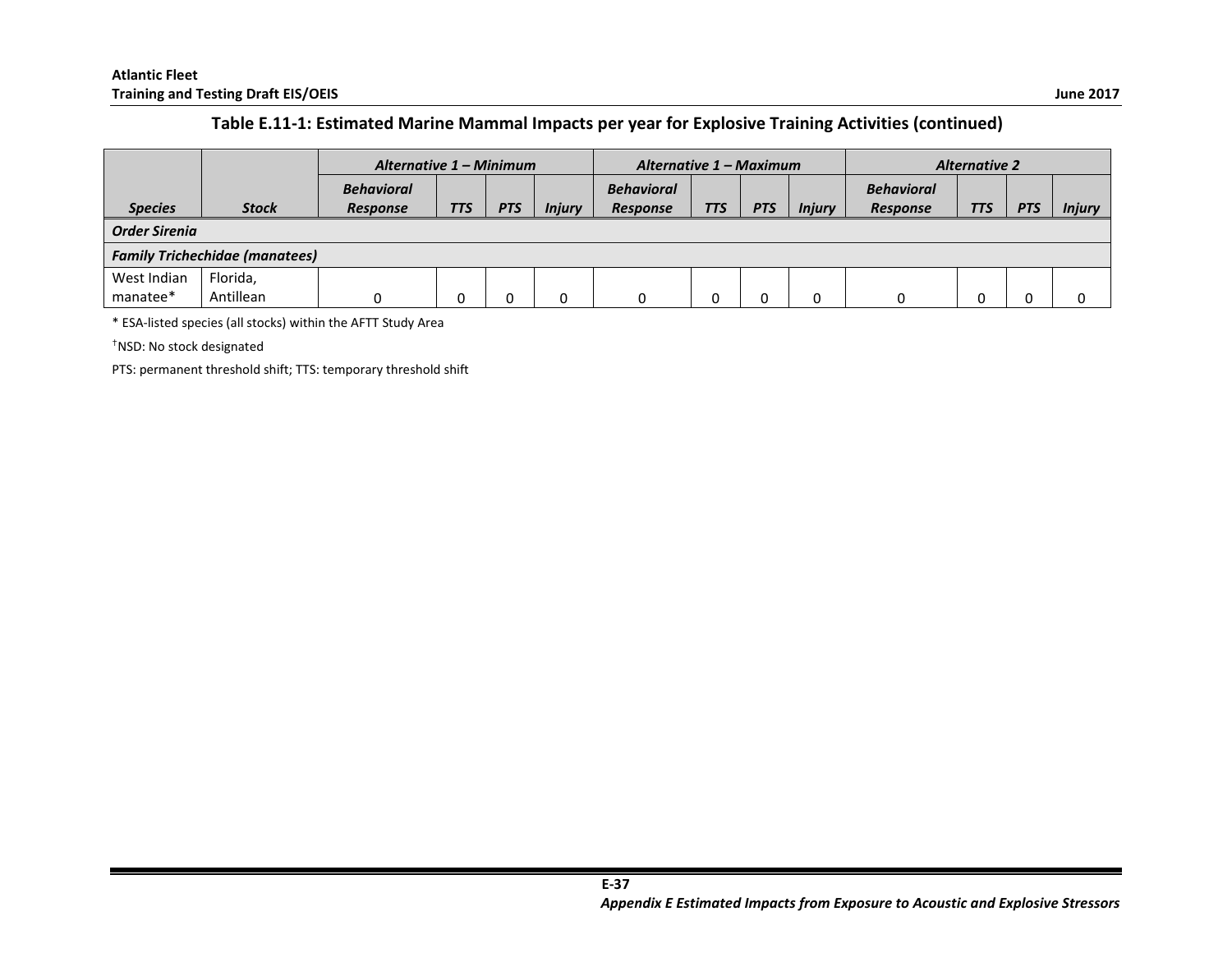|                      |                                       | Alternative 1 – Minimum              |            |            |               | Alternative 1 – Maximum              |            |            |               | <b>Alternative 2</b>                 |     |            |               |
|----------------------|---------------------------------------|--------------------------------------|------------|------------|---------------|--------------------------------------|------------|------------|---------------|--------------------------------------|-----|------------|---------------|
| <b>Species</b>       | <b>Stock</b>                          | <b>Behavioral</b><br><b>Response</b> | <b>TTS</b> | <b>PTS</b> | <b>Injury</b> | <b>Behavioral</b><br><b>Response</b> | <b>TTS</b> | <b>PTS</b> | <b>Injury</b> | <b>Behavioral</b><br><b>Response</b> | TTS | <b>PTS</b> | <b>Injury</b> |
| <b>Order Sirenia</b> |                                       |                                      |            |            |               |                                      |            |            |               |                                      |     |            |               |
|                      | <b>Family Trichechidae (manatees)</b> |                                      |            |            |               |                                      |            |            |               |                                      |     |            |               |
| West Indian          | Florida,                              |                                      |            |            |               |                                      |            |            |               |                                      |     |            |               |
| manatee*             | Antillean                             |                                      | 0          |            | ⌒             |                                      |            |            |               | U                                    |     |            |               |

\* ESA-listed species (all stocks) within the AFTT Study Area

✝NSD: No stock designated

PTS: permanent threshold shift; TTS: temporary threshold shift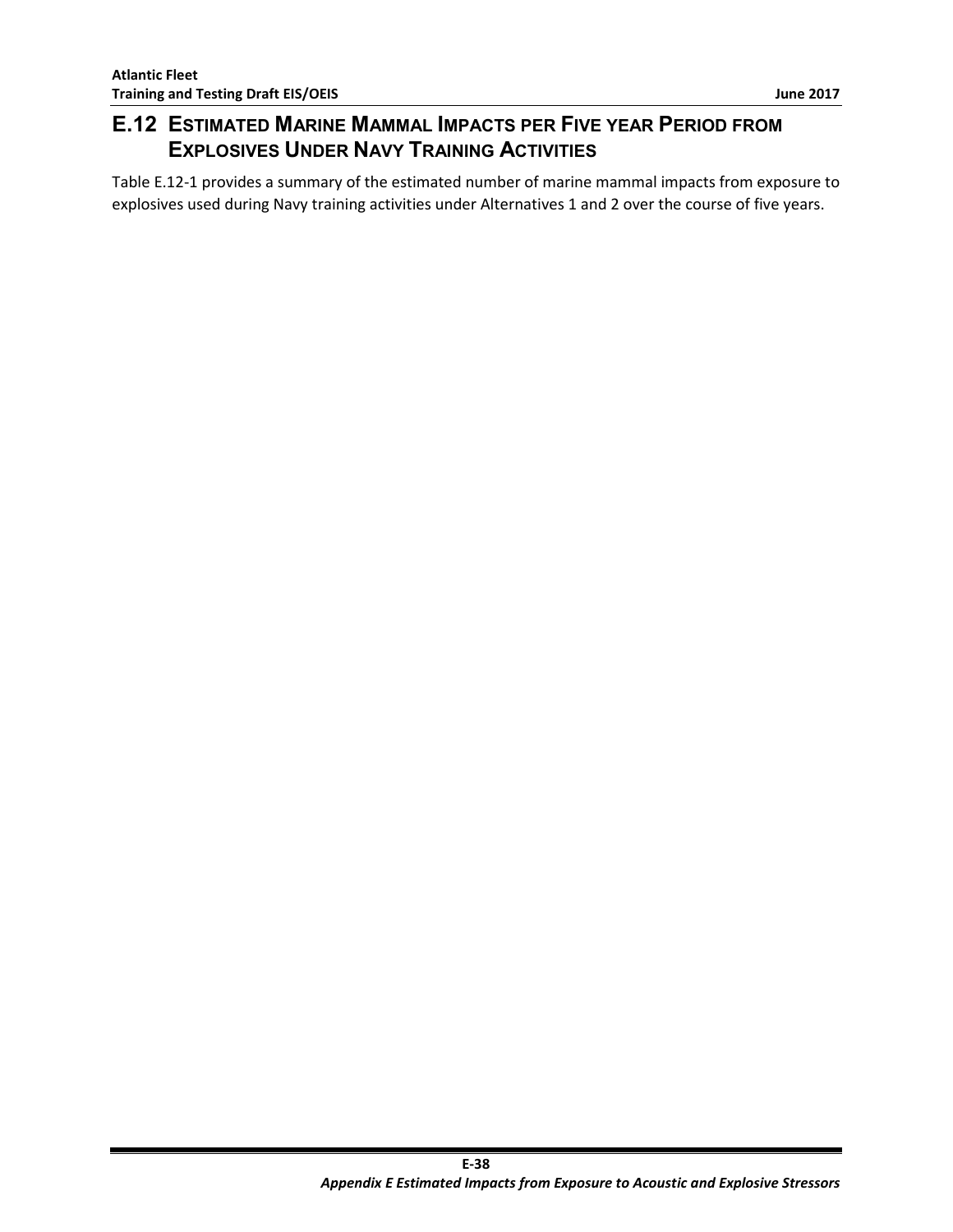# **E.12 ESTIMATED MARINE MAMMAL IMPACTS PER FIVE YEAR PERIOD FROM EXPLOSIVES UNDER NAVY TRAINING ACTIVITIES**

[Table E.12-1](#page-44-0) provides a summary of the estimated number of marine mammal impacts from exposure to explosives used during Navy training activities under Alternatives 1 and 2 over the course of five years.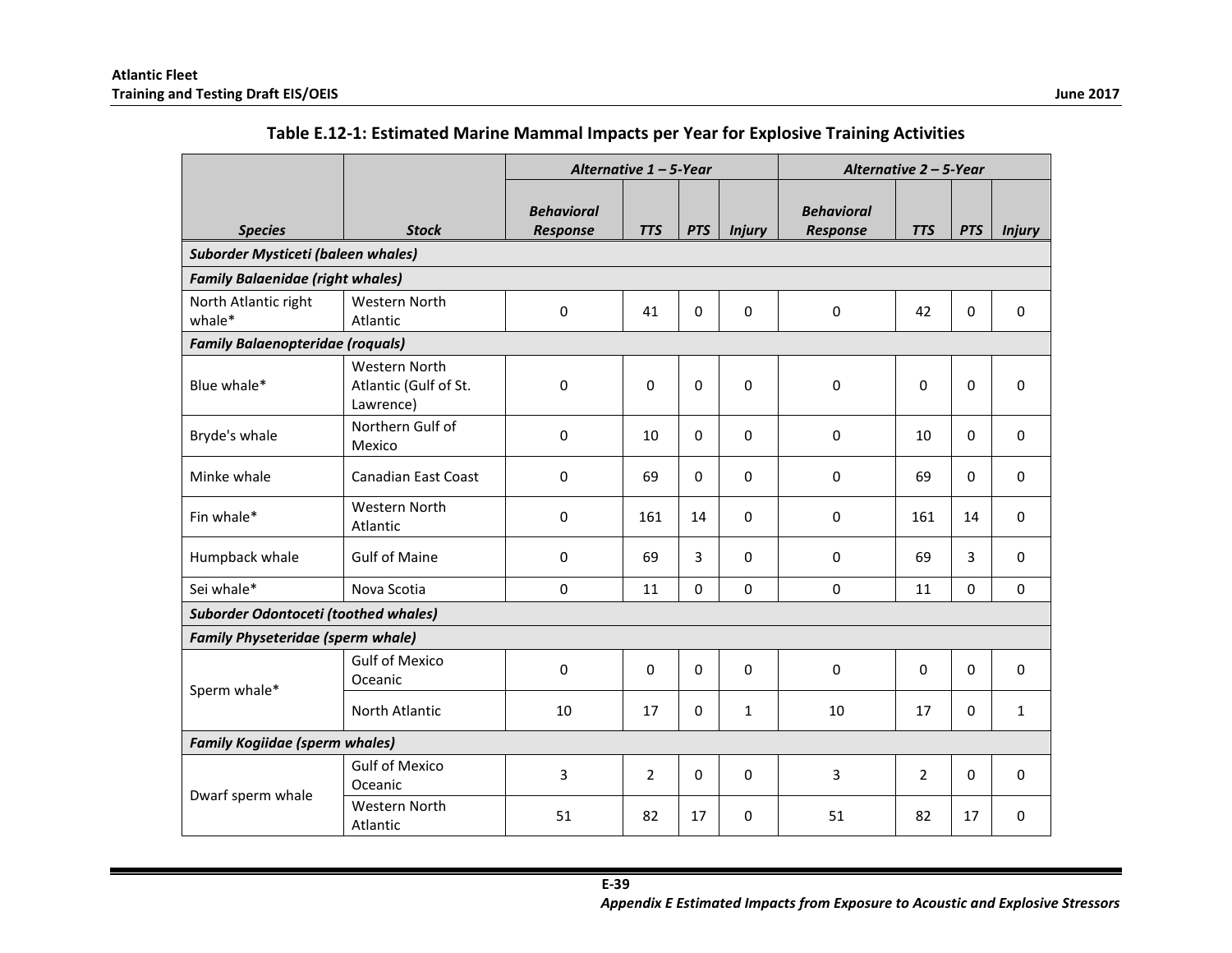|       | aining Activities      |       |               |  |
|-------|------------------------|-------|---------------|--|
|       | Alternative 2 – 5-Year |       |               |  |
|       |                        |       |               |  |
| ioral |                        |       |               |  |
| onse  | <b>TTS</b>             | PTS I | <b>Injury</b> |  |

| Table E.12-1: Estimated Marine Mammal Impacts per Year for Explosive Training Activities |  |  |  |
|------------------------------------------------------------------------------------------|--|--|--|
|------------------------------------------------------------------------------------------|--|--|--|

<span id="page-44-0"></span>

|                                             |                                                     |                               | Alternative 1-5-Year |             |               |                                      | Alternative 2 - 5-Year |             |               |
|---------------------------------------------|-----------------------------------------------------|-------------------------------|----------------------|-------------|---------------|--------------------------------------|------------------------|-------------|---------------|
| <b>Species</b>                              | <b>Stock</b>                                        | <b>Behavioral</b><br>Response | <b>TTS</b>           | <b>PTS</b>  | <b>Injury</b> | <b>Behavioral</b><br><b>Response</b> | <b>TTS</b>             | <b>PTS</b>  | <b>Injury</b> |
| <b>Suborder Mysticeti (baleen whales)</b>   |                                                     |                               |                      |             |               |                                      |                        |             |               |
| <b>Family Balaenidae (right whales)</b>     |                                                     |                               |                      |             |               |                                      |                        |             |               |
| North Atlantic right<br>whale*              | <b>Western North</b><br>Atlantic                    | $\mathbf 0$                   | 41                   | $\mathbf 0$ | $\mathbf 0$   | $\mathbf 0$                          | 42                     | 0           | 0             |
| <b>Family Balaenopteridae (roquals)</b>     |                                                     |                               |                      |             |               |                                      |                        |             |               |
| Blue whale*                                 | Western North<br>Atlantic (Gulf of St.<br>Lawrence) | $\mathbf 0$                   | $\Omega$             | $\Omega$    | $\Omega$      | $\mathbf 0$                          | $\Omega$               | $\mathbf 0$ | $\mathbf 0$   |
| Bryde's whale                               | Northern Gulf of<br>Mexico                          | $\mathbf 0$                   | 10                   | $\mathbf 0$ | $\Omega$      | $\mathbf 0$                          | 10                     | 0           | 0             |
| Minke whale                                 | Canadian East Coast                                 | $\Omega$                      | 69                   | $\Omega$    | $\Omega$      | $\mathbf{0}$                         | 69                     | 0           | $\Omega$      |
| Fin whale*                                  | Western North<br>Atlantic                           | $\mathbf 0$                   | 161                  | 14          | $\Omega$      | $\mathbf 0$                          | 161                    | 14          | 0             |
| Humpback whale                              | <b>Gulf of Maine</b>                                | 0                             | 69                   | 3           | $\Omega$      | $\mathbf 0$                          | 69                     | 3           | $\mathbf 0$   |
| Sei whale*                                  | Nova Scotia                                         | 0                             | 11                   | $\Omega$    | $\mathbf 0$   | $\mathbf 0$                          | 11                     | 0           | $\mathbf 0$   |
| <b>Suborder Odontoceti (toothed whales)</b> |                                                     |                               |                      |             |               |                                      |                        |             |               |
| <b>Family Physeteridae (sperm whale)</b>    |                                                     |                               |                      |             |               |                                      |                        |             |               |
| Sperm whale*                                | <b>Gulf of Mexico</b><br>Oceanic                    | $\mathbf 0$                   | $\Omega$             | $\Omega$    | $\Omega$      | $\mathbf 0$                          | $\Omega$               | $\Omega$    | $\mathbf 0$   |
|                                             | North Atlantic                                      | 10                            | 17                   | $\mathbf 0$ | $\mathbf{1}$  | 10                                   | 17                     | 0           | $\mathbf{1}$  |
| <b>Family Kogiidae (sperm whales)</b>       |                                                     |                               |                      |             |               |                                      |                        |             |               |
| Dwarf sperm whale                           | <b>Gulf of Mexico</b><br>Oceanic                    | 3                             | $\overline{2}$       | $\Omega$    | $\Omega$      | 3                                    | $\overline{2}$         | 0           | $\mathbf 0$   |
|                                             | Western North<br>Atlantic                           | 51                            | 82                   | 17          | $\Omega$      | 51                                   | 82                     | 17          | 0             |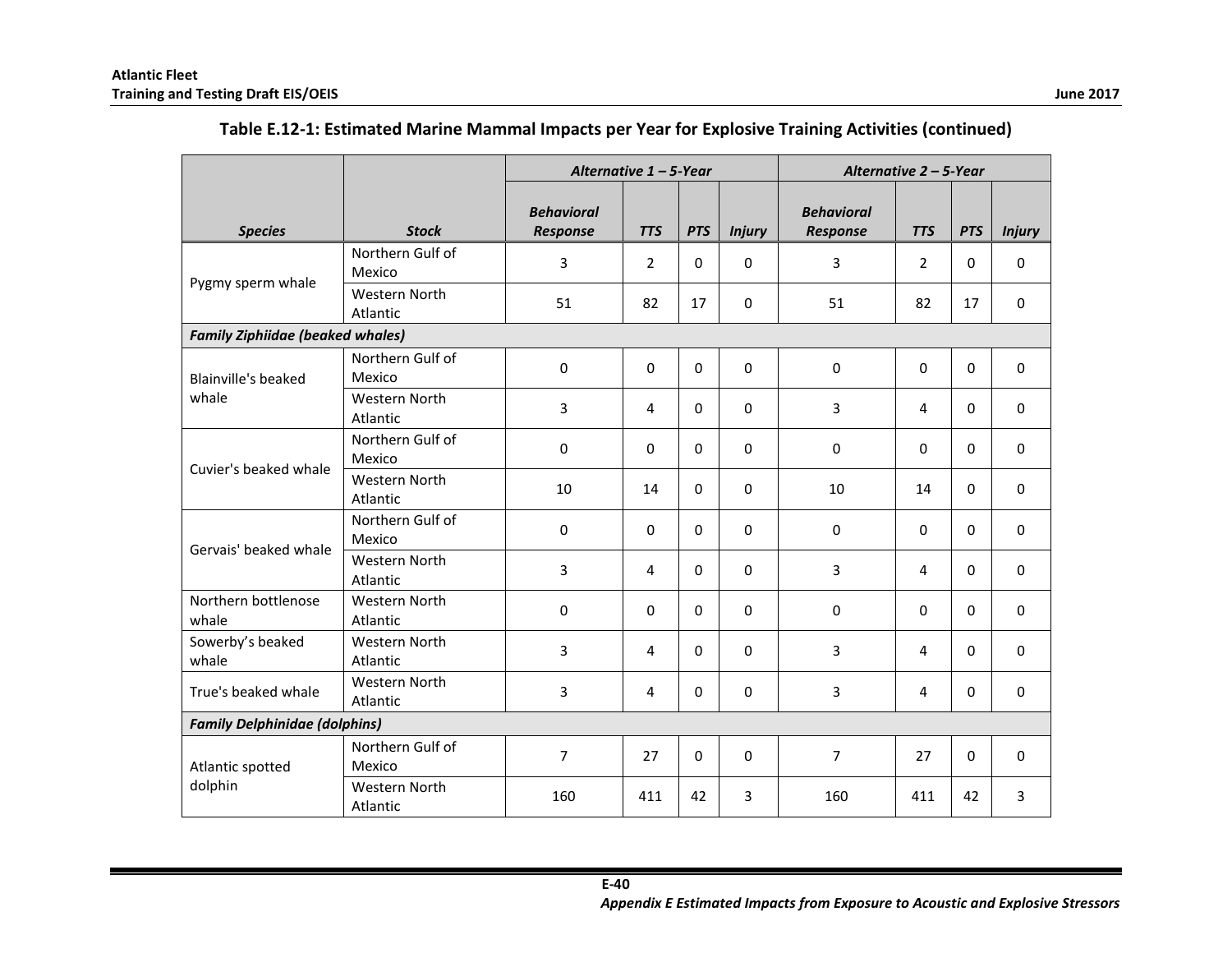|                                         |                                  |                                      | Alternative $1 - 5$ -Year |             |               |                                      | Alternative 2 - 5-Year |            |               |
|-----------------------------------------|----------------------------------|--------------------------------------|---------------------------|-------------|---------------|--------------------------------------|------------------------|------------|---------------|
| <b>Species</b>                          | <b>Stock</b>                     | <b>Behavioral</b><br><b>Response</b> | <b>TTS</b>                | <b>PTS</b>  | <b>Injury</b> | <b>Behavioral</b><br><b>Response</b> | <b>TTS</b>             | <b>PTS</b> | <b>Injury</b> |
|                                         | Northern Gulf of<br>Mexico       | 3                                    | $\overline{2}$            | $\mathbf 0$ | $\mathbf 0$   | 3                                    | $\overline{2}$         | 0          | 0             |
| Pygmy sperm whale                       | Western North<br>Atlantic        | 51                                   | 82                        | 17          | $\mathbf 0$   | 51                                   | 82                     | 17         | $\Omega$      |
| <b>Family Ziphiidae (beaked whales)</b> |                                  |                                      |                           |             |               |                                      |                        |            |               |
| Blainville's beaked                     | Northern Gulf of<br>Mexico       | $\mathbf 0$                          | $\Omega$                  | $\mathbf 0$ | $\mathbf 0$   | 0                                    | $\Omega$               | $\Omega$   | $\mathbf 0$   |
| whale                                   | Western North<br>Atlantic        | 3                                    | 4                         | $\mathbf 0$ | $\Omega$      | 3                                    | 4                      | $\Omega$   | 0             |
| Cuvier's beaked whale                   | Northern Gulf of<br>Mexico       | $\mathbf 0$                          | 0                         | $\Omega$    | $\mathbf{0}$  | 0                                    | $\Omega$               | $\Omega$   | $\Omega$      |
|                                         | <b>Western North</b><br>Atlantic | 10                                   | 14                        | $\mathbf 0$ | $\mathbf 0$   | 10                                   | 14                     | 0          | $\mathbf 0$   |
| Gervais' beaked whale                   | Northern Gulf of<br>Mexico       | 0                                    | 0                         | 0           | 0             | 0                                    | 0                      | 0          | 0             |
|                                         | Western North<br>Atlantic        | 3                                    | 4                         | 0           | 0             | 3                                    | 4                      | 0          | $\mathbf 0$   |
| Northern bottlenose<br>whale            | Western North<br>Atlantic        | $\mathbf 0$                          | 0                         | 0           | $\mathbf 0$   | 0                                    | 0                      | 0          | 0             |
| Sowerby's beaked<br>whale               | Western North<br>Atlantic        | 3                                    | 4                         | 0           | $\mathbf 0$   | 3                                    | 4                      | 0          | 0             |
| True's beaked whale                     | Western North<br>Atlantic        | 3                                    | 4                         | 0           | $\mathbf 0$   | 3                                    | $\overline{4}$         | 0          | 0             |
| <b>Family Delphinidae (dolphins)</b>    |                                  |                                      |                           |             |               |                                      |                        |            |               |
| Atlantic spotted                        | Northern Gulf of<br>Mexico       | $\overline{7}$                       | 27                        | 0           | $\mathbf 0$   | $\overline{7}$                       | 27                     | 0          | $\mathbf 0$   |
| dolphin                                 | Western North<br>Atlantic        | 160                                  | 411                       | 42          | 3             | 160                                  | 411                    | 42         | 3             |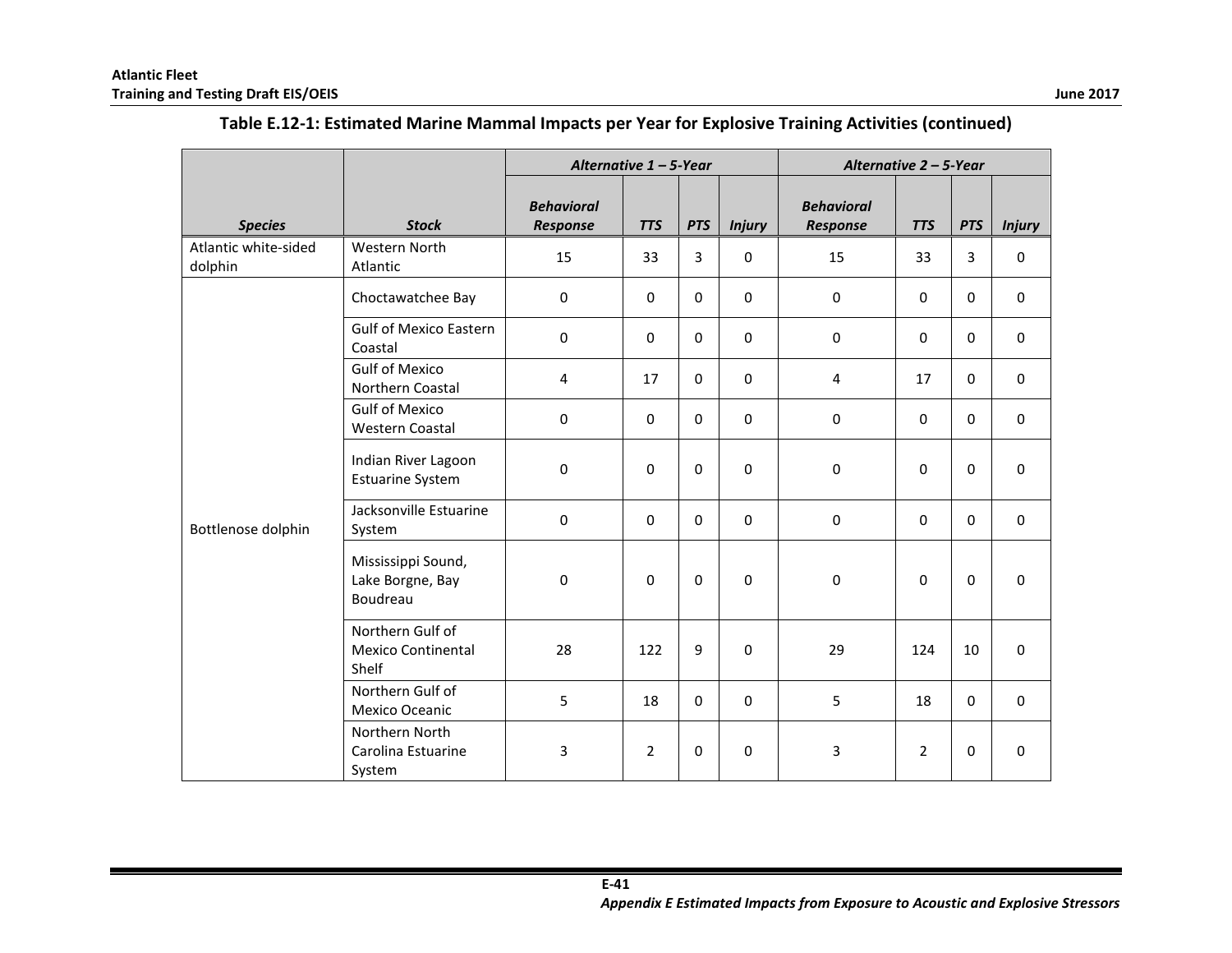|                                 |                                                        |                                      | Alternative $1 - 5$ -Year |             |               |                                      | Alternative 2 - 5-Year |             |                  |
|---------------------------------|--------------------------------------------------------|--------------------------------------|---------------------------|-------------|---------------|--------------------------------------|------------------------|-------------|------------------|
| <b>Species</b>                  | <b>Stock</b>                                           | <b>Behavioral</b><br><b>Response</b> | <b>TTS</b>                | <b>PTS</b>  | <b>Injury</b> | <b>Behavioral</b><br><b>Response</b> | <b>TTS</b>             | <b>PTS</b>  | <b>Injury</b>    |
| Atlantic white-sided<br>dolphin | Western North<br>Atlantic                              | 15                                   | 33                        | 3           | $\Omega$      | 15                                   | 33                     | 3           | $\mathbf{0}$     |
|                                 | Choctawatchee Bay                                      | $\pmb{0}$                            | 0                         | 0           | 0             | $\mathbf 0$                          | $\mathbf 0$            | $\Omega$    | $\mathbf 0$      |
|                                 | <b>Gulf of Mexico Eastern</b><br>Coastal               | 0                                    | $\mathbf 0$               | 0           | 0             | $\mathbf 0$                          | $\mathbf 0$            | $\Omega$    | $\mathbf 0$      |
|                                 | <b>Gulf of Mexico</b><br>Northern Coastal              | 4                                    | 17                        | $\mathbf 0$ | 0             | 4                                    | 17                     | $\Omega$    | $\mathbf 0$      |
|                                 | <b>Gulf of Mexico</b><br>Western Coastal               | $\pmb{0}$                            | 0                         | 0           | 0             | $\mathbf 0$                          | $\mathbf 0$            | $\Omega$    | $\mathbf{0}$     |
|                                 | Indian River Lagoon<br><b>Estuarine System</b>         | $\pmb{0}$                            | $\mathbf{0}$              | 0           | 0             | $\mathbf 0$                          | $\Omega$               | $\Omega$    | $\mathbf{0}$     |
| Bottlenose dolphin              | Jacksonville Estuarine<br>System                       | $\pmb{0}$                            | $\mathbf{0}$              | $\Omega$    | 0             | $\mathbf 0$                          | $\mathbf{0}$           | $\Omega$    | $\mathbf{0}$     |
|                                 | Mississippi Sound,<br>Lake Borgne, Bay<br>Boudreau     | $\pmb{0}$                            | $\mathbf 0$               | 0           | 0             | $\mathbf 0$                          | $\mathbf{0}$           | $\Omega$    | $\mathbf 0$      |
|                                 | Northern Gulf of<br><b>Mexico Continental</b><br>Shelf | 28                                   | 122                       | 9           | 0             | 29                                   | 124                    | 10          | 0                |
|                                 | Northern Gulf of<br>Mexico Oceanic                     | 5                                    | 18                        | 0           | 0             | 5                                    | 18                     | 0           | $\boldsymbol{0}$ |
|                                 | Northern North<br>Carolina Estuarine<br>System         | 3                                    | $\overline{2}$            | 0           | 0             | 3                                    | $\overline{2}$         | $\mathbf 0$ | $\mathbf 0$      |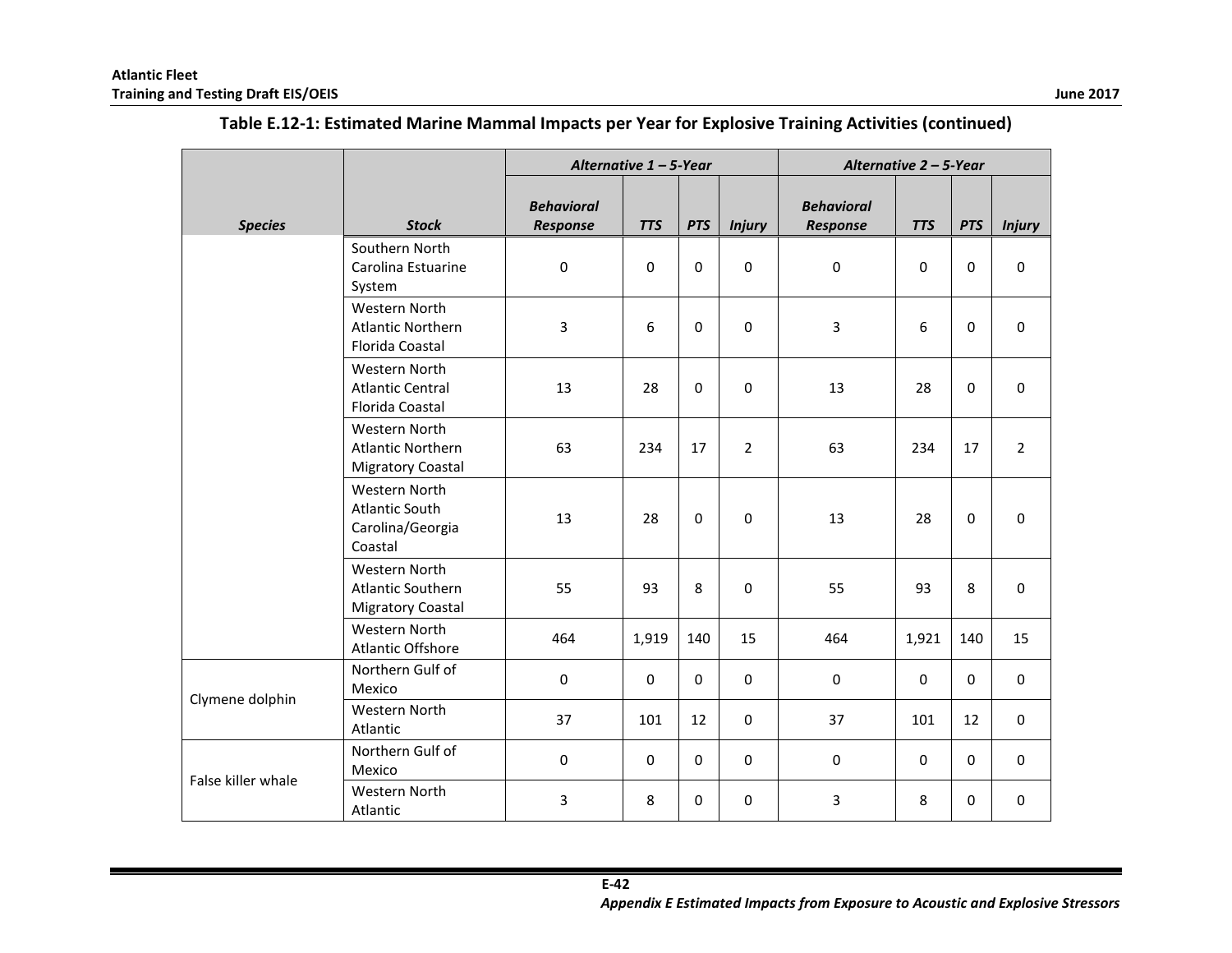|                                       |                                                                       |                                      | Alternative 1-5-Year |             |                | Alternative 2 - 5-Year               |             |              |                |  |
|---------------------------------------|-----------------------------------------------------------------------|--------------------------------------|----------------------|-------------|----------------|--------------------------------------|-------------|--------------|----------------|--|
| <b>Species</b>                        | <b>Stock</b>                                                          | <b>Behavioral</b><br><b>Response</b> | <b>TTS</b>           | <b>PTS</b>  | <b>Injury</b>  | <b>Behavioral</b><br><b>Response</b> | <b>TTS</b>  | <b>PTS</b>   | <b>Injury</b>  |  |
|                                       | Southern North<br>Carolina Estuarine<br>System                        | $\pmb{0}$                            | $\Omega$             | $\mathbf 0$ | $\mathbf 0$    | $\mathbf 0$                          | 0           | $\mathbf{0}$ | $\pmb{0}$      |  |
|                                       | Western North<br><b>Atlantic Northern</b><br><b>Florida Coastal</b>   | 3                                    | 6                    | $\mathbf 0$ | $\pmb{0}$      | 3                                    | 6           | $\mathbf 0$  | $\pmb{0}$      |  |
|                                       | Western North<br><b>Atlantic Central</b><br>Florida Coastal           | 13                                   | 28                   | 0           | $\mathbf 0$    | 13                                   | 28          | $\mathbf 0$  | $\mathbf 0$    |  |
|                                       | Western North<br><b>Atlantic Northern</b><br><b>Migratory Coastal</b> | 63                                   | 234                  | 17          | $\overline{2}$ | 63                                   | 234         | 17           | $\overline{2}$ |  |
|                                       | Western North<br><b>Atlantic South</b><br>Carolina/Georgia<br>Coastal | 13                                   | 28                   | $\mathbf 0$ | $\pmb{0}$      | 13                                   | 28          | $\mathbf 0$  | $\pmb{0}$      |  |
|                                       | Western North<br><b>Atlantic Southern</b><br><b>Migratory Coastal</b> | 55                                   | 93                   | 8           | $\mathbf 0$    | 55                                   | 93          | 8            | $\mathbf 0$    |  |
|                                       | Western North<br>Atlantic Offshore                                    | 464                                  | 1,919                | 140         | 15             | 464                                  | 1,921       | 140          | 15             |  |
|                                       | Northern Gulf of<br>Mexico                                            | $\mathbf 0$                          | $\Omega$             | $\Omega$    | $\Omega$       | $\Omega$                             | $\Omega$    | $\Omega$     | $\mathbf{0}$   |  |
|                                       | Western North<br>Atlantic                                             | 37                                   | 101                  | 12          | $\mathbf 0$    | 37                                   | 101         | 12           | $\mathbf 0$    |  |
|                                       | Northern Gulf of<br>Mexico                                            | $\pmb{0}$                            | $\mathbf 0$          | $\mathbf 0$ | 0              | $\mathbf 0$                          | $\mathbf 0$ | $\mathbf{0}$ | $\mathbf 0$    |  |
| Clymene dolphin<br>False killer whale | Western North<br>Atlantic                                             | 3                                    | 8                    | $\Omega$    | $\mathbf 0$    | 3                                    | 8           | $\mathbf{0}$ | $\mathbf 0$    |  |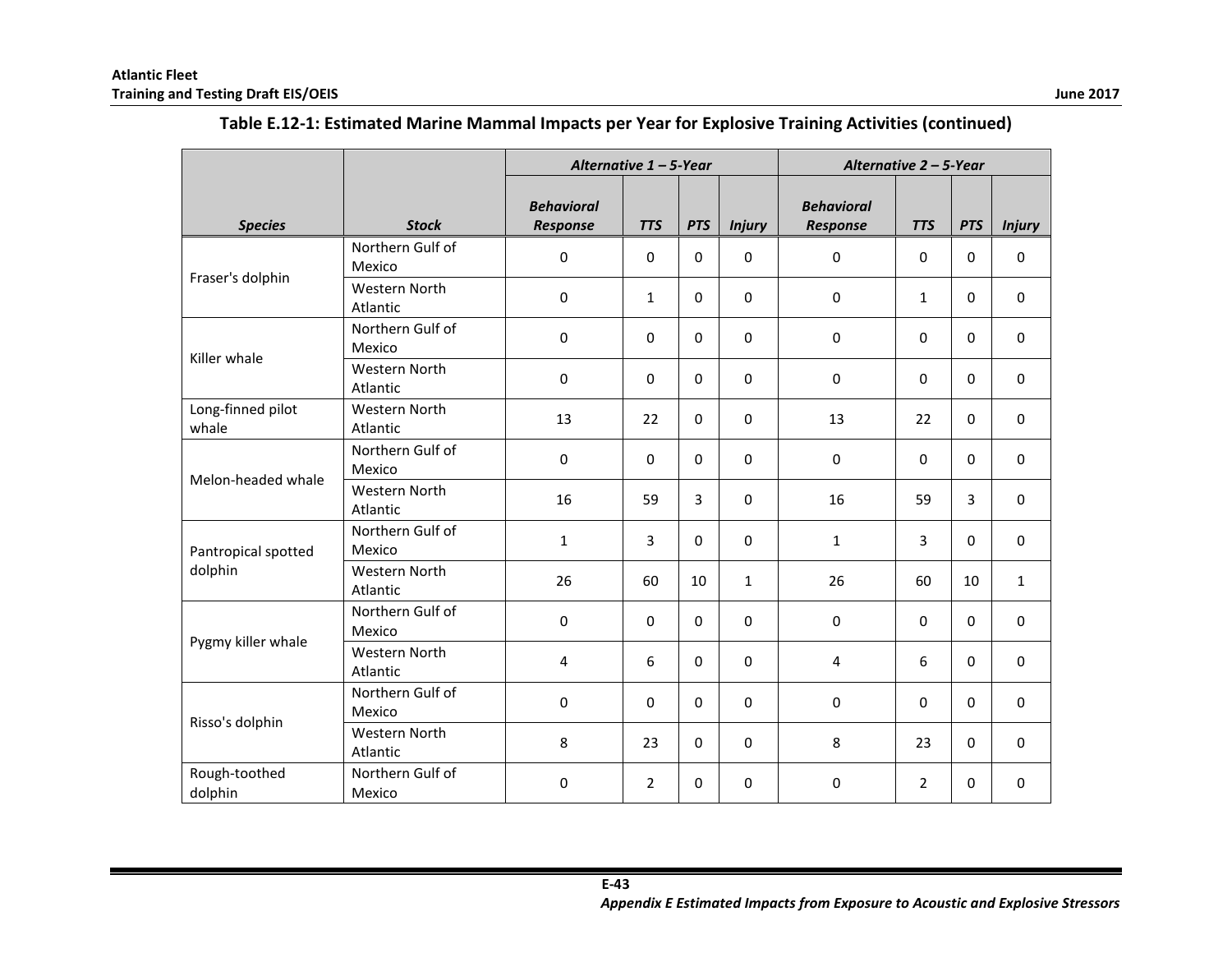|                            |                                  |                                      | Alternative $1 - 5$ -Year |             |                  |                                      | Alternative 2 - 5-Year |              |               |
|----------------------------|----------------------------------|--------------------------------------|---------------------------|-------------|------------------|--------------------------------------|------------------------|--------------|---------------|
| <b>Species</b>             | <b>Stock</b>                     | <b>Behavioral</b><br><b>Response</b> | <b>TTS</b>                | <b>PTS</b>  | <b>Injury</b>    | <b>Behavioral</b><br><b>Response</b> | <b>TTS</b>             | <b>PTS</b>   | <b>Injury</b> |
| Fraser's dolphin           | Northern Gulf of<br>Mexico       | $\mathbf 0$                          | 0                         | 0           | $\mathbf 0$      | 0                                    | 0                      | $\mathbf{0}$ | $\mathbf 0$   |
|                            | <b>Western North</b><br>Atlantic | $\mathbf 0$                          | $\mathbf{1}$              | $\Omega$    | $\mathbf 0$      | $\mathbf 0$                          | $\mathbf{1}$           | $\mathbf{0}$ | $\mathbf 0$   |
| Killer whale               | Northern Gulf of<br>Mexico       | $\pmb{0}$                            | 0                         | 0           | $\mathbf 0$      | $\pmb{0}$                            | $\mathbf 0$            | $\mathbf{0}$ | $\mathbf 0$   |
|                            | <b>Western North</b><br>Atlantic | $\mathbf 0$                          | 0                         | 0           | $\mathbf 0$      | $\mathbf 0$                          | $\mathbf 0$            | $\Omega$     | $\mathbf 0$   |
| Long-finned pilot<br>whale | Western North<br>Atlantic        | 13                                   | 22                        | 0           | $\mathbf 0$      | 13                                   | 22                     | $\Omega$     | $\Omega$      |
| Melon-headed whale         | Northern Gulf of<br>Mexico       | 0                                    | $\Omega$                  | 0           | $\mathbf 0$      | $\mathbf 0$                          | $\Omega$               | $\Omega$     | $\mathbf 0$   |
|                            | Western North<br>Atlantic        | 16                                   | 59                        | 3           | $\mathbf 0$      | 16                                   | 59                     | 3            | $\mathbf 0$   |
| Pantropical spotted        | Northern Gulf of<br>Mexico       | $\mathbf{1}$                         | 3                         | 0           | $\mathbf 0$      | 1                                    | 3                      | $\Omega$     | $\mathbf 0$   |
| dolphin                    | Western North<br>Atlantic        | 26                                   | 60                        | 10          | $\mathbf{1}$     | 26                                   | 60                     | 10           | $\mathbf{1}$  |
| Pygmy killer whale         | Northern Gulf of<br>Mexico       | 0                                    | 0                         | 0           | $\boldsymbol{0}$ | 0                                    | $\mathbf 0$            | $\Omega$     | $\mathbf 0$   |
|                            | <b>Western North</b><br>Atlantic | 4                                    | 6                         | $\mathbf 0$ | $\mathbf 0$      | 4                                    | 6                      | $\Omega$     | $\mathbf{0}$  |
| Risso's dolphin            | Northern Gulf of<br>Mexico       | 0                                    | 0                         | $\mathbf 0$ | $\mathbf 0$      | $\pmb{0}$                            | $\mathbf 0$            | $\mathbf{0}$ | $\mathbf 0$   |
|                            | Western North<br>Atlantic        | 8                                    | 23                        | 0           | $\mathbf 0$      | 8                                    | 23                     | $\Omega$     | $\mathbf 0$   |
| Rough-toothed<br>dolphin   | Northern Gulf of<br>Mexico       | $\mathbf 0$                          | $\overline{2}$            | 0           | $\mathbf 0$      | $\mathbf 0$                          | $\overline{2}$         | $\Omega$     | $\mathbf 0$   |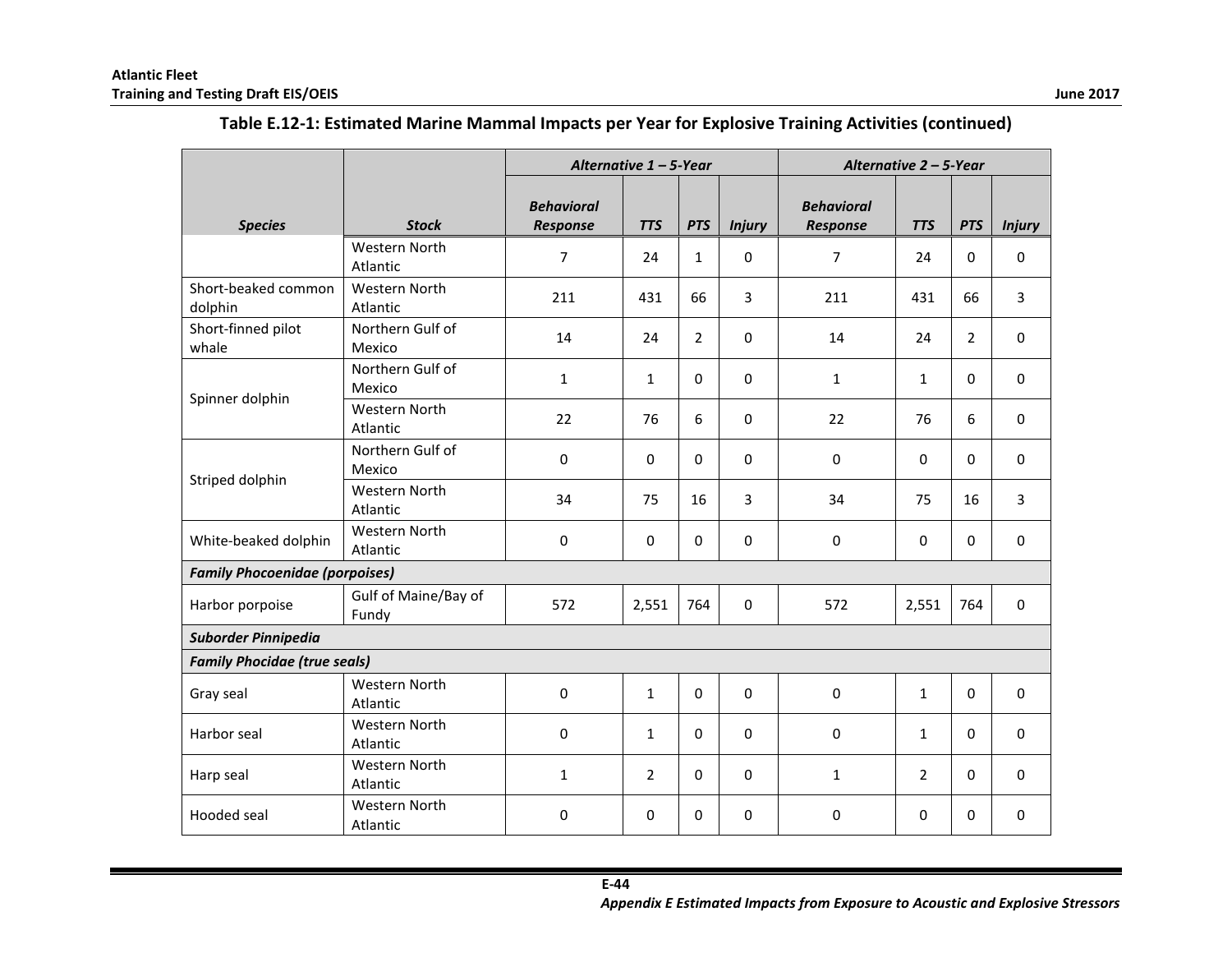|                                       |                                  |                                      | Alternative $1 - 5$ -Year |                |               |                                      |                                                                                                                                                                                                                                                                                                                   |                |               |
|---------------------------------------|----------------------------------|--------------------------------------|---------------------------|----------------|---------------|--------------------------------------|-------------------------------------------------------------------------------------------------------------------------------------------------------------------------------------------------------------------------------------------------------------------------------------------------------------------|----------------|---------------|
| <b>Species</b>                        | <b>Stock</b>                     | <b>Behavioral</b><br><b>Response</b> | <b>TTS</b>                | <b>PTS</b>     | <b>Injury</b> | <b>Behavioral</b><br><b>Response</b> | <b>TTS</b>                                                                                                                                                                                                                                                                                                        | <b>PTS</b>     | <b>Injury</b> |
|                                       | <b>Western North</b><br>Atlantic | $\overline{7}$                       | 24                        | $\mathbf{1}$   | $\mathbf 0$   | $\overline{7}$                       | 24                                                                                                                                                                                                                                                                                                                | $\Omega$       | $\mathbf 0$   |
| Short-beaked common<br>dolphin        | Western North<br>Atlantic        | 211                                  | 431                       | 66             | 3             | 211                                  | 431                                                                                                                                                                                                                                                                                                               | 66             | 3             |
| Short-finned pilot<br>whale           | Northern Gulf of<br>Mexico       | 14                                   | 24                        | $\overline{2}$ | 0             | 14                                   | 24                                                                                                                                                                                                                                                                                                                | $\overline{2}$ | $\Omega$      |
|                                       | Northern Gulf of<br>Mexico       | $\mathbf{1}$                         | $\mathbf{1}$              | 0              | 0             | $\mathbf{1}$                         | $\mathbf{1}$                                                                                                                                                                                                                                                                                                      | $\Omega$       | 0             |
| Spinner dolphin                       | <b>Western North</b><br>Atlantic | 22                                   | 76                        | 6              | $\mathbf 0$   | 22                                   | 76                                                                                                                                                                                                                                                                                                                | 6              | 0             |
| Striped dolphin                       | Northern Gulf of<br>Mexico       | $\mathbf 0$                          | $\Omega$                  | 0              | 0             | $\mathbf 0$                          | $\Omega$                                                                                                                                                                                                                                                                                                          | 0              | $\Omega$      |
|                                       | Western North<br>Atlantic        | 34                                   | 75                        | 16             | 3             | 34                                   | Alternative 2 - 5-Year<br>75<br>16<br>3<br>$\mathbf 0$<br>$\mathbf 0$<br>$\Omega$<br>0<br>572<br>2,551<br>764<br>$\pmb{0}$<br>$\mathbf 0$<br>0<br>$\mathbf{1}$<br>0<br>$\mathbf 0$<br>$\mathbf{1}$<br>$\Omega$<br>0<br>$\overline{2}$<br>$\mathbf{1}$<br>0<br>$\mathbf 0$<br>$\mathbf 0$<br>$\mathbf 0$<br>0<br>0 |                |               |
| White-beaked dolphin                  | Western North<br>Atlantic        | 0                                    | 0                         | 0              | 0             |                                      |                                                                                                                                                                                                                                                                                                                   |                |               |
| <b>Family Phocoenidae (porpoises)</b> |                                  |                                      |                           |                |               |                                      |                                                                                                                                                                                                                                                                                                                   |                |               |
| Harbor porpoise                       | Gulf of Maine/Bay of<br>Fundy    | 572                                  | 2,551                     | 764            | 0             |                                      |                                                                                                                                                                                                                                                                                                                   |                |               |
| <b>Suborder Pinnipedia</b>            |                                  |                                      |                           |                |               |                                      |                                                                                                                                                                                                                                                                                                                   |                |               |
| <b>Family Phocidae (true seals)</b>   |                                  |                                      |                           |                |               |                                      |                                                                                                                                                                                                                                                                                                                   |                |               |
| Gray seal                             | Western North<br>Atlantic        | $\pmb{0}$                            | $\mathbf{1}$              | $\mathbf 0$    | $\mathbf 0$   |                                      |                                                                                                                                                                                                                                                                                                                   |                |               |
| Harbor seal                           | <b>Western North</b><br>Atlantic | $\pmb{0}$                            | $\mathbf{1}$              | 0              | 0             |                                      |                                                                                                                                                                                                                                                                                                                   |                |               |
| Harp seal                             | Western North<br>Atlantic        | $\mathbf{1}$                         | $\overline{2}$            | 0              | 0             |                                      |                                                                                                                                                                                                                                                                                                                   |                |               |
| Hooded seal                           | Western North<br>Atlantic        | 0                                    | 0                         | 0              | 0             |                                      |                                                                                                                                                                                                                                                                                                                   |                |               |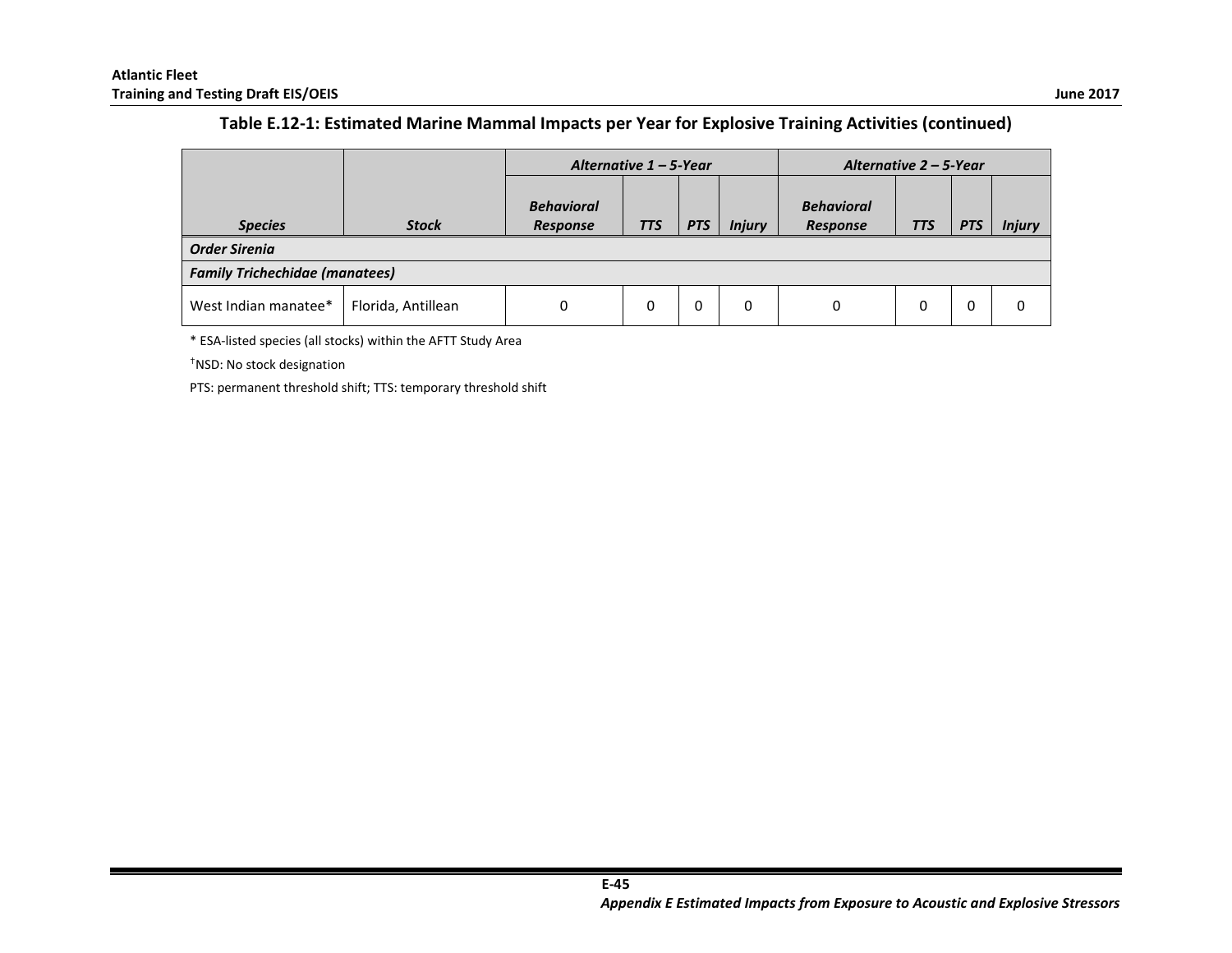|                                       |                    |                                      | Alternative $1 - 5$ -Year |            |               | Alternative $2 - 5$ -Year            |            |            |               |
|---------------------------------------|--------------------|--------------------------------------|---------------------------|------------|---------------|--------------------------------------|------------|------------|---------------|
| <b>Species</b>                        | <b>Stock</b>       | <b>Behavioral</b><br><b>Response</b> | <b>TTS</b>                | <b>PTS</b> | <b>Injury</b> | <b>Behavioral</b><br><b>Response</b> | <b>TTS</b> | <b>PTS</b> | <b>Injury</b> |
| <b>Order Sirenia</b>                  |                    |                                      |                           |            |               |                                      |            |            |               |
| <b>Family Trichechidae (manatees)</b> |                    |                                      |                           |            |               |                                      |            |            |               |
| West Indian manatee*                  | Florida, Antillean | 0                                    | 0                         |            | 0             | Ω                                    |            |            |               |

\* ESA-listed species (all stocks) within the AFTT Study Area

✝NSD: No stock designation

PTS: permanent threshold shift; TTS: temporary threshold shift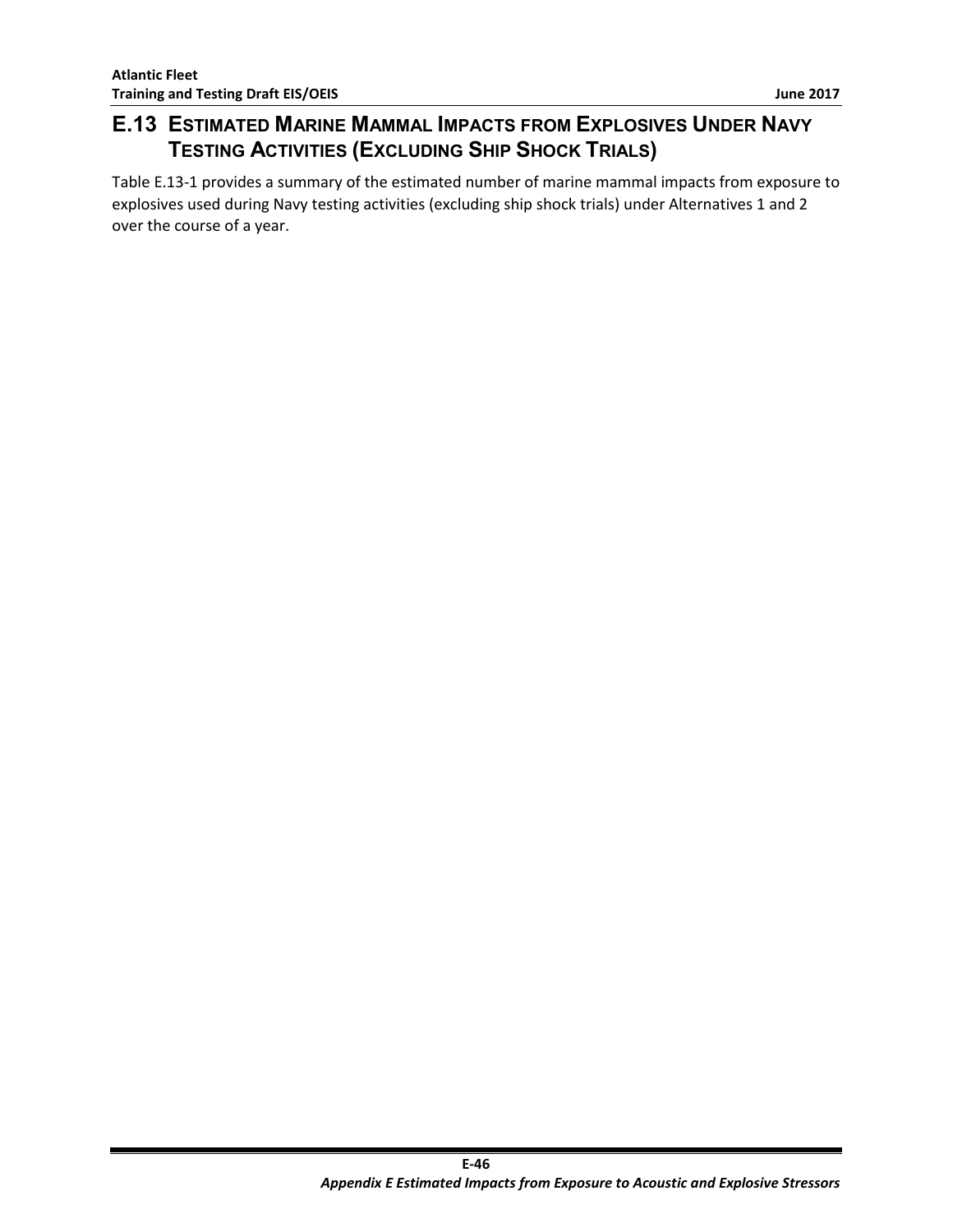# **E.13 ESTIMATED MARINE MAMMAL IMPACTS FROM EXPLOSIVES UNDER NAVY TESTING ACTIVITIES (EXCLUDING SHIP SHOCK TRIALS)**

[Table E.13-1](#page-52-0) provides a summary of the estimated number of marine mammal impacts from exposure to explosives used during Navy testing activities (excluding ship shock trials) under Alternatives 1 and 2 over the course of a year.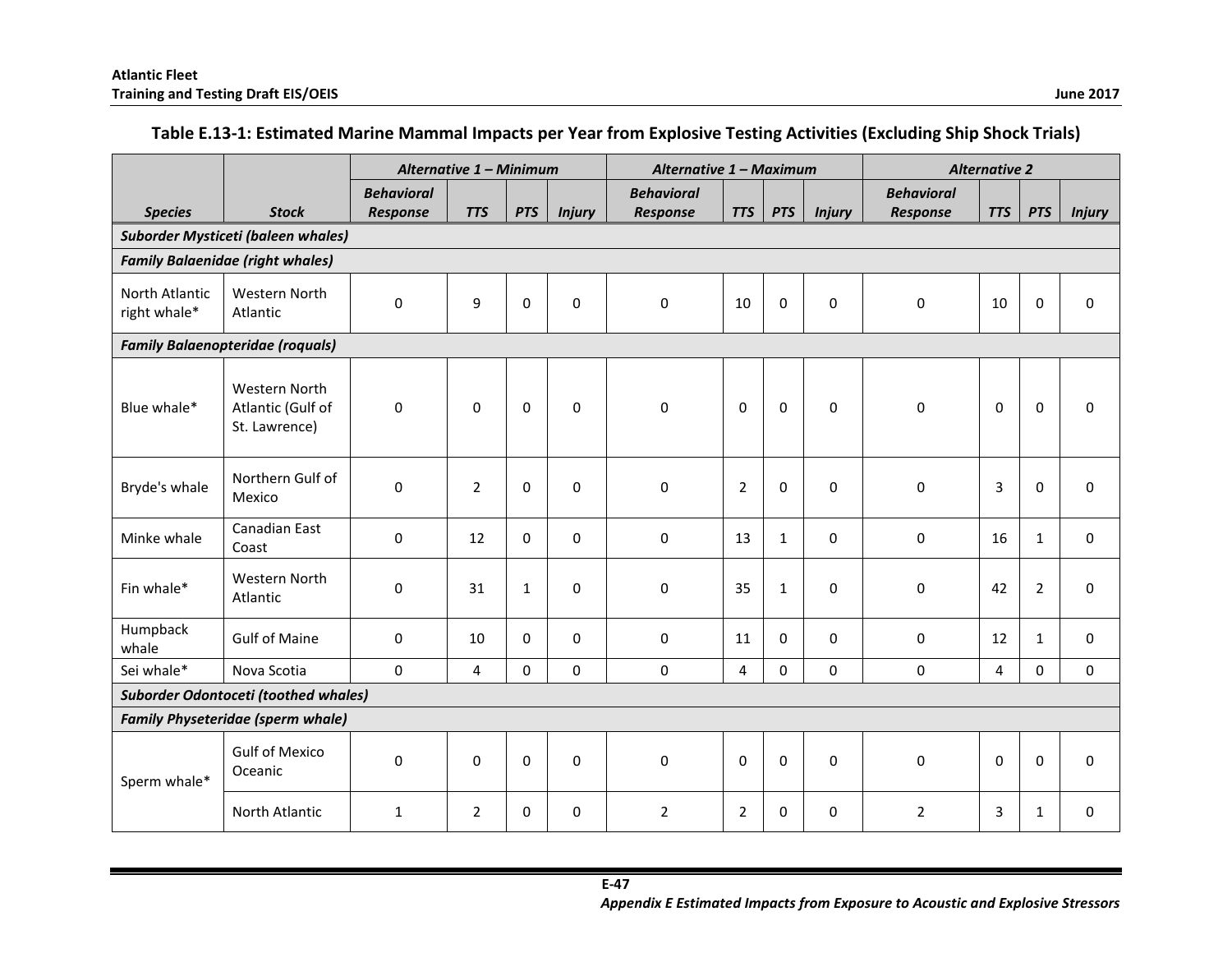| Table E.13-1: Estimated Marine Mammal Impacts per Year from Explosive Testing Activities (Excluding Ship Shock Trials) |  |  |  |
|------------------------------------------------------------------------------------------------------------------------|--|--|--|
|------------------------------------------------------------------------------------------------------------------------|--|--|--|

<span id="page-52-0"></span>

|                                |                                                     |                                      | Alternative 1 - Minimum |              |               | Alternative 1 - Maximum              |                |              |               |                                      | <b>Alternative 2</b> |                |               |
|--------------------------------|-----------------------------------------------------|--------------------------------------|-------------------------|--------------|---------------|--------------------------------------|----------------|--------------|---------------|--------------------------------------|----------------------|----------------|---------------|
| <b>Species</b>                 | <b>Stock</b>                                        | <b>Behavioral</b><br><b>Response</b> | <b>TTS</b>              | <b>PTS</b>   | <b>Injury</b> | <b>Behavioral</b><br><b>Response</b> | <b>TTS</b>     | <b>PTS</b>   | <b>Injury</b> | <b>Behavioral</b><br><b>Response</b> | <b>TTS</b>           | <b>PTS</b>     | <b>Injury</b> |
|                                | <b>Suborder Mysticeti (baleen whales)</b>           |                                      |                         |              |               |                                      |                |              |               |                                      |                      |                |               |
|                                | <b>Family Balaenidae (right whales)</b>             |                                      |                         |              |               |                                      |                |              |               |                                      |                      |                |               |
| North Atlantic<br>right whale* | <b>Western North</b><br>Atlantic                    | $\mathbf 0$                          | 9                       | $\mathbf 0$  | $\mathbf 0$   | $\mathbf 0$                          | 10             | $\mathbf 0$  | $\mathbf 0$   | 0                                    | 10                   | $\Omega$       | $\mathbf 0$   |
|                                | <b>Family Balaenopteridae (roquals)</b>             |                                      |                         |              |               |                                      |                |              |               |                                      |                      |                |               |
| Blue whale*                    | Western North<br>Atlantic (Gulf of<br>St. Lawrence) | $\pmb{0}$                            | $\Omega$                | $\mathbf 0$  | $\mathbf 0$   | $\Omega$                             | $\mathbf 0$    | $\mathbf 0$  | $\mathbf 0$   | $\mathbf 0$                          | $\mathbf 0$          | $\Omega$       | $\Omega$      |
| Bryde's whale                  | Northern Gulf of<br>Mexico                          | $\Omega$                             | $\overline{2}$          | $\Omega$     | $\Omega$      | $\Omega$                             | $\overline{2}$ | $\Omega$     | $\Omega$      | $\Omega$                             | 3                    | $\Omega$       | $\Omega$      |
| Minke whale                    | Canadian East<br>Coast                              | 0                                    | 12                      | $\Omega$     | $\Omega$      | $\Omega$                             | 13             | $\mathbf{1}$ | $\Omega$      | $\Omega$                             | 16                   | $\mathbf{1}$   | $\mathbf{0}$  |
| Fin whale*                     | <b>Western North</b><br>Atlantic                    | $\pmb{0}$                            | 31                      | $\mathbf{1}$ | $\mathbf 0$   | $\mathbf 0$                          | 35             | $\mathbf{1}$ | $\mathbf 0$   | $\mathbf 0$                          | 42                   | $\overline{2}$ | $\mathbf 0$   |
| Humpback<br>whale              | <b>Gulf of Maine</b>                                | $\pmb{0}$                            | 10                      | 0            | $\mathbf 0$   | $\mathbf 0$                          | 11             | $\mathbf 0$  | $\mathbf 0$   | 0                                    | 12                   | $\mathbf{1}$   | $\mathbf 0$   |
| Sei whale*                     | Nova Scotia                                         | $\mathbf 0$                          | 4                       | 0            | $\mathbf 0$   | $\mathbf 0$                          | 4              | 0            | 0             | 0                                    | $\overline{4}$       | 0              | $\mathbf 0$   |
|                                | <b>Suborder Odontoceti (toothed whales)</b>         |                                      |                         |              |               |                                      |                |              |               |                                      |                      |                |               |
|                                | <b>Family Physeteridae (sperm whale)</b>            |                                      |                         |              |               |                                      |                |              |               |                                      |                      |                |               |
| Sperm whale*                   | <b>Gulf of Mexico</b><br>Oceanic                    | $\mathbf 0$                          | 0                       | 0            | $\mathbf 0$   | $\mathbf 0$                          | $\mathbf 0$    | 0            | $\Omega$      | $\mathbf 0$                          | 0                    | 0              | $\mathbf 0$   |
|                                | <b>North Atlantic</b>                               | $\mathbf{1}$                         | $\overline{2}$          | $\Omega$     | $\mathbf 0$   | $\overline{2}$                       | $\overline{2}$ | $\Omega$     | $\Omega$      | $\overline{2}$                       | 3                    | $\mathbf{1}$   | $\Omega$      |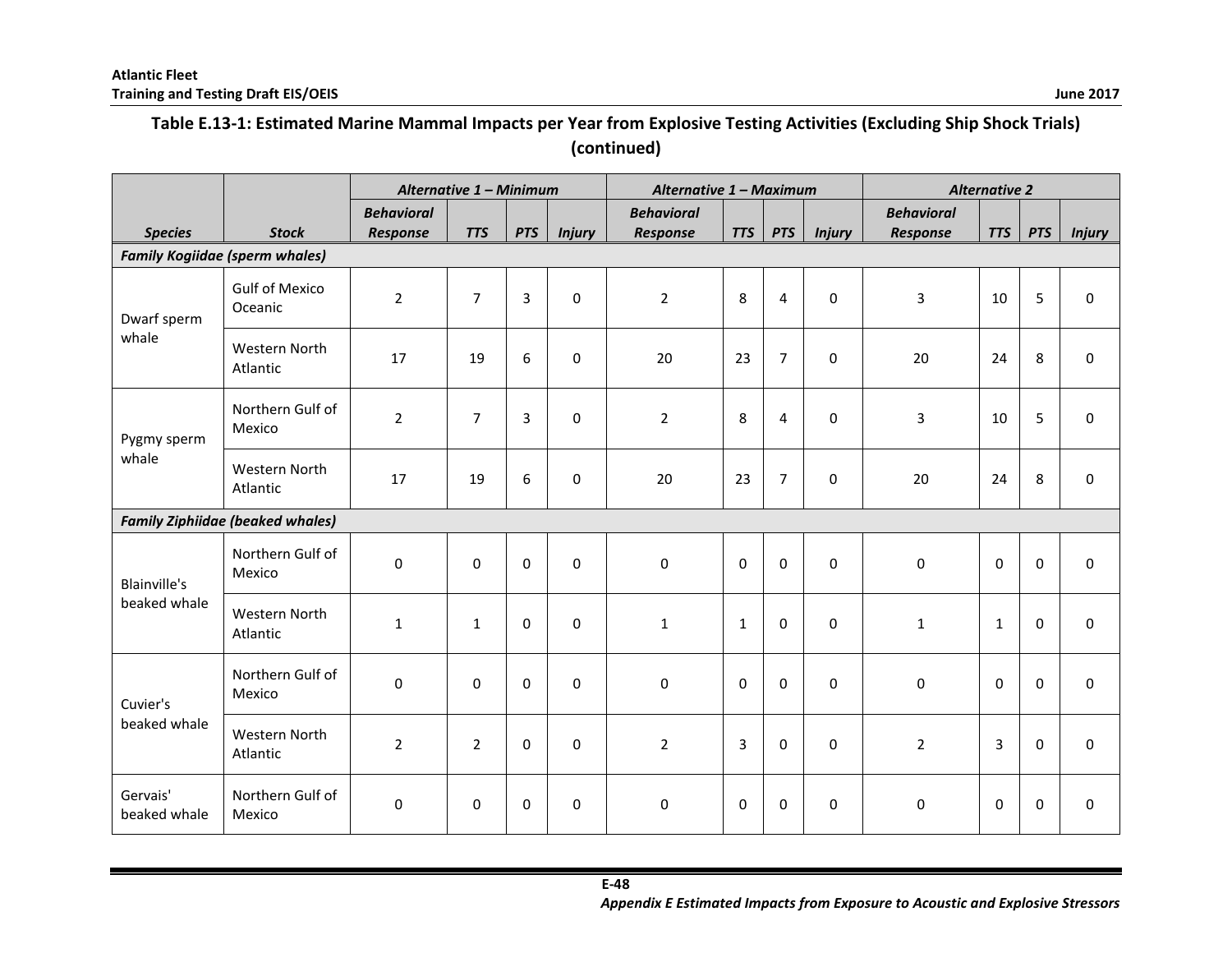|                          |                                         |                                      | Alternative 1 - Minimum |             |               | Alternative 1 - Maximum              |              |                |               |                                      | <b>Alternative 2</b> |              |               |
|--------------------------|-----------------------------------------|--------------------------------------|-------------------------|-------------|---------------|--------------------------------------|--------------|----------------|---------------|--------------------------------------|----------------------|--------------|---------------|
| <b>Species</b>           | <b>Stock</b>                            | <b>Behavioral</b><br><b>Response</b> | <b>TTS</b>              | <b>PTS</b>  | <b>Injury</b> | <b>Behavioral</b><br><b>Response</b> | <b>TTS</b>   | <b>PTS</b>     | <b>Injury</b> | <b>Behavioral</b><br><b>Response</b> | <b>TTS</b>           | <b>PTS</b>   | <b>Injury</b> |
|                          | <b>Family Kogiidae (sperm whales)</b>   |                                      |                         |             |               |                                      |              |                |               |                                      |                      |              |               |
| Dwarf sperm              | <b>Gulf of Mexico</b><br>Oceanic        | $\overline{2}$                       | $\overline{7}$          | 3           | $\pmb{0}$     | $\overline{2}$                       | 8            | 4              | $\mathbf 0$   | 3                                    | 10                   | 5            | 0             |
| whale                    | Western North<br>Atlantic               | 17                                   | 19                      | 6           | $\mathbf 0$   | 20                                   | 23           | $\overline{7}$ | $\mathbf 0$   | 20                                   | 24                   | 8            | $\Omega$      |
| Pygmy sperm              | Northern Gulf of<br>Mexico              | $\overline{2}$                       | $\overline{7}$          | 3           | $\mathbf 0$   | $\overline{2}$                       | 8            | 4              | $\Omega$      | 3                                    | 10                   | 5            | 0             |
| whale                    | Western North<br>Atlantic               | 17                                   | 19                      | 6           | $\mathbf 0$   | 20                                   | 23           | $\overline{7}$ | $\mathbf 0$   | 20                                   | 24                   | 8            | $\mathbf 0$   |
|                          | <b>Family Ziphiidae (beaked whales)</b> |                                      |                         |             |               |                                      |              |                |               |                                      |                      |              |               |
| <b>Blainville's</b>      | Northern Gulf of<br>Mexico              | $\pmb{0}$                            | $\Omega$                | 0           | $\mathbf 0$   | $\mathbf 0$                          | $\mathbf{0}$ | $\mathbf{0}$   | $\Omega$      | $\mathbf 0$                          | $\Omega$             | $\mathbf 0$  | $\mathbf 0$   |
| beaked whale             | Western North<br>Atlantic               | $\mathbf{1}$                         | $\mathbf{1}$            | $\Omega$    | $\mathbf{0}$  | $\mathbf{1}$                         | $\mathbf{1}$ | $\mathbf{0}$   | $\mathbf{0}$  | $\mathbf{1}$                         | $\mathbf{1}$         | $\Omega$     | $\Omega$      |
| Cuvier's                 | Northern Gulf of<br>Mexico              | $\pmb{0}$                            | $\mathbf 0$             | 0           | $\mathbf 0$   | $\mathbf 0$                          | $\mathbf 0$  | 0              | $\mathbf 0$   | 0                                    | 0                    | 0            | $\mathbf 0$   |
| beaked whale             | Western North<br>Atlantic               | $\overline{2}$                       | $\overline{2}$          | $\mathbf 0$ | $\mathbf 0$   | $\overline{2}$                       | 3            | $\mathbf 0$    | $\mathbf 0$   | $\overline{2}$                       | 3                    | $\mathbf{0}$ | $\Omega$      |
| Gervais'<br>beaked whale | Northern Gulf of<br>Mexico              | 0                                    | 0                       | 0           | 0             | 0                                    | 0            | 0              | 0             | 0                                    | 0                    | 0            | $\mathbf 0$   |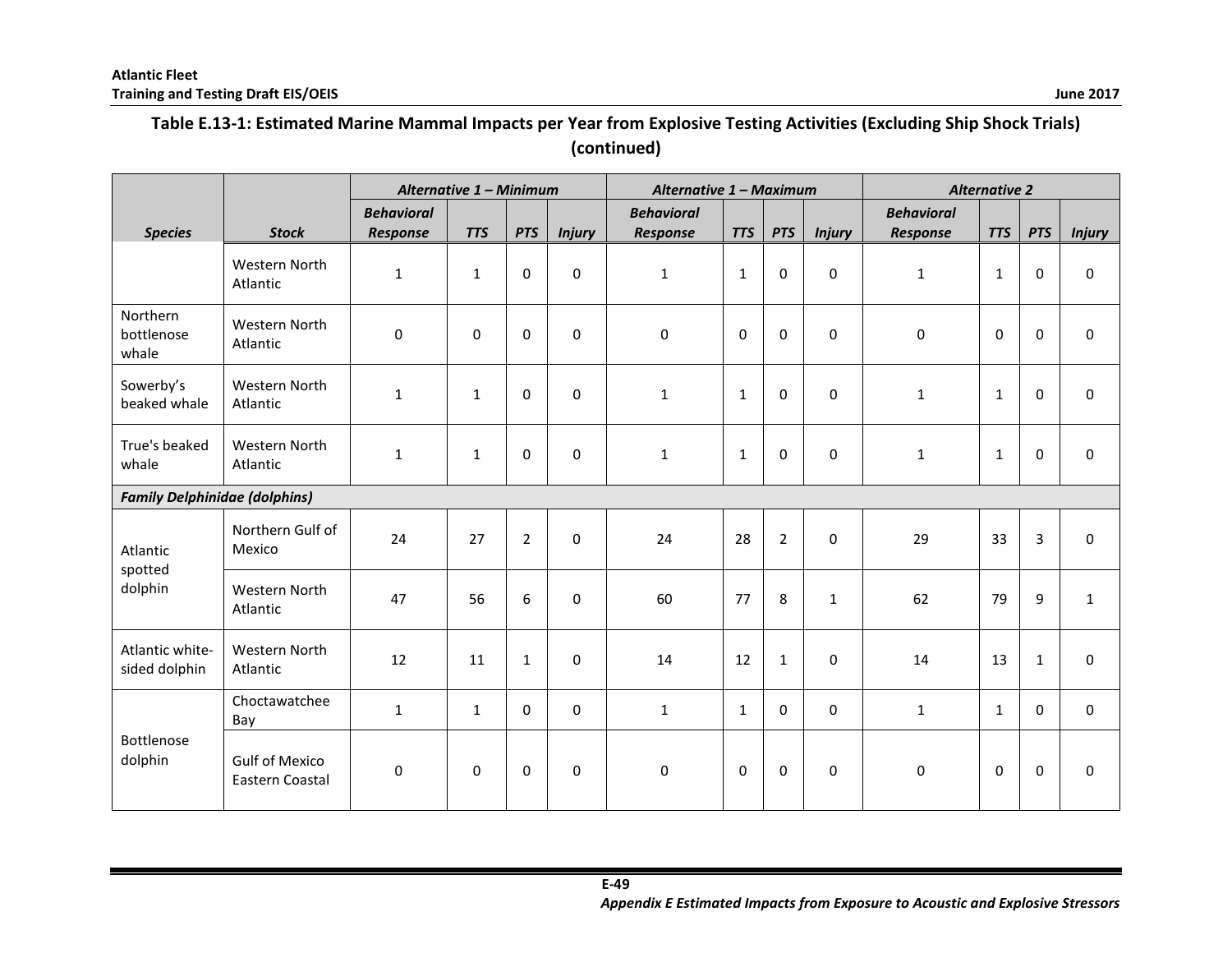|                                      |                                          |                                      | Alternative 1 - Minimum |                |               | Alternative 1 - Maximum              |              |                |               |                                      | <b>Alternative 2</b> |              |               |
|--------------------------------------|------------------------------------------|--------------------------------------|-------------------------|----------------|---------------|--------------------------------------|--------------|----------------|---------------|--------------------------------------|----------------------|--------------|---------------|
| <b>Species</b>                       | <b>Stock</b>                             | <b>Behavioral</b><br><b>Response</b> | <b>TTS</b>              | <b>PTS</b>     | <b>Injury</b> | <b>Behavioral</b><br><b>Response</b> | <b>TTS</b>   | <b>PTS</b>     | <b>Injury</b> | <b>Behavioral</b><br><b>Response</b> | <b>TTS</b>           | <b>PTS</b>   | <b>Injury</b> |
|                                      | Western North<br>Atlantic                | $\mathbf{1}$                         | $\mathbf{1}$            | $\mathbf 0$    | 0             | $\mathbf{1}$                         | $\mathbf{1}$ | $\mathbf{0}$   | $\Omega$      | $\mathbf{1}$                         | 1                    | $\mathbf 0$  | $\mathbf 0$   |
| Northern<br>bottlenose<br>whale      | Western North<br>Atlantic                | $\pmb{0}$                            | $\Omega$                | $\mathbf 0$    | $\mathbf 0$   | $\mathbf 0$                          | $\mathbf{0}$ | $\Omega$       | $\Omega$      | $\mathbf 0$                          | $\mathbf 0$          | $\mathbf{0}$ | $\Omega$      |
| Sowerby's<br>beaked whale            | Western North<br>Atlantic                | $\mathbf{1}$                         | $\mathbf{1}$            | $\mathbf 0$    | 0             | $\mathbf{1}$                         | $\mathbf{1}$ | $\mathbf 0$    | $\mathbf 0$   | $\mathbf{1}$                         | $\mathbf{1}$         | $\mathbf 0$  | 0             |
| True's beaked<br>whale               | Western North<br>Atlantic                | $\mathbf{1}$                         | $\mathbf{1}$            | $\mathbf 0$    | $\mathbf 0$   | $\mathbf{1}$                         | $\mathbf{1}$ | $\Omega$       | $\mathbf 0$   | $\mathbf{1}$                         | $\mathbf{1}$         | $\mathbf 0$  | $\Omega$      |
| <b>Family Delphinidae (dolphins)</b> |                                          |                                      |                         |                |               |                                      |              |                |               |                                      |                      |              |               |
| Atlantic                             | Northern Gulf of<br>Mexico               | 24                                   | 27                      | $\overline{2}$ | $\mathbf 0$   | 24                                   | 28           | $\overline{2}$ | $\mathbf 0$   | 29                                   | 33                   | 3            | 0             |
| spotted<br>dolphin                   | Western North<br>Atlantic                | 47                                   | 56                      | 6              | $\pmb{0}$     | 60                                   | 77           | 8              | $\mathbf{1}$  | 62                                   | 79                   | 9            | $\mathbf{1}$  |
| Atlantic white-<br>sided dolphin     | Western North<br>Atlantic                | 12                                   | 11                      | $\mathbf{1}$   | $\mathbf 0$   | 14                                   | 12           | $\mathbf{1}$   | $\mathbf 0$   | 14                                   | 13                   | $\mathbf{1}$ | $\mathbf 0$   |
|                                      | Choctawatchee<br>Bay                     | $\mathbf{1}$                         | $\mathbf{1}$            | $\mathbf 0$    | $\pmb{0}$     | $\mathbf{1}$                         | $\mathbf{1}$ | $\mathbf{0}$   | $\mathbf 0$   | $\mathbf{1}$                         | $\mathbf{1}$         | $\Omega$     | $\mathbf 0$   |
| Bottlenose<br>dolphin                | <b>Gulf of Mexico</b><br>Eastern Coastal | 0                                    | 0                       | $\mathbf 0$    | $\mathbf 0$   | 0                                    | $\mathbf 0$  | $\mathbf 0$    | $\mathbf 0$   | $\mathbf 0$                          | $\mathbf 0$          | $\mathbf 0$  | 0             |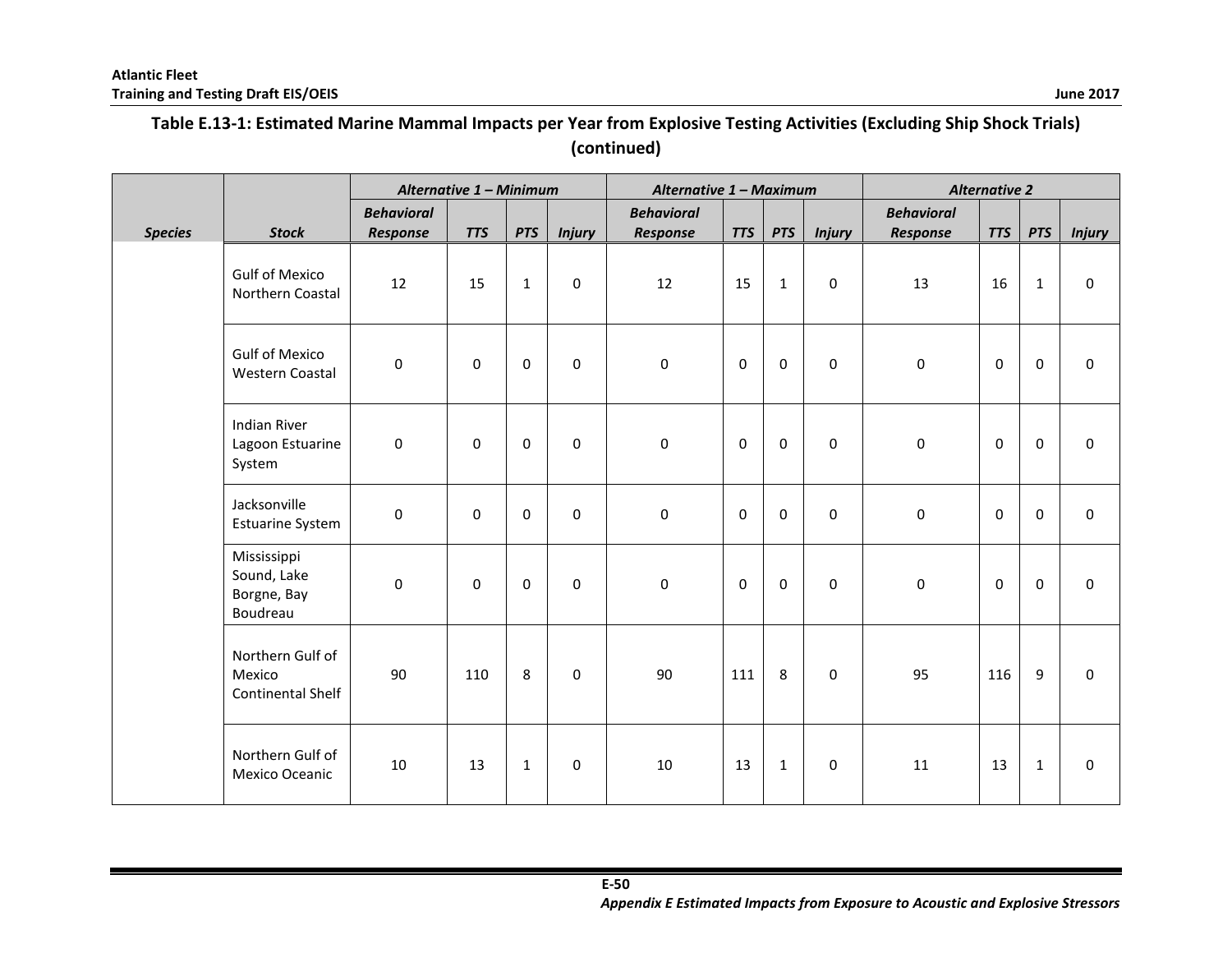|                |                                                       | Alternative 1 - Minimum              |             |              |                  | Alternative 1 - Maximum              |             |              |                  | <b>Alternative 2</b>                 |             |              |                  |
|----------------|-------------------------------------------------------|--------------------------------------|-------------|--------------|------------------|--------------------------------------|-------------|--------------|------------------|--------------------------------------|-------------|--------------|------------------|
| <b>Species</b> | <b>Stock</b>                                          | <b>Behavioral</b><br><b>Response</b> | <b>TTS</b>  | <b>PTS</b>   | <b>Injury</b>    | <b>Behavioral</b><br><b>Response</b> | <b>TTS</b>  | <b>PTS</b>   | <b>Injury</b>    | <b>Behavioral</b><br><b>Response</b> | <b>TTS</b>  | <b>PTS</b>   | <b>Injury</b>    |
|                | <b>Gulf of Mexico</b><br>Northern Coastal             | 12                                   | 15          | $\mathbf{1}$ | $\pmb{0}$        | 12                                   | 15          | $\mathbf{1}$ | $\boldsymbol{0}$ | 13                                   | 16          | $\mathbf{1}$ | $\boldsymbol{0}$ |
|                | <b>Gulf of Mexico</b><br>Western Coastal              | $\pmb{0}$                            | $\mathbf 0$ | $\mathbf 0$  | $\pmb{0}$        | $\pmb{0}$                            | $\mathbf 0$ | $\Omega$     | $\mathbf 0$      | $\boldsymbol{0}$                     | 0           | $\mathbf 0$  | $\mathbf 0$      |
|                | <b>Indian River</b><br>Lagoon Estuarine<br>System     | $\pmb{0}$                            | 0           | 0            | $\boldsymbol{0}$ | $\pmb{0}$                            | 0           | $\mathbf 0$  | $\mathbf 0$      | $\boldsymbol{0}$                     | $\mathbf 0$ | $\mathbf 0$  | $\mathbf 0$      |
|                | Jacksonville<br><b>Estuarine System</b>               | $\pmb{0}$                            | $\Omega$    | $\mathbf 0$  | $\pmb{0}$        | $\pmb{0}$                            | $\Omega$    | $\Omega$     | $\mathbf 0$      | $\mathbf 0$                          | $\Omega$    | $\mathbf{0}$ | $\mathbf 0$      |
|                | Mississippi<br>Sound, Lake<br>Borgne, Bay<br>Boudreau | $\pmb{0}$                            | $\mathbf 0$ | $\mathbf 0$  | 0                | 0                                    | $\mathbf 0$ | $\mathbf{0}$ | $\mathbf 0$      | 0                                    | $\mathbf 0$ | $\mathbf 0$  | $\mathbf 0$      |
|                | Northern Gulf of<br>Mexico<br>Continental Shelf       | 90                                   | 110         | 8            | 0                | 90                                   | 111         | 8            | $\mathbf{0}$     | 95                                   | 116         | 9            | $\mathbf 0$      |
|                | Northern Gulf of<br>Mexico Oceanic                    | 10                                   | 13          | $\mathbf{1}$ | $\pmb{0}$        | 10                                   | 13          | $\mathbf{1}$ | $\mathbf 0$      | 11                                   | 13          | 1            | $\mathbf 0$      |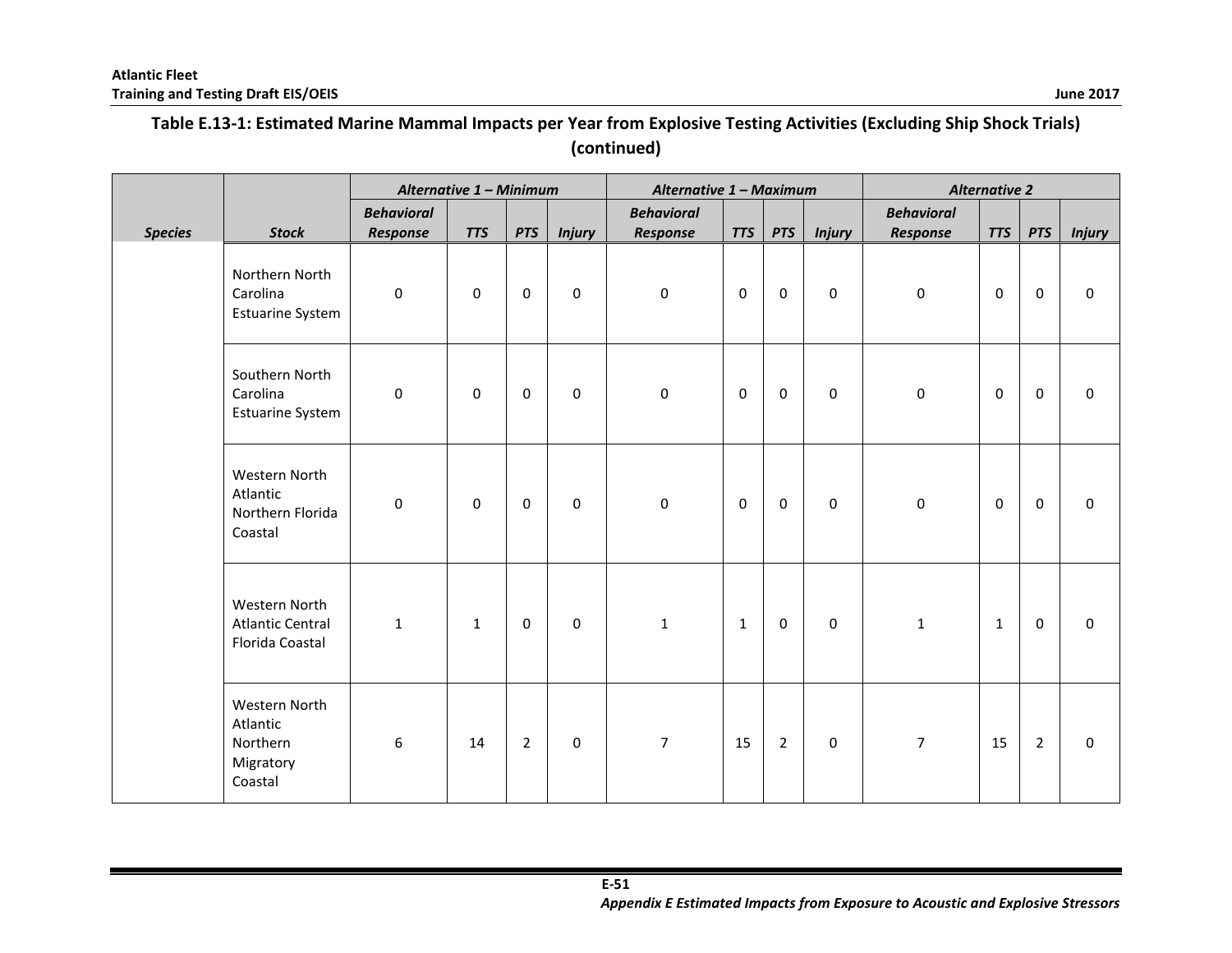|                |                                                               |                               |              |                | Alternative 1 - Minimum |                                      | Alternative 1 - Maximum |                |               |                                      | <b>Alternative 2</b> |                |                  |  |
|----------------|---------------------------------------------------------------|-------------------------------|--------------|----------------|-------------------------|--------------------------------------|-------------------------|----------------|---------------|--------------------------------------|----------------------|----------------|------------------|--|
| <b>Species</b> | <b>Stock</b>                                                  | <b>Behavioral</b><br>Response | <b>TTS</b>   | <b>PTS</b>     | <b>Injury</b>           | <b>Behavioral</b><br><b>Response</b> | <b>TTS</b>              | <b>PTS</b>     | <b>Injury</b> | <b>Behavioral</b><br><b>Response</b> | <b>TTS</b>           | <b>PTS</b>     | <b>Injury</b>    |  |
|                | Northern North<br>Carolina<br><b>Estuarine System</b>         | $\pmb{0}$                     | $\mathbf 0$  | 0              | $\pmb{0}$               | $\boldsymbol{0}$                     | $\mathbf 0$             | $\mathbf 0$    | $\mathbf 0$   | $\mathbf 0$                          | $\mathbf 0$          | $\mathbf 0$    | $\mathbf 0$      |  |
|                | Southern North<br>Carolina<br><b>Estuarine System</b>         | $\pmb{0}$                     | $\mathbf 0$  | $\pmb{0}$      | $\pmb{0}$               | $\pmb{0}$                            | $\boldsymbol{0}$        | $\mathbf 0$    | $\pmb{0}$     | $\pmb{0}$                            | $\mathbf 0$          | $\mathbf 0$    | $\boldsymbol{0}$ |  |
|                | Western North<br>Atlantic<br>Northern Florida<br>Coastal      | $\pmb{0}$                     | $\mathbf 0$  | $\pmb{0}$      | $\pmb{0}$               | $\pmb{0}$                            | 0                       | $\mathbf 0$    | $\pmb{0}$     | $\mathbf 0$                          | $\mathbf 0$          | $\mathbf 0$    | 0                |  |
|                | Western North<br><b>Atlantic Central</b><br>Florida Coastal   | $\mathbf{1}$                  | $\mathbf{1}$ | 0              | $\pmb{0}$               | $\mathbf{1}$                         | $\mathbf{1}$            | $\mathbf 0$    | $\mathbf 0$   | $\mathbf{1}$                         | $\mathbf{1}$         | $\mathbf 0$    | $\mathbf 0$      |  |
|                | Western North<br>Atlantic<br>Northern<br>Migratory<br>Coastal | $\boldsymbol{6}$              | 14           | $\overline{2}$ | $\pmb{0}$               | $\overline{7}$                       | 15                      | $\overline{2}$ | $\pmb{0}$     | $\overline{7}$                       | 15                   | $\overline{2}$ | $\mathbf 0$      |  |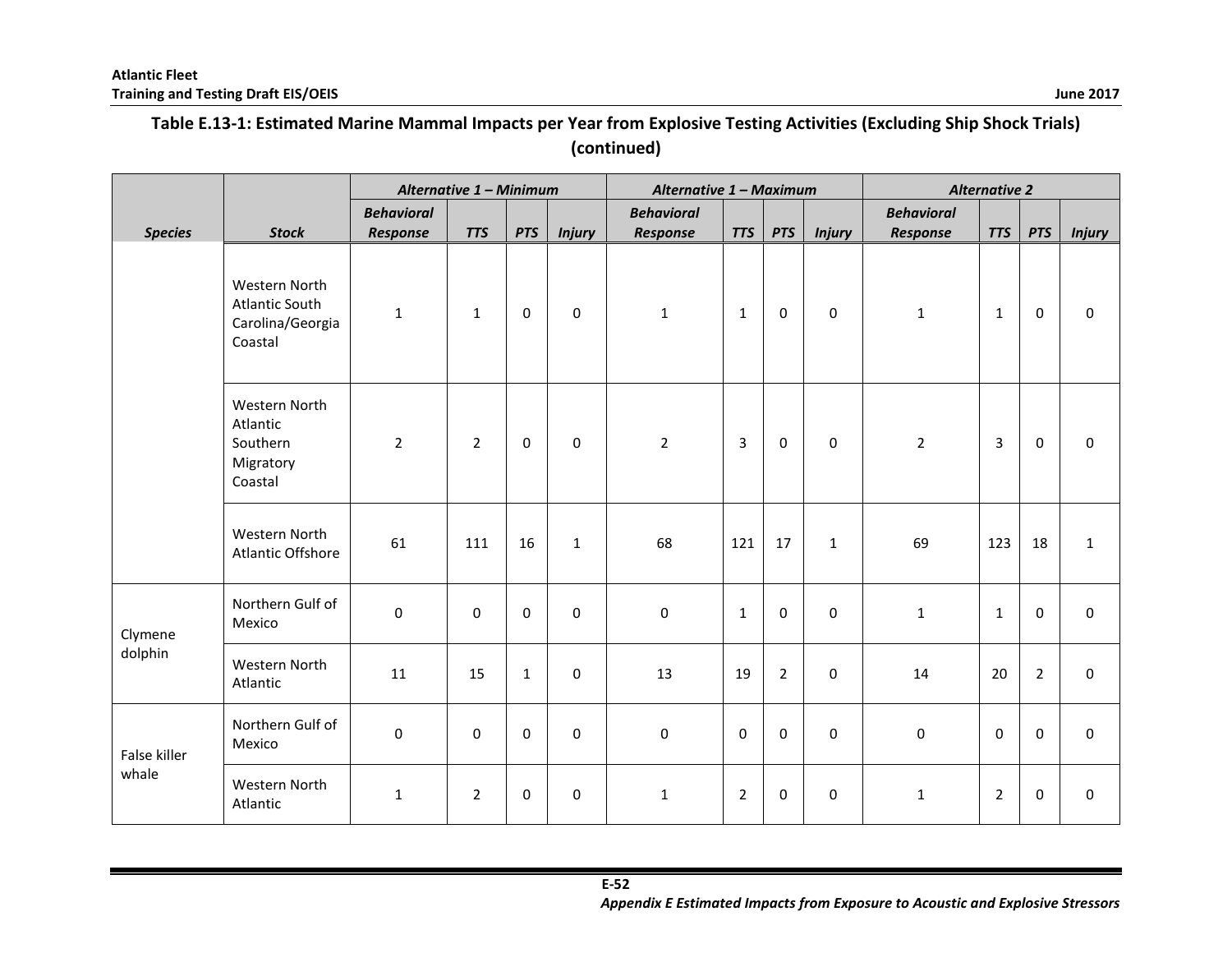|                |                                                                       |                   | Alternative 1 - Minimum |             |               | Alternative 1 - Maximum |                |                |                  |                   | <b>Alternative 2</b> |                |               |
|----------------|-----------------------------------------------------------------------|-------------------|-------------------------|-------------|---------------|-------------------------|----------------|----------------|------------------|-------------------|----------------------|----------------|---------------|
|                |                                                                       | <b>Behavioral</b> |                         |             |               | <b>Behavioral</b>       |                |                |                  | <b>Behavioral</b> |                      |                |               |
| <b>Species</b> | <b>Stock</b>                                                          | <b>Response</b>   | <b>TTS</b>              | <b>PTS</b>  | <b>Injury</b> | <b>Response</b>         | <b>TTS</b>     | <b>PTS</b>     | <b>Injury</b>    | <b>Response</b>   | <b>TTS</b>           | <b>PTS</b>     | <b>Injury</b> |
|                | Western North<br><b>Atlantic South</b><br>Carolina/Georgia<br>Coastal | $\mathbf{1}$      | $\mathbf{1}$            | $\mathbf 0$ | $\pmb{0}$     | $\mathbf{1}$            | 1              | $\mathbf 0$    | $\mathbf 0$      | $\mathbf{1}$      | $\mathbf{1}$         | $\mathbf 0$    | 0             |
|                | Western North<br>Atlantic<br>Southern<br>Migratory<br>Coastal         | $\overline{2}$    | $\overline{2}$          | $\mathbf 0$ | $\mathbf 0$   | $\overline{2}$          | 3              | $\mathbf 0$    | $\mathbf 0$      | $\overline{2}$    | $\overline{3}$       | $\mathbf 0$    | $\Omega$      |
|                | Western North<br><b>Atlantic Offshore</b>                             | 61                | 111                     | 16          | $\mathbf{1}$  | 68                      | 121            | 17             | $\mathbf{1}$     | 69                | 123                  | 18             | $\mathbf{1}$  |
| Clymene        | Northern Gulf of<br>Mexico                                            | $\pmb{0}$         | 0                       | $\mathbf 0$ | $\pmb{0}$     | $\pmb{0}$               | $\mathbf{1}$   | $\mathbf 0$    | $\mathbf 0$      | $\mathbf 1$       | $\mathbf{1}$         | $\mathbf 0$    | $\mathbf 0$   |
| dolphin        | Western North<br>Atlantic                                             | 11                | 15                      | $\mathbf 1$ | $\pmb{0}$     | 13                      | 19             | $\overline{2}$ | $\boldsymbol{0}$ | 14                | 20                   | $\overline{2}$ | $\mathbf 0$   |
| False killer   | Northern Gulf of<br>Mexico                                            | $\pmb{0}$         | $\mathbf 0$             | $\mathbf 0$ | $\pmb{0}$     | $\pmb{0}$               | $\mathbf 0$    | $\mathbf 0$    | $\mathbf 0$      | $\pmb{0}$         | 0                    | $\mathbf 0$    | $\mathbf 0$   |
| whale          | Western North<br>Atlantic                                             | $\mathbf 1$       | $\overline{2}$          | 0           | $\pmb{0}$     | $\mathbf{1}$            | $\overline{2}$ | 0              | 0                | $\mathbf{1}$      | $\overline{2}$       | $\mathbf 0$    | 0             |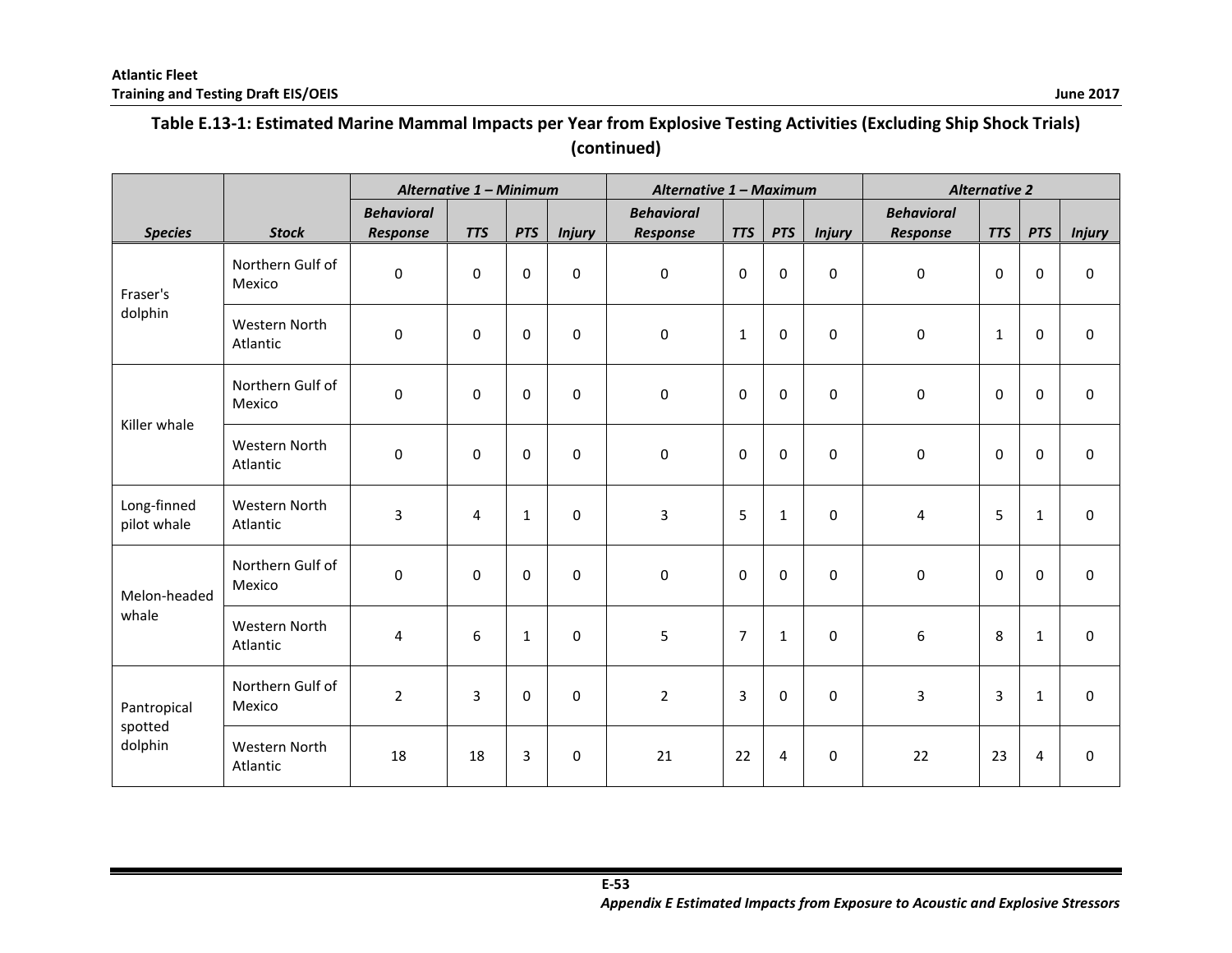|                            |                            |                               | Alternative 1 - Minimum |              |               | Alternative 1 - Maximum<br><b>Alternative 2</b><br><b>Behavioral</b><br><b>Behavioral</b><br><b>PTS</b><br><b>Injury</b><br><b>Response</b><br><b>TTS</b><br><b>TTS</b><br>Response<br>0<br>$\mathbf 0$<br>$\mathbf 0$<br>0<br>$\mathbf 0$<br>$\mathbf 0$ |                |              |             |                  |              |              |               |
|----------------------------|----------------------------|-------------------------------|-------------------------|--------------|---------------|-----------------------------------------------------------------------------------------------------------------------------------------------------------------------------------------------------------------------------------------------------------|----------------|--------------|-------------|------------------|--------------|--------------|---------------|
| <b>Species</b>             | <b>Stock</b>               | <b>Behavioral</b><br>Response | <b>TTS</b>              | <b>PTS</b>   | <b>Injury</b> |                                                                                                                                                                                                                                                           |                |              |             |                  |              | <b>PTS</b>   | <b>Injury</b> |
| Fraser's                   | Northern Gulf of<br>Mexico | $\pmb{0}$                     | $\mathbf 0$             | $\mathbf 0$  | $\pmb{0}$     |                                                                                                                                                                                                                                                           |                |              |             |                  |              | 0            | $\mathbf 0$   |
| dolphin                    | Western North<br>Atlantic  | 0                             | $\mathbf 0$             | $\mathbf 0$  | $\mathbf 0$   | 0                                                                                                                                                                                                                                                         | 1              | $\mathbf 0$  | $\mathbf 0$ | $\boldsymbol{0}$ | 1            | $\mathbf 0$  | $\mathbf 0$   |
|                            | Northern Gulf of<br>Mexico | $\mathbf 0$                   | $\Omega$                | $\mathbf{0}$ | 0             | $\mathbf 0$                                                                                                                                                                                                                                               | $\mathbf{0}$   | $\mathbf{0}$ | $\Omega$    | $\boldsymbol{0}$ | $\mathbf{0}$ | $\Omega$     | $\Omega$      |
| Killer whale               | Western North<br>Atlantic  | 0                             | $\mathbf 0$             | $\mathbf 0$  | 0             | 0                                                                                                                                                                                                                                                         | $\mathbf 0$    | $\mathbf 0$  | $\mathbf 0$ | 0                | $\mathbf 0$  | 0            | $\mathbf 0$   |
| Long-finned<br>pilot whale | Western North<br>Atlantic  | 3                             | 4                       | $\mathbf{1}$ | $\mathbf 0$   | $\mathsf{3}$                                                                                                                                                                                                                                              | 5              | $\mathbf{1}$ | $\mathbf 0$ | 4                | 5            | $\mathbf{1}$ | 0             |
| Melon-headed               | Northern Gulf of<br>Mexico | 0                             | $\Omega$                | $\mathbf{0}$ | $\mathbf{0}$  | $\mathbf{0}$                                                                                                                                                                                                                                              | $\Omega$       | $\Omega$     | $\Omega$    | $\mathbf 0$      | $\mathbf{0}$ | $\mathbf{0}$ | $\Omega$      |
| whale                      | Western North<br>Atlantic  | 4                             | 6                       | 1            | $\mathbf 0$   | 5                                                                                                                                                                                                                                                         | $\overline{7}$ | $\mathbf{1}$ | $\mathbf 0$ | 6                | 8            | 1            | $\mathbf 0$   |
| Pantropical<br>spotted     | Northern Gulf of<br>Mexico | $\overline{2}$                | 3                       | $\mathbf 0$  | 0             | $\overline{2}$                                                                                                                                                                                                                                            | 3              | $\mathbf 0$  | $\mathbf 0$ | 3                | 3            | 1            | 0             |
| dolphin                    | Western North<br>Atlantic  | 18                            | 18                      | 3            | 0             | 21                                                                                                                                                                                                                                                        | 22             | 4            | 0           | 22               | 23           | 4            | $\mathbf 0$   |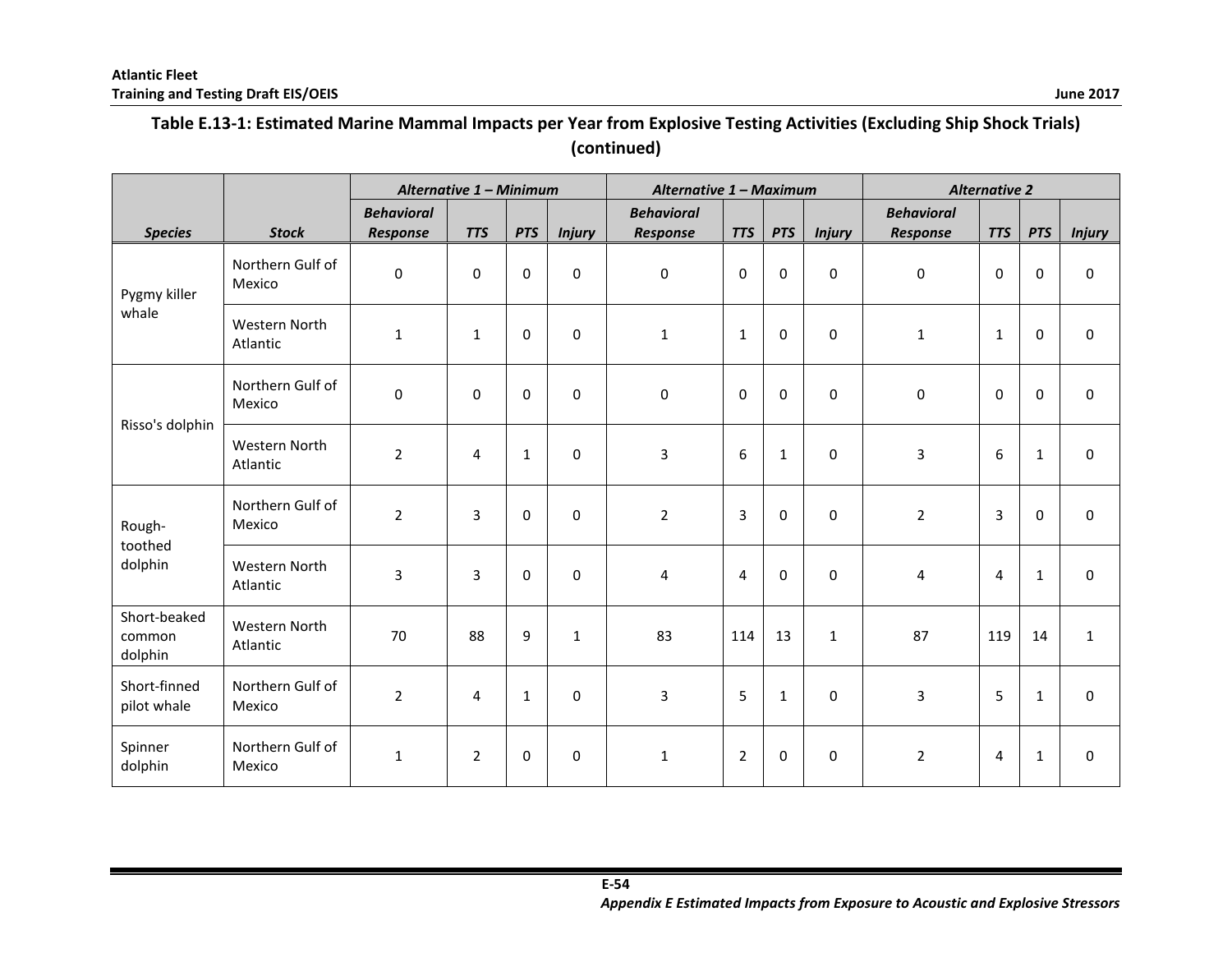|                                   |                            |                               | Alternative 1 - Minimum |              | Alternative 1 - Maximum |                                      |                |                  | <b>Alternative 2</b> |                                      |             |              |               |
|-----------------------------------|----------------------------|-------------------------------|-------------------------|--------------|-------------------------|--------------------------------------|----------------|------------------|----------------------|--------------------------------------|-------------|--------------|---------------|
| <b>Species</b>                    | <b>Stock</b>               | <b>Behavioral</b><br>Response | <b>TTS</b>              | <b>PTS</b>   | <b>Injury</b>           | <b>Behavioral</b><br><b>Response</b> | <b>TTS</b>     | <b>PTS</b>       | <b>Injury</b>        | <b>Behavioral</b><br><b>Response</b> | <b>TTS</b>  | <b>PTS</b>   | <b>Injury</b> |
| Pygmy killer                      | Northern Gulf of<br>Mexico | 0                             | 0                       | $\mathbf 0$  | 0                       | 0                                    | $\mathbf 0$    | $\mathbf 0$      | $\mathbf 0$          | 0                                    | 0           | 0            | 0             |
| whale                             | Western North<br>Atlantic  | $\mathbf{1}$                  | 1                       | 0            | 0                       | $\mathbf{1}$                         | 1              | $\boldsymbol{0}$ | $\mathbf 0$          | $\mathbf{1}$                         | 1           | 0            | $\mathbf 0$   |
|                                   | Northern Gulf of<br>Mexico | $\pmb{0}$                     | $\Omega$                | $\mathbf 0$  | $\mathbf 0$             | 0                                    | $\mathbf 0$    | $\mathbf 0$      | $\Omega$             | 0                                    | $\mathbf 0$ | $\Omega$     | $\Omega$      |
| Risso's dolphin                   | Western North<br>Atlantic  | $\overline{2}$                | 4                       | $\mathbf{1}$ | 0                       | 3                                    | 6              | $\mathbf{1}$     | $\mathbf 0$          | 3                                    | 6           | $\mathbf{1}$ | $\mathbf 0$   |
| Rough-<br>toothed                 | Northern Gulf of<br>Mexico | $\overline{2}$                | 3                       | $\mathbf 0$  | $\pmb{0}$               | $\overline{2}$                       | $\overline{3}$ | $\mathbf 0$      | $\mathbf 0$          | $\overline{2}$                       | 3           | 0            | 0             |
| dolphin                           | Western North<br>Atlantic  | $\overline{3}$                | 3                       | 0            | $\mathbf 0$             | 4                                    | 4              | $\mathbf 0$      | $\mathbf 0$          | 4                                    | 4           | $\mathbf{1}$ | $\mathbf 0$   |
| Short-beaked<br>common<br>dolphin | Western North<br>Atlantic  | 70                            | 88                      | 9            | $\mathbf{1}$            | 83                                   | 114            | 13               | $\mathbf{1}$         | 87                                   | 119         | 14           | $\mathbf{1}$  |
| Short-finned<br>pilot whale       | Northern Gulf of<br>Mexico | $\overline{2}$                | 4                       | $\mathbf{1}$ | 0                       | 3                                    | 5              | $\mathbf{1}$     | $\mathbf 0$          | 3                                    | 5           | 1            | $\mathbf 0$   |
| Spinner<br>dolphin                | Northern Gulf of<br>Mexico | $\mathbf{1}$                  | $\overline{2}$          | 0            | 0                       | $\mathbf{1}$                         | $\overline{2}$ | 0                | 0                    | $\overline{2}$                       | 4           | 1            | 0             |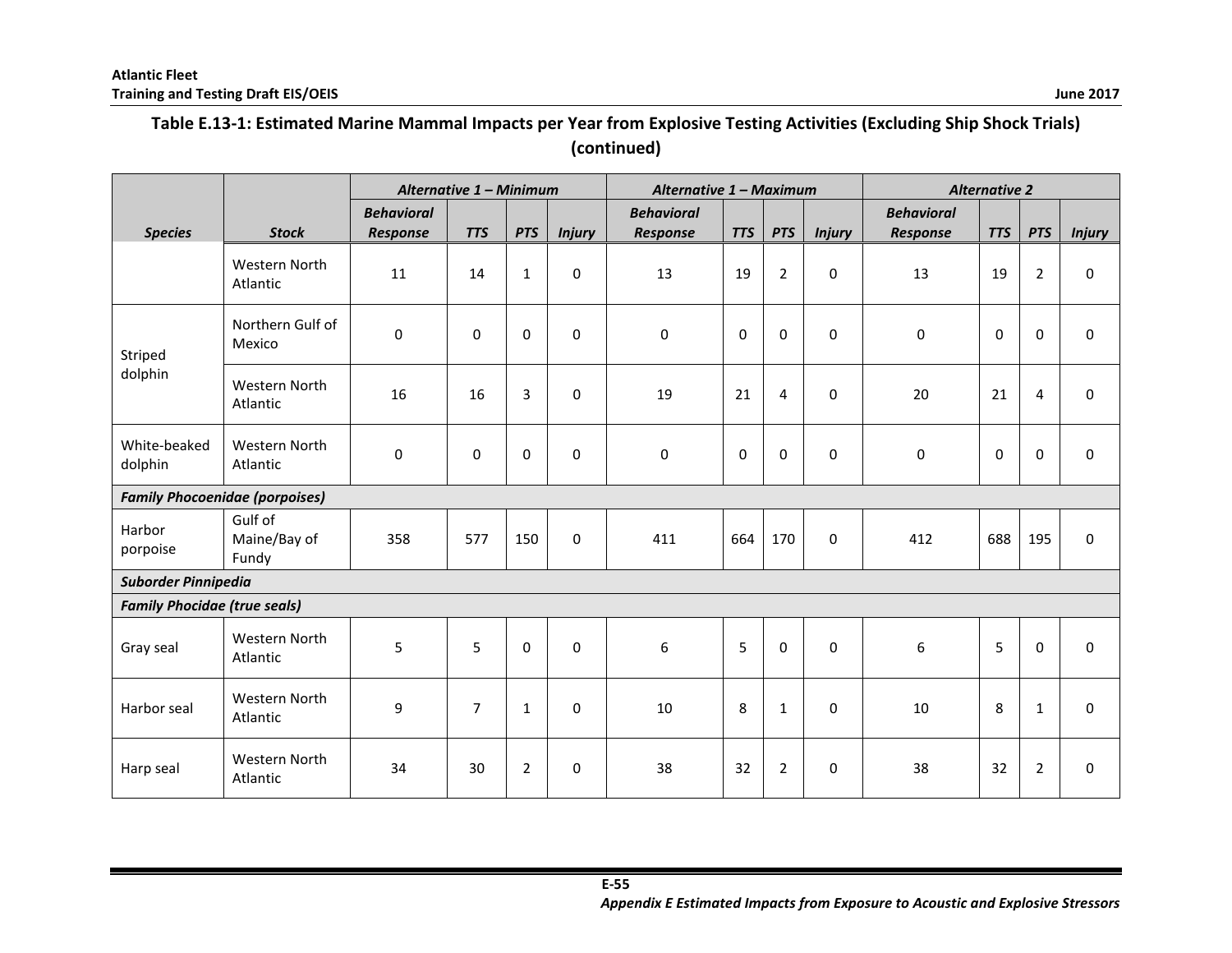|                                       |                                  | Alternative 1 - Minimum              |             |                |               | Alternative 1 - Maximum              |                          |                |               | <b>Alternative 2</b>                 |             |                |               |
|---------------------------------------|----------------------------------|--------------------------------------|-------------|----------------|---------------|--------------------------------------|--------------------------|----------------|---------------|--------------------------------------|-------------|----------------|---------------|
| <b>Species</b>                        | <b>Stock</b>                     | <b>Behavioral</b><br><b>Response</b> | <b>TTS</b>  | <b>PTS</b>     | <b>Injury</b> | <b>Behavioral</b><br><b>Response</b> | <b>PTS</b><br><b>TTS</b> |                | <b>Injury</b> | <b>Behavioral</b><br><b>Response</b> | <b>TTS</b>  | <b>PTS</b>     | <b>Injury</b> |
|                                       | Western North<br>Atlantic        | 11                                   | 14          | $\mathbf{1}$   | 0             | 13                                   | 19                       | $\overline{2}$ | $\mathbf 0$   | 13                                   | 19          | $\overline{2}$ | $\mathbf 0$   |
| Striped                               | Northern Gulf of<br>Mexico       | $\pmb{0}$                            | $\Omega$    | $\mathbf 0$    | $\mathbf 0$   | $\pmb{0}$                            | $\Omega$                 | $\mathbf 0$    | $\Omega$      | $\pmb{0}$                            | $\mathbf 0$ | $\mathbf{0}$   | 0             |
| dolphin                               | Western North<br>Atlantic        | 16                                   | 16          | 3              | 0             | 19                                   | 21                       | 4              | $\Omega$      | 20                                   | 21          | 4              | $\mathbf 0$   |
| White-beaked<br>dolphin               | Western North<br>Atlantic        | $\pmb{0}$                            | $\mathbf 0$ | 0              | $\pmb{0}$     | 0                                    | 0                        | $\mathbf 0$    | $\mathbf 0$   | 0                                    | 0           | 0              | 0             |
| <b>Family Phocoenidae (porpoises)</b> |                                  |                                      |             |                |               |                                      |                          |                |               |                                      |             |                |               |
| Harbor<br>porpoise                    | Gulf of<br>Maine/Bay of<br>Fundy | 358                                  | 577         | 150            | 0             | 411                                  | 664                      | 170            | $\mathbf 0$   | 412                                  | 688         | 195            | $\mathbf 0$   |
| <b>Suborder Pinnipedia</b>            |                                  |                                      |             |                |               |                                      |                          |                |               |                                      |             |                |               |
| <b>Family Phocidae (true seals)</b>   |                                  |                                      |             |                |               |                                      |                          |                |               |                                      |             |                |               |
| Gray seal                             | Western North<br>Atlantic        | 5                                    | 5           | $\mathbf 0$    | $\mathbf 0$   | 6                                    | 5                        | $\Omega$       | $\Omega$      | $\boldsymbol{6}$                     | 5           | $\mathbf{0}$   | $\Omega$      |
| Harbor seal                           | Western North<br>Atlantic        | 9                                    | 7           | $\mathbf{1}$   | $\mathbf 0$   | 10                                   | 8                        | $\mathbf{1}$   | $\mathbf 0$   | 10                                   | 8           | $\mathbf{1}$   | 0             |
| Harp seal                             | Western North<br>Atlantic        | 34                                   | 30          | $\overline{2}$ | 0             | 38                                   | 32                       | $\overline{2}$ | $\mathbf 0$   | 38                                   | 32          | $\overline{2}$ | $\mathbf 0$   |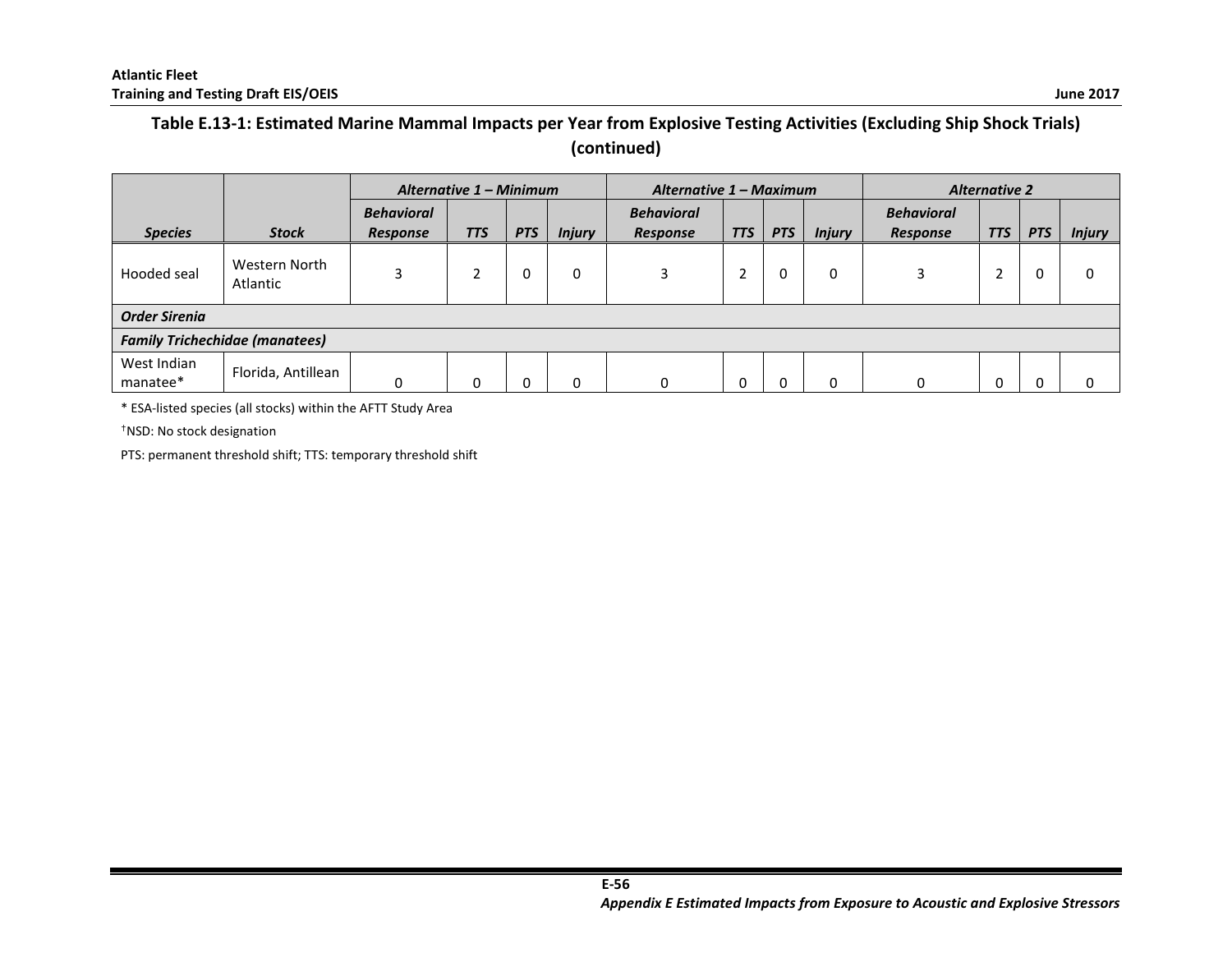|                         |                                       | Alternative 1 – Minimum       |            |                             |   | Alternative 1 – Maximum       |            | <b>Alternative 2</b> |               |                                      |            |            |               |
|-------------------------|---------------------------------------|-------------------------------|------------|-----------------------------|---|-------------------------------|------------|----------------------|---------------|--------------------------------------|------------|------------|---------------|
| <b>Species</b>          | <b>Stock</b>                          | <b>Behavioral</b><br>Response | <b>TTS</b> | <b>Injury</b><br><b>PTS</b> |   | <b>Behavioral</b><br>Response | <b>TTS</b> | <b>PTS</b>           | <b>Injury</b> | <b>Behavioral</b><br><b>Response</b> | <b>TTS</b> | <b>PTS</b> | <b>Injury</b> |
| Hooded seal             | Western North<br>Atlantic             |                               |            | 0                           | 0 |                               |            |                      | 0             |                                      | ∠          |            | 0             |
| <b>Order Sirenia</b>    |                                       |                               |            |                             |   |                               |            |                      |               |                                      |            |            |               |
|                         | <b>Family Trichechidae (manatees)</b> |                               |            |                             |   |                               |            |                      |               |                                      |            |            |               |
| West Indian<br>manatee* | Florida, Antillean                    | 0                             |            | 0                           | 0 | $\Omega$                      |            |                      | 0             |                                      |            |            |               |

\* ESA-listed species (all stocks) within the AFTT Study Area

✝NSD: No stock designation

PTS: permanent threshold shift; TTS: temporary threshold shift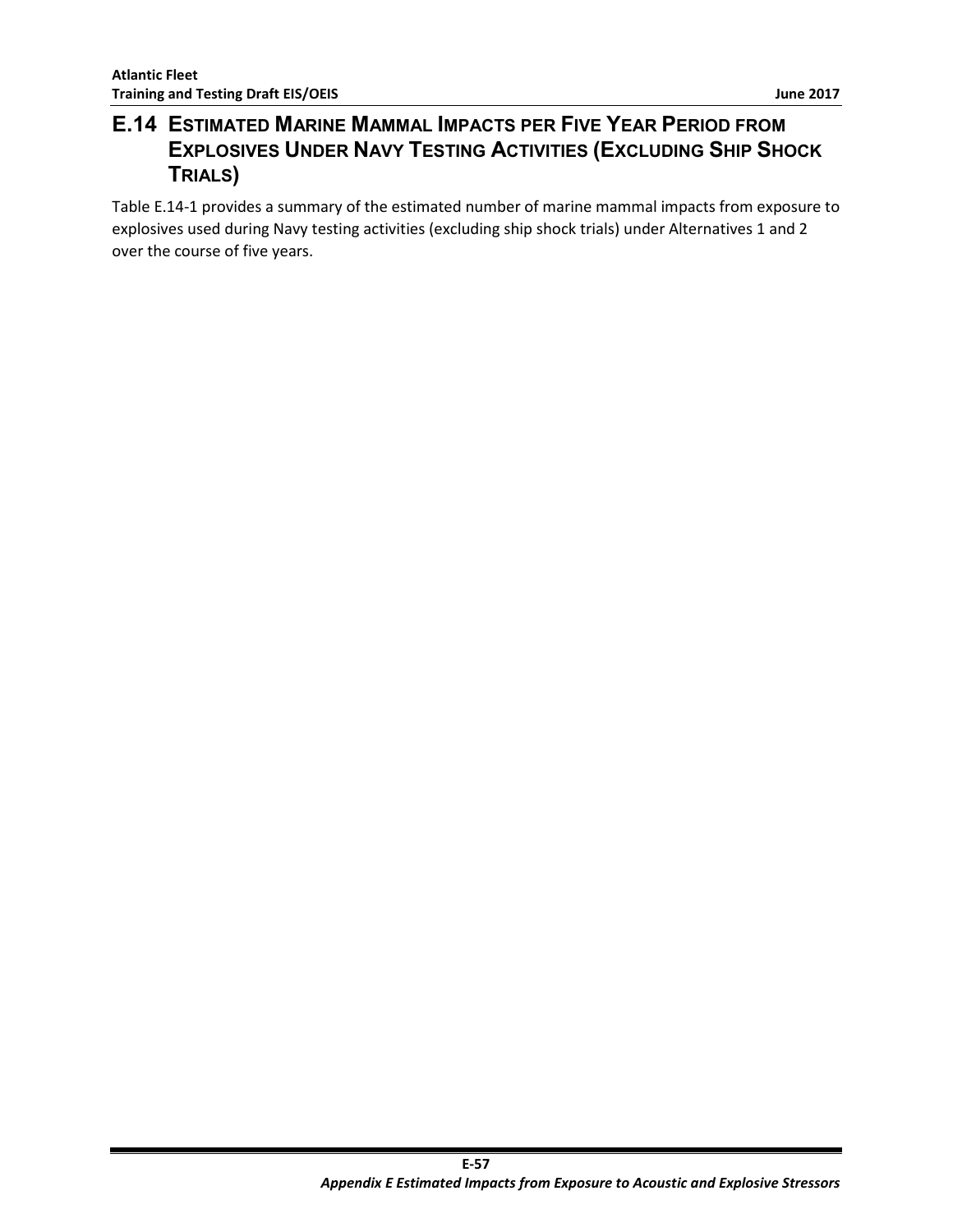# **E.14 ESTIMATED MARINE MAMMAL IMPACTS PER FIVE YEAR PERIOD FROM EXPLOSIVES UNDER NAVY TESTING ACTIVITIES (EXCLUDING SHIP SHOCK TRIALS)**

[Table E.14-1](#page-63-0) provides a summary of the estimated number of marine mammal impacts from exposure to explosives used during Navy testing activities (excluding ship shock trials) under Alternatives 1 and 2 over the course of five years.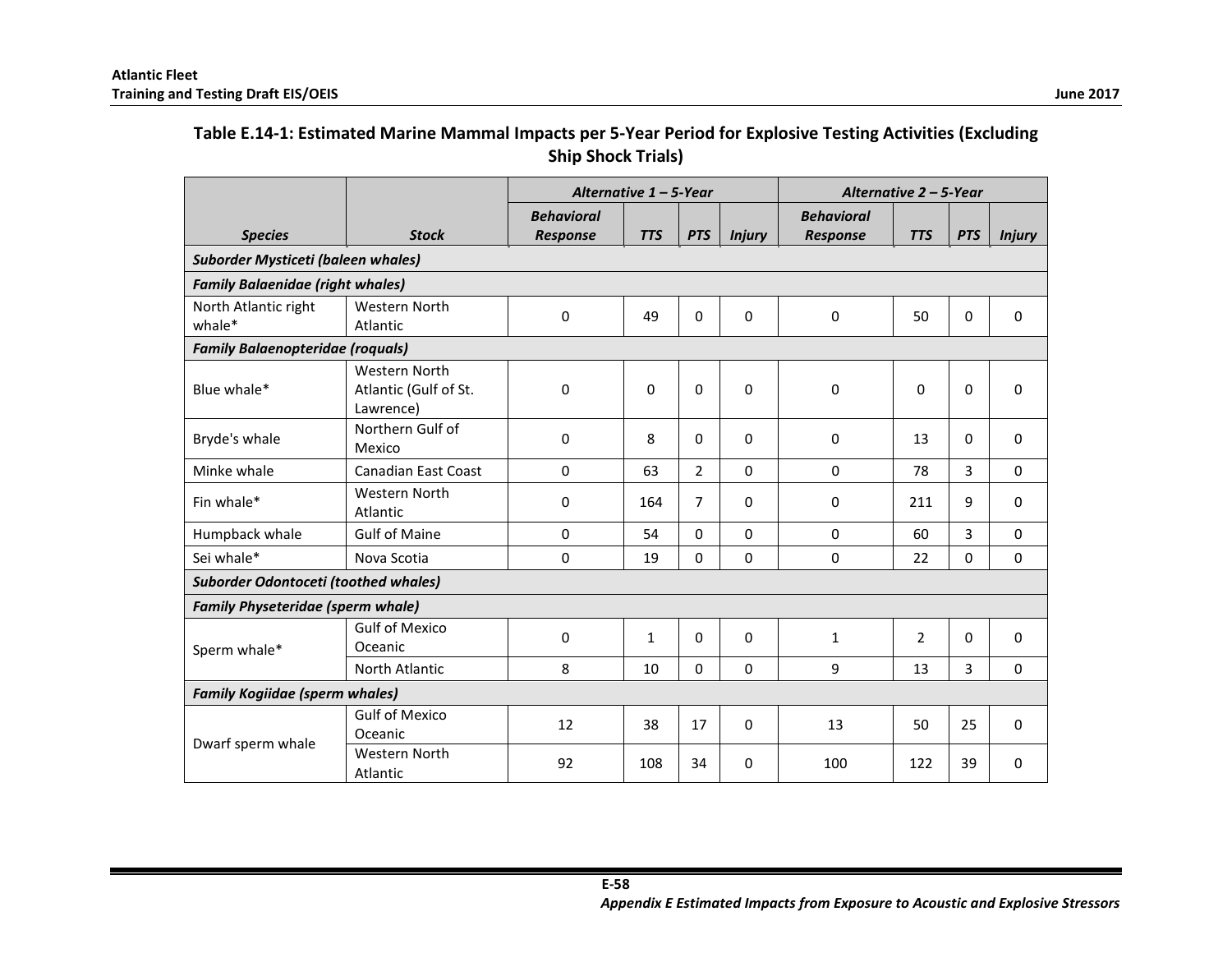<span id="page-63-0"></span>

|                                                |                                                     |                                      | Alternative $1 - 5$ -Year |                |               | Alternative 2 - 5-Year               |                |             |               |  |
|------------------------------------------------|-----------------------------------------------------|--------------------------------------|---------------------------|----------------|---------------|--------------------------------------|----------------|-------------|---------------|--|
| <b>Species</b>                                 | <b>Stock</b>                                        | <b>Behavioral</b><br><b>Response</b> | <b>TTS</b>                | <b>PTS</b>     | <b>Injury</b> | <b>Behavioral</b><br><b>Response</b> | <b>TTS</b>     | <b>PTS</b>  | <b>Injury</b> |  |
| <b>Suborder Mysticeti (baleen whales)</b>      |                                                     |                                      |                           |                |               |                                      |                |             |               |  |
| <b>Family Balaenidae (right whales)</b>        |                                                     |                                      |                           |                |               |                                      |                |             |               |  |
| North Atlantic right<br>whale*                 | Western North<br>Atlantic                           | $\Omega$                             | 49                        | $\Omega$       | $\Omega$      | $\Omega$                             | 50             | $\mathbf 0$ | 0             |  |
| <b>Family Balaenopteridae (roquals)</b>        |                                                     |                                      |                           |                |               |                                      |                |             |               |  |
| Blue whale*                                    | Western North<br>Atlantic (Gulf of St.<br>Lawrence) | $\Omega$                             | $\mathbf 0$               | $\Omega$       | $\Omega$      | $\mathbf 0$                          | $\Omega$       | $\mathbf 0$ | 0             |  |
| Bryde's whale                                  | Northern Gulf of<br>Mexico                          | 0                                    | 8                         | $\Omega$       | $\Omega$      | $\mathbf 0$                          | 13             | 0           | $\mathbf 0$   |  |
| Minke whale                                    | <b>Canadian East Coast</b>                          | $\Omega$                             | 63                        | $\overline{2}$ | $\Omega$      | $\mathbf{0}$                         | 78             | 3           | $\mathbf 0$   |  |
| Fin whale*                                     | <b>Western North</b><br>Atlantic                    | $\mathbf 0$                          | 164                       | $\overline{7}$ | $\Omega$      | 0                                    | 211            | 9           | $\mathbf 0$   |  |
| Humpback whale                                 | <b>Gulf of Maine</b>                                | 0                                    | 54                        | 0              | $\Omega$      | 0                                    | 60             | 3           | 0             |  |
| Sei whale*                                     | Nova Scotia                                         | 0                                    | 19                        | 0              | 0             | 0                                    | 22             | 0           | 0             |  |
| <b>Suborder Odontoceti (toothed whales)</b>    |                                                     |                                      |                           |                |               |                                      |                |             |               |  |
| <b>Family Physeteridae (sperm whale)</b>       |                                                     |                                      |                           |                |               |                                      |                |             |               |  |
| Sperm whale*                                   | <b>Gulf of Mexico</b><br>Oceanic                    | $\Omega$                             | 1                         | $\Omega$       | $\Omega$      | $\mathbf{1}$                         | $\overline{2}$ | $\Omega$    | $\mathbf 0$   |  |
|                                                | North Atlantic                                      | 8                                    | 10                        | $\Omega$       | $\mathbf 0$   | 9                                    | 13             | 3           | 0             |  |
| <b>Family Kogiidae (sperm whales)</b>          |                                                     |                                      |                           |                |               |                                      |                |             |               |  |
|                                                | <b>Gulf of Mexico</b><br>Oceanic                    | 12                                   | 38                        | 17             | 0             | 13                                   | 50             | 25          | 0             |  |
| Dwarf sperm whale<br>Western North<br>Atlantic |                                                     | 92                                   | 108                       | 34             | $\Omega$      | 100                                  | 122            | 39          | 0             |  |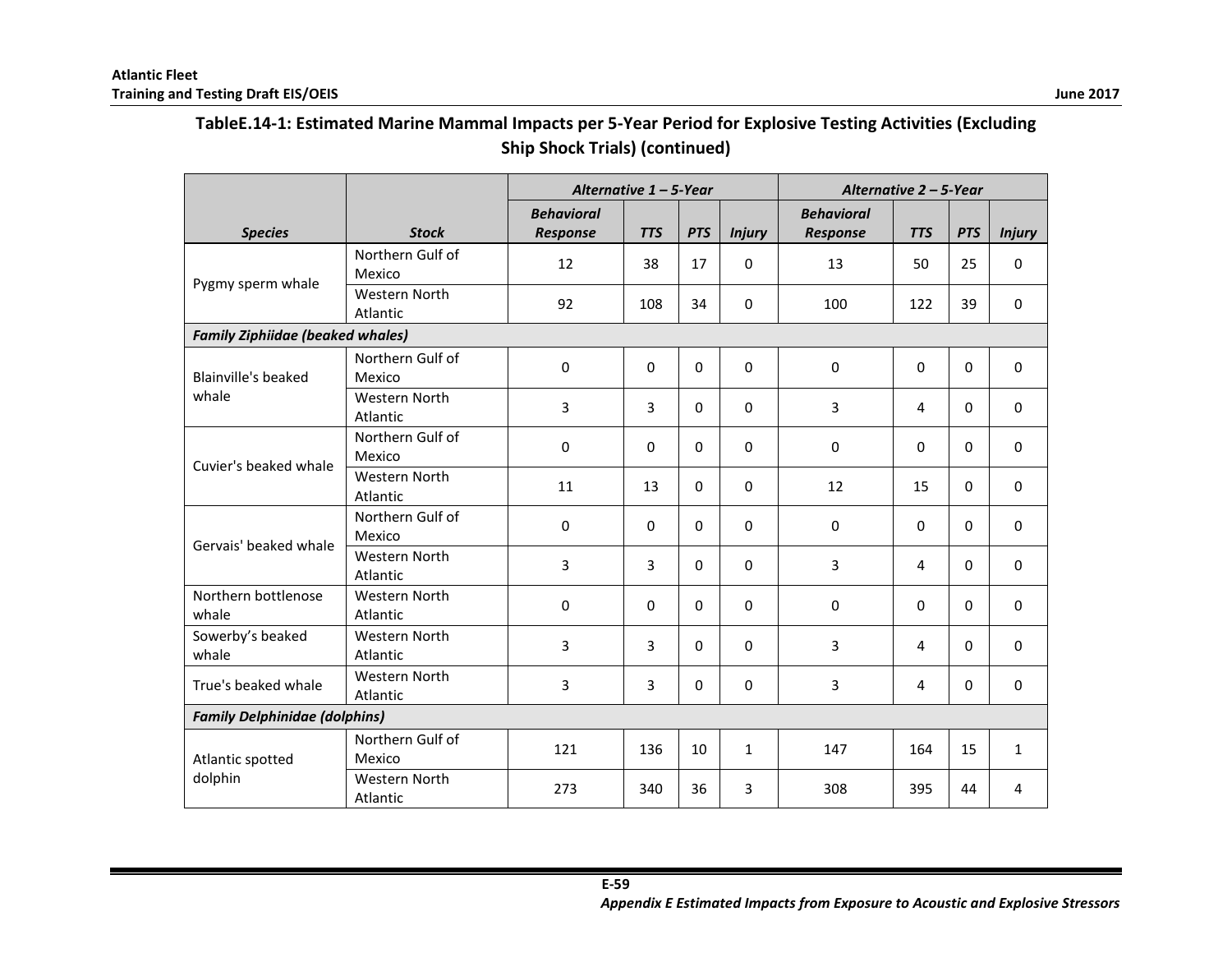|                                         |                           |                   | Alternative $1 - 5$ -Year |             |               | Alternative 2 – 5-Year |              |             |               |  |
|-----------------------------------------|---------------------------|-------------------|---------------------------|-------------|---------------|------------------------|--------------|-------------|---------------|--|
|                                         |                           | <b>Behavioral</b> |                           |             |               | <b>Behavioral</b>      |              |             |               |  |
| <b>Species</b>                          | <b>Stock</b>              | <b>Response</b>   | <b>TTS</b>                | <b>PTS</b>  | <b>Injury</b> | <b>Response</b>        | <b>TTS</b>   | <b>PTS</b>  | <b>Injury</b> |  |
|                                         | Northern Gulf of          | 12                | 38                        | 17          | $\mathbf 0$   | 13                     | 50           | 25          | $\pmb{0}$     |  |
| Pygmy sperm whale                       | Mexico                    |                   |                           |             |               |                        |              |             |               |  |
|                                         | Western North             | 92                | 108                       | 34          | $\mathbf 0$   | 100                    | 122          | 39          | $\pmb{0}$     |  |
|                                         | Atlantic                  |                   |                           |             |               |                        |              |             |               |  |
| <b>Family Ziphiidae (beaked whales)</b> |                           |                   |                           |             |               |                        |              |             |               |  |
|                                         | Northern Gulf of          | 0                 | 0                         | $\mathbf 0$ | $\mathbf 0$   | $\mathbf 0$            | $\mathbf 0$  | $\mathbf 0$ | $\pmb{0}$     |  |
| Blainville's beaked                     | Mexico                    |                   |                           |             |               |                        |              |             |               |  |
| whale                                   | <b>Western North</b>      | 3                 | 3                         | $\Omega$    | $\mathbf 0$   | 3                      | 4            | $\mathbf 0$ | $\mathbf 0$   |  |
|                                         | Atlantic                  |                   |                           |             |               |                        |              |             |               |  |
|                                         | Northern Gulf of          | $\mathbf 0$       | 0                         | $\Omega$    | $\mathbf 0$   | $\mathbf 0$            | $\mathbf{0}$ | $\mathbf 0$ | $\pmb{0}$     |  |
| Cuvier's beaked whale                   | Mexico                    |                   |                           |             |               |                        |              |             |               |  |
|                                         | Western North             | 11                | 13                        | $\mathbf 0$ | $\mathbf 0$   | 12                     | 15           | $\mathbf 0$ | 0             |  |
|                                         | Atlantic                  |                   |                           |             |               |                        |              |             |               |  |
|                                         | Northern Gulf of          | 0                 | 0                         | $\Omega$    | $\Omega$      | $\mathbf 0$            | $\mathbf{0}$ | $\Omega$    | $\mathbf 0$   |  |
| Gervais' beaked whale                   | Mexico                    |                   |                           |             |               |                        |              |             |               |  |
|                                         | Western North<br>Atlantic | 3                 | 3                         | $\Omega$    | $\mathbf 0$   | 3                      | 4            | $\mathbf 0$ | $\pmb{0}$     |  |
| Northern bottlenose                     | <b>Western North</b>      |                   |                           |             |               |                        |              |             |               |  |
| whale                                   | Atlantic                  | 0                 | 0                         | $\Omega$    | $\mathbf 0$   | 0                      | 0            | $\mathbf 0$ | $\mathbf 0$   |  |
| Sowerby's beaked                        | Western North             |                   |                           |             |               |                        |              |             |               |  |
| whale                                   | Atlantic                  | 3                 | 3                         | $\Omega$    | $\mathbf 0$   | 3                      | 4            | $\mathbf 0$ | 0             |  |
|                                         | <b>Western North</b>      |                   |                           |             |               |                        |              |             |               |  |
| True's beaked whale                     | Atlantic                  | 3                 | 3                         | $\mathbf 0$ | $\mathbf 0$   | 3                      | 4            | $\mathbf 0$ | 0             |  |
| <b>Family Delphinidae (dolphins)</b>    |                           |                   |                           |             |               |                        |              |             |               |  |
|                                         | Northern Gulf of          |                   |                           |             |               |                        |              |             |               |  |
| Atlantic spotted                        | Mexico                    | 121               | 136                       | 10          | $\mathbf{1}$  | 147                    | 164          | 15          | $\mathbf{1}$  |  |
| dolphin                                 | Western North             | 273               | 340                       | 36          | 3             | 308                    | 395          | 44          | 4             |  |
|                                         | Atlantic                  |                   |                           |             |               |                        |              |             |               |  |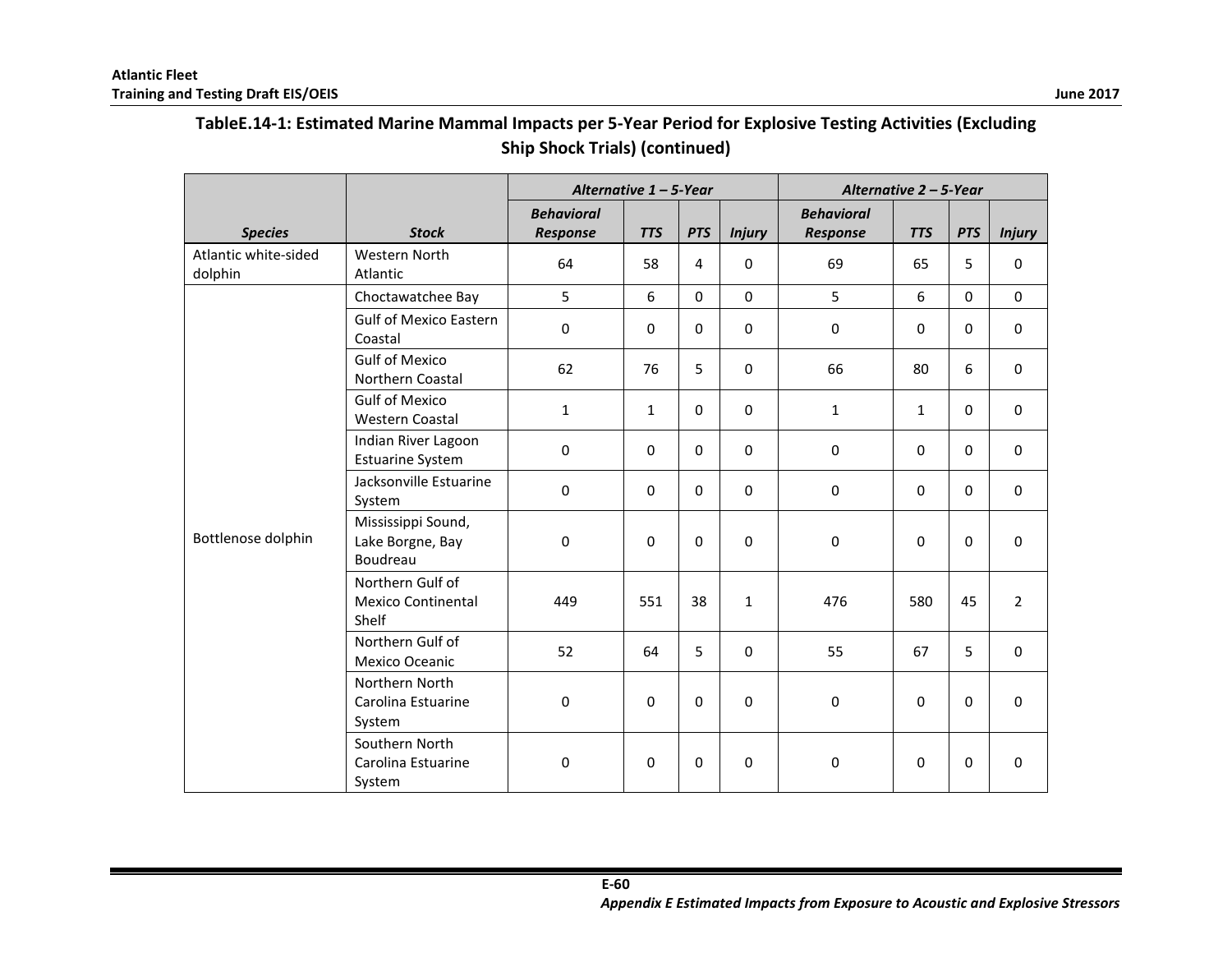|                                 |                                                        |                                      | Alternative 1-5-Year |             |               | Alternative 2 - 5-Year               |              |             |                |  |
|---------------------------------|--------------------------------------------------------|--------------------------------------|----------------------|-------------|---------------|--------------------------------------|--------------|-------------|----------------|--|
| <b>Species</b>                  | <b>Stock</b>                                           | <b>Behavioral</b><br><b>Response</b> | <b>TTS</b>           | <b>PTS</b>  | <b>Injury</b> | <b>Behavioral</b><br><b>Response</b> | <b>TTS</b>   | <b>PTS</b>  | <b>Injury</b>  |  |
| Atlantic white-sided<br>dolphin | Western North<br>Atlantic                              | 64                                   | 58                   | 4           | $\mathbf 0$   | 69                                   | 65           | 5           | $\pmb{0}$      |  |
|                                 | Choctawatchee Bay                                      | 5                                    | 6                    | 0           | $\mathbf 0$   | 5                                    | 6            | 0           | $\mathbf 0$    |  |
|                                 | <b>Gulf of Mexico Eastern</b><br>Coastal               | $\pmb{0}$                            | $\mathbf 0$          | 0           | $\mathbf 0$   | $\pmb{0}$                            | $\mathbf 0$  | 0           | $\pmb{0}$      |  |
|                                 | <b>Gulf of Mexico</b><br>Northern Coastal              | 62                                   | 76                   | 5           | $\mathbf 0$   | 66                                   | 80           | 6           | $\mathbf 0$    |  |
|                                 | <b>Gulf of Mexico</b><br><b>Western Coastal</b>        | $\mathbf{1}$                         | $\mathbf{1}$         | 0           | $\mathbf 0$   | $\mathbf{1}$                         | $\mathbf{1}$ | $\mathbf 0$ | $\mathbf 0$    |  |
|                                 | Indian River Lagoon<br><b>Estuarine System</b>         | 0                                    | $\mathbf 0$          | 0           | $\mathbf 0$   | $\pmb{0}$                            | $\Omega$     | $\Omega$    | $\mathbf 0$    |  |
|                                 | Jacksonville Estuarine<br>System                       | $\pmb{0}$                            | $\mathbf 0$          | $\mathbf 0$ | $\mathbf 0$   | $\pmb{0}$                            | $\mathbf 0$  | 0           | $\pmb{0}$      |  |
| Bottlenose dolphin              | Mississippi Sound,<br>Lake Borgne, Bay<br>Boudreau     | 0                                    | $\mathbf 0$          | 0           | $\mathbf 0$   | $\pmb{0}$                            | $\Omega$     | $\Omega$    | $\mathbf 0$    |  |
|                                 | Northern Gulf of<br><b>Mexico Continental</b><br>Shelf | 449                                  | 551                  | 38          | $\mathbf{1}$  | 476                                  | 580          | 45          | $\overline{2}$ |  |
|                                 | Northern Gulf of<br>Mexico Oceanic                     | 52                                   | 64                   | 5           | $\mathbf 0$   | 55                                   | 67           | 5           | 0              |  |
|                                 | Northern North<br>Carolina Estuarine<br>System         | 0                                    | $\mathbf 0$          | 0           | $\mathbf 0$   | $\pmb{0}$                            | $\mathbf 0$  | 0           | $\mathbf 0$    |  |
|                                 | Southern North<br>Carolina Estuarine<br>System         | $\pmb{0}$                            | $\mathbf 0$          | 0           | $\mathbf 0$   | $\pmb{0}$                            | $\mathbf 0$  | 0           | $\mathbf 0$    |  |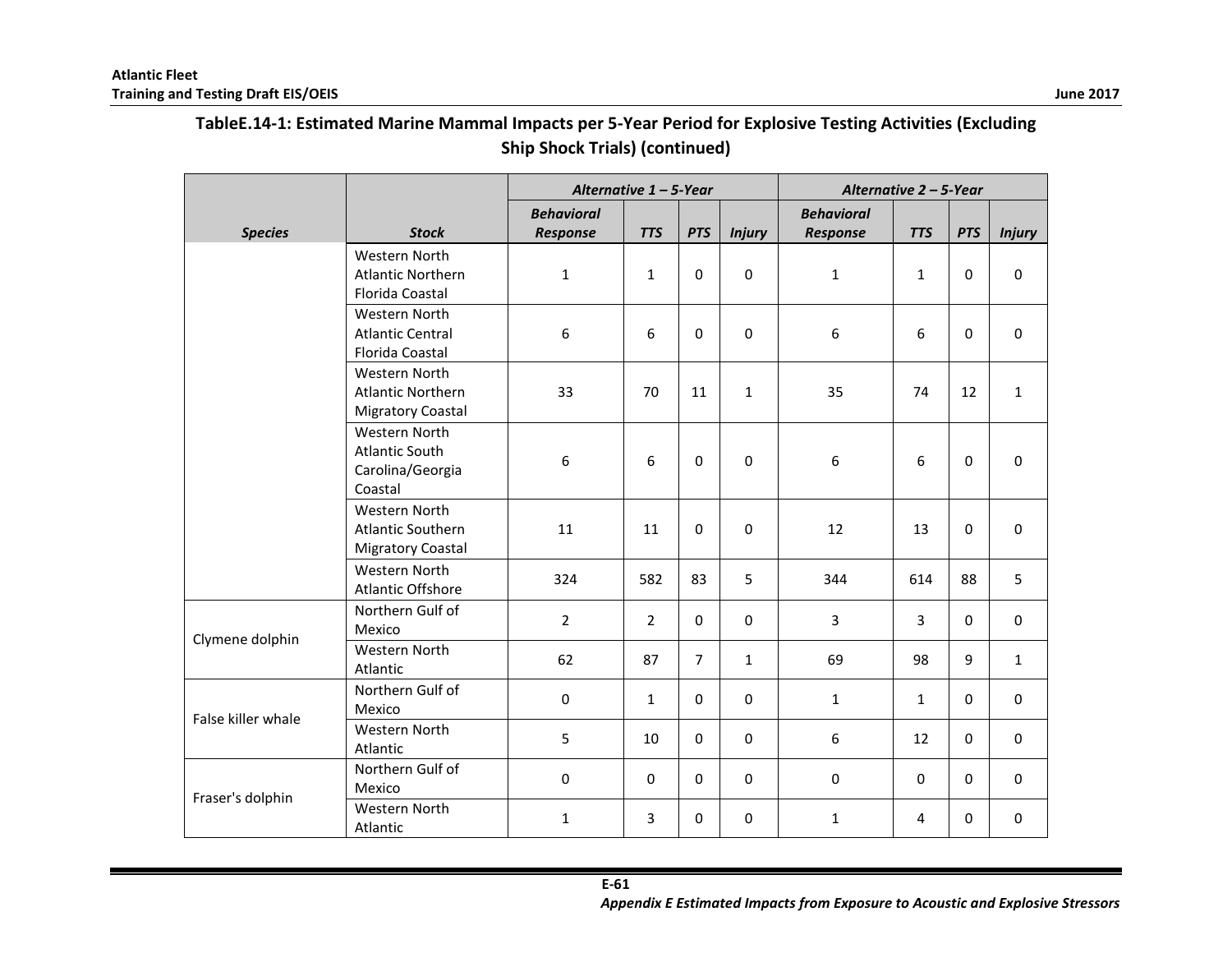|                    |                                        |                   | Alternative 1-5-Year |                |               | Alternative 2 - 5-Year |              |             |               |  |
|--------------------|----------------------------------------|-------------------|----------------------|----------------|---------------|------------------------|--------------|-------------|---------------|--|
|                    |                                        | <b>Behavioral</b> |                      |                |               | <b>Behavioral</b>      |              |             |               |  |
| <b>Species</b>     | <b>Stock</b>                           | <b>Response</b>   | <b>TTS</b>           | <b>PTS</b>     | <b>Injury</b> | <b>Response</b>        | <b>TTS</b>   | <b>PTS</b>  | <b>Injury</b> |  |
|                    | Western North                          |                   |                      |                |               |                        |              |             |               |  |
|                    | <b>Atlantic Northern</b>               | $\mathbf{1}$      | $\mathbf{1}$         | $\pmb{0}$      | $\mathbf 0$   | $\mathbf{1}$           | $\mathbf{1}$ | 0           | $\pmb{0}$     |  |
|                    | Florida Coastal                        |                   |                      |                |               |                        |              |             |               |  |
|                    | Western North                          |                   |                      |                |               |                        |              |             |               |  |
|                    | <b>Atlantic Central</b>                | 6                 | 6                    | 0              | $\mathbf 0$   | 6                      | 6            | 0           | 0             |  |
|                    | Florida Coastal                        |                   |                      |                |               |                        |              |             |               |  |
|                    | Western North                          |                   |                      |                |               |                        |              |             |               |  |
|                    | <b>Atlantic Northern</b>               | 33                | 70                   | 11             | $\mathbf{1}$  | 35                     | 74           | 12          | $\mathbf{1}$  |  |
|                    | <b>Migratory Coastal</b>               |                   |                      |                |               |                        |              |             |               |  |
|                    | Western North<br><b>Atlantic South</b> |                   |                      |                |               |                        |              |             |               |  |
|                    | Carolina/Georgia                       | 6                 | 6                    | 0              | $\mathbf 0$   | 6                      | 6            | $\mathbf 0$ | $\pmb{0}$     |  |
|                    | Coastal                                |                   |                      |                |               |                        |              |             |               |  |
|                    | Western North                          |                   |                      |                |               |                        |              |             |               |  |
|                    | <b>Atlantic Southern</b>               | 11                | 11                   | 0              | 0             | 12                     | 13           | 0           | $\pmb{0}$     |  |
|                    | <b>Migratory Coastal</b>               |                   |                      |                |               |                        |              |             |               |  |
|                    | Western North                          | 324               | 582                  | 83             | 5             | 344                    | 614          | 88          | 5             |  |
|                    | <b>Atlantic Offshore</b>               |                   |                      |                |               |                        |              |             |               |  |
|                    | Northern Gulf of                       | $\overline{2}$    | $\overline{2}$       | 0              | $\mathbf 0$   | $\overline{3}$         | 3            | $\mathbf 0$ | 0             |  |
| Clymene dolphin    | Mexico                                 |                   |                      |                |               |                        |              |             |               |  |
|                    | Western North                          | 62                | 87                   | $\overline{7}$ | $\mathbf{1}$  | 69                     | 98           | 9           | $\mathbf{1}$  |  |
|                    | Atlantic                               |                   |                      |                |               |                        |              |             |               |  |
|                    | Northern Gulf of                       | $\mathbf 0$       | $\mathbf{1}$         | $\Omega$       | $\Omega$      | $\mathbf{1}$           | $\mathbf{1}$ | $\Omega$    | 0             |  |
| False killer whale | Mexico                                 |                   |                      |                |               |                        |              |             |               |  |
|                    | Western North<br>Atlantic              | 5                 | 10                   | 0              | $\mathbf 0$   | 6                      | 12           | $\mathbf 0$ | 0             |  |
|                    | Northern Gulf of                       |                   |                      |                |               |                        |              |             |               |  |
|                    | Mexico                                 | $\pmb{0}$         | $\mathbf 0$          | 0              | $\mathbf 0$   | $\pmb{0}$              | 0            | $\mathbf 0$ | 0             |  |
| Fraser's dolphin   | Western North                          |                   |                      |                |               |                        |              |             |               |  |
|                    | Atlantic                               | $\mathbf{1}$      | $\overline{3}$       | 0              | $\mathbf 0$   | $\mathbf{1}$           | 4            | $\mathbf 0$ | $\pmb{0}$     |  |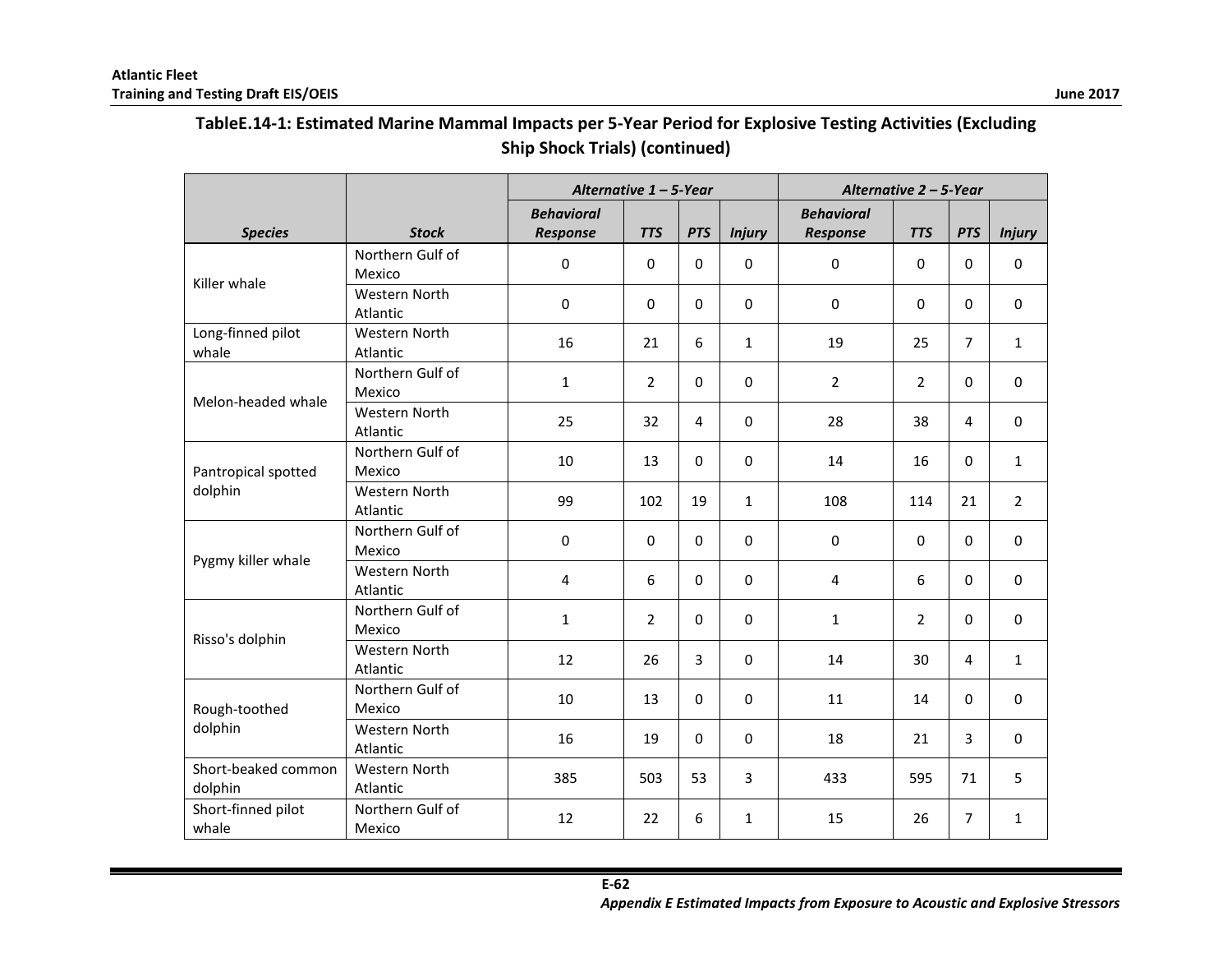|                                |                            |                   | Alternative 1-5-Year |            |               | Alternative 2 - 5-Year |                |                |                |  |
|--------------------------------|----------------------------|-------------------|----------------------|------------|---------------|------------------------|----------------|----------------|----------------|--|
|                                |                            | <b>Behavioral</b> |                      |            |               | <b>Behavioral</b>      |                |                |                |  |
| <b>Species</b>                 | <b>Stock</b>               | <b>Response</b>   | <b>TTS</b>           | <b>PTS</b> | <b>Injury</b> | <b>Response</b>        | <b>TTS</b>     | <b>PTS</b>     | <b>Injury</b>  |  |
|                                | Northern Gulf of           | $\boldsymbol{0}$  | 0                    | $\Omega$   | $\mathbf 0$   | $\mathbf 0$            | $\mathbf 0$    | 0              | 0              |  |
| Killer whale                   | Mexico                     |                   |                      |            |               |                        |                |                |                |  |
|                                | Western North              | $\mathbf 0$       | 0                    | 0          | $\mathbf 0$   | $\pmb{0}$              | $\mathbf 0$    | 0              | 0              |  |
|                                | Atlantic                   |                   |                      |            |               |                        |                |                |                |  |
| Long-finned pilot              | Western North              | 16                | 21                   | 6          | $\mathbf{1}$  | 19                     | 25             | $\overline{7}$ | $\mathbf{1}$   |  |
| whale                          | Atlantic                   |                   |                      |            |               |                        |                |                |                |  |
|                                | Northern Gulf of           | $\mathbf{1}$      | $\overline{2}$       | $\Omega$   | $\mathbf 0$   | $\overline{2}$         | $\overline{2}$ | 0              | 0              |  |
| Melon-headed whale             | Mexico                     |                   |                      |            |               |                        |                |                |                |  |
|                                | Western North              | 25                | 32                   | 4          | $\mathbf 0$   | 28                     | 38             | 4              | 0              |  |
|                                | Atlantic                   |                   |                      |            |               |                        |                |                |                |  |
|                                | Northern Gulf of<br>Mexico | 10                | 13                   | 0          | $\mathbf 0$   | 14                     | 16             | 0              | $\mathbf{1}$   |  |
| Pantropical spotted<br>dolphin | Western North              |                   |                      |            |               |                        |                |                |                |  |
|                                | Atlantic                   | 99                | 102                  | 19         | $\mathbf{1}$  | 108                    | 114            | 21             | $\overline{2}$ |  |
|                                | Northern Gulf of           |                   |                      |            |               |                        |                |                |                |  |
|                                | Mexico                     | $\mathbf 0$       | $\Omega$             | $\Omega$   | $\mathbf 0$   | $\mathbf 0$            | $\Omega$       | 0              | 0              |  |
| Pygmy killer whale             | Western North              |                   |                      |            |               |                        |                |                |                |  |
|                                | Atlantic                   | 4                 | 6                    | 0          | $\mathbf 0$   | 4                      | 6              | 0              | 0              |  |
|                                | Northern Gulf of           |                   |                      |            |               |                        |                |                |                |  |
|                                | Mexico                     | $\mathbf{1}$      | $\overline{2}$       | $\Omega$   | $\mathbf 0$   | $\mathbf{1}$           | $\overline{2}$ | 0              | 0              |  |
| Risso's dolphin                | Western North              | 12                | 26                   | 3          | $\mathbf 0$   | 14                     | 30             | 4              | $\mathbf{1}$   |  |
|                                | Atlantic                   |                   |                      |            |               |                        |                |                |                |  |
|                                | Northern Gulf of           | 10                | 13                   | 0          | $\Omega$      | 11                     | 14             | 0              | 0              |  |
| Rough-toothed                  | Mexico                     |                   |                      |            |               |                        |                |                |                |  |
| dolphin                        | Western North              | 16                | 19                   | $\Omega$   | $\Omega$      | 18                     | 21             | 3              | 0              |  |
|                                | Atlantic                   |                   |                      |            |               |                        |                |                |                |  |
| Short-beaked common            | Western North              | 385               | 503                  | 53         | 3             | 433                    | 595            | 71             | 5              |  |
| dolphin                        | Atlantic                   |                   |                      |            |               |                        |                |                |                |  |
| Short-finned pilot             | Northern Gulf of           | 12                | 22                   | 6          | $\mathbf{1}$  | 15                     | 26             | $\overline{7}$ | $\mathbf{1}$   |  |
| whale                          | Mexico                     |                   |                      |            |               |                        |                |                |                |  |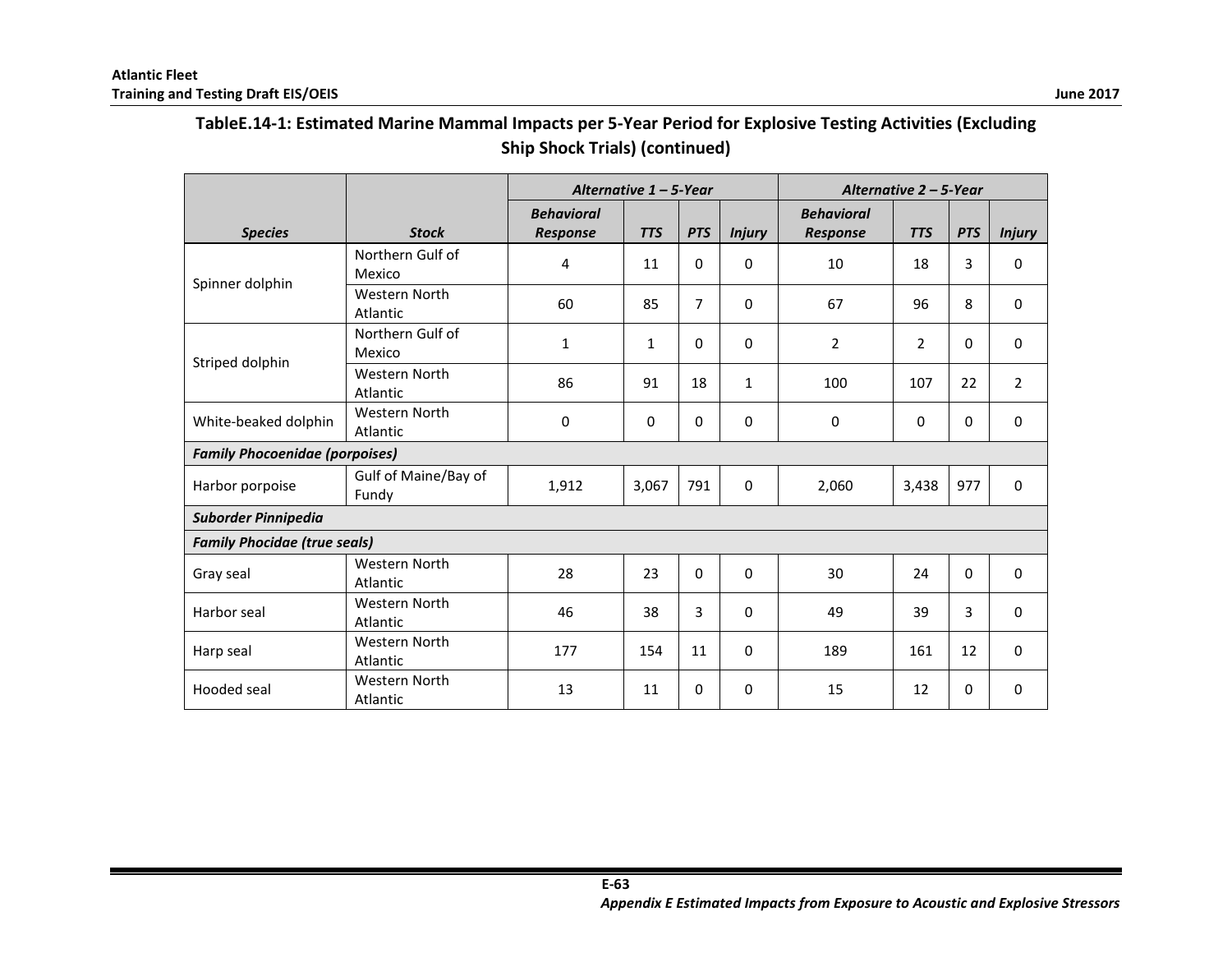|                                       |                                  |                   | Alternative 1 - 5-Year |             |               | Alternative 2 - 5-Year |            |            |                |  |
|---------------------------------------|----------------------------------|-------------------|------------------------|-------------|---------------|------------------------|------------|------------|----------------|--|
|                                       |                                  | <b>Behavioral</b> |                        |             |               | <b>Behavioral</b>      |            |            |                |  |
| <b>Species</b>                        | <b>Stock</b>                     | <b>Response</b>   | <b>TTS</b>             | <b>PTS</b>  | <b>Injury</b> | <b>Response</b>        | <b>TTS</b> | <b>PTS</b> | <b>Injury</b>  |  |
|                                       | Northern Gulf of<br>Mexico       | 4                 | 11                     | $\Omega$    | $\Omega$      | 10                     | 18         | 3          | 0              |  |
| Spinner dolphin                       | Western North<br>Atlantic        | 60                | 85                     | 7           | $\Omega$      | 67                     | 96         | 8          | 0              |  |
| Striped dolphin                       | Northern Gulf of<br>Mexico       | $\mathbf{1}$      | 1                      | $\Omega$    | $\Omega$      | $\overline{2}$         | 2          | 0          | $\mathbf 0$    |  |
|                                       | Western North<br>Atlantic        | 86                | 91                     | 18          | 1             | 100                    | 107        | 22         | $\overline{2}$ |  |
| White-beaked dolphin                  | Western North<br>Atlantic        | 0                 | 0                      | 0           | 0             | 0                      | 0          | 0          | 0              |  |
| <b>Family Phocoenidae (porpoises)</b> |                                  |                   |                        |             |               |                        |            |            |                |  |
| Harbor porpoise                       | Gulf of Maine/Bay of<br>Fundy    | 1,912             | 3,067                  | 791         | 0             | 2,060                  | 3,438      | 977        | 0              |  |
| <b>Suborder Pinnipedia</b>            |                                  |                   |                        |             |               |                        |            |            |                |  |
| <b>Family Phocidae (true seals)</b>   |                                  |                   |                        |             |               |                        |            |            |                |  |
| Gray seal                             | Western North<br>Atlantic        | 28                | 23                     | $\mathbf 0$ | 0             | 30                     | 24         | 0          | $\mathbf 0$    |  |
| Harbor seal                           | Western North<br>Atlantic        | 46                | 38                     | 3           | $\Omega$      | 49                     | 39         | 3          | $\mathbf 0$    |  |
| Harp seal                             | Western North<br>Atlantic        | 177               | 154                    | 11          | $\Omega$      | 189                    | 161        | 12         | $\mathbf 0$    |  |
| Hooded seal                           | <b>Western North</b><br>Atlantic | 13                | 11                     | 0           | 0             | 15                     | 12         | 0          | 0              |  |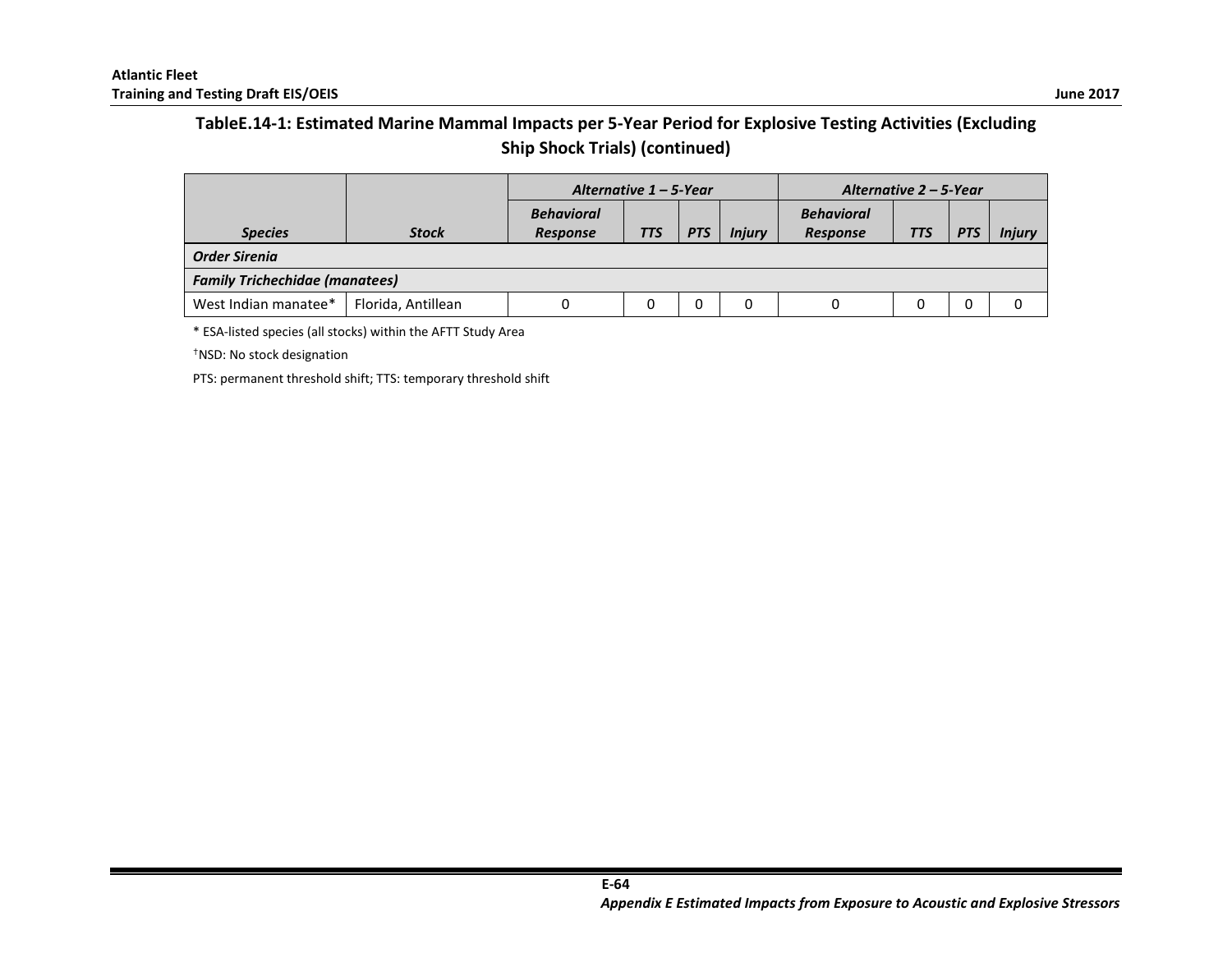|                                       |                    |                   | Alternative $1 - 5$ -Year |            |                   | Alternative 2 – 5-Year |            |            |               |  |
|---------------------------------------|--------------------|-------------------|---------------------------|------------|-------------------|------------------------|------------|------------|---------------|--|
|                                       |                    | <b>Behavioral</b> |                           |            | <b>Behavioral</b> |                        |            |            |               |  |
| <b>Species</b>                        | <b>Stock</b>       | <b>Response</b>   | TTS                       | <b>PTS</b> | <b>Injury</b>     | <b>Response</b>        | <b>TTS</b> | <b>PTS</b> | <b>Injury</b> |  |
| <b>Order Sirenia</b>                  |                    |                   |                           |            |                   |                        |            |            |               |  |
| <b>Family Trichechidae (manatees)</b> |                    |                   |                           |            |                   |                        |            |            |               |  |
| West Indian manatee*                  | Florida, Antillean |                   |                           |            |                   |                        |            | 0          |               |  |

\* ESA-listed species (all stocks) within the AFTT Study Area

✝NSD: No stock designation

PTS: permanent threshold shift; TTS: temporary threshold shift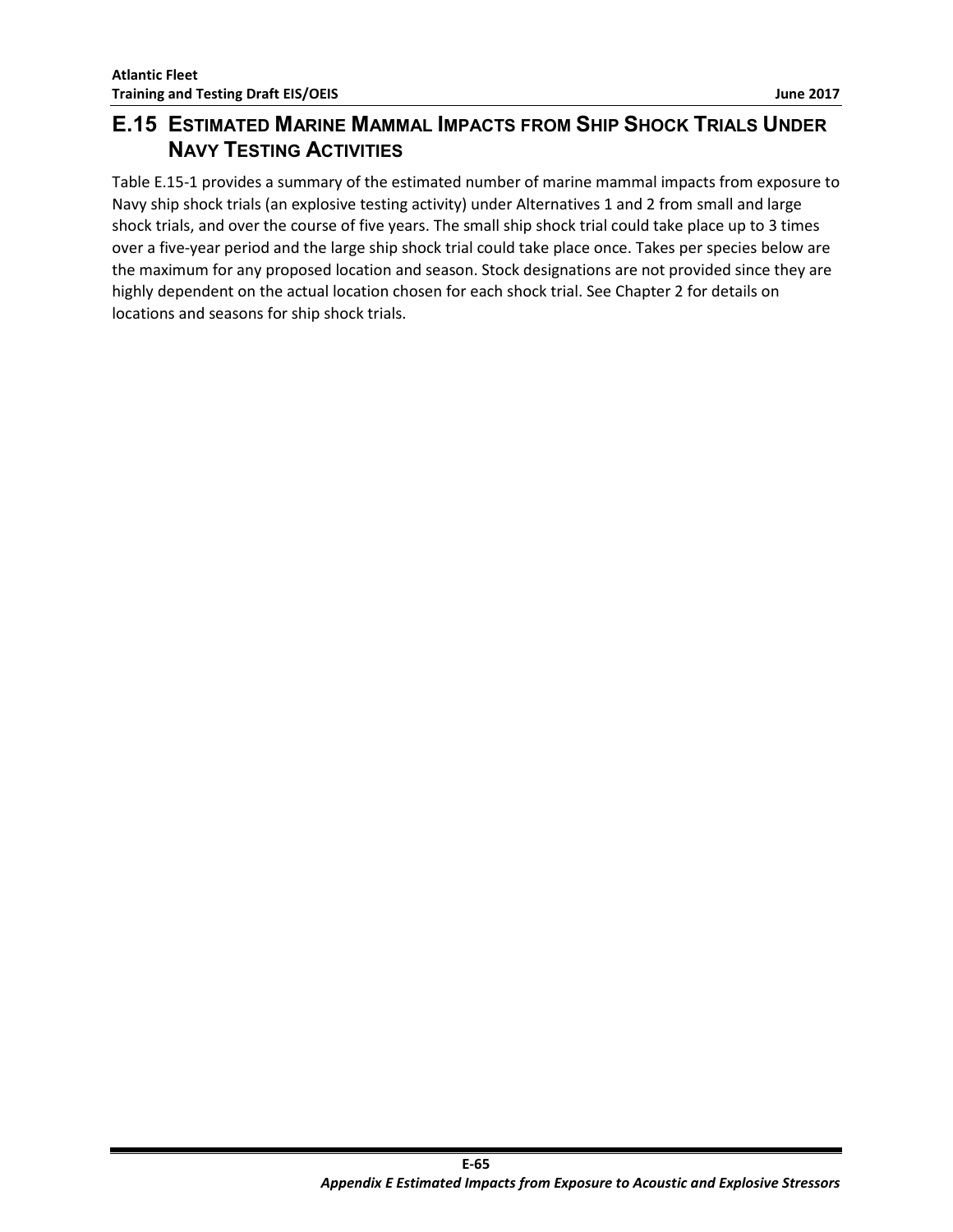# **E.15 ESTIMATED MARINE MAMMAL IMPACTS FROM SHIP SHOCK TRIALS UNDER NAVY TESTING ACTIVITIES**

[Table E.15-1](#page-71-0) provides a summary of the estimated number of marine mammal impacts from exposure to Navy ship shock trials (an explosive testing activity) under Alternatives 1 and 2 from small and large shock trials, and over the course of five years. The small ship shock trial could take place up to 3 times over a five-year period and the large ship shock trial could take place once. Takes per species below are the maximum for any proposed location and season. Stock designations are not provided since they are highly dependent on the actual location chosen for each shock trial. See Chapter 2 for details on locations and seasons for ship shock trials.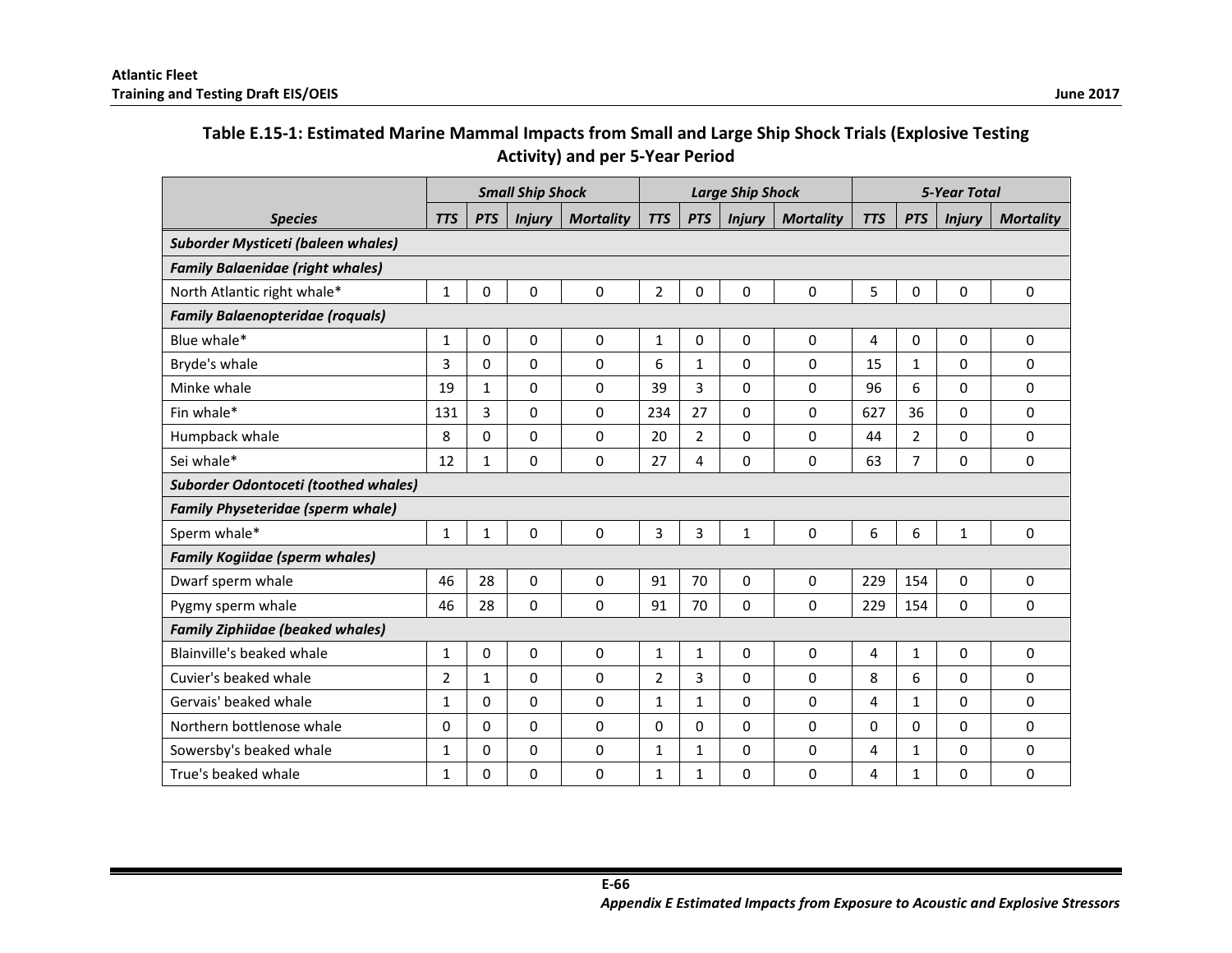### **Table E.15-1: Estimated Marine Mammal Impacts from Small and Large Ship Shock Trials (Explosive Testing Activity) and per 5-Year Period**

<span id="page-71-0"></span>

|                                             |                |              | <b>Small Ship Shock</b> |                  | <b>Large Ship Shock</b> |                |               | <b>5-Year Total</b> |            |                |               |                  |
|---------------------------------------------|----------------|--------------|-------------------------|------------------|-------------------------|----------------|---------------|---------------------|------------|----------------|---------------|------------------|
| <b>Species</b>                              | <b>TTS</b>     | <b>PTS</b>   | <b>Injury</b>           | <b>Mortality</b> | <b>TTS</b>              | <b>PTS</b>     | <b>Injury</b> | <b>Mortality</b>    | <b>TTS</b> | <b>PTS</b>     | <b>Injury</b> | <b>Mortality</b> |
| <b>Suborder Mysticeti (baleen whales)</b>   |                |              |                         |                  |                         |                |               |                     |            |                |               |                  |
| <b>Family Balaenidae (right whales)</b>     |                |              |                         |                  |                         |                |               |                     |            |                |               |                  |
| North Atlantic right whale*                 | 1              | 0            | 0                       | 0                | $\overline{2}$          | $\Omega$       | 0             | $\Omega$            | 5          | 0              | $\mathbf 0$   | $\mathbf 0$      |
| <b>Family Balaenopteridae (roquals)</b>     |                |              |                         |                  |                         |                |               |                     |            |                |               |                  |
| Blue whale*                                 | 1              | 0            | 0                       | 0                | $\mathbf{1}$            | $\mathbf 0$    | 0             | 0                   | 4          | 0              | $\mathbf 0$   | $\mathbf 0$      |
| Bryde's whale                               | 3              | $\Omega$     | $\Omega$                | $\Omega$         | 6                       | $\mathbf{1}$   | $\Omega$      | $\Omega$            | 15         | $\mathbf{1}$   | $\Omega$      | $\Omega$         |
| Minke whale                                 | 19             | $\mathbf{1}$ | $\Omega$                | 0                | 39                      | 3              | $\Omega$      | $\Omega$            | 96         | 6              | $\Omega$      | $\Omega$         |
| Fin whale*                                  | 131            | 3            | $\Omega$                | 0                | 234                     | 27             | $\Omega$      | $\Omega$            | 627        | 36             | $\Omega$      | $\Omega$         |
| Humpback whale                              | 8              | $\Omega$     | $\Omega$                | 0                | 20                      | $\overline{2}$ | $\Omega$      | $\Omega$            | 44         | $\overline{2}$ | $\Omega$      | $\mathbf 0$      |
| Sei whale*                                  | 12             | $\mathbf{1}$ | $\Omega$                | 0                | 27                      | 4              | 0             | 0                   | 63         | $\overline{7}$ | $\mathbf 0$   | $\mathbf 0$      |
| <b>Suborder Odontoceti (toothed whales)</b> |                |              |                         |                  |                         |                |               |                     |            |                |               |                  |
| <b>Family Physeteridae (sperm whale)</b>    |                |              |                         |                  |                         |                |               |                     |            |                |               |                  |
| Sperm whale*                                | 1              | $\mathbf{1}$ | 0                       | 0                | 3                       | 3              | 1             | 0                   | 6          | 6              | 1             | $\mathbf 0$      |
| <b>Family Kogiidae (sperm whales)</b>       |                |              |                         |                  |                         |                |               |                     |            |                |               |                  |
| Dwarf sperm whale                           | 46             | 28           | $\Omega$                | 0                | 91                      | 70             | 0             | 0                   | 229        | 154            | $\mathbf 0$   | $\mathbf 0$      |
| Pygmy sperm whale                           | 46             | 28           | 0                       | 0                | 91                      | 70             | 0             | 0                   | 229        | 154            | 0             | $\mathbf 0$      |
| <b>Family Ziphiidae (beaked whales)</b>     |                |              |                         |                  |                         |                |               |                     |            |                |               |                  |
| Blainville's beaked whale                   | 1              | 0            | 0                       | 0                | $\mathbf{1}$            | $\mathbf{1}$   | 0             | 0                   | 4          | $\mathbf{1}$   | 0             | $\mathbf 0$      |
| Cuvier's beaked whale                       | $\overline{2}$ | $\mathbf{1}$ | 0                       | 0                | $\overline{2}$          | 3              | 0             | 0                   | 8          | 6              | 0             | 0                |
| Gervais' beaked whale                       | 1              | 0            | 0                       | 0                | $\mathbf{1}$            | $\mathbf{1}$   | 0             | 0                   | 4          | $\mathbf{1}$   | 0             | $\mathbf 0$      |
| Northern bottlenose whale                   | 0              | 0            | 0                       | 0                | $\mathbf 0$             | 0              | 0             | 0                   | 0          | 0              | 0             | $\mathbf 0$      |
| Sowersby's beaked whale                     | 1              | 0            | 0                       | 0                | $\mathbf{1}$            | $\mathbf{1}$   | 0             | 0                   | 4          | $\mathbf{1}$   | $\mathbf 0$   | $\mathbf 0$      |
| True's beaked whale                         | $\mathbf{1}$   | 0            | 0                       | 0                | $\mathbf{1}$            | $\mathbf{1}$   | 0             | 0                   | 4          | $\mathbf{1}$   | 0             | $\mathbf 0$      |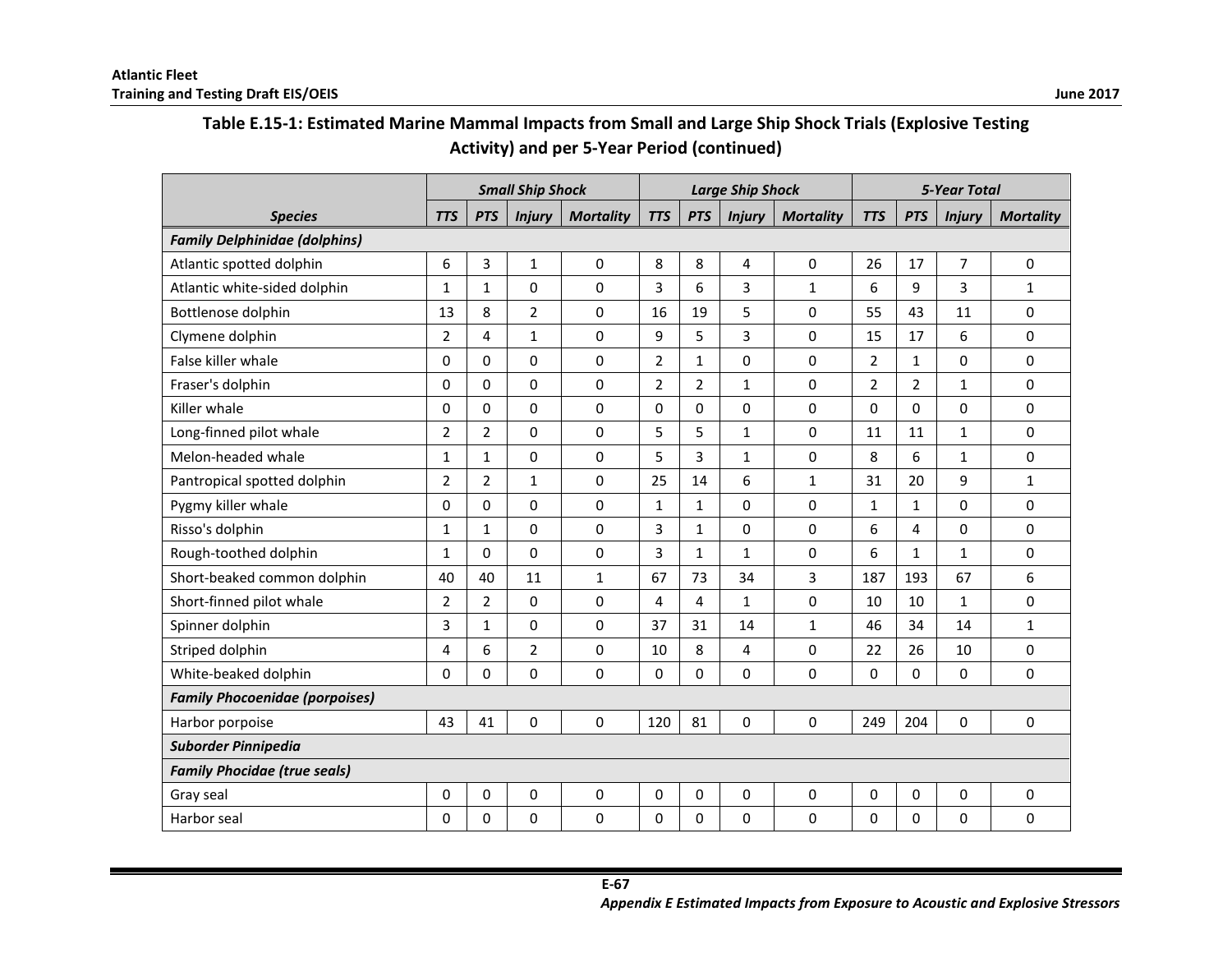### **Table E.15-1: Estimated Marine Mammal Impacts from Small and Large Ship Shock Trials (Explosive Testing Activity) and per 5-Year Period (continued)**

|                                       |                |                | <b>Small Ship Shock</b> |                  |                |                | <b>Large Ship Shock</b> |                  | <b>5-Year Total</b> |                |                |                  |
|---------------------------------------|----------------|----------------|-------------------------|------------------|----------------|----------------|-------------------------|------------------|---------------------|----------------|----------------|------------------|
| <b>Species</b>                        | <b>TTS</b>     | <b>PTS</b>     | <b>Injury</b>           | <b>Mortality</b> | <b>TTS</b>     | <b>PTS</b>     | <b>Injury</b>           | <b>Mortality</b> | <b>TTS</b>          | <b>PTS</b>     | <b>Injury</b>  | <b>Mortality</b> |
| <b>Family Delphinidae (dolphins)</b>  |                |                |                         |                  |                |                |                         |                  |                     |                |                |                  |
| Atlantic spotted dolphin              | 6              | 3              | 1                       | 0                | 8              | 8              | 4                       | $\mathbf 0$      | 26                  | 17             | $\overline{7}$ | 0                |
| Atlantic white-sided dolphin          | 1              | $\mathbf{1}$   | $\Omega$                | $\Omega$         | 3              | 6              | 3                       | $\mathbf{1}$     | 6                   | 9              | 3              | $\mathbf{1}$     |
| Bottlenose dolphin                    | 13             | 8              | $\overline{2}$          | $\Omega$         | 16             | 19             | 5                       | $\Omega$         | 55                  | 43             | 11             | $\Omega$         |
| Clymene dolphin                       | 2              | 4              | $\mathbf{1}$            | 0                | 9              | 5              | 3                       | $\mathbf 0$      | 15                  | 17             | 6              | 0                |
| False killer whale                    | 0              | $\Omega$       | 0                       | 0                | $\overline{2}$ | $\mathbf{1}$   | 0                       | $\mathbf 0$      | $\overline{2}$      | $\mathbf{1}$   | 0              | 0                |
| Fraser's dolphin                      | 0              | $\Omega$       | 0                       | $\pmb{0}$        | $\overline{2}$ | $\overline{2}$ | $\mathbf{1}$            | $\mathbf 0$      | $\overline{2}$      | $\overline{2}$ | $\mathbf{1}$   | $\pmb{0}$        |
| Killer whale                          | $\Omega$       | $\mathbf{0}$   | 0                       | 0                | $\Omega$       | $\Omega$       | 0                       | $\Omega$         | $\Omega$            | $\Omega$       | 0              | 0                |
| Long-finned pilot whale               | $\overline{2}$ | $\overline{2}$ | 0                       | 0                | 5              | 5              | $\mathbf{1}$            | $\Omega$         | 11                  | 11             | $\mathbf{1}$   | 0                |
| Melon-headed whale                    | 1              | $\mathbf{1}$   | 0                       | 0                | 5              | 3              | $\mathbf{1}$            | $\mathbf 0$      | 8                   | 6              | $\mathbf{1}$   | $\pmb{0}$        |
| Pantropical spotted dolphin           | 2              | $\overline{2}$ | $\mathbf{1}$            | 0                | 25             | 14             | 6                       | $\mathbf{1}$     | 31                  | 20             | 9              | $\mathbf{1}$     |
| Pygmy killer whale                    | $\Omega$       | $\Omega$       | $\Omega$                | 0                | $\mathbf{1}$   | $\mathbf{1}$   | 0                       | $\Omega$         | $\mathbf{1}$        | $\mathbf{1}$   | $\Omega$       | $\Omega$         |
| Risso's dolphin                       | 1              | $\mathbf{1}$   | 0                       | 0                | 3              | 1              | 0                       | $\mathbf 0$      | 6                   | 4              | 0              | 0                |
| Rough-toothed dolphin                 | 1              | 0              | 0                       | 0                | 3              | $\mathbf{1}$   | 1                       | 0                | 6                   | $\mathbf{1}$   | $\mathbf{1}$   | 0                |
| Short-beaked common dolphin           | 40             | 40             | 11                      | $\mathbf{1}$     | 67             | 73             | 34                      | 3                | 187                 | 193            | 67             | 6                |
| Short-finned pilot whale              | $\overline{2}$ | $\overline{2}$ | 0                       | 0                | 4              | 4              | $\mathbf{1}$            | $\mathbf 0$      | 10                  | 10             | $\mathbf{1}$   | 0                |
| Spinner dolphin                       | 3              | $\mathbf{1}$   | 0                       | 0                | 37             | 31             | 14                      | $\mathbf{1}$     | 46                  | 34             | 14             | $\mathbf{1}$     |
| Striped dolphin                       | 4              | 6              | $\overline{2}$          | $\pmb{0}$        | 10             | 8              | 4                       | $\mathbf 0$      | 22                  | 26             | 10             | $\pmb{0}$        |
| White-beaked dolphin                  | $\Omega$       | $\Omega$       | $\Omega$                | 0                | 0              | $\mathbf 0$    | 0                       | $\Omega$         | $\Omega$            | $\Omega$       | $\Omega$       | 0                |
| <b>Family Phocoenidae (porpoises)</b> |                |                |                         |                  |                |                |                         |                  |                     |                |                |                  |
| Harbor porpoise                       | 43             | 41             | 0                       | 0                | 120            | 81             | 0                       | $\mathbf 0$      | 249                 | 204            | 0              | 0                |
| <b>Suborder Pinnipedia</b>            |                |                |                         |                  |                |                |                         |                  |                     |                |                |                  |
| <b>Family Phocidae (true seals)</b>   |                |                |                         |                  |                |                |                         |                  |                     |                |                |                  |
| Gray seal                             | $\mathbf 0$    | 0              | 0                       | 0                | 0              | $\pmb{0}$      | 0                       | $\mathbf 0$      | $\mathbf 0$         | $\pmb{0}$      | 0              | $\pmb{0}$        |
| Harbor seal                           | $\mathbf 0$    | 0              | 0                       | 0                | 0              | $\mathbf 0$    | 0                       | $\mathbf{0}$     | $\mathbf 0$         | 0              | 0              | 0                |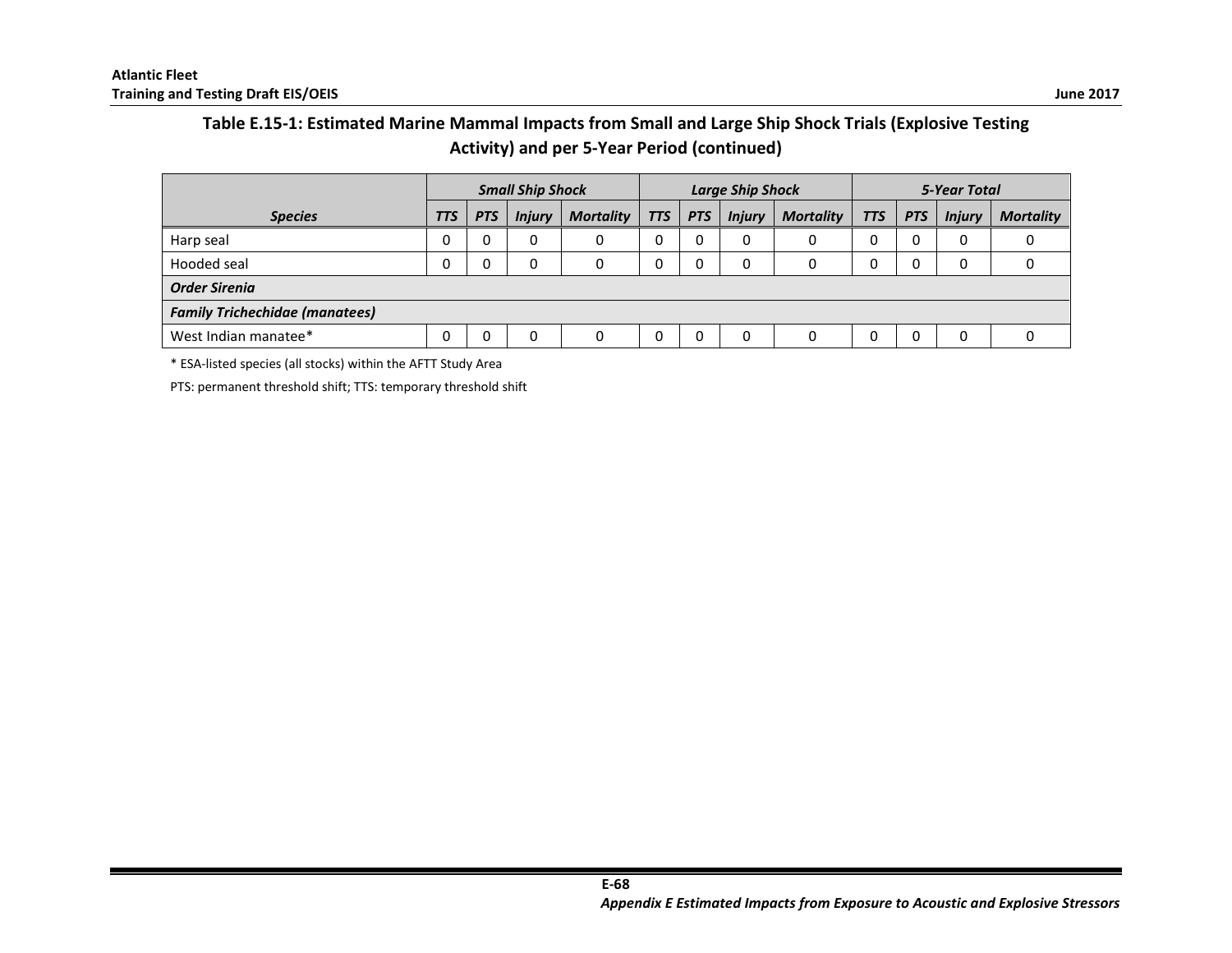### **Table E.15-1: Estimated Marine Mammal Impacts from Small and Large Ship Shock Trials (Explosive Testing Activity) and per 5-Year Period (continued)**

|                                       | <b>Small Ship Shock</b> |            |               | <b>Large Ship Shock</b> |            |            |               | 5-Year Total     |            |            |               |                  |
|---------------------------------------|-------------------------|------------|---------------|-------------------------|------------|------------|---------------|------------------|------------|------------|---------------|------------------|
| <b>Species</b>                        | <b>TTS</b>              | <b>PTS</b> | <b>Injury</b> | <b>Mortality</b>        | <b>TTS</b> | <b>PTS</b> | <b>Injury</b> | <b>Mortality</b> | <b>TTS</b> | <b>PTS</b> | <b>Injury</b> | <b>Mortality</b> |
| Harp seal                             | 0                       |            | 0             | 0                       | 0          | 0          | 0             |                  | 0          | 0          | 0             |                  |
| Hooded seal                           |                         |            | 0             |                         | 0          | 0          | 0             |                  | 0          | 0          | 0             |                  |
| <b>Order Sirenia</b>                  |                         |            |               |                         |            |            |               |                  |            |            |               |                  |
| <b>Family Trichechidae (manatees)</b> |                         |            |               |                         |            |            |               |                  |            |            |               |                  |
| West Indian manatee*                  | 0                       |            | 0             | 0                       |            | 0          | 0             |                  | 0          | 0          | 0             |                  |

\* ESA-listed species (all stocks) within the AFTT Study Area

PTS: permanent threshold shift; TTS: temporary threshold shift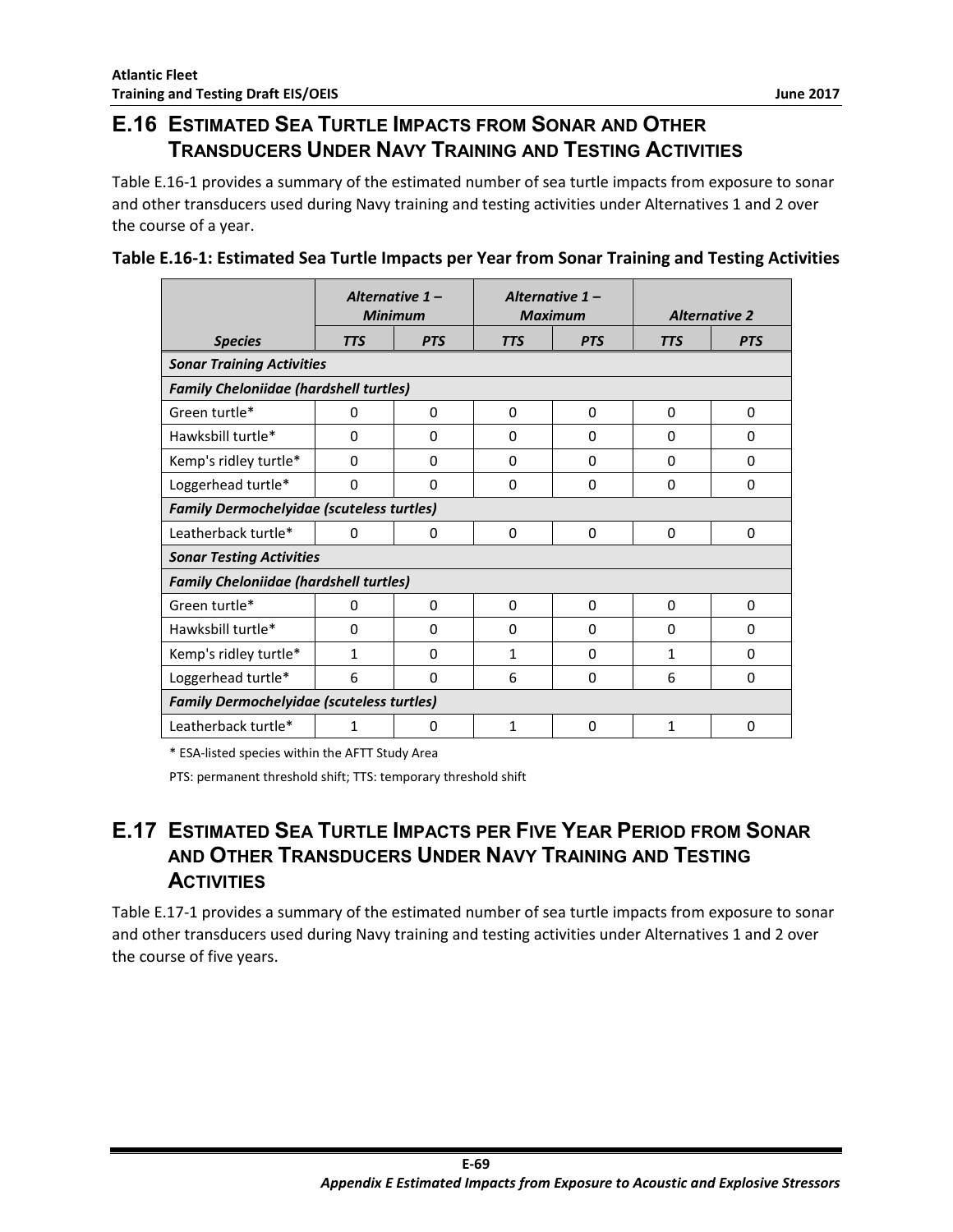# **E.16 ESTIMATED SEA TURTLE IMPACTS FROM SONAR AND OTHER TRANSDUCERS UNDER NAVY TRAINING AND TESTING ACTIVITIES**

[Table E.16-1](#page-74-0) provides a summary of the estimated number of sea turtle impacts from exposure to sonar and other transducers used during Navy training and testing activities under Alternatives 1 and 2 over the course of a year.

|                                                  |                          | Alternative $1-$<br><b>Minimum</b> | Alternative $1-$<br><b>Maximum</b> |            | <b>Alternative 2</b> |              |  |  |  |  |
|--------------------------------------------------|--------------------------|------------------------------------|------------------------------------|------------|----------------------|--------------|--|--|--|--|
| <b>Species</b>                                   | <b>PTS</b><br><b>TTS</b> |                                    | <b>TTS</b>                         | <b>PTS</b> | <b>TTS</b>           | <b>PTS</b>   |  |  |  |  |
| <b>Sonar Training Activities</b>                 |                          |                                    |                                    |            |                      |              |  |  |  |  |
| <b>Family Cheloniidae (hardshell turtles)</b>    |                          |                                    |                                    |            |                      |              |  |  |  |  |
| Green turtle*                                    | 0                        | 0                                  | 0                                  | $\Omega$   | 0                    | 0            |  |  |  |  |
| Hawksbill turtle*                                | 0                        | 0                                  | 0                                  | $\Omega$   | 0                    | 0            |  |  |  |  |
| Kemp's ridley turtle*                            | 0                        | $\Omega$                           | 0                                  | $\Omega$   | 0                    | $\Omega$     |  |  |  |  |
| Loggerhead turtle*                               | 0                        | 0                                  | 0                                  | 0          | 0                    | 0            |  |  |  |  |
| <b>Family Dermochelyidae (scuteless turtles)</b> |                          |                                    |                                    |            |                      |              |  |  |  |  |
| Leatherback turtle*                              | 0                        | $\Omega$                           | 0                                  | $\Omega$   | $\Omega$             | $\mathbf{0}$ |  |  |  |  |
| <b>Sonar Testing Activities</b>                  |                          |                                    |                                    |            |                      |              |  |  |  |  |
| <b>Family Cheloniidae (hardshell turtles)</b>    |                          |                                    |                                    |            |                      |              |  |  |  |  |
| Green turtle*                                    | $\Omega$                 | $\Omega$                           | $\Omega$                           | $\Omega$   | $\Omega$             | $\Omega$     |  |  |  |  |
| Hawksbill turtle*                                | 0                        | 0                                  | 0                                  | 0          | 0                    | $\Omega$     |  |  |  |  |
| Kemp's ridley turtle*                            | $\mathbf{1}$             | $\Omega$                           | 1                                  | $\Omega$   | 1                    | $\Omega$     |  |  |  |  |
| Loggerhead turtle*                               | 6                        | $\Omega$                           | 6                                  | $\Omega$   | 6                    | $\Omega$     |  |  |  |  |
| <b>Family Dermochelyidae (scuteless turtles)</b> |                          |                                    |                                    |            |                      |              |  |  |  |  |
| Leatherback turtle*                              | 1                        | 0                                  | $\mathbf{1}$                       | $\Omega$   | 1                    | $\Omega$     |  |  |  |  |

#### <span id="page-74-0"></span>**Table E.16-1: Estimated Sea Turtle Impacts per Year from Sonar Training and Testing Activities**

\* ESA-listed species within the AFTT Study Area

PTS: permanent threshold shift; TTS: temporary threshold shift

# **E.17 ESTIMATED SEA TURTLE IMPACTS PER FIVE YEAR PERIOD FROM SONAR AND OTHER TRANSDUCERS UNDER NAVY TRAINING AND TESTING ACTIVITIES**

[Table E.17-1](#page-75-0) provides a summary of the estimated number of sea turtle impacts from exposure to sonar and other transducers used during Navy training and testing activities under Alternatives 1 and 2 over the course of five years.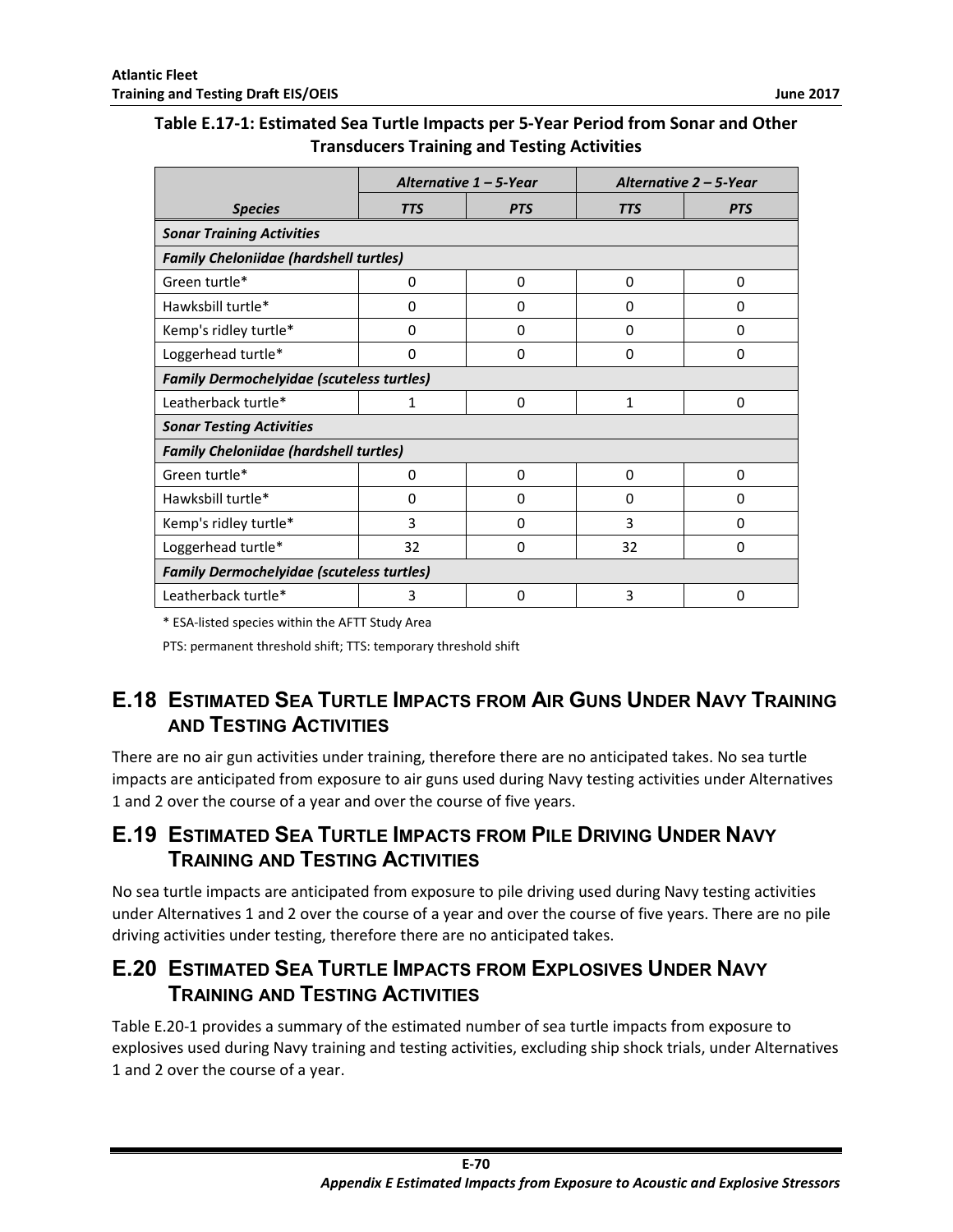### <span id="page-75-0"></span>**Table E.17-1: Estimated Sea Turtle Impacts per 5-Year Period from Sonar and Other Transducers Training and Testing Activities**

|                                                  | Alternative $1 - 5$ -Year                     |            |              | Alternative 2 – 5-Year |  |  |  |  |  |  |  |  |
|--------------------------------------------------|-----------------------------------------------|------------|--------------|------------------------|--|--|--|--|--|--|--|--|
| <b>Species</b>                                   | <b>TTS</b>                                    | <b>PTS</b> | <b>TTS</b>   | <b>PTS</b>             |  |  |  |  |  |  |  |  |
| <b>Sonar Training Activities</b>                 |                                               |            |              |                        |  |  |  |  |  |  |  |  |
|                                                  | <b>Family Cheloniidae (hardshell turtles)</b> |            |              |                        |  |  |  |  |  |  |  |  |
| Green turtle*                                    | 0                                             | $\Omega$   | $\mathbf{0}$ | 0                      |  |  |  |  |  |  |  |  |
| Hawksbill turtle*                                | 0                                             | 0          | 0            | 0                      |  |  |  |  |  |  |  |  |
| Kemp's ridley turtle*                            | 0                                             | 0          | 0            | 0                      |  |  |  |  |  |  |  |  |
| Loggerhead turtle*                               | 0                                             | 0          | 0            | 0                      |  |  |  |  |  |  |  |  |
| <b>Family Dermochelyidae (scuteless turtles)</b> |                                               |            |              |                        |  |  |  |  |  |  |  |  |
| Leatherback turtle*                              | 1                                             | 0          | 1            | 0                      |  |  |  |  |  |  |  |  |
| <b>Sonar Testing Activities</b>                  |                                               |            |              |                        |  |  |  |  |  |  |  |  |
| <b>Family Cheloniidae (hardshell turtles)</b>    |                                               |            |              |                        |  |  |  |  |  |  |  |  |
| Green turtle*                                    | 0                                             | $\Omega$   | $\Omega$     | 0                      |  |  |  |  |  |  |  |  |
| Hawksbill turtle*                                | $\mathbf{0}$                                  | $\Omega$   | $\mathbf{0}$ | 0                      |  |  |  |  |  |  |  |  |
| Kemp's ridley turtle*                            | 3                                             | $\Omega$   | 3            | 0                      |  |  |  |  |  |  |  |  |
| Loggerhead turtle*                               | 32                                            | 0          | 32           | 0                      |  |  |  |  |  |  |  |  |
| <b>Family Dermochelyidae (scuteless turtles)</b> |                                               |            |              |                        |  |  |  |  |  |  |  |  |
| Leatherback turtle*                              | 3                                             | 0          | 3            | 0                      |  |  |  |  |  |  |  |  |

\* ESA-listed species within the AFTT Study Area

PTS: permanent threshold shift; TTS: temporary threshold shift

# **E.18 ESTIMATED SEA TURTLE IMPACTS FROM AIR GUNS UNDER NAVY TRAINING AND TESTING ACTIVITIES**

There are no air gun activities under training, therefore there are no anticipated takes. No sea turtle impacts are anticipated from exposure to air guns used during Navy testing activities under Alternatives 1 and 2 over the course of a year and over the course of five years.

## **E.19 ESTIMATED SEA TURTLE IMPACTS FROM PILE DRIVING UNDER NAVY TRAINING AND TESTING ACTIVITIES**

No sea turtle impacts are anticipated from exposure to pile driving used during Navy testing activities under Alternatives 1 and 2 over the course of a year and over the course of five years. There are no pile driving activities under testing, therefore there are no anticipated takes.

## **E.20 ESTIMATED SEA TURTLE IMPACTS FROM EXPLOSIVES UNDER NAVY TRAINING AND TESTING ACTIVITIES**

[Table E.20-1](#page-76-0) provides a summary of the estimated number of sea turtle impacts from exposure to explosives used during Navy training and testing activities, excluding ship shock trials, under Alternatives 1 and 2 over the course of a year.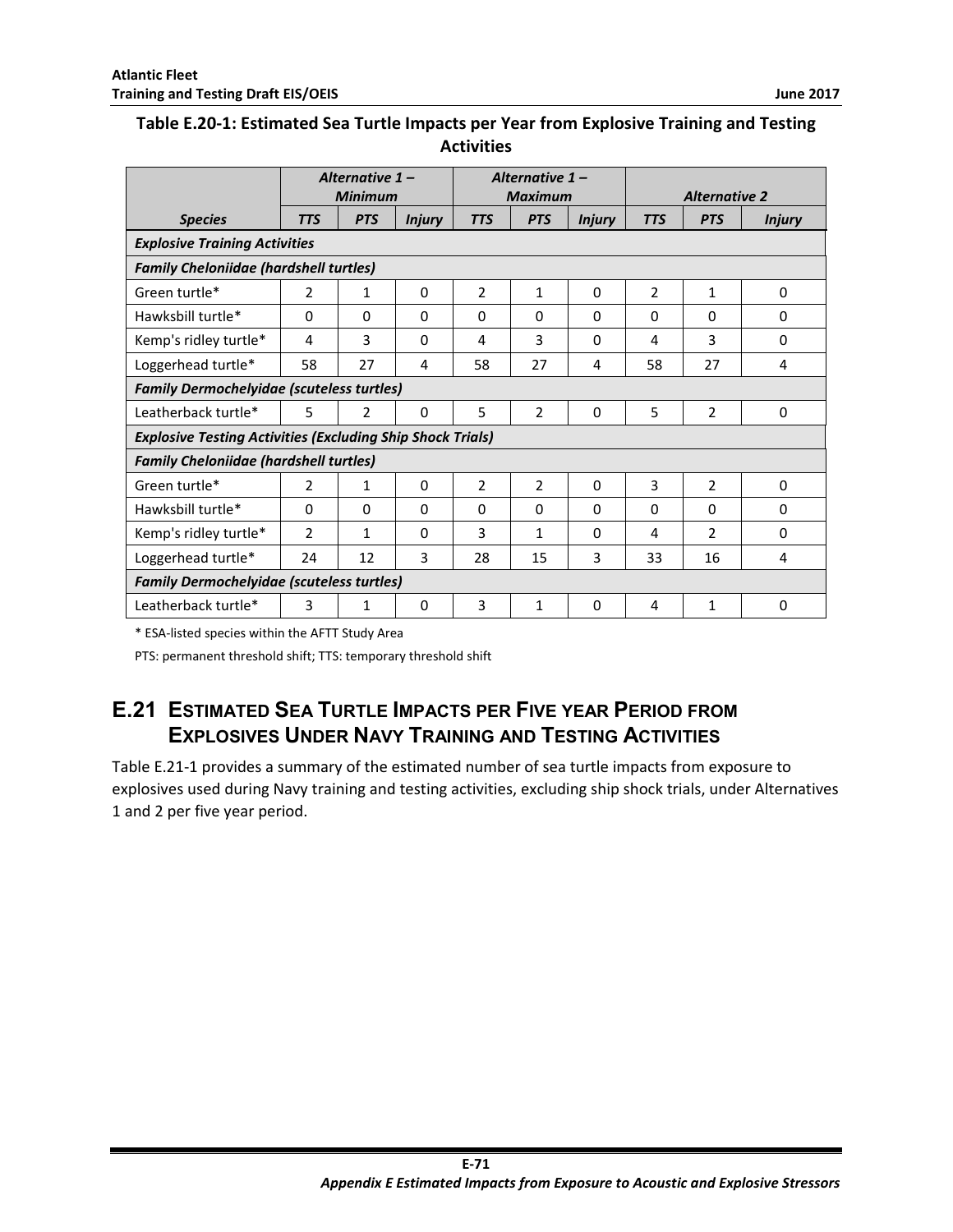#### <span id="page-76-0"></span>**Table E.20-1: Estimated Sea Turtle Impacts per Year from Explosive Training and Testing Activities**

|                                                                   | Alternative 1-           |                |               |                | Alternative 1- |               |                |                          |               |  |
|-------------------------------------------------------------------|--------------------------|----------------|---------------|----------------|----------------|---------------|----------------|--------------------------|---------------|--|
|                                                                   |                          | <b>Minimum</b> |               |                | <b>Maximum</b> |               |                | <b>Alternative 2</b>     |               |  |
| <b>Species</b>                                                    | <b>TTS</b>               | <b>PTS</b>     | <b>Injury</b> | <b>TTS</b>     | <b>PTS</b>     | <b>Injury</b> | <b>TTS</b>     | <b>PTS</b>               | <i>Injury</i> |  |
| <b>Explosive Training Activities</b>                              |                          |                |               |                |                |               |                |                          |               |  |
| <b>Family Cheloniidae (hardshell turtles)</b>                     |                          |                |               |                |                |               |                |                          |               |  |
| Green turtle*                                                     | 2                        | 1              | $\Omega$      | $\overline{2}$ | 1              | 0             | $\overline{2}$ | $\mathbf{1}$             | $\Omega$      |  |
| Hawksbill turtle*                                                 | 0                        | $\Omega$       | $\Omega$      | $\Omega$       | 0              | 0             | $\Omega$       | $\Omega$                 | 0             |  |
| Kemp's ridley turtle*                                             | 4                        | 3              | $\Omega$      | 4              | 3              | 0             | 4              | 3                        | 0             |  |
| Loggerhead turtle*                                                | 58                       | 27             | 4             | 58             | 27             | 4             | 58             | 27                       | 4             |  |
| <b>Family Dermochelyidae (scuteless turtles)</b>                  |                          |                |               |                |                |               |                |                          |               |  |
| Leatherback turtle*                                               | 5                        | 2              | $\Omega$      | 5              | 2              | 0             | 5              | 2                        | $\Omega$      |  |
| <b>Explosive Testing Activities (Excluding Ship Shock Trials)</b> |                          |                |               |                |                |               |                |                          |               |  |
| <b>Family Cheloniidae (hardshell turtles)</b>                     |                          |                |               |                |                |               |                |                          |               |  |
| Green turtle*                                                     | 2                        | 1              | $\Omega$      | 2              | $\overline{2}$ | 0             | 3              | $\overline{\phantom{a}}$ | $\Omega$      |  |
| Hawksbill turtle*                                                 | $\Omega$                 | $\Omega$       | $\Omega$      | $\mathbf{0}$   | $\Omega$       | 0             | $\Omega$       | $\Omega$                 | $\Omega$      |  |
| Kemp's ridley turtle*                                             | $\overline{\phantom{a}}$ | 1              | $\Omega$      | 3              | 1              | 0             | 4              | $\overline{\phantom{a}}$ | $\Omega$      |  |
| Loggerhead turtle*                                                | 24                       | 12             | 3             | 28             | 15             | 3             | 33             | 16                       | 4             |  |
| <b>Family Dermochelyidae (scuteless turtles)</b>                  |                          |                |               |                |                |               |                |                          |               |  |
| Leatherback turtle*                                               | 3                        | $\mathbf{1}$   | 0             | 3              | 1              | 0             | 4              | $\mathbf{1}$             | 0             |  |

\* ESA-listed species within the AFTT Study Area

PTS: permanent threshold shift; TTS: temporary threshold shift

# **E.21 ESTIMATED SEA TURTLE IMPACTS PER FIVE YEAR PERIOD FROM EXPLOSIVES UNDER NAVY TRAINING AND TESTING ACTIVITIES**

[Table E.21-1](#page-77-0) provides a summary of the estimated number of sea turtle impacts from exposure to explosives used during Navy training and testing activities, excluding ship shock trials, under Alternatives 1 and 2 per five year period.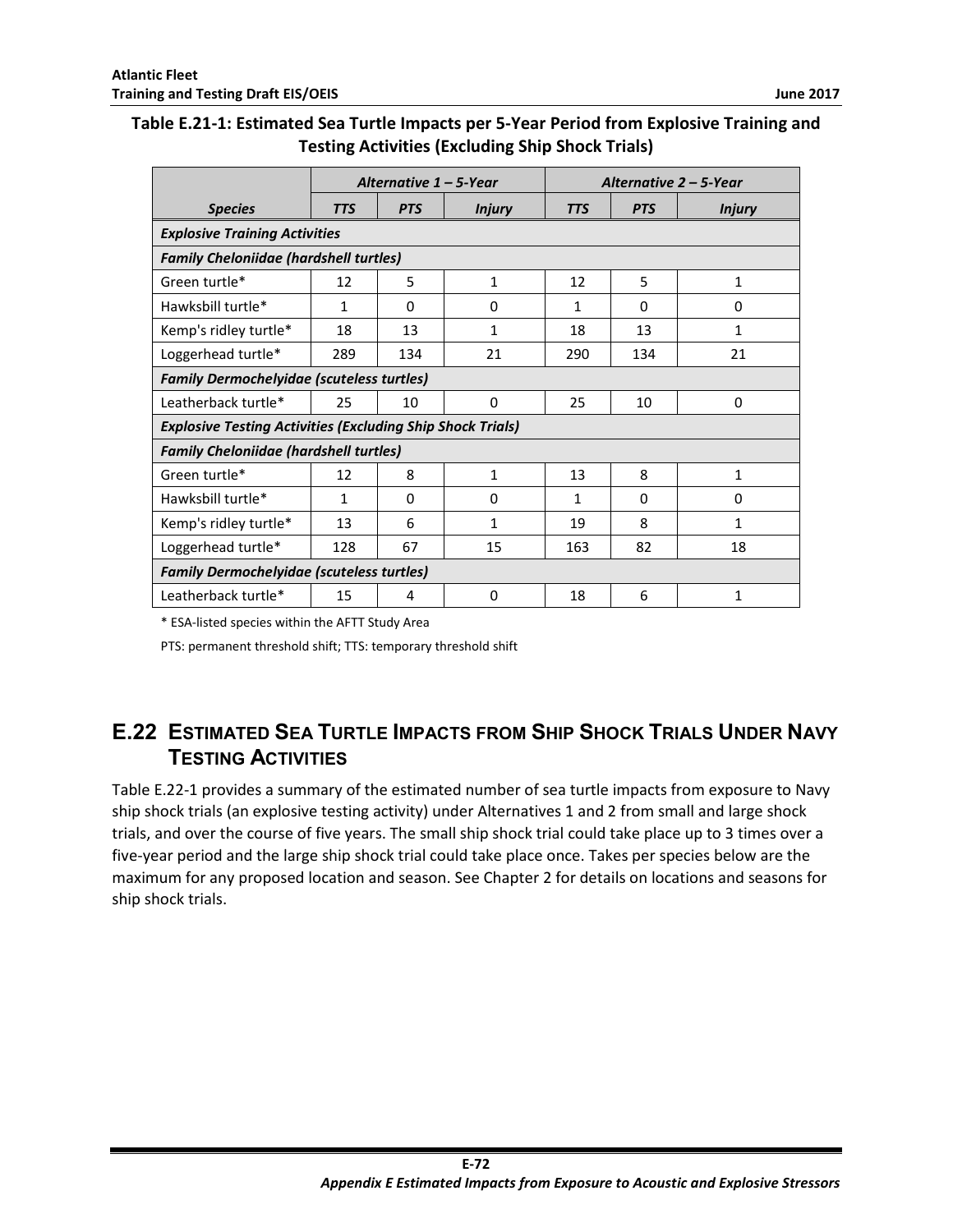### <span id="page-77-0"></span>**Table E.21-1: Estimated Sea Turtle Impacts per 5-Year Period from Explosive Training and Testing Activities (Excluding Ship Shock Trials)**

|                                                                   |                                                  | Alternative $1 - 5$ -Year |               |                          | Alternative 2 – 5-Year |               |  |  |  |  |  |
|-------------------------------------------------------------------|--------------------------------------------------|---------------------------|---------------|--------------------------|------------------------|---------------|--|--|--|--|--|
| <b>Species</b>                                                    | <b>TTS</b>                                       | <b>PTS</b>                | <i>Injury</i> | <b>PTS</b><br><b>TTS</b> |                        | <i>Injury</i> |  |  |  |  |  |
| <b>Explosive Training Activities</b>                              |                                                  |                           |               |                          |                        |               |  |  |  |  |  |
| <b>Family Cheloniidae (hardshell turtles)</b>                     |                                                  |                           |               |                          |                        |               |  |  |  |  |  |
| Green turtle*                                                     | 12                                               | 5                         | 1             | 12                       | 5                      | 1             |  |  |  |  |  |
| Hawksbill turtle*                                                 | 1                                                | $\Omega$                  | 0             | 1                        | 0                      | 0             |  |  |  |  |  |
| Kemp's ridley turtle*                                             | 18                                               | 13                        | 1             | 18                       | 13                     | 1             |  |  |  |  |  |
| Loggerhead turtle*                                                | 289                                              | 134                       | 21            | 290                      | 134                    | 21            |  |  |  |  |  |
|                                                                   | <b>Family Dermochelyidae (scuteless turtles)</b> |                           |               |                          |                        |               |  |  |  |  |  |
| Leatherback turtle*                                               | 25                                               | 10                        | 0             | 25                       | 10                     | 0             |  |  |  |  |  |
| <b>Explosive Testing Activities (Excluding Ship Shock Trials)</b> |                                                  |                           |               |                          |                        |               |  |  |  |  |  |
| <b>Family Cheloniidae (hardshell turtles)</b>                     |                                                  |                           |               |                          |                        |               |  |  |  |  |  |
| Green turtle*                                                     | 12                                               | 8                         | 1             | 13                       | 8                      | 1             |  |  |  |  |  |
| Hawksbill turtle*                                                 | 1                                                | $\Omega$                  | $\Omega$      | $\mathbf{1}$             | 0                      | 0             |  |  |  |  |  |
| Kemp's ridley turtle*                                             | 13                                               | 6                         | $\mathbf{1}$  | 19                       | 8                      | 1             |  |  |  |  |  |
| Loggerhead turtle*                                                | 128                                              | 67                        | 15            | 163                      | 82                     | 18            |  |  |  |  |  |
| <b>Family Dermochelyidae (scuteless turtles)</b>                  |                                                  |                           |               |                          |                        |               |  |  |  |  |  |
| Leatherback turtle*                                               | 15                                               | 4                         | $\Omega$      | 18                       | 6                      | $\mathbf{1}$  |  |  |  |  |  |

\* ESA-listed species within the AFTT Study Area

PTS: permanent threshold shift; TTS: temporary threshold shift

# **E.22 ESTIMATED SEA TURTLE IMPACTS FROM SHIP SHOCK TRIALS UNDER NAVY TESTING ACTIVITIES**

[Table E.22-1](#page-78-0) provides a summary of the estimated number of sea turtle impacts from exposure to Navy ship shock trials (an explosive testing activity) under Alternatives 1 and 2 from small and large shock trials, and over the course of five years. The small ship shock trial could take place up to 3 times over a five-year period and the large ship shock trial could take place once. Takes per species below are the maximum for any proposed location and season. See Chapter 2 for details on locations and seasons for ship shock trials.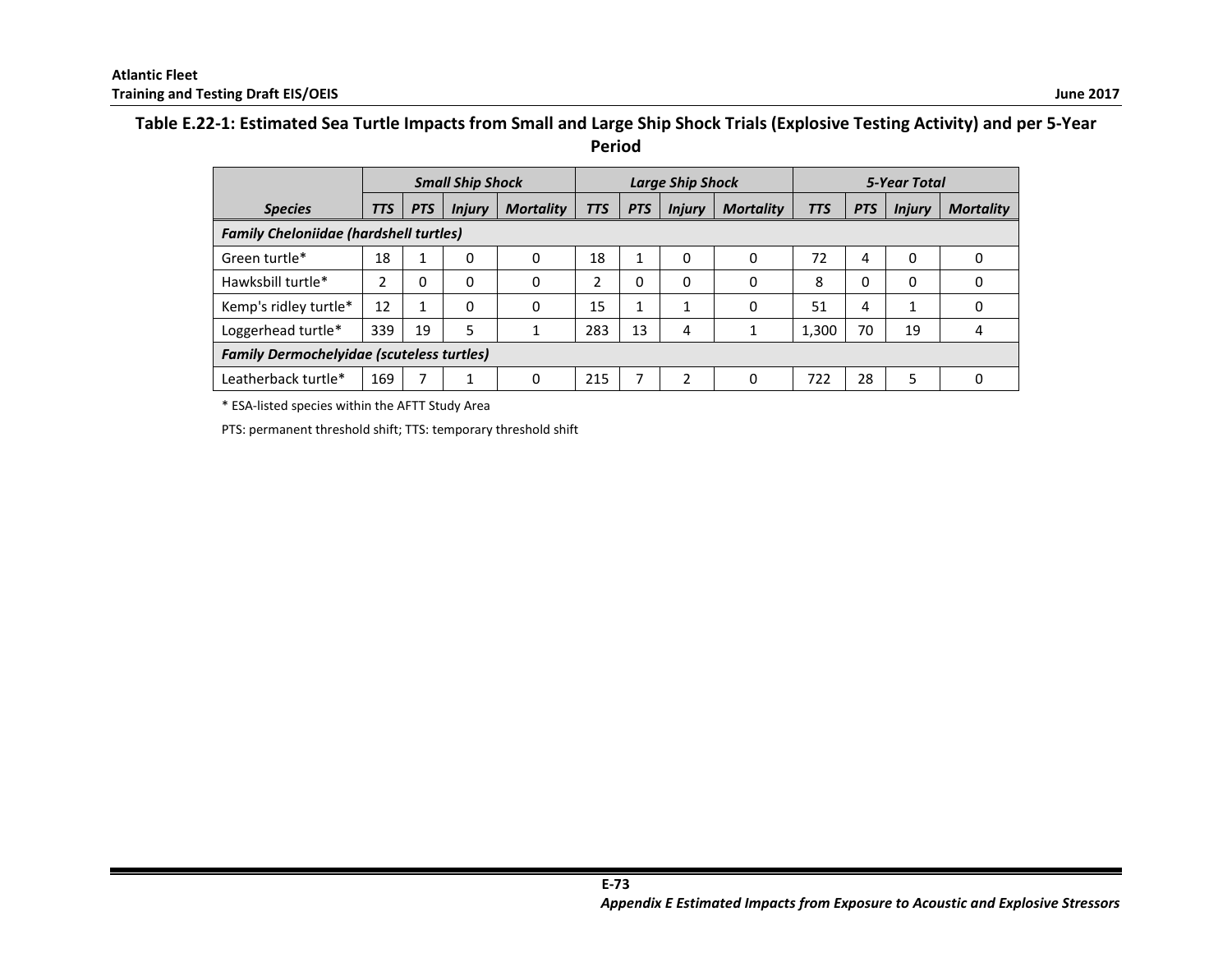### **Table E.22-1: Estimated Sea Turtle Impacts from Small and Large Ship Shock Trials (Explosive Testing Activity) and per 5-Year Period**

|                                                  | <b>Small Ship Shock</b> |            |               | <b>Large Ship Shock</b> |                          |              |               | <b>5-Year Total</b> |            |            |               |                  |
|--------------------------------------------------|-------------------------|------------|---------------|-------------------------|--------------------------|--------------|---------------|---------------------|------------|------------|---------------|------------------|
| <b>Species</b>                                   | <b>TTS</b>              | <b>PTS</b> | <b>Injury</b> | <b>Mortality</b>        | <b>TTS</b>               | <b>PTS</b>   | <b>Injury</b> | <b>Mortality</b>    | <b>TTS</b> | <b>PTS</b> | <b>Injury</b> | <b>Mortality</b> |
| <b>Family Cheloniidae (hardshell turtles)</b>    |                         |            |               |                         |                          |              |               |                     |            |            |               |                  |
| Green turtle*                                    | 18                      |            | 0             | 0                       | 18                       |              | $\Omega$      | 0                   | 72         | 4          | 0             | Ω                |
| Hawksbill turtle*                                | າ                       | 0          | $\Omega$      | $\mathbf{0}$            | $\overline{\phantom{a}}$ | $\mathbf{0}$ | $\Omega$      | 0                   | 8          | 0          | $\Omega$      | 0                |
| Kemp's ridley turtle*                            | 12                      |            | $\Omega$      | 0                       | 15                       | 1            |               | 0                   | 51         | 4          | ◢             |                  |
| Loggerhead turtle*                               | 339                     | 19         | 5             |                         | 283                      | 13           | 4             |                     | 1,300      | 70         | 19            |                  |
| <b>Family Dermochelyidae (scuteless turtles)</b> |                         |            |               |                         |                          |              |               |                     |            |            |               |                  |
| Leatherback turtle*                              | 169                     |            |               | 0                       | 215                      | –            | 2             | 0                   | 722        | 28         | 5             | 0                |

<span id="page-78-0"></span>\* ESA-listed species within the AFTT Study Area

PTS: permanent threshold shift; TTS: temporary threshold shift